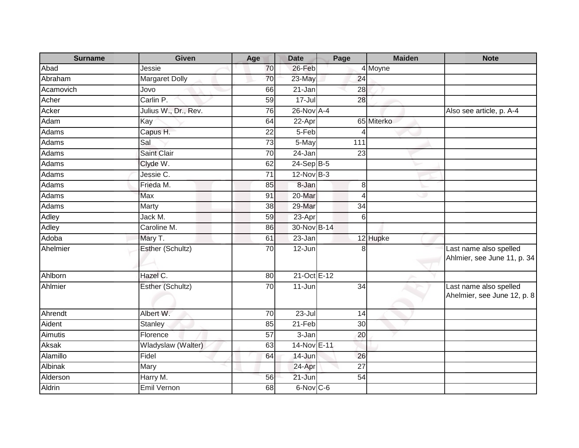| <b>Surname</b> | Given                 | Age             | <b>Date</b>  | Page              | <b>Maiden</b>        | <b>Note</b>                                           |
|----------------|-----------------------|-----------------|--------------|-------------------|----------------------|-------------------------------------------------------|
| Abad           | Jessie                | 70              | 26-Feb       |                   | $\overline{4}$ Moyne |                                                       |
| Abraham        | <b>Margaret Dolly</b> | 70              | 23-May       | 24                |                      |                                                       |
| Acamovich      | Jovo                  | 66              | 21-Jan       | 28                |                      |                                                       |
| Acher          | Carlin P.             | 59              | $17 -$ Jul   | $\overline{28}$   |                      |                                                       |
| Acker          | Julius W., Dr., Rev.  | 76              | 26-Nov A-4   |                   |                      | Also see article, p. A-4                              |
| Adam           | Kay                   | 64              | 22-Apr       |                   | 65 Miterko           |                                                       |
| Adams          | Capus H.              | 22              | 5-Feb        | Δ                 |                      |                                                       |
| <b>Adams</b>   | Sal                   | 73              | 5-May        | $\frac{111}{111}$ |                      |                                                       |
| Adams          | <b>Saint Clair</b>    | 70              | 24-Jan       | $\overline{23}$   |                      |                                                       |
| Adams          | Clyde W.              | 62              | $24-Sep B-5$ |                   |                      |                                                       |
| <b>Adams</b>   | Jessie C.             | $\overline{71}$ | $12-Nov$ B-3 |                   |                      |                                                       |
| Adams          | Frieda M.             | 85              | 8-Jan        | 8                 |                      |                                                       |
| Adams          | Max                   | 91              | 20-Mar       | 4                 | ی                    |                                                       |
| Adams          | Marty                 | 38              | 29-Mar       | $\overline{34}$   |                      |                                                       |
| <b>Adley</b>   | Jack M.               | 59              | $23$ -Apr    | 6                 |                      |                                                       |
| Adley          | Caroline M.           | 86              | 30-Nov B-14  |                   |                      |                                                       |
| Adoba          | Mary T.               | 61              | 23-Jan       |                   | 12 Hupke             |                                                       |
| Ahelmier       | Esther (Schultz)      | 70              | 12-Jun       | 8                 |                      | Last name also spelled                                |
|                |                       |                 |              |                   |                      | Ahlmier, see June 11, p. 34                           |
| Ahlborn        | Hazel C.              | 80              | 21-Oct E-12  |                   |                      |                                                       |
| Ahlmier        | Esther (Schultz)      | 70              | 11-Jun       | 34                |                      | Last name also spelled<br>Ahelmier, see June 12, p. 8 |
| Ahrendt        | Albert W.             | 70              | $23 -$ Jul   | 14                |                      |                                                       |
| Aident         | Stanley               | 85              | $21-Feb$     | 30                |                      |                                                       |
| Aimutis        | Florence              | 57              | 3-Jan        | 20                |                      |                                                       |
| Aksak          | Wladyslaw (Walter)    | 63              | 14-Nov E-11  |                   |                      |                                                       |
| Alamillo       | Fidel                 | 64              | 14-Jun       | 26                |                      |                                                       |
| Albinak        | Mary                  |                 | 24-Apr       | 27                |                      |                                                       |
| Alderson       | Harry M.              | 56              | $21 - Jun$   | 54                |                      |                                                       |
| <b>Aldrin</b>  | Emil Vernon           | 68              | 6-Nov C-6    |                   |                      |                                                       |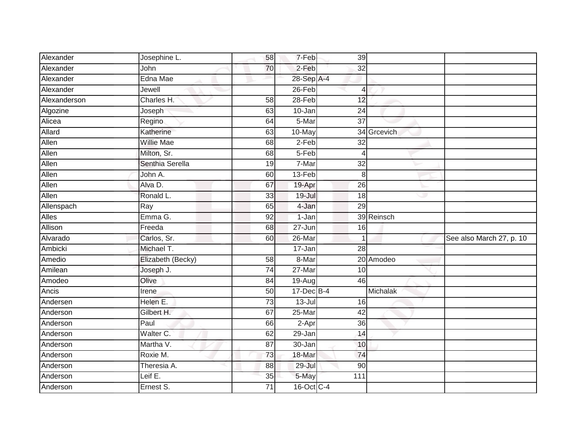| Alexander    | Josephine L.      | 58              | 7-Feb           | 39              |             |                          |
|--------------|-------------------|-----------------|-----------------|-----------------|-------------|--------------------------|
| Alexander    | John              | 70              | 2-Feb           | 32              |             |                          |
| Alexander    | Edna Mae          |                 | 28-Sep A-4      |                 |             |                          |
| Alexander    | Jewell            |                 | 26-Feb          | 4               |             |                          |
| Alexanderson | Charles H.        | 58              | $28 - Feb$      | 12              |             |                          |
| Algozine     | Joseph            | 63              | 10-Jan          | 24              |             |                          |
| Alicea       | Regino            | 64              | 5-Mar           | 37              |             |                          |
| Allard       | Katherine         | 63              | 10-May          |                 | 34 Grcevich |                          |
| Allen        | <b>Willie Mae</b> | 68              | $2-Feb$         | 32              |             |                          |
| Allen        | Milton, Sr.       | 68              | 5-Feb           | $\overline{4}$  |             |                          |
| Allen        | Senthia Serella   | 19              | 7-Mar           | 32              |             |                          |
| Allen        | John A.           | 60              | 13-Feb          | 8               |             |                          |
| Allen        | Alva D.           | 67              | 19-Apr          | $\overline{26}$ |             |                          |
| Allen        | Ronald L.         | 33              | $19 -$ Jul      | 18              | ی           |                          |
| Allenspach   | Ray               | 65              | 4-Jan           | $\overline{29}$ |             |                          |
| <b>Alles</b> | Emma G.           | 92              | 1-Jan           |                 | 39 Reinsch  |                          |
| Allison      | $F$ reeda         | 68              | 27-Jun          | 16              |             |                          |
| Alvarado     | Carlos, Sr.       | 60              | 26-Mar          |                 |             | See also March 27, p. 10 |
| Ambicki      | Michael T.        |                 | 17-Jan          | $\overline{28}$ |             |                          |
| Amedio       | Elizabeth (Becky) | 58              | 8-Mar           |                 | 20 Amodeo   |                          |
| Amilean      | Joseph J.         | 74              | $27 - Mar$      | 10              |             |                          |
| Amodeo       | Olive             | 84              | $19-Aug$        | 46              |             |                          |
| Ancis        | Irene             | 50              | 17-Dec B-4      |                 | Michalak    |                          |
| Andersen     | Helen E.          | $\overline{73}$ | $13 -$ Jul      | 16              |             |                          |
| Anderson     | Gilbert H.        | 67              | 25-Mar          | 42              |             |                          |
| Anderson     | Paul              | 66              | 2-Apr           | 36              |             |                          |
| Anderson     | Walter C.         | 62              | $29 - Jan$      | 14              |             |                          |
| Anderson     | Martha V.         | 87              | 30-Jan          | 10              |             |                          |
| Anderson     | Roxie M.          | 73              | 18-Mar          | 74              |             |                          |
| Anderson     | Theresia A.       | $\overline{88}$ | $29 -$ Jul      | $\overline{90}$ |             |                          |
| Anderson     | Leif E.           | 35              | 5-May           | 111             |             |                          |
| Anderson     | Ernest S.         | 71              | $16$ -Oct $C-4$ |                 |             |                          |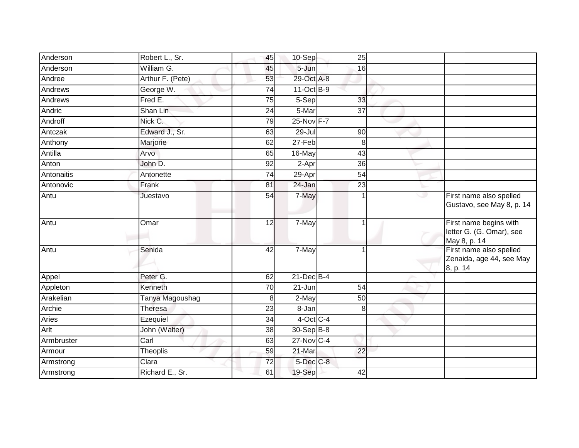| Anderson       | Robert L., Sr.   | 45              | 10-Sep          | $\overline{25}$ |   |                                                                    |
|----------------|------------------|-----------------|-----------------|-----------------|---|--------------------------------------------------------------------|
| Anderson       | William G.       | 45              | 5-Jun           | 16              |   |                                                                    |
| Andree         | Arthur F. (Pete) | 53              | 29-Oct A-8      |                 |   |                                                                    |
| <b>Andrews</b> | George W.        | 74              | 11-Oct B-9      |                 |   |                                                                    |
| Andrews        | Fred E.          | 75              | 5-Sep           | 33              |   |                                                                    |
| Andric         | Shan Lin         | 24              | 5-Mar           | $\overline{37}$ |   |                                                                    |
| Androff        | Nick C.          | 79              | $25$ -Nov $F-7$ |                 |   |                                                                    |
| Antczak        | Edward J., Sr.   | 63              | 29-Jul          | 90              |   |                                                                    |
| Anthony        | Marjorie         | 62              | $27-Feb$        | 8               |   |                                                                    |
| Antilla        | Arvo             | 65              | 16-May          | 43              |   |                                                                    |
| Anton          | John D.          | 92              | 2-Apr           | 36              |   |                                                                    |
| Antonaitis     | Antonette        | $\overline{74}$ | 29-Apr          | $\overline{54}$ |   |                                                                    |
| Antonovic      | Frank            | 81              | 24-Jan          | $\overline{23}$ |   |                                                                    |
| Antu           | Juestavo         | 54              | 7-May           |                 | ە | First name also spelled<br>Gustavo, see May 8, p. 14               |
| Antu           | Omar             | 12              | 7-May           | 1               |   | First name begins with<br>letter G. (G. Omar), see<br>May 8, p. 14 |
| Antu           | Senida           | 42              | 7-May           |                 |   | First name also spelled<br>Zenaida, age 44, see May<br>8, p. 14    |
| Appel          | Peter G.         | 62              | $21$ -Dec $B-4$ |                 |   |                                                                    |
| Appleton       | Kenneth          | 70              | $21 - Jun$      | $\overline{54}$ |   |                                                                    |
| Arakelian      | Tanya Magoushag  | 8               | 2-May           | 50              |   |                                                                    |
| Archie         | Theresa          | 23              | 8-Jan           | 8               |   |                                                                    |
| <b>Aries</b>   | Ezequiel         | 34              | $4$ -Oct C-4    |                 |   |                                                                    |
| Arlt           | John (Walter)    | 38              | 30-Sep B-8      |                 |   |                                                                    |
| Armbruster     | Carl             | 63              | $27$ -Nov $C-4$ |                 |   |                                                                    |
| Armour         | Theoplis         | 59              | 21-Mar          | 22              |   |                                                                    |
| Armstrong      | Clara            | 72              | 5-Dec C-8       |                 |   |                                                                    |
| Armstrong      | Richard E., Sr.  | 61              | 19-Sep          | 42              |   |                                                                    |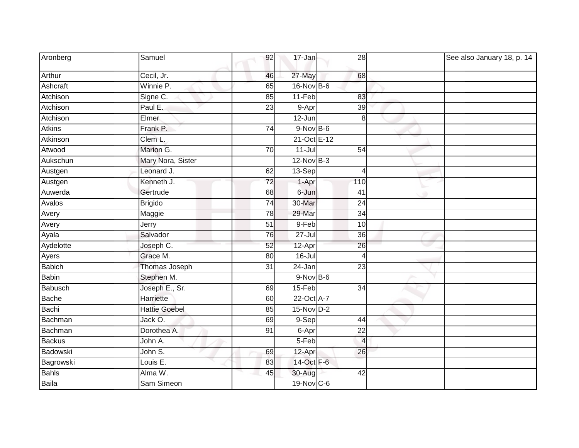| Aronberg       | Samuel               | 92              | 17-Jan          | 28              | See also January 18, p. 14 |
|----------------|----------------------|-----------------|-----------------|-----------------|----------------------------|
| Arthur         | Cecil, Jr.           | 46              | 27-May          | 68              |                            |
| Ashcraft       | Winnie P.            | 65              | 16-Nov B-6      |                 |                            |
| Atchison       | Signe C.             | 85              | $11-Feb$        | 83              |                            |
| Atchison       | Paul E.              | 23              | 9-Apr           | 39              |                            |
| Atchison       | <b>Elmer</b>         |                 | $12$ -Jun       | 8 <sup>1</sup>  |                            |
| <b>Atkins</b>  | Frank P.             | 74              | $9-Nov$ B-6     |                 |                            |
| Atkinson       | Clem L.              |                 | 21-Oct E-12     |                 |                            |
| Atwood         | Marion G.            | 70              | $11$ -Jul       | 54              |                            |
| Aukschun       | Mary Nora, Sister    |                 | $12-Nov$ B-3    |                 |                            |
| Austgen        | Leonard J.           | 62              | 13-Sep          | $\vert$         |                            |
| Austgen        | Kenneth J.           | 72              | 1-Apr           | 110             |                            |
| Auwerda        | Gertrude             | 68              | 6-Jun           | 41              |                            |
| Avalos         | <b>Brigido</b>       | 74              | 30-Mar          | $\overline{24}$ |                            |
| Avery          | Maggie               | 78              | 29-Mar          | 34              |                            |
| Avery          | Jerry                | 51              | 9-Feb           | 10              |                            |
| Ayala          | Salvador             | 76              | $27 -$ Jul      | 36              |                            |
| Aydelotte      | Joseph C.            | 52              | 12-Apr          | 26              |                            |
| Ayers          | Grace M.             | 80              | $16$ -Jul       | $\vert$         |                            |
| <b>Babich</b>  | Thomas Joseph        | $\overline{31}$ | 24-Jan          | $\overline{23}$ |                            |
| <b>Babin</b>   | Stephen M.           |                 | $9-Nov$ B-6     |                 |                            |
| <b>Babusch</b> | Joseph E., Sr.       | 69              | $15-Feb$        | 34              |                            |
| Bache          | Harriette            | 60              | 22-Oct A-7      |                 |                            |
| Bachi          | <b>Hattie Goebel</b> | 85              | $15$ -Nov $D-2$ |                 |                            |
| Bachman        | Jack O.              | 69              | $9-Sep$         | 44              |                            |
| Bachman        | Dorothea A.          | 91              | 6-Apr           | $\overline{22}$ |                            |
| <b>Backus</b>  | John A.              |                 | 5-Feb           | $\overline{4}$  |                            |
| Badowski       | John S.              | 69              | 12-Apr          | 26              |                            |
| Bagrowski      | Louis E.             | 83              | 14-Oct F-6      |                 |                            |
| <b>Bahls</b>   | Alma W.              | 45              | 30-Aug          | 42              |                            |
| Baila          | Sam Simeon           |                 | $19-Nov$ C-6    |                 |                            |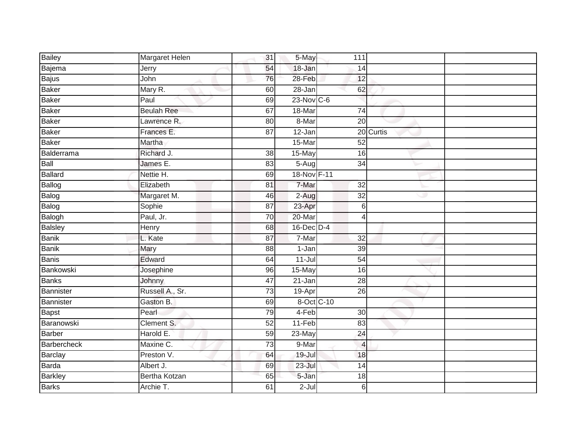| <b>Bailey</b>  | Margaret Helen       | 31              | 5-May           | 111             |           |
|----------------|----------------------|-----------------|-----------------|-----------------|-----------|
| Bajema         | Jerry                | 54              | $18 - Jan$      | 14              |           |
| Bajus          | John                 | 76              | 28-Feb          | 12              |           |
| Baker          | Mary R.              | 60              | 28-Jan          | 62              |           |
| <b>Baker</b>   | Paul                 | 69              | $23$ -Nov $C-6$ |                 |           |
| <b>Baker</b>   | <b>Beulah Ree</b>    | 67              | 18-Mar          | 74              |           |
| Baker          | Lawrence R.          | 80              | 8-Mar           | 20              |           |
| <b>Baker</b>   | Frances E.           | $\overline{87}$ | $12 - Jan$      |                 | 20 Curtis |
| <b>Baker</b>   | Martha               |                 | 15-Mar          | 52              |           |
| Balderrama     | Richard J.           | 38              | 15-May          | 16              |           |
| Ball           | James E.             | 83              | 5-Aug           | 34              |           |
| Ballard        | Nettie H.            | 69              | 18-Nov F-11     |                 |           |
| Ballog         | Elizabeth            | 81              | 7-Mar           | 32              |           |
| Balog          | Margaret M.          | 46              | 2-Aug           | 32              | ٠         |
| Balog          | Sophie               | 87              | 23-Apr          | 6               |           |
| Balogh         | Paul, Jr.            | 70              | 20-Mar          | 4               |           |
| Balsley        | Henry                | 68              | $16$ -Dec $D-4$ |                 |           |
| <b>Banik</b>   | L. Kate              | 87              | 7-Mar           | 32              |           |
| Banik          | Mary                 | 88              | 1-Jan           | $\overline{39}$ |           |
| Banis          | Edward               | 64              | $11 -$ Jul      | $\overline{54}$ |           |
| Bankowski      | Josephine            | 96              | 15-May          | 16              |           |
| Banks          | Johnny               | 47              | 21-Jan          | 28              |           |
| Bannister      | Russell A., Sr.      | 73              | 19-Apr          | $\overline{26}$ |           |
| Bannister      | Gaston B.            | 69              | 8-Oct C-10      |                 |           |
| <b>Bapst</b>   | Pearl                | 79              | 4-Feb           | 30              |           |
| Baranowski     | Clement S.           | 52              | $11-Feb$        | 83              |           |
| Barber         | Harold E.            | 59              | $23$ -May       | $\overline{24}$ |           |
| Barbercheck    | Maxine C.            | 73              | 9-Mar           | $\overline{4}$  |           |
| Barclay        | Preston V.           | 64              | 19-Jul          | 18              |           |
| Barda          | Albert J.            | 69              | $23 -$ Jul      | $\overline{14}$ |           |
| <b>Barkley</b> | <b>Bertha Kotzan</b> | 65              | 5-Jan           | 18              |           |
| <b>Barks</b>   | Archie T.            | 61              | $2-Jul$         | 6               |           |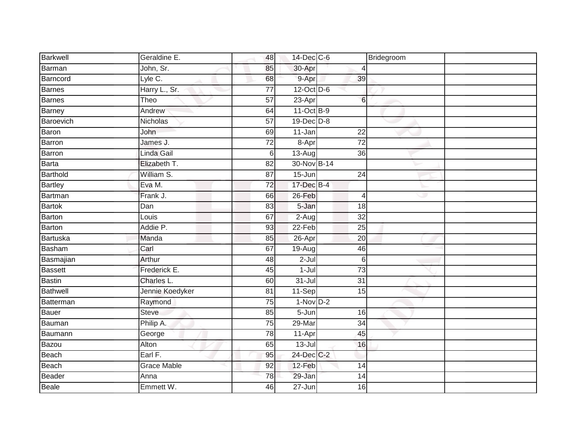| Barkwell        | Geraldine E.       | 48              | 14-Dec C-6      |                  | Bridegroom |
|-----------------|--------------------|-----------------|-----------------|------------------|------------|
| Barman          | John, Sr.          | 85              | 30-Apr          |                  |            |
| Barncord        | Lyle C.            | 68              | 9-Apr           | 39               |            |
| Barnes          | Harry L., Sr.      | $\overline{77}$ | 12-Oct D-6      |                  |            |
| <b>Barnes</b>   | Theo               | 57              | 23-Apr          | $6 \overline{6}$ |            |
| Barney          | Andrew             | 64              | 11-Oct B-9      |                  |            |
| Baroevich       | Nicholas           | 57              | $19$ -Dec $D-8$ |                  |            |
| Baron           | John               | 69              | 11-Jan          | $\overline{22}$  |            |
| Barron          | James J.           | $\overline{72}$ | 8-Apr           | $\overline{72}$  |            |
| Barron          | Linda Gail         | 6               | $13-Auq$        | 36               |            |
| Barta           | Elizabeth T.       | 82              | 30-Nov B-14     |                  |            |
| <b>Barthold</b> | William S.         | $\overline{87}$ | $15 - Jun$      | $\overline{24}$  |            |
| <b>Bartley</b>  | Eva M.             | $\overline{72}$ | 17-Dec B-4      |                  |            |
| Bartman         | Frank J.           | 66              | 26-Feb          | $\overline{4}$   | w          |
| <b>Bartok</b>   | Dan                | 83              | $5 - Jan$       | 18               |            |
| <b>Barton</b>   | Louis              | 67              | 2-Aug           | $\overline{32}$  |            |
| Barton          | Addie P.           | 93              | 22-Feb          | 25               |            |
| Bartuska        | Manda              | 85              | 26-Apr          | 20               |            |
| Basham          | Carl               | 67              | 19-Aug          | 46               |            |
| Basmajian       | Arthur             | 48              | $2-Jul$         | 6                |            |
| <b>Bassett</b>  | Frederick E.       | 45              | $1-Jul$         | $\overline{73}$  |            |
| <b>Bastin</b>   | Charles L.         | 60              | $31 -$ Jul      | 31               |            |
| Bathwell        | Jennie Koedyker    | 81              | 11-Sep          | $\overline{15}$  |            |
| Batterman       | Raymond            | $\overline{75}$ | $1-NovD-2$      |                  |            |
| Bauer           | Steve              | 85              | 5-Jun           | 16               |            |
| Bauman          | Philip A.          | 75              | $29$ -Mar       | $\overline{34}$  |            |
| Baumann         | George             | $\overline{78}$ | 11-Apr          | 45               |            |
| Bazou           | Alton              | 65              | $13 -$ Jul      | 16               |            |
| Beach           | Earl F.            | 95              | 24-Dec C-2      |                  |            |
| Beach           | <b>Grace Mable</b> | 92              | 12-Feb          | $\overline{14}$  |            |
| Beader          | Anna               | 78              | 29-Jan          | 14               |            |
| Beale           | Emmett W.          | 46              | $27 - Jun$      | 16               |            |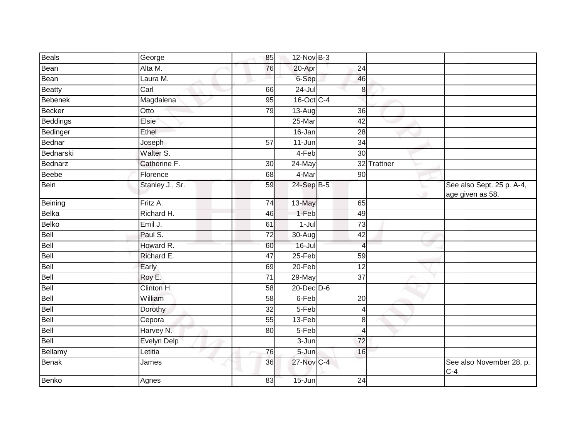| Beals           | George             | 85              | 12-Nov B-3 |                 |             |                                               |
|-----------------|--------------------|-----------------|------------|-----------------|-------------|-----------------------------------------------|
| Bean            | Alta M.            | 76              | 20-Apr     | 24              |             |                                               |
| Bean            | Laura M.           |                 | 6-Sep      | 46              |             |                                               |
| Beatty          | Carl               | 66              | $24 -$ Jul | 8               |             |                                               |
| <b>Bebenek</b>  | Magdalena          | 95              | 16-Oct C-4 |                 |             |                                               |
| <b>Becker</b>   | Otto               | 79              | $13-Aug$   | 36              |             |                                               |
| <b>Beddings</b> | Elsie              |                 | 25-Mar     | 42              |             |                                               |
| Bedinger        | Ethel              |                 | 16-Jan     | 28              |             |                                               |
| Bednar          | Joseph             | $\overline{57}$ | $11$ -Jun  | $\overline{34}$ |             |                                               |
| Bednarski       | Walter S.          |                 | 4-Feb      | 30              |             |                                               |
| Bednarz         | Catherine F.       | 30              | 24-May     |                 | 32 Trattner |                                               |
| <b>Beebe</b>    | Florence           | 68              | 4-Mar      | $\overline{90}$ |             |                                               |
| Bein            | Stanley J., Sr.    | 59              | 24-Sep B-5 |                 | ۰           | See also Sept. 25 p. A-4,<br>age given as 58. |
| Beining         | Fritz A.           | 74              | 13-May     | 65              |             |                                               |
| Belka           | Richard H.         | 46              | 1-Feb      | 49              |             |                                               |
| Belko           | Emil J.            | 61              | $1-Jul$    | $\overline{73}$ |             |                                               |
| Bell            | Paul S.            | 72              | 30-Aug     | 42              |             |                                               |
| Bell            | Howard R.          | 60              | $16 -$ Jul | $\overline{4}$  |             |                                               |
| Bell            | Richard E.         | 47              | $25 - Feb$ | 59              |             |                                               |
| Bell            | Early              | 69              | $20 - Feb$ | $\overline{12}$ |             |                                               |
| Bell            | Roy E.             | 71              | 29-May     | 37              |             |                                               |
| Bell            | Clinton H.         | 58              | 20-Dec D-6 |                 |             |                                               |
| Bell            | William            | 58              | 6-Feb      | $\overline{20}$ |             |                                               |
| Bell            | Dorothy            | 32              | $5-Feb$    | 4               |             |                                               |
| Bell            | Cepora             | 55              | 13-Feb     | 8               |             |                                               |
| Bell            | Harvey N.          | 80              | 5-Feb      | 4               |             |                                               |
| Bell            | <b>Evelyn Delp</b> |                 | $3 - Jun$  | 72              |             |                                               |
| Bellamy         | Letitia            | 76              | 5-Jun      | 16              |             |                                               |
| Benak           | James              | 36              | 27-Nov C-4 |                 |             | See also November 28, p.<br>$C-4$             |
| Benko           | Agnes              | 83              | $15 - Jun$ | $\overline{24}$ |             |                                               |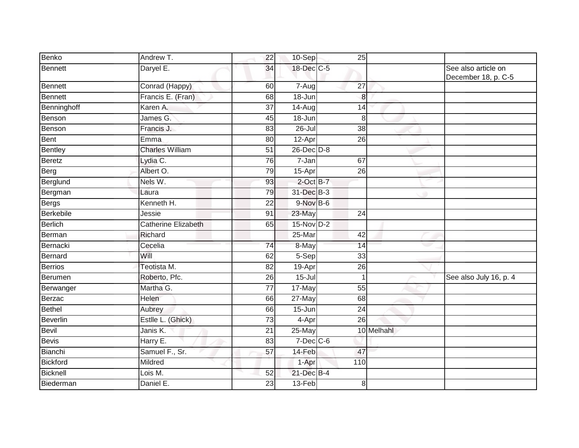| Benko            | Andrew T.                  | $\overline{22}$ | 10-Sep          |     | $\overline{25}$ |   |                                            |
|------------------|----------------------------|-----------------|-----------------|-----|-----------------|---|--------------------------------------------|
| Bennett          | Daryel E.                  | 34              | 18-Dec C-5      |     |                 |   | See also article on<br>December 18, p. C-5 |
| Bennett          | Conrad (Happy)             | 60              | 7-Aug           | 27  |                 |   |                                            |
| <b>Bennett</b>   | Francis E. (Fran)          | 68              | $18 - Jun$      |     | 8               |   |                                            |
| Benninghoff      | Karen A.                   | $\overline{37}$ | 14-Aug          |     | 14              |   |                                            |
| Benson           | James G.                   | 45              | $18 - Jun$      |     | 8               |   |                                            |
| Benson           | Francis J.                 | 83              | $26 -$ Jul      |     | $\overline{38}$ |   |                                            |
| Bent             | Emma                       | 80              | 12-Apr          |     | $\overline{26}$ |   |                                            |
| <b>Bentley</b>   | <b>Charles William</b>     | 51              | 26-Dec D-8      |     |                 |   |                                            |
| <b>Beretz</b>    | Lydia C.                   | 76              | 7-Jan           | 67  |                 |   |                                            |
| Berg             | Albert O.                  | 79              | 15-Apr          |     | $\overline{26}$ |   |                                            |
| Berglund         | Nels W.                    | 93              | $2$ -Oct $B-7$  |     |                 |   |                                            |
| Bergman          | Laura                      | 79              | 31-Dec B-3      |     |                 | ۰ |                                            |
| <b>Bergs</b>     | Kenneth H.                 | 22              | 9-Nov B-6       |     |                 |   |                                            |
| <b>Berkebile</b> | Jessie                     | 91              | $23$ -May       |     | $\overline{24}$ |   |                                            |
| <b>Berlich</b>   | <b>Catherine Elizabeth</b> | 65              | 15-Nov D-2      |     |                 |   |                                            |
| Berman           | Richard                    |                 | 25-Mar          | 42  |                 |   |                                            |
| Bernacki         | Cecelia                    | 74              | 8-May           |     | 14              |   |                                            |
| Bernard          | Will                       | 62              | 5-Sep           |     | 33              |   |                                            |
| <b>Berrios</b>   | Teotista M.                | $\overline{82}$ | 19-Apr          |     | $\overline{26}$ |   |                                            |
| Berumen          | Roberto, Pfc.              | 26              | $15 -$ Jul      |     | 1               |   | See also July 16, p. 4                     |
| Berwanger        | Martha G.                  | $\overline{77}$ | 17-May          |     | 55              |   |                                            |
| Berzac           | Helen                      | 66              | 27-May          |     | 68              |   |                                            |
| Bethel           | Aubrey                     | 66              | 15-Jun          |     | 24              |   |                                            |
| Beverlin         | Estlle L. (Ghick)          | 73              | 4-Apr           |     | 26              |   |                                            |
| Bevil            | Janis K.                   | $\overline{21}$ | $25$ -May       |     | 10 Melhahl      |   |                                            |
| <b>Bevis</b>     | Harry E.                   | 83              | $7$ -Dec $C$ -6 |     |                 |   |                                            |
| Bianchi          | Samuel F., Sr.             | 57              | 14-Feb          |     | 47              |   |                                            |
| Bickford         | Mildred                    |                 | 1-Apr           | 110 |                 |   |                                            |
| Bicknell         | Lois M.                    | 52              | 21-Dec B-4      |     |                 |   |                                            |
| Biederman        | Daniel E.                  | 23              | $13-Feb$        |     | 8               |   |                                            |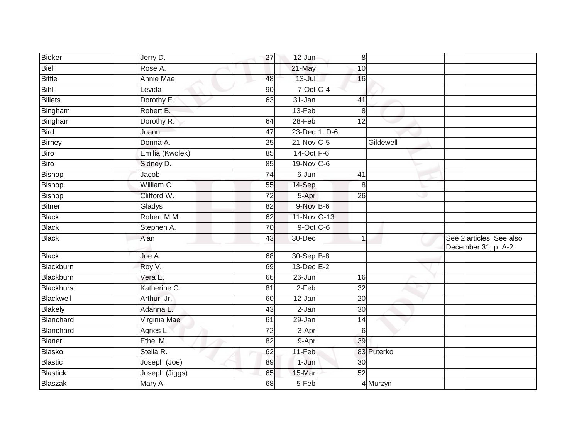| Bieker            | Jerry D.        | $\overline{27}$ | 12-Jun          | 8               |            |                                                 |
|-------------------|-----------------|-----------------|-----------------|-----------------|------------|-------------------------------------------------|
| <b>Biel</b>       | Rose A.         |                 | 21-May          | 10              |            |                                                 |
| <b>Biffle</b>     | Annie Mae       | 48              | $13 -$ Jul      | 16              |            |                                                 |
| <b>Bihl</b>       | Levida          | 90              | $7-Oct$ $C-4$   |                 |            |                                                 |
| <b>Billets</b>    | Dorothy E.      | 63              | 31-Jan          | 41              |            |                                                 |
| Bingham           | Robert B.       |                 | 13-Feb          | 8               |            |                                                 |
| Bingham           | Dorothy R.      | 64              | 28-Feb          | 12              |            |                                                 |
| Bird              | Joann           | $\overline{47}$ | 23-Dec 1, D-6   |                 |            |                                                 |
| Birney            | Donna A.        | 25              | 21-Nov C-5      |                 | Gildewell  |                                                 |
| <b>Biro</b>       | Emilia (Kwolek) | 85              | 14-Oct F-6      |                 |            |                                                 |
| Biro              | Sidney D.       | 85              | 19-Nov C-6      |                 |            |                                                 |
| <b>Bishop</b>     | Jacob           | $\overline{74}$ | 6-Jun           | 41              |            |                                                 |
| <b>Bishop</b>     | William C.      | 55              | 14-Sep          | 8               |            |                                                 |
| <b>Bishop</b>     | Clifford W.     | $\overline{72}$ | 5-Apr           | $\overline{26}$ | ى          |                                                 |
| <b>Bitner</b>     | Gladys          | 82              | 9-Nov B-6       |                 |            |                                                 |
| <b>Black</b>      | Robert M.M.     | 62              | 11-Nov G-13     |                 |            |                                                 |
| <b>Black</b>      | Stephen A.      | 70              | $9$ -Oct $C$ -6 |                 |            |                                                 |
| <b>Black</b>      | Alan            | 43              | 30-Dec          | $\mathbf 1$     |            | See 2 articles; See also<br>December 31, p. A-2 |
| <b>Black</b>      | Joe A.          | 68              | 30-Sep B-8      |                 |            |                                                 |
| Blackburn         | Roy V.          | 69              | 13-Dec E-2      |                 |            |                                                 |
| Blackburn         | Vera E.         | 66              | 26-Jun          | 16              |            |                                                 |
| <b>Blackhurst</b> | Katherine C.    | 81              | $2-Feb$         | 32              |            |                                                 |
| Blackwell         | Arthur, Jr.     | 60              | $12$ -Jan       | $\overline{20}$ |            |                                                 |
| <b>Blakely</b>    | Adanna L.       | 43              | 2-Jan           | 30              |            |                                                 |
| Blanchard         | Virginia Mae    | 61              | 29-Jan          | 14              |            |                                                 |
| Blanchard         | Agnes L.        | $\overline{72}$ | $3-Apr$         | $6\phantom{1}6$ |            |                                                 |
| Blaner            | Ethel M.        | $\overline{82}$ | 9-Apr           | 39              |            |                                                 |
| <b>Blasko</b>     | Stella R.       | 62              | 11-Feb          |                 | 83 Puterko |                                                 |
| <b>Blastic</b>    | Joseph (Joe)    | 89              | 1-Jun           | 30              |            |                                                 |
| Blastick          | Joseph (Jiggs)  | 65              | 15-Mar          | $\overline{52}$ |            |                                                 |
| Blaszak           | Mary A.         | 68              | $5-Feb$         |                 | 4 Murzyn   |                                                 |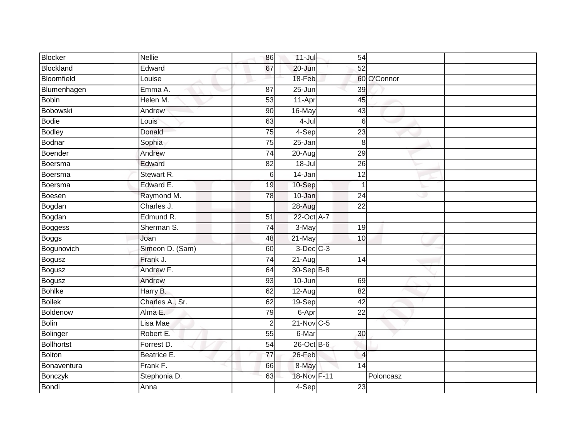| <b>Blocker</b> | <b>Nellie</b>   | 86              | $11$ -Jul      | 54              |             |  |
|----------------|-----------------|-----------------|----------------|-----------------|-------------|--|
| Blockland      | Edward          | 67              | 20-Jun         | 52              |             |  |
| Bloomfield     | Louise          |                 | 18-Feb         |                 | 60 O'Connor |  |
| Blumenhagen    | Emma A.         | $\overline{87}$ | 25-Jun         | 39              |             |  |
| <b>Bobin</b>   | Helen M.        | 53              | 11-Apr         | 45              |             |  |
| Bobowski       | Andrew          | 90              | 16-May         | 43              |             |  |
| Bodie          | Louis           | 63              | $4-Jul$        | $6\phantom{1}6$ |             |  |
| Bodley         | Donald          | $\overline{75}$ | $4-Sep$        | $\overline{23}$ |             |  |
| Bodnar         | Sophia          | $\overline{75}$ | 25-Jan         | 8               |             |  |
| Boender        | Andrew          | 74              | 20-Aug         | 29              |             |  |
| Boersma        | Edward          | 82              | $18 -$ Jul     | 26              |             |  |
| Boersma        | Stewart R.      | $6\,$           | $14$ -Jan      | $\overline{12}$ |             |  |
| Boersma        | Edward E.       | 19              | 10-Sep         | $\overline{1}$  |             |  |
| Boesen         | Raymond M.      | 78              | $10 - Jan$     | 24              |             |  |
| Bogdan         | Charles J.      |                 | 28-Aug         | $\overline{22}$ |             |  |
| Bogdan         | Edmund R.       | 51              | 22-Oct A-7     |                 |             |  |
| Boggess        | Sherman S.      | 74              | 3-May          | 19              |             |  |
| <b>Boggs</b>   | Joan            | 48              | 21-May         | 10              |             |  |
| Bogunovich     | Simeon D. (Sam) | 60              | $3$ -Dec $C-3$ |                 |             |  |
| Bogusz         | Frank J.        | 74              | $21-Aug$       | 14              |             |  |
| Bogusz         | Andrew F.       | 64              | 30-Sep B-8     |                 |             |  |
| Bogusz         | Andrew          | 93              | 10-Jun         | 69              |             |  |
| <b>Bohlke</b>  | Harry B.        | 62              | $12-Aug$       | $\overline{82}$ |             |  |
| <b>Boilek</b>  | Charles A., Sr. | 62              | $19-Sep$       | 42              |             |  |
| Boldenow       | Alma E.         | 79              | 6-Apr          | 22              |             |  |
| <b>Bolin</b>   | Lisa Mae        | $\overline{2}$  | $21-Nov$ C-5   |                 |             |  |
| Bolinger       | Robert E.       | 55              | 6-Mar          | 30              |             |  |
| Bollhortst     | Forrest D.      | 54              | 26-Oct B-6     |                 |             |  |
| Bolton         | Beatrice E.     | $\overline{77}$ | 26-Feb         | $\overline{4}$  |             |  |
| Bonaventura    | Frank F.        | 66              | 8-May          | 14              |             |  |
| Bonczyk        | Stephonia D.    | 63              | 18-Nov F-11    |                 | Poloncasz   |  |
| Bondi          | Anna            |                 | $4-Sep$        | 23              |             |  |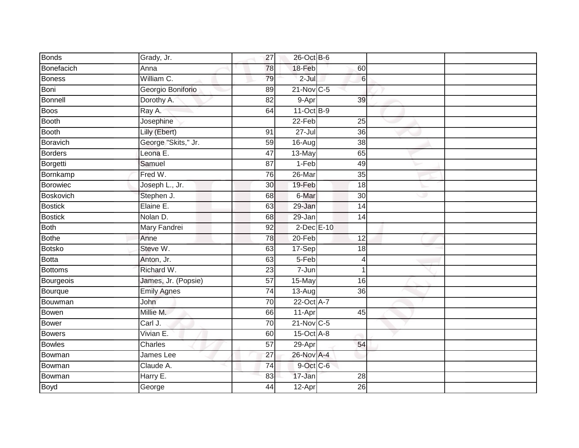| <b>Bonds</b>    | Grady, Jr.          | $\overline{27}$ | 26-Oct B-6       |                  |   |  |
|-----------------|---------------------|-----------------|------------------|------------------|---|--|
| Bonefacich      | Anna                | 78              | 18-Feb           | 60               |   |  |
| Boness          | William C.          | 79              | $2-Jul$          | $6 \overline{6}$ |   |  |
| Boni            | Georgio Boniforio   | 89              | 21-Nov C-5       |                  |   |  |
| Bonnell         | Dorothy A.          | 82              | 9-Apr            | 39               |   |  |
| <b>Boos</b>     | Ray A.              | 64              | $11-Oct$ B-9     |                  |   |  |
| <b>Booth</b>    | Josephine           |                 | 22-Feb           | 25               |   |  |
| <b>Booth</b>    | Lilly (Ebert)       | 91              | $27 -$ Jul       | $\overline{36}$  |   |  |
| <b>Boravich</b> | George "Skits," Jr. | 59              | 16-Aug           | $\overline{38}$  |   |  |
| <b>Borders</b>  | Leona E.            | 47              | 13-May           | 65               |   |  |
| Borgetti        | Samuel              | 87              | $1-Feb$          | 49               |   |  |
| Bornkamp        | Fred W.             | 76              | 26-Mar           | 35               |   |  |
| <b>Borowiec</b> | Joseph L., Jr.      | 30              | 19-Feb           | 18               |   |  |
| Boskovich       | Stephen J.          | 68              | 6-Mar            | $\overline{30}$  | w |  |
| <b>Bostick</b>  | Elaine E.           | 63              | 29-Jan           | 14               |   |  |
| <b>Bostick</b>  | Nolan D.            | 68              | 29-Jan           | 14               |   |  |
| <b>Both</b>     | Mary Fandrei        | 92              | $2$ -Dec $E-10$  |                  |   |  |
| <b>Bothe</b>    | Anne                | 78              | $20 - Feb$       | 12               |   |  |
| <b>Botsko</b>   | Steve W.            | 63              | 17-Sep           | 18               |   |  |
| <b>Botta</b>    | Anton, Jr.          | 63              | $5-Feb$          | 4                |   |  |
| <b>Bottoms</b>  | Richard W.          | 23              | 7-Jun            | 1                |   |  |
| Bourgeois       | James, Jr. (Popsie) | 57              | 15-May           | 16               |   |  |
| Bourque         | <b>Emily Agnes</b>  | $\overline{74}$ | 13-Aug           | $\overline{36}$  |   |  |
| Bouwman         | John                | 70              | 22-Oct A-7       |                  |   |  |
| <b>Bowen</b>    | Millie M.           | 66              | 11-Apr           | 45               |   |  |
| <b>Bower</b>    | Carl J.             | 70              | $21$ -Nov $C-5$  |                  |   |  |
| <b>Bowers</b>   | Vivian E.           | 60              | $15$ -Oct $A$ -8 |                  |   |  |
| <b>Bowles</b>   | Charles             | $\overline{57}$ | 29-Apr           | 54               |   |  |
| Bowman          | James Lee           | 27              | 26-Nov A-4       |                  |   |  |
| Bowman          | Claude A.           | $\overline{74}$ | 9-Oct C-6        |                  |   |  |
| Bowman          | Harry E.            | 83              | 17-Jan           | 28               |   |  |
| <b>Boyd</b>     | George              | 44              | $12$ -Apr        | $\overline{26}$  |   |  |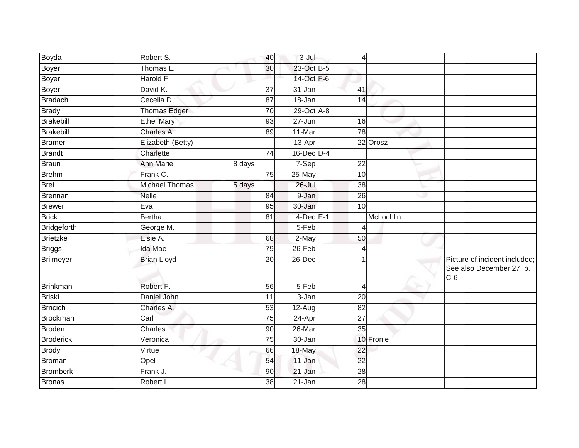| Boyda            | Robert S.             | 40     | $3 -$ Jul       | $\overline{4}$  |           |                                                                    |
|------------------|-----------------------|--------|-----------------|-----------------|-----------|--------------------------------------------------------------------|
| Boyer            | Thomas L.             | 30     | 23-Oct B-5      |                 |           |                                                                    |
| Boyer            | Harold F.             |        | 14-Oct F-6      |                 |           |                                                                    |
| Boyer            | David K.              | 37     | 31-Jan          | 41              |           |                                                                    |
| Bradach          | Cecelia D.            | 87     | $18 - Jan$      | 14              |           |                                                                    |
| <b>Brady</b>     | <b>Thomas Edger</b>   | 70     | $29-Oct$ A-8    |                 |           |                                                                    |
| Brakebill        | <b>Ethel Mary</b>     | 93     | 27-Jun          | 16              |           |                                                                    |
| Brakebill        | Charles A.            | 89     | 11-Mar          | $\overline{78}$ |           |                                                                    |
| Bramer           | Elizabeth (Betty)     |        | 13-Apr          |                 | 22 Orosz  |                                                                    |
| Brandt           | Charlette             | 74     | $16$ -Dec $D-4$ |                 |           |                                                                    |
| Braun            | <b>Ann Marie</b>      | 8 days | 7-Sep           | $\overline{22}$ |           |                                                                    |
| <b>Brehm</b>     | Frank C.              | 75     | 25-May          | $\overline{10}$ |           |                                                                    |
| <b>Brei</b>      | <b>Michael Thomas</b> | 5 days | $26 -$ Jul      | 38              |           |                                                                    |
| Brennan          | <b>Nelle</b>          | 84     | 9-Jan           | 26              |           |                                                                    |
| <b>Brewer</b>    | Eva                   | 95     | 30-Jan          | 10              |           |                                                                    |
| <b>Brick</b>     | <b>Bertha</b>         | 81     | $4$ -Dec $E-1$  |                 | McLochlin |                                                                    |
| Bridgeforth      | George M.             |        | 5-Feb           | $\overline{4}$  |           |                                                                    |
| Brietzke         | Elsie A.              | 68     | 2-May           | 50              |           |                                                                    |
| <b>Briggs</b>    | <b>Ida Mae</b>        | 79     | $26$ -Feb       | $\overline{4}$  |           |                                                                    |
| Brilmeyer        | <b>Brian Lloyd</b>    | 20     | 26-Dec          |                 |           | Picture of incident included;<br>See also December 27, p.<br>$C-6$ |
| <b>Brinkman</b>  | Robert F.             | 56     | 5-Feb           | 4               |           |                                                                    |
| Briski           | Daniel John           | 11     | 3-Jan           | $\overline{20}$ |           |                                                                    |
| <b>Brncich</b>   | Charles A.            | 53     | 12-Aug          | $\overline{82}$ |           |                                                                    |
| Brockman         | Carl                  | 75     | 24-Apr          | 27              |           |                                                                    |
| Broden           | Charles               | 90     | 26-Mar          | 35              |           |                                                                    |
| <b>Broderick</b> | Veronica              | 75     | 30-Jan          |                 | 10 Fronie |                                                                    |
| <b>Brody</b>     | Virtue                | 66     | 18-May          | $\overline{22}$ |           |                                                                    |
| Broman           | Opel                  | 54     | 11-Jan          | $\overline{22}$ |           |                                                                    |
| Bromberk         | Frank J.              | 90     | 21-Jan          | $\overline{28}$ |           |                                                                    |
| Bronas           | Robert L.             | 38     | 21-Jan          | 28              |           |                                                                    |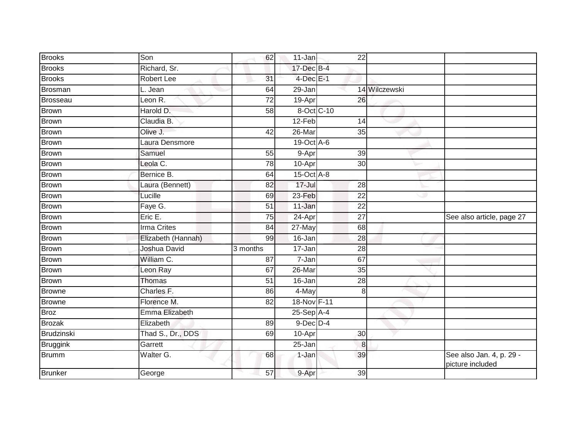| <b>Brooks</b>   | Son                | 62       | 11-Jan           | $\overline{22}$ |               |                                              |
|-----------------|--------------------|----------|------------------|-----------------|---------------|----------------------------------------------|
| <b>Brooks</b>   | Richard, Sr.       |          | 17-Dec B-4       |                 |               |                                              |
| <b>Brooks</b>   | Robert Lee         | 31       | $4$ -Dec $E-1$   |                 |               |                                              |
| Brosman         | L. Jean            | 64       | 29-Jan           |                 | 14 Wilczewski |                                              |
| Brosseau        | Leon R.            | 72       | 19-Apr           | 26              |               |                                              |
| <b>Brown</b>    | Harold D.          | 58       | 8-Oct C-10       |                 |               |                                              |
| <b>Brown</b>    | Claudia B.         |          | $12-Feb$         | 14              |               |                                              |
| Brown           | Olive J.           | 42       | 26-Mar           | 35              |               |                                              |
| Brown           | Laura Densmore     |          | $19-Oct$ A-6     |                 |               |                                              |
| <b>Brown</b>    | Samuel             | 55       | 9-Apr            | 39              |               |                                              |
| Brown           | Leola C.           | 78       | 10-Apr           | 30              |               |                                              |
| Brown           | Bernice B.         | 64       | $15$ -Oct $A$ -8 |                 |               |                                              |
| <b>Brown</b>    | Laura (Bennett)    | 82       | $17 -$ Jul       | 28              |               |                                              |
| <b>Brown</b>    | Lucille            | 69       | $23 - Feb$       | 22              | w             |                                              |
| <b>Brown</b>    | Faye G.            | 51       | 11-Jan           | $\overline{22}$ |               |                                              |
| Brown           | Eric E.            | 75       | 24-Apr           | $\overline{27}$ |               | See also article, page 27                    |
| <b>Brown</b>    | <b>Irma Crites</b> | 84       | 27-May           | 68              |               |                                              |
| Brown           | Elizabeth (Hannah) | 99       | 16-Jan           | 28              |               |                                              |
| Brown           | Joshua David       | 3 months | 17-Jan           | $\overline{28}$ |               |                                              |
| <b>Brown</b>    | William C.         | 87       | 7-Jan            | 67              |               |                                              |
| <b>Brown</b>    | Leon Ray           | 67       | 26-Mar           | 35              |               |                                              |
| <b>Brown</b>    | Thomas             | 51       | 16-Jan           | 28              |               |                                              |
| <b>Browne</b>   | Charles F.         | 86       | 4-May            | 8               |               |                                              |
| <b>Browne</b>   | Florence M.        | 82       | 18-Nov F-11      |                 |               |                                              |
| Broz            | Emma Elizabeth     |          | $25-$ Sep $A-4$  |                 |               |                                              |
| <b>Brozak</b>   | Elizabeth          | 89       | $9$ -Dec $D$ -4  |                 |               |                                              |
| Brudzinski      | Thad S., Dr., DDS  | 69       | 10-Apr           | 30              |               |                                              |
| <b>Bruggink</b> | Garrett            |          | 25-Jan           | 8               |               |                                              |
| Brumm           | Walter G.          | 68       | 1-Jan            | 39              |               | See also Jan. 4, p. 29 -<br>picture included |
| Brunker         | George             | 57       | 9-Apr            | 39              |               |                                              |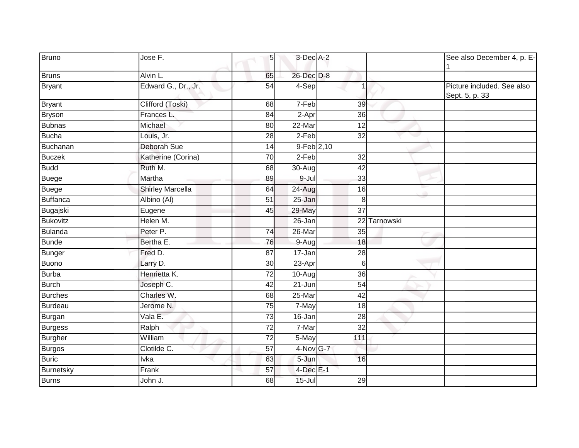| <b>Bruno</b>    | Jose F.                 | 5 <sub>l</sub>  | 3-Dec A-2    |                 |           | See also December 4, p. E-                   |
|-----------------|-------------------------|-----------------|--------------|-----------------|-----------|----------------------------------------------|
| <b>Bruns</b>    | Alvin L.                | 65              | 26-Dec D-8   |                 |           |                                              |
| <b>Bryant</b>   | Edward G., Dr., Jr.     | 54              | 4-Sep        | 1               |           | Picture included. See also<br>Sept. 5, p. 33 |
| Bryant          | Clifford (Toski)        | 68              | 7-Feb        | 39              |           |                                              |
| Bryson          | Frances L.              | 84              | 2-Apr        | 36              |           |                                              |
| <b>Bubnas</b>   | Michael                 | 80              | 22-Mar       | 12              |           |                                              |
| Bucha           | Louis, Jr.              | $\overline{28}$ | $2-Feb$      | $\overline{32}$ |           |                                              |
| Buchanan        | Deborah Sue             | $\overline{14}$ | $9-Feb$ 2,10 |                 |           |                                              |
| Buczek          | Katherine (Corina)      | 70              | $2-Feb$      | 32              |           |                                              |
| <b>Budd</b>     | Ruth M.                 | 68              | $30 - Aug$   | 42              |           |                                              |
| Buege           | Martha                  | 89              | $9 -$ Jul    | 33              |           |                                              |
| Buege           | <b>Shirley Marcella</b> | 64              | $24 - Aug$   | 16              |           |                                              |
| Buffanca        | Albino (Al)             | 51              | 25-Jan       | 8               |           |                                              |
| Bugajski        | Eugene                  | 45              | 29-May       | $\overline{37}$ |           |                                              |
| <b>Bukovitz</b> | Helen M.                |                 | 26-Jan       | $\overline{22}$ | Tarnowski |                                              |
| Bulanda         | Peter P.                | 74              | 26-Mar       | 35              |           |                                              |
| Bunde           | Bertha E.               | 76              | 9-Aug        | 18              |           |                                              |
| Bunger          | Fred D.                 | $\overline{87}$ | 17-Jan       | 28              |           |                                              |
| Buono           | Larry D.                | 30              | 23-Apr       | 6               |           |                                              |
| Burba           | Henrietta K.            | 72              | 10-Aug       | 36              |           |                                              |
| Burch           | Joseph C.               | 42              | 21-Jun       | 54              |           |                                              |
| <b>Burches</b>  | Charles W.              | 68              | 25-Mar       | 42              |           |                                              |
| Burdeau         | Jerome N.               | 75              | 7-May        | $\overline{18}$ |           |                                              |
| Burgan          | Vala E.                 | 73              | 16-Jan       | 28              |           |                                              |
| Burgess         | Ralph                   | 72              | 7-Mar        | 32              |           |                                              |
| Burgher         | William                 | 72              | 5-May        | 111             |           |                                              |
| Burgos          | Clotilde C.             | $\overline{57}$ | 4-Nov G-7    |                 |           |                                              |
| <b>Buric</b>    | Ivka                    | 63              | 5-Jun        | 16              |           |                                              |
| Burnetsky       | Frank                   | $\overline{57}$ | 4-Dec E-1    |                 |           |                                              |
| <b>Burns</b>    | John J.                 | 68              | $15 -$ Jul   | 29              |           |                                              |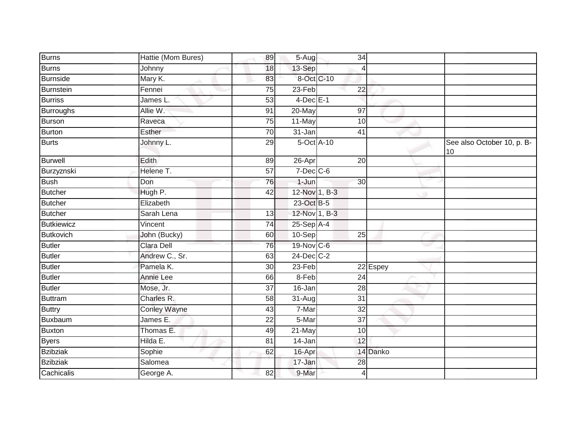| <b>Burns</b>      | Hattie (Mom Bures)  | 89              | $5 - \overline{Aug}$ | $\overline{34}$ |          |                                  |
|-------------------|---------------------|-----------------|----------------------|-----------------|----------|----------------------------------|
| <b>Burns</b>      | Johnny              | 18              | 13-Sep               | 4               |          |                                  |
| <b>Burnside</b>   | Mary K.             | 83              | 8-Oct C-10           |                 |          |                                  |
| Burnstein         | Fennei              | 75              | $23$ -Feb            | $\overline{22}$ |          |                                  |
| <b>Burriss</b>    | James L.            | 53              | $4$ -Dec $E-1$       |                 |          |                                  |
| <b>Burroughs</b>  | Allie W.            | 91              | 20-May               | 97              |          |                                  |
| <b>Burson</b>     | Raveca              | 75              | 11-May               | 10              |          |                                  |
| <b>Burton</b>     | Esther              | $\overline{70}$ | 31-Jan               | $\overline{41}$ |          |                                  |
| Burts             | Johnny L.           | 29              | 5-Oct A-10           |                 |          | See also October 10, p. B-<br>10 |
| Burwell           | Edith               | 89              | 26-Apr               | 20              |          |                                  |
| Burzyznski        | Helene T.           | $\overline{57}$ | $7$ -Dec $C$ -6      |                 |          |                                  |
| <b>Bush</b>       | Don                 | 76              | $1 - Jun$            | 30              |          |                                  |
| <b>Butcher</b>    | Hugh P.             | 42              | 12-Nov 1, B-3        |                 | ۰        |                                  |
| <b>Butcher</b>    | Elizabeth           |                 | 23-Oct B-5           |                 |          |                                  |
| <b>Butcher</b>    | Sarah Lena          | 13              | 12-Nov 1, B-3        |                 |          |                                  |
| <b>Butkiewicz</b> | Vincent             | 74              | $25-Sep$ A-4         |                 |          |                                  |
| <b>Butkovich</b>  | John (Bucky)        | 60              | 10-Sep               | $\overline{25}$ |          |                                  |
| <b>Butler</b>     | Clara Dell          | 76              | 19-Nov C-6           |                 | ٠        |                                  |
| <b>Butler</b>     | Andrew C., Sr.      | 63              | $24$ -Dec $C-2$      |                 |          |                                  |
| <b>Butler</b>     | Pamela K.           | 30              | 23-Feb               |                 | 22 Espey |                                  |
| Butler            | <b>Annie Lee</b>    | 66              | $8-Feb$              | 24              |          |                                  |
| Butler            | Mose, Jr.           | $\overline{37}$ | $16 - Jan$           | 28              |          |                                  |
| <b>Buttram</b>    | Charles R.          | 58              | 31-Aug               | $\overline{31}$ |          |                                  |
| <b>Buttry</b>     | <b>Conley Wayne</b> | 43              | 7-Mar                | 32              |          |                                  |
| Buxbaum           | James E.            | 22              | 5-Mar                | 37              |          |                                  |
| <b>Buxton</b>     | Thomas E.           | 49              | $21$ -May            | 10              |          |                                  |
| <b>Byers</b>      | Hilda E.            | 81              | 14-Jan               | 12              |          |                                  |
| <b>Bzibziak</b>   | Sophie              | 62              | 16-Apr               |                 | 14 Danko |                                  |
| <b>Bzibziak</b>   | Salomea             |                 | 17-Jan               | 28              |          |                                  |
| Cachicalis        | George A.           | 82              | 9-Mar                | 4               |          |                                  |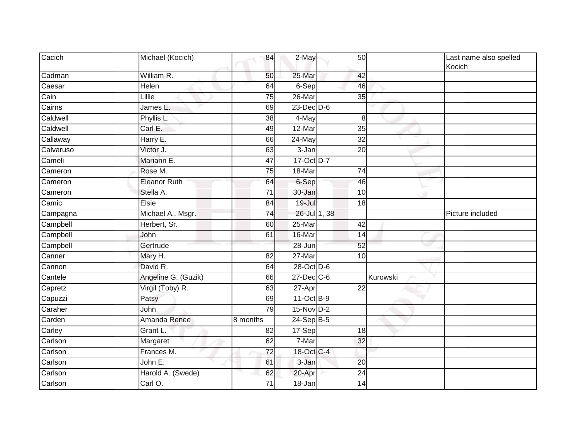| Cacich    | Michael (Kocich)    | 84              | 2-May            | 50              |          | Last name also spelled<br>Kocich |
|-----------|---------------------|-----------------|------------------|-----------------|----------|----------------------------------|
| Cadman    | William R.          | 50              | 25-Mar           | 42              |          |                                  |
| Caesar    | Helen               | 64              | 6-Sep            | 46              |          |                                  |
| Cain      | Lillie              | 75              | $26$ -Mar        | 35              |          |                                  |
| Cairns    | James E.            | 69              | $23$ -Dec $D-6$  |                 |          |                                  |
| Caldwell  | Phyllis L.          | $\overline{38}$ | 4-May            |                 | 8        |                                  |
| Caldwell  | Carl E.             | 49              | 12-Mar           | $\overline{35}$ |          |                                  |
| Callaway  | Harry E.            | 66              | 24-May           | $\overline{32}$ |          |                                  |
| Calvaruso | Victor J.           | 63              | 3-Jan            | 20              |          |                                  |
| Cameli    | Mariann E.          | 47              | 17-Oct D-7       |                 |          |                                  |
| Cameron   | Rose M.             | $\overline{75}$ | 18-Mar           | $\overline{74}$ |          |                                  |
| Cameron   | <b>Eleanor Ruth</b> | 64              | 6-Sep            | 46              |          |                                  |
| Cameron   | Stella A.           | $\overline{71}$ | 30-Jan           | 10              | o        |                                  |
| Camic     | Elsie               | 84              | 19-Jul           | 18              |          |                                  |
| Campagna  | Michael A., Msgr.   | $\overline{74}$ | 26-Jul 1, 38     |                 |          | Picture included                 |
| Campbell  | Herbert, Sr.        | 60              | 25-Mar           | 42              |          |                                  |
| Campbell  | John                | 61              | 16-Mar           | 14              |          |                                  |
| Campbell  | Gertrude            |                 | 28-Jun           | $\overline{52}$ |          |                                  |
| Canner    | Mary H.             | $\overline{82}$ | $27 - Mar$       | 10              |          |                                  |
| Cannon    | David R.            | 64              | 28-Oct D-6       |                 |          |                                  |
| Cantele   | Angeline G. (Guzik) | 66              | $27$ -Dec $C$ -6 |                 | Kurowski |                                  |
| Capretz   | Virgil (Toby) R.    | 63              | 27-Apr           | 22              |          |                                  |
| Capuzzi   | Patsy               | 69              | 11-Oct B-9       |                 |          |                                  |
| Caraher   | John                | 79              | 15-Nov D-2       |                 |          |                                  |
| Carden    | Amanda Renee        | 8 months        | $24-Sep$ B-5     |                 |          |                                  |
| Carley    | Grant L.            | 82              | 17-Sep           | 18              |          |                                  |
| Carlson   | Margaret            | 62              | 7-Mar            | 32              |          |                                  |
| Carlson   | Frances M.          | 72              | 18-Oct C-4       |                 |          |                                  |
| Carlson   | John E.             | 61              | 3-Jan            | 20              |          |                                  |
| Carlson   | Harold A. (Swede)   | 62              | 20-Apr           | 24              |          |                                  |
| Carlson   | Carl O.             | 71              | 18-Jan           | 14              |          |                                  |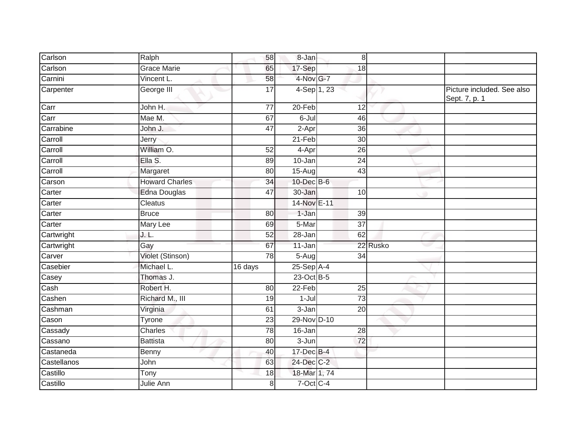| Carlson     | Ralph                 | 58              | 8-Jan               | 8               |          |                                             |
|-------------|-----------------------|-----------------|---------------------|-----------------|----------|---------------------------------------------|
| Carlson     | <b>Grace Marie</b>    | 65              | 17-Sep              | 18              |          |                                             |
| Carnini     | Vincent L.            | 58              | 4-Nov G-7           |                 |          |                                             |
| Carpenter   | George III            | $\overline{17}$ | 4-Sep 1, 23         |                 |          | Picture included. See also<br>Sept. 7, p. 1 |
| Carr        | John H.               | $\overline{77}$ | 20-Feb              | 12              |          |                                             |
| Carr        | Mae M.                | 67              | 6-Jul               | 46              |          |                                             |
| Carrabine   | John J.               | 47              | $\overline{2}$ -Apr | 36              |          |                                             |
| Carroll     | Jerry                 |                 | $21-Feb$            | $\overline{30}$ |          |                                             |
| Carroll     | William O.            | $\overline{52}$ | 4-Apr               | 26              |          |                                             |
| Carroll     | Ella S.               | 89              | 10-Jan              | $\overline{24}$ |          |                                             |
| Carroll     | Margaret              | 80              | 15-Aug              | 43              |          |                                             |
| Carson      | <b>Howard Charles</b> | $\overline{34}$ | 10-Dec B-6          |                 |          |                                             |
| Carter      | <b>Edna Douglas</b>   | 47              | 30-Jan              | 10              | ۰        |                                             |
| Carter      | Cleatus               |                 | 14-Nov E-11         |                 |          |                                             |
| Carter      | <b>Bruce</b>          | 80              | 1-Jan               | $\overline{39}$ |          |                                             |
| Carter      | Mary Lee              | 69              | 5-Mar               | $\overline{37}$ |          |                                             |
| Cartwright  | J. L.                 | 52              | 28-Jan              | 62              |          |                                             |
| Cartwright  | Gay                   | 67              | $11-Jan$            |                 | 22 Rusko |                                             |
| Carver      | Violet (Stinson)      | 78              | $5-Aug$             | 34              |          |                                             |
| Casebier    | Michael L.            | 16 days         | $25-Sep$ A-4        |                 |          |                                             |
| Casey       | Thomas J.             |                 | 23-Oct B-5          |                 |          |                                             |
| Cash        | Robert H.             | 80              | 22-Feb              | 25              |          |                                             |
| Cashen      | Richard M., III       | 19              | $1-Jul$             | $\overline{73}$ |          |                                             |
| Cashman     | Virginia              | 61              | 3-Jan               | 20              |          |                                             |
| Cason       | Tyrone                | 23              | 29-Nov D-10         |                 |          |                                             |
| Cassady     | Charles               | 78              | $16 - Jan$          | 28              |          |                                             |
| Cassano     | <b>Battista</b>       | $\overline{80}$ | $3 - Jun$           | 72              |          |                                             |
| Castaneda   | Benny                 | 40              | $17 - Dec$ B-4      |                 |          |                                             |
| Castellanos | John                  | 63              | 24-Dec C-2          |                 |          |                                             |
| Castillo    | Tony                  | 18              | 18-Mar 1, 74        |                 |          |                                             |
| Castillo    | Julie Ann             | 8               | $7$ -Oct $C-4$      |                 |          |                                             |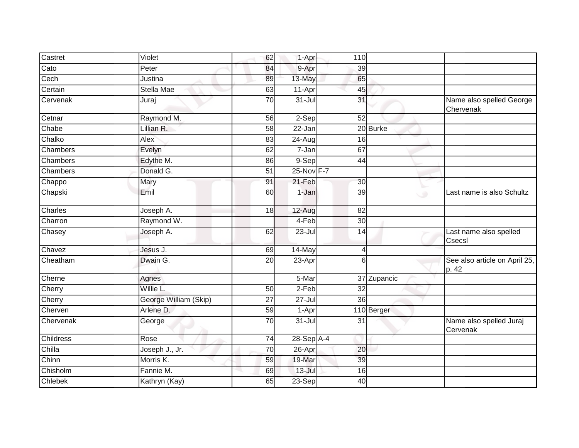| Castret          | Violet                | 62              | 1-Apr                | 110             |             |   |                                        |
|------------------|-----------------------|-----------------|----------------------|-----------------|-------------|---|----------------------------------------|
| Cato             | Peter                 | 84              | 9-Apr                | 39              |             |   |                                        |
| Cech             | Justina               | 89              | 13-May               | 65              |             |   |                                        |
| Certain          | Stella Mae            | 63              | 11-Apr               | 45              |             |   |                                        |
| Cervenak         | Juraj                 | 70              | $31 -$ Jul           | 31              |             |   | Name also spelled George<br>Chervenak  |
| Cetnar           | Raymond M.            | 56              | 2-Sep                | $\overline{52}$ |             |   |                                        |
| Chabe            | Lillian R.            | 58              | $22 - Jan$           |                 | 20 Burke    |   |                                        |
| Chalko           | Alex                  | 83              | 24-Aug               | 16              |             |   |                                        |
| Chambers         | Evelyn                | 62              | $7 - Jan$            | 67              |             |   |                                        |
| Chambers         | Edythe M.             | 86              | 9-Sep                | 44              |             |   |                                        |
| Chambers         | Donald G.             | $\overline{51}$ | 25-Nov F-7           |                 |             |   |                                        |
| Chappo           | Mary                  | 91              | 21-Feb               | 30              |             |   |                                        |
| Chapski          | Emil                  | 60              | 1-Jan                | 39              |             | ی | Last name is also Schultz              |
| Charles          | Joseph A.             | 18              | 12-Aug               | $\overline{82}$ |             |   |                                        |
| Charron          | Raymond W.            |                 | 4-Feb                | 30              |             |   |                                        |
| Chasey           | Joseph A.             | 62              | 23-Jul               | 14              |             |   | Last name also spelled<br>Csecsl       |
| Chavez           | Jesus J.              | 69              | 14-May               | 4               |             |   |                                        |
| Cheatham         | Dwain G.              | $\overline{20}$ | 23-Apr               | 6               |             |   | See also article on April 25,<br>p. 42 |
| Cherne           | Agnes                 |                 | 5-Mar                |                 | 37 Zupancic |   |                                        |
| Cherry           | Willie L.             | 50              | $2-Feb$              | 32              |             |   |                                        |
| Cherry           | George William (Skip) | $\overline{27}$ | $27 -$ Jul           | $\overline{36}$ |             |   |                                        |
| Cherven          | Arlene D.             | 59              | 1-Apr                |                 | 110 Berger  |   |                                        |
| Chervenak        | George                | 70              | $\overline{3}$ 1-Jul | 31              |             |   | Name also spelled Juraj<br>Cervenak    |
| <b>Childress</b> | Rose                  | 74              | $28-Sep$ A-4         |                 |             |   |                                        |
| Chilla           | Joseph J., Jr.        | 70              | 26-Apr               | 20              |             |   |                                        |
| Chinn            | Morris K.             | 59              | 19-Mar               | 39              |             |   |                                        |
| Chisholm         | Fannie M.             | 69              | $13 -$ Jul           | 16              |             |   |                                        |
| Chlebek          | Kathryn (Kay)         | 65              | 23-Sep               | 40              |             |   |                                        |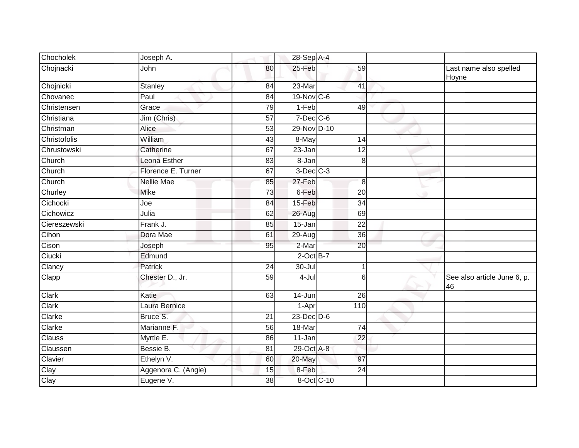| Chocholek    | Joseph A.           |                 | 28-Sep A-4      |                 |                                   |
|--------------|---------------------|-----------------|-----------------|-----------------|-----------------------------------|
| Chojnacki    | John                | 80              | 25-Feb          | $\overline{59}$ | Last name also spelled<br>Hoyne   |
| Chojnicki    | Stanley             | 84              | 23-Mar          | 41              |                                   |
| Chovanec     | Paul                | 84              | 19-Nov C-6      |                 |                                   |
| Christensen  | Grace               | 79              | $1-Feb$         | 49              |                                   |
| Christiana   | Jim (Chris)         | 57              | $7$ -Dec $C$ -6 |                 |                                   |
| Christman    | Alice               | $\overline{53}$ | 29-Nov D-10     |                 |                                   |
| Christofolis | William             | 43              | 8-May           | 14              |                                   |
| Chrustowski  | Catherine           | 67              | 23-Jan          | 12              |                                   |
| Church       | Leona Esther        | 83              | 8-Jan           | 8               |                                   |
| Church       | Florence E. Turner  | 67              | $3$ -Dec $C-3$  |                 |                                   |
| Church       | <b>Nellie Mae</b>   | 85              | 27-Feb          | 8               |                                   |
| Churley      | <b>Mike</b>         | 73              | 6-Feb           | 20              |                                   |
| Cichocki     | Joe                 | 84              | $15-Feb$        | 34              |                                   |
| Cichowicz    | Julia               | 62              | $26 - Aug$      | 69              |                                   |
| Ciereszewski | Frank J.            | 85              | 15-Jan          | $\overline{22}$ |                                   |
| Cihon        | Dora Mae            | 61              | 29-Aug          | 36              |                                   |
| Cison        | Joseph              | 95              | 2-Mar           | 20              |                                   |
| Ciucki       | Edmund              |                 | $2$ -Oct $B-7$  |                 |                                   |
| Clancy       | Patrick             | 24              | $30 -$ Jul      | 1               |                                   |
| <b>Clapp</b> | Chester D., Jr.     | 59              | 4-Jul           | $6\phantom{1}6$ | See also article June 6, p.<br>46 |
| Clark        | Katie               | 63              | 14-Jun          | 26              |                                   |
| Clark        | Laura Bernice       |                 | 1-Apr           | 110             |                                   |
| Clarke       | Bruce S.            | 21              | 23-Dec D-6      |                 |                                   |
| Clarke       | Marianne F.         | 56              | 18-Mar          | 74              |                                   |
| Clauss       | Myrtle E.           | 86              | 11-Jan          | 22              |                                   |
| Claussen     | Bessie B.           | 81              | 29-Oct A-8      |                 |                                   |
| Clavier      | Ethelyn V.          | 60              | 20-May          | $\overline{97}$ |                                   |
| Clay         | Aggenora C. (Angie) | 15              | 8-Feb           | $\overline{24}$ |                                   |
| Clay         | Eugene V.           | 38              | 8-Oct C-10      |                 |                                   |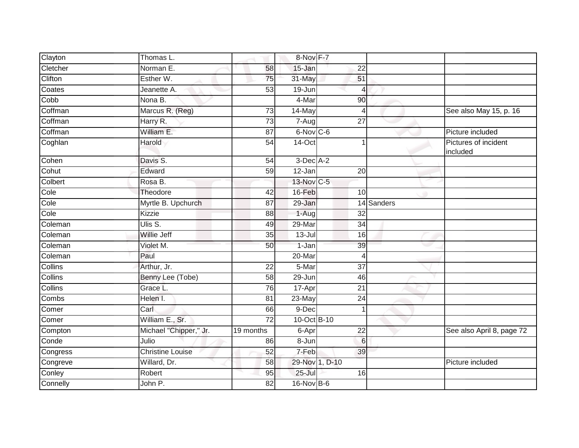| Clayton        | Thomas L.               |                 | 8-Nov F-7      |                 |            |                                  |
|----------------|-------------------------|-----------------|----------------|-----------------|------------|----------------------------------|
| Cletcher       | Norman E.               | 58              | 15-Jan         | 22              |            |                                  |
| Clifton        | Esther W.               | 75              | 31-May         | 51              |            |                                  |
| Coates         | Jeanette A.             | 53              | 19-Jun         | 4               |            |                                  |
| Cobb           | Nona B.                 |                 | 4-Mar          | 90              |            |                                  |
| Coffman        | Marcus R. (Reg)         | 73              | 14-May         | $\overline{4}$  |            | See also May 15, p. 16           |
| Coffman        | Harry R.                | 73              | 7-Aug          | $\overline{27}$ |            |                                  |
| Coffman        | William E.              | 87              | 6-Nov C-6      |                 |            | Picture included                 |
| Coghlan        | Harold                  | 54              | $14$ -Oct      |                 |            | Pictures of incident<br>included |
| Cohen          | Davis S.                | 54              | $3$ -Dec $A-2$ |                 |            |                                  |
| Cohut          | Edward                  | $\overline{59}$ | 12-Jan         | $\overline{20}$ |            |                                  |
| Colbert        | Rosa B.                 |                 | 13-Nov C-5     |                 |            |                                  |
| Cole           | Theodore                | 42              | 16-Feb         | 10              | ۰          |                                  |
| Cole           | Myrtle B. Upchurch      | 87              | 29-Jan         |                 | 14 Sanders |                                  |
| Cole           | Kizzie                  | 88              | 1-Aug          | $\overline{32}$ |            |                                  |
| Coleman        | Ulis S.                 | 49              | 29-Mar         | 34              |            |                                  |
| Coleman        | <b>Willie Jeff</b>      | 35              | $13 -$ Jul     | 16              |            |                                  |
| Coleman        | Violet M.               | 50              | 1-Jan          | 39              |            |                                  |
| Coleman        | Paul                    |                 | 20-Mar         | 4               |            |                                  |
| Collins        | Arthur, Jr.             | $\overline{22}$ | 5-Mar          | $\overline{37}$ |            |                                  |
| Collins        | Benny Lee (Tobe)        | 58              | 29-Jun         | 46              |            |                                  |
| <b>Collins</b> | Grace L.                | 76              | 17-Apr         | $\overline{21}$ |            |                                  |
| Combs          | Helen I.                | 81              | 23-May         | $\overline{24}$ |            |                                  |
| Comer          | Carl                    | 66              | 9-Dec          |                 |            |                                  |
| Comer          | William E., Sr.         | 72              | 10-Oct B-10    |                 |            |                                  |
| Compton        | Michael "Chipper," Jr.  | 19 months       | 6-Apr          | $\overline{22}$ |            | See also April 8, page 72        |
| Conde          | Julio                   | 86              | $8 - Jun$      | 6               |            |                                  |
| Congress       | <b>Christine Louise</b> | 52              | 7-Feb          | 39              |            |                                  |
| Congreve       | Willard, Dr.            | 58              | 29-Nov 1, D-10 |                 |            | Picture included                 |
| Conley         | Robert                  | 95              | $25 -$ Jul     | 16              |            |                                  |
| Connelly       | John P.                 | 82              | 16-Nov B-6     |                 |            |                                  |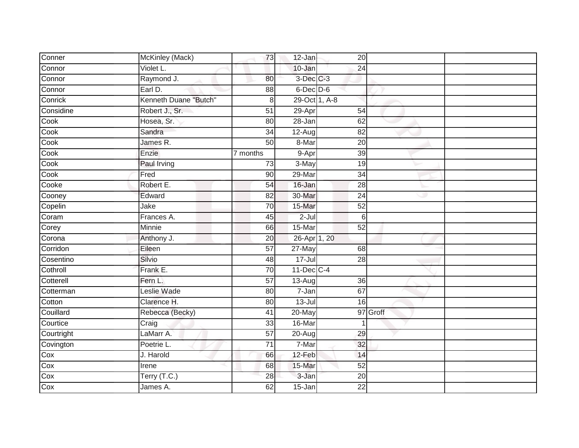| Conner     | McKinley (Mack)       | 73              | 12-Jan                         | 20              |          |  |
|------------|-----------------------|-----------------|--------------------------------|-----------------|----------|--|
| Connor     | Violet L.             |                 | 10-Jan                         | 24              |          |  |
| Connor     | Raymond J.            | 80              | 3-Dec C-3                      |                 |          |  |
| Connor     | Earl D.               | 88              | $6$ -Dec $D$ -6                |                 |          |  |
| Conrick    | Kenneth Duane "Butch" | 8               | $29$ -Oct $\overline{1, A}$ -8 |                 |          |  |
| Considine  | Robert J., Sr.        | 51              | $29 - Apr$                     | 54              |          |  |
| Cook       | Hosea, Sr.            | 80              | 28-Jan                         | 62              |          |  |
| Cook       | Sandra                | 34              | 12-Aug                         | 82              |          |  |
| Cook       | James R.              | $\overline{50}$ | 8-Mar                          | $\overline{20}$ |          |  |
| Cook       | Enzie                 | 7 months        | 9-Apr                          | 39              |          |  |
| Cook       | Paul Irving           | 73              | 3-May                          | 19              |          |  |
| Cook       | Fred                  | $\overline{90}$ | 29-Mar                         | $\overline{34}$ |          |  |
| Cooke      | Robert E.             | 54              | 16-Jan                         | 28              |          |  |
| Cooney     | Edward                | 82              | 30-Mar                         | 24              | ت        |  |
| Copelin    | Jake                  | 70              | 15-Mar                         | $\overline{52}$ |          |  |
| Coram      | Frances A.            | 45              | $2-Jul$                        | 6               |          |  |
| Corey      | Minnie                | 66              | 15-Mar                         | 52              |          |  |
| Corona     | Anthony J.            | 20              | 26-Apr 1, 20                   |                 |          |  |
| Corridon   | Eileen                | 57              | 27-May                         | 68              |          |  |
| Cosentino  | Silvio                | 48              | $17 -$ Jul                     | 28              |          |  |
| Cothroll   | Frank E.              | 70              | $11$ -Dec $C-4$                |                 |          |  |
| Cotterell  | Fern L.               | 57              | $13 - Aug$                     | 36              |          |  |
| Cotterman  | Leslie Wade           | 80              | 7-Jan                          | 67              |          |  |
| Cotton     | Clarence H.           | 80              | $13 -$ Jul                     | 16              |          |  |
| Couillard  | Rebecca (Becky)       | 41              | 20-May                         |                 | 97 Groff |  |
| Courtice   | Craig                 | 33              | 16-Mar                         |                 |          |  |
| Courtright | LaMarr A.             | $\overline{57}$ | $20 - Aug$                     | 29              |          |  |
| Covington  | Poetrie L.            | 71              | 7-Mar                          | 32              |          |  |
| Cox        | J. Harold             | 66              | 12-Feb                         | 14              |          |  |
| Cox        | Irene                 | 68              | 15-Mar                         | $\overline{52}$ |          |  |
| Cox        | Terry (T.C.)          | 28              | 3-Jan                          | 20              |          |  |
| Cox        | James A.              | 62              | 15-Jan                         | 22              |          |  |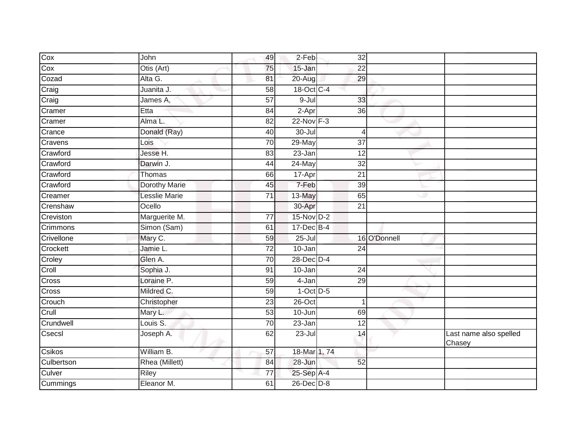| Cox               | <b>John</b>          | 49              | 2-Feb          | 32              |              |                                  |
|-------------------|----------------------|-----------------|----------------|-----------------|--------------|----------------------------------|
| Cox               | Otis (Art)           | 75              | 15-Jan         | 22              |              |                                  |
| Cozad             | Alta G.              | 81              | 20-Aug         | 29              |              |                                  |
| Craig             | Juanita J.           | 58              | 18-Oct C-4     |                 |              |                                  |
| Craig             | James A,             | $\overline{57}$ | $9 -$ Jul      | 33              |              |                                  |
| Cramer            | Etta                 | 84              | 2-Apr          | 36              |              |                                  |
| Cramer            | Alma L.              | $\overline{82}$ | $22 - Nov F-3$ |                 |              |                                  |
| Crance            | Donald (Ray)         | 40              | $30 -$ Jul     | 4               |              |                                  |
| Cravens           | Lois                 | 70              | $29$ -May      | 37              |              |                                  |
| Crawford          | Jesse H.             | 83              | $23$ -Jan      | $\overline{12}$ |              |                                  |
| Crawford          | Darwin J.            | 44              | $24$ -May      | 32              |              |                                  |
| Crawford          | Thomas               | 66              | 17-Apr         | $\overline{21}$ |              |                                  |
| Crawford          | <b>Dorothy Marie</b> | 45              | 7-Feb          | 39              |              |                                  |
| Creamer           | <b>Lesslie Marie</b> | 71              | 13-May         | 65              | رن           |                                  |
| Crenshaw          | Ocello               |                 | 30-Apr         | 21              |              |                                  |
| Creviston         | Marguerite M.        | 77              | 15-Nov D-2     |                 |              |                                  |
| Crimmons          | Simon (Sam)          | 61              | 17-Dec B-4     |                 |              |                                  |
| Crivellone        | Mary C.              | 59              | $25 -$ Jul     |                 | 16 O'Donnell |                                  |
| Crockett          | Jamie L.             | $\overline{72}$ | $10 - Jan$     | $\overline{24}$ |              |                                  |
| Croley            | Glen A.              | 70              | 28-Dec D-4     |                 |              |                                  |
| Crol <sub>1</sub> | Sophia J.            | 91              | $10$ -Jan      | 24              |              |                                  |
| Cross             | Loraine P.           | 59              | 4-Jan          | 29              |              |                                  |
| Cross             | Mildred C.           | 59              | $1-Oct$ D-5    |                 |              |                                  |
| Crouch            | Christopher          | 23              | $26$ -Oct      | $\mathbf{1}$    |              |                                  |
| Crull             | Mary L.              | 53              | 10-Jun         | 69              |              |                                  |
| Crundwell         | Louis S.             | 70              | $23 - Jan$     | 12              |              |                                  |
| Csecsl            | Joseph A.            | 62              | $23 -$ Jul     | 14              |              | Last name also spelled<br>Chasey |
| Csikos            | William B.           | 57              | 18-Mar 1, 74   |                 |              |                                  |
| Culbertson        | Rhea (Millett)       | 84              | $28 - Jun$     | 52              |              |                                  |
| Culver            | Riley                | 77              | 25-Sep A-4     |                 |              |                                  |
| Cummings          | Eleanor M.           | 61              | 26-Dec D-8     |                 |              |                                  |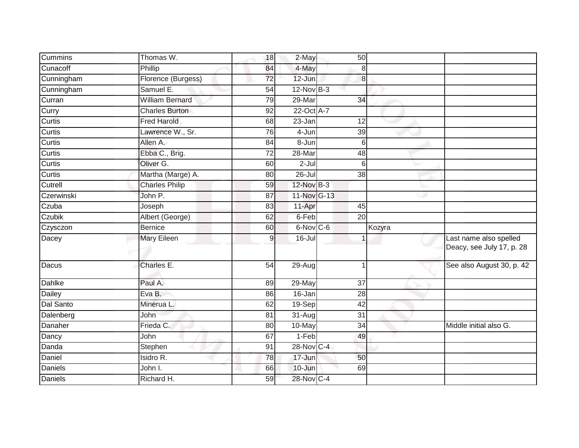| <b>Cummins</b> | Thomas W.              | 18             | 2-May               | 50              |        |                                                     |
|----------------|------------------------|----------------|---------------------|-----------------|--------|-----------------------------------------------------|
| Cunacoff       | Phillip                | 84             | 4-May               | 8               |        |                                                     |
| Cunningham     | Florence (Burgess)     | 72             | $12$ -Jun           | 8               |        |                                                     |
| Cunningham     | Samuel E.              | 54             | $12$ -Nov B-3       |                 |        |                                                     |
| Curran         | <b>William Bernard</b> | 79             | $29$ -Mar           | 34              |        |                                                     |
| Curry          | <b>Charles Burton</b>  | 92             | 22-Oct A-7          |                 |        |                                                     |
| Curtis         | <b>Fred Harold</b>     | 68             | 23-Jan              | 12              |        |                                                     |
| Curtis         | Lawrence W., Sr.       | 76             | 4-Jun               | 39              |        |                                                     |
| Curtis         | Allen A.               | 84             | $\overline{8}$ -Jun | 6               |        |                                                     |
| Curtis         | Ebba C., Brig.         | 72             | 28-Mar              | 48              |        |                                                     |
| Curtis         | Oliver G.              | 60             | $2-Jul$             | 6               |        |                                                     |
| Curtis         | Martha (Marge) A.      | 80             | $26 -$ Jul          | $\overline{38}$ |        |                                                     |
| Cutrell        | <b>Charles Philip</b>  | 59             | 12-Nov B-3          |                 |        |                                                     |
| Czerwinski     | John P.                | 87             | $11-Nov$ G-13       |                 | w      |                                                     |
| Czuba          | Joseph                 | 83             | 11-Apr              | 45              |        |                                                     |
| Czubik         | Albert (George)        | 62             | 6-Feb               | $\overline{20}$ |        |                                                     |
| Czysczon       | <b>Bernice</b>         | 60             | $6-Nov$ $C-6$       |                 | Kozyra |                                                     |
| Dacey          | <b>Mary Eileen</b>     | $\overline{9}$ | $16 -$ Jul          | 1               |        | Last name also spelled<br>Deacy, see July 17, p. 28 |
| Dacus          | Charles E.             | 54             | $29 - Aug$          | 1               |        | See also August 30, p. 42                           |
| Dahlke         | Paul A.                | 89             | 29-May              | 37              |        |                                                     |
| Dailey         | Eva B.                 | 86             | 16-Jan              | $\overline{28}$ |        |                                                     |
| Dal Santo      | Minerua L.             | 62             | 19-Sep              | $\overline{42}$ |        |                                                     |
| Dalenberg      | John                   | 81             | $31 - Aug$          | 31              |        |                                                     |
| Danaher        | Frieda C.              | 80             | 10-May              | 34              |        | Middle initial also G.                              |
| Dancy          | John                   | 67             | $1-Feb$             | 49              |        |                                                     |
| Danda          | Stephen                | 91             | 28-Nov C-4          |                 |        |                                                     |
| Daniel         | Isidro R.              | 78             | 17-Jun              | 50              |        |                                                     |
| Daniels        | John I.                | 66             | 10-Jun              | 69              |        |                                                     |
| <b>Daniels</b> | Richard H.             | 59             | 28-Nov C-4          |                 |        |                                                     |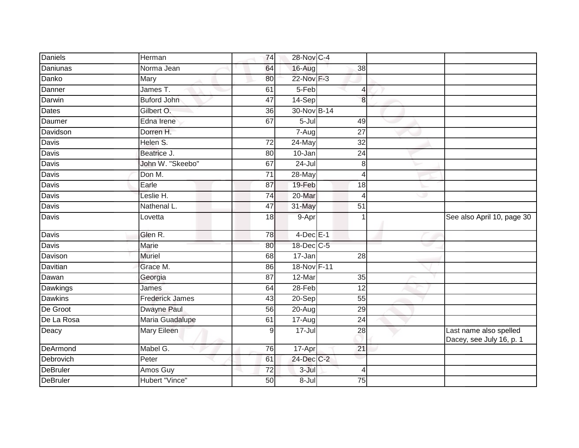| <b>Daniels</b>  | Herman                 | 74              | 28-Nov C-4     |                 |   |                                                    |
|-----------------|------------------------|-----------------|----------------|-----------------|---|----------------------------------------------------|
| Daniunas        | Norma Jean             | 64              | 16-Aug         | 38              |   |                                                    |
| Danko           | Mary                   | 80              | 22-Nov F-3     |                 |   |                                                    |
| Danner          | James T.               | 61              | 5-Feb          | 4               |   |                                                    |
| Darwin          | <b>Buford John</b>     | 47              | 14-Sep         | 8               |   |                                                    |
| Dates           | Gilbert O.             | 36              | 30-Nov B-14    |                 |   |                                                    |
| Daumer          | Edna Irene             | 67              | $5 -$ Jul      | 49              |   |                                                    |
| Davidson        | Dorren H.              |                 | $7 - Aug$      | $\overline{27}$ |   |                                                    |
| Davis           | Helen S.               | 72              | 24-May         | $\overline{32}$ |   |                                                    |
| Davis           | Beatrice J.            | 80              | 10-Jan         | 24              |   |                                                    |
| Davis           | John W. "Skeebo"       | 67              | $24 -$ Jul     | $\,8\,$         |   |                                                    |
| Davis           | Don M.                 | $\overline{71}$ | 28-May         | 4               |   |                                                    |
| Davis           | Earle                  | 87              | 19-Feb         | 18              |   |                                                    |
| Davis           | Leslie H.              | 74              | 20-Mar         | 4               | D |                                                    |
| <b>Davis</b>    | Nathenal L.            | 47              | 31-May         | $\overline{51}$ |   |                                                    |
| Davis           | Lovetta                | 18              | 9-Apr          | 1               |   | See also April 10, page 30                         |
| Davis           | Glen R.                | 78              | $4$ -Dec $E-1$ |                 |   |                                                    |
| Davis           | Marie                  | 80              | 18-Dec C-5     |                 |   |                                                    |
| Davison         | <b>Muriel</b>          | 68              | 17-Jan         | $\overline{28}$ |   |                                                    |
| Davitian        | Grace M.               | 86              | 18-Nov F-11    |                 |   |                                                    |
| Dawan           | Georgia                | 87              | 12-Mar         | 35              |   |                                                    |
| Dawkings        | James                  | 64              | $28 - Feb$     | $\overline{12}$ |   |                                                    |
| <b>Dawkins</b>  | <b>Frederick James</b> | 43              | $20-Sep$       | 55              |   |                                                    |
| De Groot        | Dwayne Paul            | 56              | 20-Aug         | 29              |   |                                                    |
| De La Rosa      | Maria Guadalupe        | 61              | $17-Aug$       | $\overline{24}$ |   |                                                    |
| Deacy           | <b>Mary Eileen</b>     | 9               | $17 -$ Jul     | $\overline{28}$ |   | Last name also spelled<br>Dacey, see July 16, p. 1 |
| DeArmond        | Mabel G.               | 76              | 17-Apr         | 21              |   |                                                    |
| Debrovich       | Peter                  | 61              | 24-Dec C-2     |                 |   |                                                    |
| <b>DeBruler</b> | Amos Guy               | 72              | $3 -$ Jul      | 4               |   |                                                    |
| <b>DeBruler</b> | <b>Hubert "Vince"</b>  | 50              | 8-Jul          | $\overline{75}$ |   |                                                    |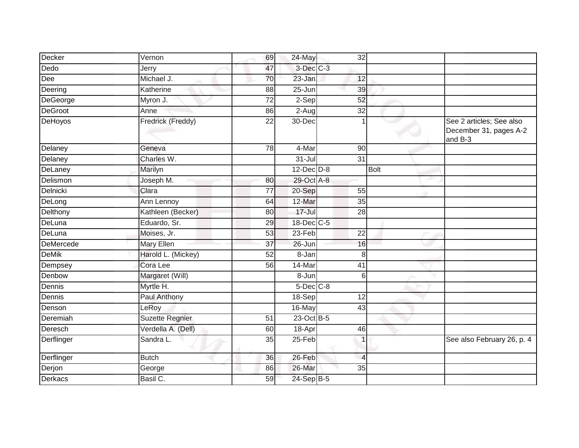| Decker         | Vernon                 | 69              | 24-May           | 32              |             |                                                               |
|----------------|------------------------|-----------------|------------------|-----------------|-------------|---------------------------------------------------------------|
| Dedo           | Jerry                  | 47              | 3-Dec C-3        |                 |             |                                                               |
| Dee            | Michael J.             | 70              | 23-Jan           | 12              |             |                                                               |
| Deering        | Katherine              | 88              | $25 - Jun$       | 39              |             |                                                               |
| DeGeorge       | Myron J.               | $\overline{72}$ | $2-Sep$          | 52              |             |                                                               |
| DeGroot        | Anne                   | 86              | 2-Aug            | 32              |             |                                                               |
| DeHoyos        | Fredrick (Freddy)      | 22              | 30-Dec           | 1               |             | See 2 articles; See also<br>December 31, pages A-2<br>and B-3 |
| Delaney        | Geneva                 | 78              | 4-Mar            | 90              |             |                                                               |
| Delaney        | Charles W.             |                 | $31 -$ Jul       | $\overline{31}$ |             |                                                               |
| DeLaney        | Marilyn                |                 | $12$ -Dec $D-8$  |                 | <b>Bolt</b> |                                                               |
| Delismon       | Joseph M.              | 80              | 29-Oct A-8       |                 |             |                                                               |
| Delnicki       | Clara                  | 77              | 20-Sep           | 55              | a           |                                                               |
| DeLong         | Ann Lennoy             | 64              | 12-Mar           | 35              |             |                                                               |
| Delthony       | Kathleen (Becker)      | 80              | $17 -$ Jul       | 28              |             |                                                               |
| DeLuna         | Eduardo, Sr.           | 29              | $18$ -Dec $C$ -5 |                 |             |                                                               |
| DeLuna         | Moises, Jr.            | 53              | $23-Feb$         | $\overline{22}$ |             |                                                               |
| DeMercede      | Mary Ellen             | 37              | 26-Jun           | 16              |             |                                                               |
| <b>DeMik</b>   | Harold L. (Mickey)     | 52              | 8-Jan            | 8               |             |                                                               |
| Dempsey        | Cora Lee               | 56              | 14-Mar           | $\overline{41}$ |             |                                                               |
| Denbow         | Margaret (Will)        |                 | 8-Jun            | 6               |             |                                                               |
| Dennis         | Myrtle H.              |                 | $5$ -Dec $C$ -8  |                 |             |                                                               |
| Dennis         | Paul Anthony           |                 | 18-Sep           | $\overline{12}$ |             |                                                               |
| Denson         | LeRoy                  |                 | 16-May           | 43              |             |                                                               |
| Deremiah       | <b>Suzette Regnier</b> | 51              | 23-Oct B-5       |                 |             |                                                               |
| Deresch        | Verdella A. (Dell)     | 60              | 18-Apr           | 46              |             |                                                               |
| Derflinger     | Sandra L.              | 35              | 25-Feb           | 1               |             | See also February 26, p. 4                                    |
| Derflinger     | <b>Butch</b>           | 36              | 26-Feb           | $\overline{4}$  |             |                                                               |
| Derjon         | George                 | 86              | 26-Mar           | 35              |             |                                                               |
| <b>Derkacs</b> | Basil C.               | 59              | $24-SepB-5$      |                 |             |                                                               |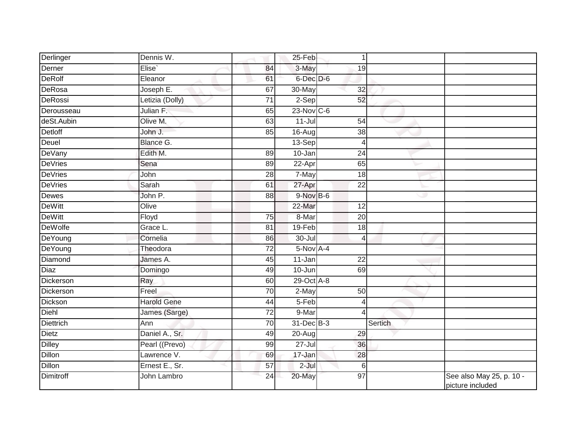| Derlinger        | Dennis W.          |                 | 25-Feb         | $\vert$                  |         |                                              |
|------------------|--------------------|-----------------|----------------|--------------------------|---------|----------------------------------------------|
| Derner           | Elise`             | 84              | 3-May          | 19                       |         |                                              |
| <b>DeRolf</b>    | Eleanor            | 61              | 6-Dec D-6      |                          |         |                                              |
| <b>DeRosa</b>    | Joseph E.          | 67              | 30-May         | 32                       |         |                                              |
| <b>DeRossi</b>   | Letizia (Dolly)    | 71              | $2-Sep$        | 52                       |         |                                              |
| Derousseau       | Julian F.          | 65              | $23-Nov$ C-6   |                          |         |                                              |
| deSt.Aubin       | Olive M.           | 63              | $11$ -Jul      | 54                       |         |                                              |
| <b>Detloff</b>   | John J.            | 85              | 16-Aug         | 38                       |         |                                              |
| Deuel            | Blance G.          |                 | $13-Sep$       | $\vert$                  |         |                                              |
| <b>DeVany</b>    | Edith M.           | 89              | 10-Jan         | 24                       |         |                                              |
| <b>DeVries</b>   | Sena               | 89              | 22-Apr         | 65                       |         |                                              |
| <b>DeVries</b>   | John               | 28              | 7-May          | 18                       |         |                                              |
| <b>DeVries</b>   | Sarah              | 61              | 27-Apr         | $\overline{22}$          |         |                                              |
| Dewes            | John P.            | 88              | $9-NovB-6$     |                          | ت       |                                              |
| <b>DeWitt</b>    | Olive              |                 | 22-Mar         | $\overline{12}$          |         |                                              |
| <b>DeWitt</b>    | Floyd              | 75              | 8-Mar          | 20                       |         |                                              |
| <b>DeWolfe</b>   | Grace L.           | 81              | 19-Feb         | 18                       |         |                                              |
| DeYoung          | Cornelia           | 86              | $30 -$ Jul     | $\overline{\mathcal{A}}$ |         |                                              |
| <b>DeYoung</b>   | Theodora           | $\overline{72}$ | $5-NovA-4$     |                          |         |                                              |
| Diamond          | James A.           | 45              | 11-Jan         | $\overline{22}$          |         |                                              |
| Diaz             | Domingo            | 49              | $10$ -Jun      | 69                       |         |                                              |
| <b>Dickerson</b> | Ray                | 60              | $29-Oct$ A-8   |                          |         |                                              |
| <b>Dickerson</b> | Freel              | 70              | $2-May$        | 50                       |         |                                              |
| Dickson          | <b>Harold Gene</b> | 44              | 5-Feb          | $\vert$                  |         |                                              |
| <b>Diehl</b>     | James (Sarge)      | 72              | 9-Mar          | $\overline{\mathcal{A}}$ |         |                                              |
| Diettrich        | Ann                | 70              | $31 - Dec$ B-3 |                          | Sertich |                                              |
| <b>Dietz</b>     | Daniel A., Sr.     | 49              | 20-Aug         | 29                       |         |                                              |
| <b>Dilley</b>    | Pearl ((Prevo)     | 99              | $27 -$ Jul     | 36                       |         |                                              |
| Dillon           | Lawrence V.        | 69              | 17-Jan         | 28                       |         |                                              |
| <b>Dillon</b>    | Ernest E., Sr.     | 57              | $2$ -Jul       | 6                        |         |                                              |
| Dimitroff        | John Lambro        | 24              | 20-May         | $\overline{97}$          |         | See also May 25, p. 10 -<br>picture included |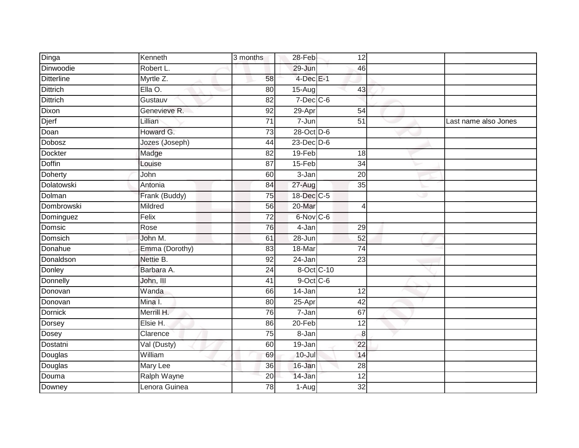| Dinga             | Kenneth         | 3 months        | 28-Feb          | 12              |   |                      |
|-------------------|-----------------|-----------------|-----------------|-----------------|---|----------------------|
| Dinwoodie         | Robert L.       |                 | 29-Jun          | 46              |   |                      |
| <b>Ditterline</b> | Myrtle Z.       | 58              | $4$ -Dec $E-1$  |                 |   |                      |
| <b>Dittrich</b>   | Ella O.         | 80              | $15 - Aug$      | 43              |   |                      |
| <b>Dittrich</b>   | Gustauv         | $\overline{82}$ | $7$ -Dec $C$ -6 |                 |   |                      |
| Dixon             | Genevieve R.    | 92              | 29-Apr          | 54              |   |                      |
| Djerf             | Lillian         | $\overline{71}$ | $7 - Jun$       | 51              |   | Last name also Jones |
| Doan              | Howard G.       | 73              | $28-Oct$ D-6    |                 |   |                      |
| Dobosz            | Jozes (Joseph)  | 44              | $23$ -Dec $D-6$ |                 |   |                      |
| <b>Dockter</b>    | Madge           | 82              | 19-Feb          | 18              |   |                      |
| <b>Doffin</b>     | Louise          | 87              | 15-Feb          | 34              |   |                      |
| Doherty           | John            | 60              | 3-Jan           | $\overline{20}$ |   |                      |
| <b>Dolatowski</b> | Antonia         | 84              | $27 - Aug$      | 35              |   |                      |
| Dolman            | Frank (Buddy)   | 75              | 18-Dec C-5      |                 | w |                      |
| Dombrowski        | Mildred         | 56              | 20-Mar          | 4               |   |                      |
| Dominguez         | Felix           | $\overline{72}$ | 6-Nov C-6       |                 |   |                      |
| Domsic            | Rose            | 76              | 4-Jan           | 29              |   |                      |
| Domsich           | John M.         | 61              | $28 - Jun$      | 52              |   |                      |
| Donahue           | Emma (Dorothy)  | 83              | 18-Mar          | $\overline{74}$ |   |                      |
| Donaldson         | Nettie B.       | 92              | $24 - Jan$      | $\overline{23}$ |   |                      |
| Donley            | Barbara A.      | 24              | 8-Oct C-10      |                 |   |                      |
| Donnelly          | John, III       | 41              | $9$ -Oct C-6    |                 |   |                      |
| Donovan           | Wanda           | 66              | $14 - Jan$      | $\overline{12}$ |   |                      |
| Donovan           | Mina I.         | 80              | 25-Apr          | 42              |   |                      |
| <b>Dornick</b>    | Merrill H.      | 76              | 7-Jan           | 67              |   |                      |
| <b>Dorsey</b>     | Elsie H.        | 86              | $20 - Feb$      | $\overline{12}$ |   |                      |
| Dosey             | Clarence        | $\overline{75}$ | $8 - Jan$       | $\bf 8$         |   |                      |
| Dostatni          | Val (Dusty)     | 60              | 19-Jan          | 22              |   |                      |
| Douglas           | William         | 69              | 10-Jul          | 14              |   |                      |
| Douglas           | <b>Mary Lee</b> | $\overline{36}$ | 16-Jan          | $\overline{28}$ |   |                      |
| Douma             | Ralph Wayne     | 20              | 14-Jan          | 12              |   |                      |
| Downey            | Lenora Guinea   | 78              | $1-Aug$         | 32              |   |                      |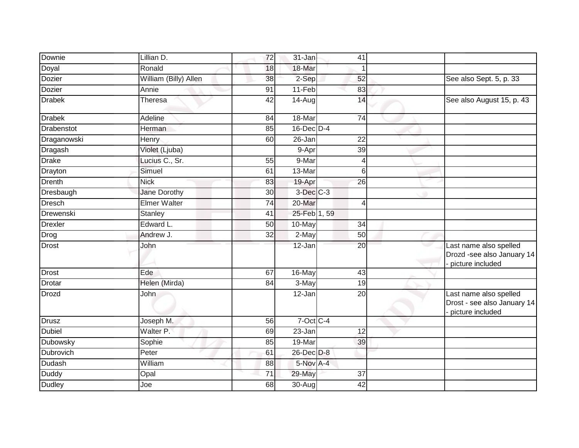| Downie         | Lillian D.            | 72              | 31-Jan                   | 41              |                                                                           |
|----------------|-----------------------|-----------------|--------------------------|-----------------|---------------------------------------------------------------------------|
| Doyal          | Ronald                | 18              | 18-Mar                   |                 |                                                                           |
| Dozier         | William (Billy) Allen | 38              | 2-Sep                    | 52              | See also Sept. 5, p. 33                                                   |
| Dozier         | Annie                 | $\overline{91}$ | $11-Feb$                 | 83              |                                                                           |
| Drabek         | Theresa               | $\overline{42}$ | 14-Aug                   | 14              | See also August 15, p. 43                                                 |
| Drabek         | Adeline               | 84              | 18-Mar                   | 74              |                                                                           |
| Drabenstot     | Herman                | 85              | 16-Dec D-4               |                 |                                                                           |
| Draganowski    | Henry                 | 60              | 26-Jan                   | $\overline{22}$ |                                                                           |
| Dragash        | Violet (Ljuba)        |                 | 9-Apr                    | 39              |                                                                           |
| <b>Drake</b>   | Lucius C., Sr.        | 55              | 9-Mar                    | $\overline{4}$  |                                                                           |
| Drayton        | Simuel                | 61              | 13-Mar                   | 6               |                                                                           |
| Drenth         | <b>Nick</b>           | 83              | 19-Apr                   | 26              |                                                                           |
| Dresbaugh      | <b>Jane Dorothy</b>   | 30              | $3$ -Dec $C-3$           |                 |                                                                           |
| <b>Dresch</b>  | <b>Elmer Walter</b>   | 74              | 20-Mar                   | $\overline{4}$  |                                                                           |
| Drewenski      | <b>Stanley</b>        | $\overline{41}$ | 25-Feb <sup>1</sup> , 59 |                 |                                                                           |
| <b>Drexler</b> | Edward L.             | 50              | 10-May                   | $\overline{34}$ |                                                                           |
| Drog           | Andrew J.             | 32              | 2-May                    | 50              |                                                                           |
| Drost          | John                  |                 | 12-Jan                   | $\overline{20}$ | Last name also spelled<br>Drozd -see also January 14<br>picture included  |
| Drost          | Ede                   | 67              | 16-May                   | 43              |                                                                           |
| Drotar         | Helen (Mirda)         | 84              | 3-May                    | 19              |                                                                           |
| Drozd          | John                  |                 | 12-Jan                   | $\overline{20}$ | Last name also spelled<br>Drost - see also January 14<br>picture included |
| <b>Drusz</b>   | Joseph M.             | 56              | $7$ -Oct C-4             |                 |                                                                           |
| Dubiel         | Walter P.             | 69              | 23-Jan                   | 12              |                                                                           |
| Dubowsky       | Sophie                | 85              | 19-Mar                   | 39              |                                                                           |
| Dubrovich      | Peter                 | 61              | 26-Dec D-8               |                 |                                                                           |
| Dudash         | William               | 88              | 5-Nov A-4                |                 |                                                                           |
| <b>Duddy</b>   | Opal                  | 71              | 29-May                   | 37              |                                                                           |
| <b>Dudley</b>  | Joe                   | 68              | 30-Aug                   | 42              |                                                                           |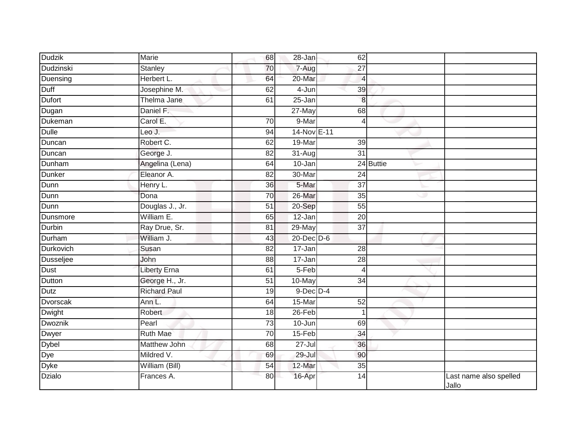| <b>Dudzik</b>    | <b>Marie</b>        | 68              | 28-Jan               | 62              |           |                                 |
|------------------|---------------------|-----------------|----------------------|-----------------|-----------|---------------------------------|
| Dudzinski        | Stanley             | 70              | $7-Aug$              | 27              |           |                                 |
| Duensing         | Herbert L.          | 64              | 20-Mar               | $\overline{4}$  |           |                                 |
| Duff             | Josephine M.        | 62              | 4-Jun                | 39              |           |                                 |
| <b>Dufort</b>    | Thelma Jane         | 61              | $25 - Jan$           | 8 <sup>1</sup>  |           |                                 |
| Dugan            | Daniel F.           |                 | $27$ -May            | 68              |           |                                 |
| Dukeman          | Carol E.            | 70              | 9-Mar                | $\vert$         |           |                                 |
| <b>Dulle</b>     | Leo J.              | 94              | 14-Nov E-11          |                 |           |                                 |
| Duncan           | Robert C.           | 62              | 19-Mar               | 39              |           |                                 |
| Duncan           | George J.           | 82              | $\overline{31}$ -Aug | $\overline{31}$ |           |                                 |
| Dunham           | Angelina (Lena)     | 64              | 10-Jan               |                 | 24 Buttie |                                 |
| <b>Dunker</b>    | Eleanor A.          | 82              | 30-Mar               | 24              |           |                                 |
| Dunn             | Henry L.            | 36              | 5-Mar                | $\overline{37}$ |           |                                 |
| Dunn             | Dona                | 70              | 26-Mar               | 35              | رن        |                                 |
| Dunn             | Douglas J., Jr.     | 51              | 20-Sep               | 55              |           |                                 |
| Dunsmore         | William E.          | 65              | 12-Jan               | 20              |           |                                 |
| Durbin           | Ray Drue, Sr.       | 81              | 29-May               | 37              |           |                                 |
| Durham           | William J.          | 43              | 20-Dec D-6           |                 |           |                                 |
| <b>Durkovich</b> | Susan               | 82              | $17 - Jan$           | 28              |           |                                 |
| <b>Dusseljee</b> | John                | 88              | $17 - Jan$           | 28              |           |                                 |
| Dust             | <b>Liberty Erna</b> | 61              | 5-Feb                | $\vert$         |           |                                 |
| Dutton           | George H., Jr.      | $\overline{51}$ | 10-May               | 34              |           |                                 |
| <b>Dutz</b>      | <b>Richard Paul</b> | 19              | $9$ -Dec $D-4$       |                 |           |                                 |
| <b>Dvorscak</b>  | Ann L.              | 64              | 15-Mar               | 52              |           |                                 |
| Dwight           | Robert              | 18              | 26-Feb               |                 |           |                                 |
| Dwoznik          | Pearl               | 73              | $10 - Jun$           | 69              |           |                                 |
| Dwyer            | <b>Ruth Mae</b>     | 70              | $15-Feb$             | 34              |           |                                 |
| Dybel            | Matthew John        | 68              | $27 -$ Jul           | 36              |           |                                 |
| Dye              | Mildred V.          | 69              | 29-Jul               | 90              |           |                                 |
| <b>Dyke</b>      | William (Bill)      | 54              | 12-Mar               | 35              |           |                                 |
| <b>Dzialo</b>    | Frances A.          | 80              | 16-Apr               | 14              |           | Last name also spelled<br>Jallo |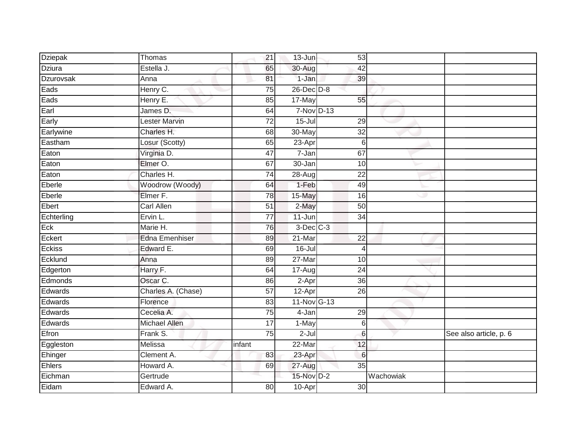| <b>Dziepak</b> | Thomas                | 21              | 13-Jun          | 53              |           |                        |
|----------------|-----------------------|-----------------|-----------------|-----------------|-----------|------------------------|
| Dziura         | Estella J.            | 65              | 30-Aug          | 42              |           |                        |
| Dzurovsak      | Anna                  | 81              | 1-Jan           | 39              |           |                        |
| Eads           | Henry C.              | 75              | $26$ -Dec $D-8$ |                 |           |                        |
| Eads           | Henry E.              | 85              | 17-May          | 55              |           |                        |
| Earl           | James D.              | 64              | 7-Nov D-13      |                 |           |                        |
| Early          | Lester Marvin         | 72              | $15 -$ Jul      | 29              |           |                        |
| Earlywine      | Charles H.            | 68              | 30-May          | $\overline{32}$ |           |                        |
| Eastham        | Losur (Scotty)        | 65              | $23-Apr$        | 6               |           |                        |
| Eaton          | Virginia D.           | 47              | 7-Jan           | 67              |           |                        |
| Eaton          | Elmer O.              | 67              | 30-Jan          | 10              |           |                        |
| Eaton          | Charles H.            | 74              | 28-Aug          | $\overline{22}$ |           |                        |
| Eberle         | Woodrow (Woody)       | 64              | $1-Feb$         | 49              |           |                        |
| Eberle         | Elmer F.              | 78              | 15-May          | 16              | w         |                        |
| Ebert          | <b>Carl Allen</b>     | 51              | 2-May           | 50              |           |                        |
| Echterling     | Ervin L.              | $\overline{77}$ | $11 - Jun$      | 34              |           |                        |
| Eck            | Marie H.              | 76              | $3-Dec$ $C-3$   |                 |           |                        |
| Eckert         | <b>Edna Emenhiser</b> | 89              | 21-Mar          | $\overline{22}$ |           |                        |
| <b>Eckiss</b>  | Edward E.             | 69              | $16 -$ Jul      | 4               |           |                        |
| Ecklund        | Anna                  | 89              | $27 - Mar$      | 10              |           |                        |
| Edgerton       | Harry F.              | 64              | $17-Aug$        | 24              |           |                        |
| Edmonds        | Oscar C.              | 86              | 2-Apr           | 36              |           |                        |
| Edwards        | Charles A. (Chase)    | $\overline{57}$ | $12-Apr$        | $\overline{26}$ |           |                        |
| Edwards        | Florence              | 83              | 11-Nov G-13     |                 |           |                        |
| Edwards        | Cecelia A.            | 75              | 4-Jan           | 29              |           |                        |
| Edwards        | <b>Michael Allen</b>  | 17              | $1-May$         | 6               |           |                        |
| Efron          | Frank S.              | 75              | $2-Jul$         | 6               |           | See also article, p. 6 |
| Eggleston      | Melissa               | infant          | 22-Mar          | 12              |           |                        |
| Ehinger        | Clement A.            | 83              | 23-Apr          | 6               |           |                        |
| <b>Ehlers</b>  | Howard A.             | 69              | 27-Aug          | $\overline{35}$ |           |                        |
| Eichman        | Gertrude              |                 | 15-Nov D-2      |                 | Wachowiak |                        |
| Eidam          | Edward A.             | 80              | 10-Apr          | 30              |           |                        |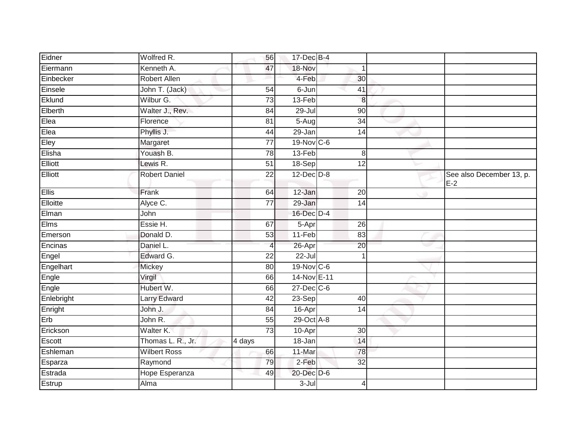| Eidner     | Wolfred R.            | 56              | 17-Dec B-4      |                 |   |                                 |
|------------|-----------------------|-----------------|-----------------|-----------------|---|---------------------------------|
| Eiermann   | Kenneth A.            | 47              | 18-Nov          | 1               |   |                                 |
| Einbecker  | <b>Robert Allen</b>   |                 | 4-Feb           | 30              |   |                                 |
| Einsele    | John T. (Jack)        | $\overline{54}$ | 6-Jun           | 41              |   |                                 |
| Eklund     | Wilbur G.             | 73              | 13-Feb          | 8               |   |                                 |
| Elberth    | Walter J., Rev.       | 84              | $29 -$ Jul      | 90              |   |                                 |
| Elea       | Florence              | 81              | $5-Aug$         | 34              |   |                                 |
| Elea       | Phyllis J.            | 44              | $29 - Jan$      | 14              |   |                                 |
| Eley       | Margaret              | $\overline{77}$ | 19-Nov C-6      |                 |   |                                 |
| Elisha     | Youash B.             | 78              | $13-Feb$        | 8               |   |                                 |
| Elliott    | Lewis R.              | 51              | 18-Sep          | 12              |   |                                 |
| Elliott    | <b>Robert Daniel</b>  | $\overline{22}$ | $12$ -Dec $D-8$ |                 |   | See also December 13, p.<br>E-2 |
| Ellis      | Frank                 | 64              | 12-Jan          | 20              | ۰ |                                 |
| Elloitte   | Alyce C.              | $\overline{77}$ | 29-Jan          | 14              |   |                                 |
| Elman      | John                  |                 | 16-Dec D-4      |                 |   |                                 |
| Elms       | Essie H.              | 67              | 5-Apr           | $\overline{26}$ |   |                                 |
| Emerson    | Donald D.             | 53              | 11-Feb          | 83              |   |                                 |
| Encinas    | Daniel L.             | $\overline{4}$  | 26-Apr          | 20              |   |                                 |
| Engel      | Edward G.             | $\overline{22}$ | $22 -$ Jul      |                 |   |                                 |
| Engelhart  | Mickey                | $\overline{80}$ | $19-Nov$ C-6    |                 |   |                                 |
| Engle      | Virgil                | 66              | 14-Nov E-11     |                 |   |                                 |
| Engle      | Hubert W.             | 66              | 27-Dec C-6      |                 |   |                                 |
| Enlebright | <b>Larry Edward</b>   | 42              | 23-Sep          | 40              |   |                                 |
| Enright    | John J.               | 84              | $16 -$ Apr      | 14              |   |                                 |
| Erb        | John R.               | 55              | 29-Oct A-8      |                 |   |                                 |
| Erickson   | Walter K.             | $\overline{73}$ | 10-Apr          | 30              |   |                                 |
| Escott     | Thomas L. R., Jr.     | 4 days          | 18-Jan          | 14              |   |                                 |
| Eshleman   | <b>Wilbert Ross</b>   | 66              | 11-Mar          | 78              |   |                                 |
| Esparza    | Raymond               | 79              | 2-Feb           | 32              |   |                                 |
| Estrada    | <b>Hope Esperanza</b> | 49              | 20-Dec D-6      |                 |   |                                 |
| Estrup     | Alma                  |                 | $3 -$ Jul       | $\overline{4}$  |   |                                 |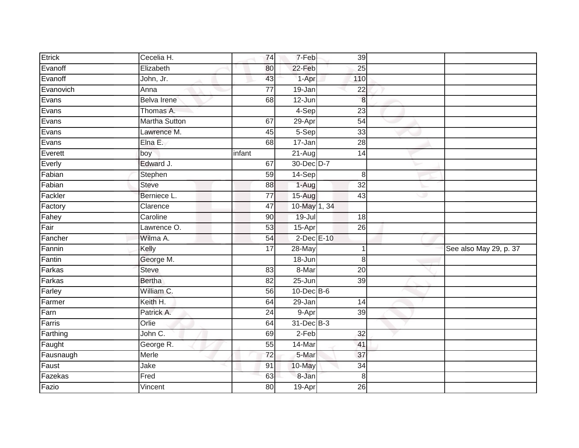| Etrick    | Cecelia H.           | 74              | 7-Feb                | 39              |   |                        |
|-----------|----------------------|-----------------|----------------------|-----------------|---|------------------------|
| Evanoff   | Elizabeth            | 80              | 22-Feb               | 25              |   |                        |
| Evanoff   | John, Jr.            | 43              | 1-Apr                | 110             |   |                        |
| Evanovich | Anna                 | $\overline{77}$ | 19-Jan               | $\overline{22}$ |   |                        |
| Evans     | <b>Belva Irene</b>   | 68              | 12-Jun               | 8               |   |                        |
| Evans     | Thomas A.            |                 | $4-Sep$              | 23              |   |                        |
| Evans     | <b>Martha Sutton</b> | 67              | 29-Apr               | 54              |   |                        |
| Evans     | Lawrence M.          | 45              | 5-Sep                | 33              |   |                        |
| Evans     | Elna E.              | 68              | $17 - Jan$           | $\overline{28}$ |   |                        |
| Everett   | boy                  | infant          | $\overline{2}$ 1-Aug | 14              |   |                        |
| Everly    | Edward J.            | 67              | 30-Dec D-7           |                 |   |                        |
| Fabian    | Stephen              | 59              | 14-Sep               | 8               |   |                        |
| Fabian    | <b>Steve</b>         | 88              | 1-Aug                | $\overline{32}$ |   |                        |
| Fackler   | Berniece L.          | 77              | $15-Aug$             | 43              | ی |                        |
| Factory   | Clarence             | 47              | 10-May 1, 34         |                 |   |                        |
| Fahey     | Caroline             | 90              | $19 -$ Jul           | 18              |   |                        |
| Fair      | Lawrence O.          | 53              | 15-Apr               | 26              |   |                        |
| Fancher   | Wilma A.             | 54              | $2$ -Dec $E-10$      |                 |   |                        |
| Fannin    | Kelly                | 17              | 28-May               |                 |   | See also May 29, p. 37 |
| Fantin    | George M.            |                 | 18-Jun               | 8               |   |                        |
| Farkas    | <b>Steve</b>         | 83              | 8-Mar                | 20              |   |                        |
| Farkas    | <b>Bertha</b>        | 82              | $25 - Jun$           | 39              |   |                        |
| Farley    | William C.           | 56              | $10$ -Dec $B$ -6     |                 |   |                        |
| Farmer    | Keith H.             | 64              | $29 - Jan$           | $\overline{14}$ |   |                        |
| Farn      | Patrick A.           | 24              | 9-Apr                | 39              |   |                        |
| Farris    | Orlie                | 64              | $31$ -Dec $B-3$      |                 |   |                        |
| Farthing  | John C.              | 69              | $2-Feb$              | 32              |   |                        |
| Faught    | George R.            | 55              | 14-Mar               | 41              |   |                        |
| Fausnaugh | Merle                | 72              | 5-Mar                | 37              |   |                        |
| Faust     | Jake                 | 91              | 10-May               | $\overline{34}$ |   |                        |
| Fazekas   | Fred                 | 63              | 8-Jan                | 8               |   |                        |
| Fazio     | Vincent              | 80              | 19-Apr               | 26              |   |                        |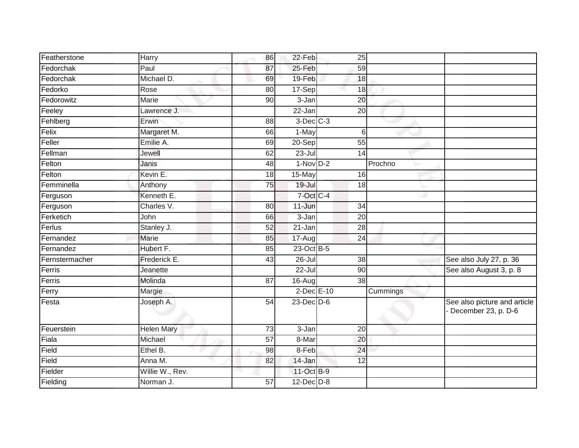| Featherstone   | Harry             | 86              | 22-Feb          | 25              |          |                                                       |
|----------------|-------------------|-----------------|-----------------|-----------------|----------|-------------------------------------------------------|
| Fedorchak      | Paul              | 87              | 25-Feb          | 59              |          |                                                       |
| Fedorchak      | Michael D.        | 69              | 19-Feb          | 18              |          |                                                       |
| Fedorko        | Rose              | $\overline{80}$ | 17-Sep          | 18              |          |                                                       |
| Fedorowitz     | <b>Marie</b>      | $\overline{90}$ | $3 - Jan$       | 20              |          |                                                       |
| Feeley         | Lawrence J.       |                 | 22-Jan          | 20              |          |                                                       |
| Fehlberg       | Erwin             | 88              | $3$ -Dec $C-3$  |                 |          |                                                       |
| Felix          | Margaret M.       | 66              | 1-May           | 6               |          |                                                       |
| Feller         | Emilie A.         | 69              | $20-Sep$        | 55              |          |                                                       |
| Fellman        | Jewell            | 62              | $23 -$ Jul      | 14              |          |                                                       |
| Felton         | Janis             | 48              | $1-NovD-2$      |                 | Prochno  |                                                       |
| Felton         | Kevin E.          | 18              | 15-May          | 16              |          |                                                       |
| Femminella     | Anthony           | 75              | 19-Jul          | 18              |          |                                                       |
| Ferguson       | Kenneth E.        |                 | 7-Oct C-4       |                 | w        |                                                       |
| Ferguson       | Charles V.        | 80              | 11-Jun          | $\overline{34}$ |          |                                                       |
| Ferketich      | John              | 66              | 3-Jan           | $\overline{20}$ |          |                                                       |
| Ferlus         | Stanley J.        | 52              | 21-Jan          | 28              |          |                                                       |
| Fernandez      | Marie             | 85              | 17-Aug          | 24              |          |                                                       |
| Fernandez      | Hubert F.         | 85              | 23-Oct B-5      |                 |          |                                                       |
| Fernstermacher | Frederick E.      | 43              | 26-Jul          | 38              |          | See also July 27, p. 36                               |
| Ferris         | Jeanette          |                 | 22-Jul          | 90              |          | See also August 3, p. 8                               |
| Ferris         | Molinda           | 87              | 16-Aug          | 38              |          |                                                       |
| Ferry          | Margie            |                 | 2-Dec E-10      |                 | Cummings |                                                       |
| Festa          | Joseph A.         | 54              | $23$ -Dec $D-6$ |                 |          | See also picture and article<br>- December 23, p. D-6 |
| Feuerstein     | <b>Helen Mary</b> | 73              | 3-Jan           | 20              |          |                                                       |
| Fiala          | Michael           | 57              | 8-Mar           | 20              |          |                                                       |
| Field          | Ethel B.          | 98              | 8-Feb           | $\overline{24}$ |          |                                                       |
| Field          | Anna M.           | 82              | 14-Jan          | 12              |          |                                                       |
| Fielder        | Willie W., Rev.   |                 | 11-Oct B-9      |                 |          |                                                       |
| Fielding       | Norman J.         | 57              | $12$ -Dec $D-8$ |                 |          |                                                       |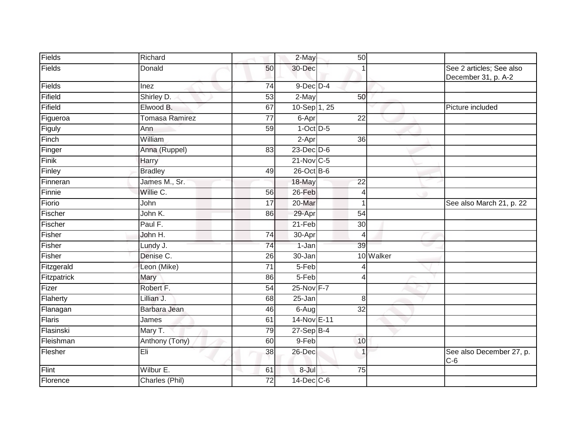| Fields      | Richard               |                 | 2-May           | 50              |           |                                                 |
|-------------|-----------------------|-----------------|-----------------|-----------------|-----------|-------------------------------------------------|
| Fields      | Donald                | 50              | 30-Dec          |                 |           | See 2 articles; See also<br>December 31, p. A-2 |
| Fields      | Inez                  | 74              | $9$ -Dec $D$ -4 |                 |           |                                                 |
| Fifield     | Shirley D.            | 53              | $2-May$         | 50              |           |                                                 |
| Fifield     | Elwood B.             | 67              | 10-Sep 1, 25    |                 |           | Picture included                                |
| Figueroa    | <b>Tomasa Ramirez</b> | $\overline{77}$ | 6-Apr           | $\overline{22}$ |           |                                                 |
| Figuly      | Ann                   | 59              | $1-Oct$ $D-5$   |                 |           |                                                 |
| Finch       | William               |                 | 2-Apr           | 36              |           |                                                 |
| Finger      | Anna (Ruppel)         | 83              | $23$ -Dec $D-6$ |                 |           |                                                 |
| Finik       | Harry                 |                 | 21-Nov C-5      |                 |           |                                                 |
| Finley      | <b>Bradley</b>        | 49              | $26$ -Oct B-6   |                 |           |                                                 |
| Finneran    | James M., Sr.         |                 | 18-May          | $\overline{22}$ |           |                                                 |
| Finnie      | Willie C.             | 56              | 26-Feb          | $\overline{4}$  |           |                                                 |
| Fiorio      | John                  | 17              | 20-Mar          | 1               |           | See also March 21, p. 22                        |
| Fischer     | John K.               | 86              | 29-Apr          | $\overline{54}$ |           |                                                 |
| Fischer     | Paul F.               |                 | $21-Feb$        | 30              |           |                                                 |
| Fisher      | John H.               | $\overline{74}$ | 30-Apr          | $\overline{4}$  |           |                                                 |
| Fisher      | Lundy J.              | 74              | 1-Jan           | 39              |           |                                                 |
| Fisher      | Denise C.             | 26              | 30-Jan          |                 | 10 Walker |                                                 |
| Fitzgerald  | Leon (Mike)           | 71              | 5-Feb           |                 |           |                                                 |
| Fitzpatrick | Mary                  | 86              | 5-Feb           | $\overline{4}$  |           |                                                 |
| Fizer       | Robert F.             | $\overline{54}$ | 25-Nov F-7      |                 |           |                                                 |
| Flaherty    | Lillian J.            | 68              | 25-Jan          | 8               |           |                                                 |
| Flanagan    | Barbara Jean          | 46              | 6-Aug           | 32              |           |                                                 |
| Flaris      | James                 | 61              | 14-Nov E-11     |                 |           |                                                 |
| Flasinski   | Mary T.               | 79              | $27-Sep$ B-4    |                 |           |                                                 |
| Fleishman   | Anthony (Tony)        | 60              | $9-Feb$         | 10              |           |                                                 |
| Flesher     | Eli                   | 38              | 26-Dec          |                 |           | See also December 27, p.<br>$C-6$               |
| Flint       | Wilbur E.             | 61              | 8-Jul           | $\overline{75}$ |           |                                                 |
| Florence    | Charles (Phil)        | $\overline{72}$ | 14-Dec C-6      |                 |           |                                                 |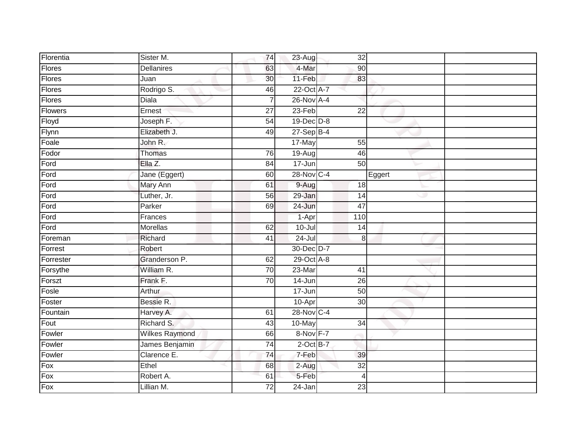| Florentia | Sister M.             | 74              | $23-Aug$             | $\overline{32}$ |        |
|-----------|-----------------------|-----------------|----------------------|-----------------|--------|
| Flores    | <b>Dellanires</b>     | 63              | 4-Mar                | 90              |        |
| Flores    | Juan                  | 30              | 11-Feb               | 83              |        |
| Flores    | Rodrigo S.            | 46              | 22-Oct A-7           |                 |        |
| Flores    | <b>Diala</b>          | 7               | 26-Nov A-4           |                 |        |
| Flowers   | Ernest                | 27              | 23-Feb               | 22              |        |
| Floyd     | Joseph F.             | 54              | 19-Dec D-8           |                 |        |
| Flynn     | Elizabeth J.          | 49              | $27-Sep$ B-4         |                 |        |
| Foale     | John R.               |                 | 17-May               | $\overline{55}$ |        |
| Fodor     | Thomas                | $\overline{76}$ | $\overline{19}$ -Aug | 46              |        |
| Ford      | Ella Z.               | 84              | 17-Jun               | 50              |        |
| Ford      | Jane (Eggert)         | 60              | 28-Nov C-4           |                 | Eggert |
| Ford      | Mary Ann              | 61              | 9-Aug                | 18              |        |
| Ford      | Luther, Jr.           | 56              | 29-Jan               | 14              | æ      |
| Ford      | Parker                | 69              | $24 - Jun$           | 47              |        |
| Ford      | Frances               |                 | 1-Apr                | 110             |        |
| Ford      | Morellas              | 62              | $10 -$ Jul           | 14              |        |
| Foreman   | Richard               | 41              | $24 -$ Jul           | 8               |        |
| Forrest   | Robert                |                 | 30-Dec D-7           |                 |        |
| Forrester | Granderson P.         | 62              | 29-Oct A-8           |                 |        |
| Forsythe  | William R.            | 70              | 23-Mar               | 41              |        |
| Forszt    | Frank F.              | $\overline{70}$ | 14-Jun               | 26              |        |
| Fosle     | Arthur                |                 | 17-Jun               | $\overline{50}$ |        |
| Foster    | Bessie R.             |                 | 10-Apr               | 30              |        |
| Fountain  | Harvey A.             | 61              | 28-Nov C-4           |                 |        |
| Fout      | Richard S.            | 43              | 10-May               | $\overline{34}$ |        |
| Fowler    | <b>Wilkes Raymond</b> | 66              | 8-Nov F-7            |                 |        |
| Fowler    | James Benjamin        | 74              | $2$ -Oct B-7         |                 |        |
| Fowler    | Clarence E.           | 74              | 7-Feb                | 39              |        |
| Fox       | Ethel                 | 68              | 2-Aug                | $\overline{32}$ |        |
| Fox       | Robert A.             | 61              | 5-Feb                | 4               |        |
| Fox       | Lillian M.            | 72              | 24-Jan               | 23              |        |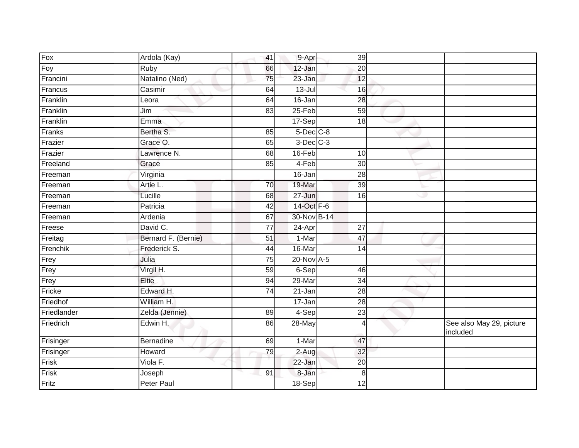| Fox         | Ardola (Kay)        | 41              | 9-Apr           | 39              |   |                                      |
|-------------|---------------------|-----------------|-----------------|-----------------|---|--------------------------------------|
| Foy         | Ruby                | 66              | 12-Jan          | 20              |   |                                      |
| Francini    | Natalino (Ned)      | 75              | 23-Jan          | 12              |   |                                      |
| Francus     | Casimir             | 64              | $13 -$ Jul      | 16              |   |                                      |
| Franklin    | Leora               | 64              | 16-Jan          | 28              |   |                                      |
| Franklin    | Jim                 | 83              | 25-Feb          | 59              |   |                                      |
| Franklin    | Emma                |                 | 17-Sep          | 18              |   |                                      |
| Franks      | Bertha S.           | 85              | $5$ -Dec $C$ -8 |                 |   |                                      |
| Frazier     | Grace O.            | 65              | $3-Dec$ $C-3$   |                 |   |                                      |
| Frazier     | Lawrence N.         | 68              | 16-Feb          | 10              |   |                                      |
| Freeland    | Grace               | 85              | 4-Feb           | 30              |   |                                      |
| Freeman     | Virginia            |                 | 16-Jan          | $\overline{28}$ |   |                                      |
| Freeman     | Artie L.            | 70              | 19-Mar          | 39              |   |                                      |
| Freeman     | Lucille             | 68              | 27-Jun          | 16              | ی |                                      |
| Freeman     | Patricia            | 42              | 14-Oct F-6      |                 |   |                                      |
| Freeman     | Ardenia             | 67              | 30-Nov B-14     |                 |   |                                      |
| Freese      | David C.            | $\overline{77}$ | 24-Apr          | $\overline{27}$ |   |                                      |
| Freitag     | Bernard F. (Bernie) | 51              | 1-Mar           | 47              |   |                                      |
| Frenchik    | Frederick S.        | 44              | 16-Mar          | $\overline{14}$ |   |                                      |
| Frey        | Julia               | 75              | 20-Nov A-5      |                 |   |                                      |
| Frey        | Virgil H.           | 59              | 6-Sep           | 46              |   |                                      |
| Frey        | Eltie               | 94              | 29-Mar          | 34              |   |                                      |
| Fricke      | Edward H.           | 74              | 21-Jan          | $\overline{28}$ |   |                                      |
| Friedhof    | William H.          |                 | 17-Jan          | $\overline{28}$ |   |                                      |
| Friedlander | Zelda (Jennie)      | 89              | 4-Sep           | 23              |   |                                      |
| Friedrich   | Edwin H.            | 86              | 28-May          | 4               |   | See also May 29, picture<br>included |
| Frisinger   | Bernadine           | 69              | 1-Mar           | 47              |   |                                      |
| Frisinger   | Howard              | 79              | 2-Augl          | 32              |   |                                      |
| Frisk       | Viola F.            |                 | 22-Jan          | $\overline{20}$ |   |                                      |
| Frisk       | Joseph              | 91              | 8-Jan           | 8               |   |                                      |
| Fritz       | <b>Peter Paul</b>   |                 | 18-Sep          | $\overline{12}$ |   |                                      |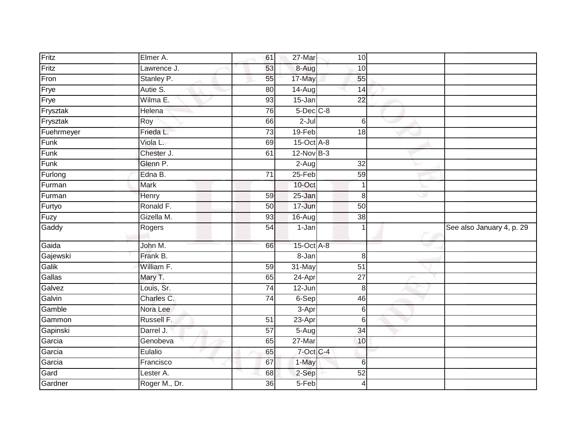| Fritz      | Elmer A.    | 61              | 27-Mar              | 10 <sup>1</sup>  |   |                           |
|------------|-------------|-----------------|---------------------|------------------|---|---------------------------|
| Fritz      | Lawrence J. | 53              | 8-Aug               | 10               |   |                           |
| Fron       | Stanley P.  | 55              | 17-May              | 55               |   |                           |
| Frye       | Autie S.    | 80              | $14-Aug$            | 14               |   |                           |
| Frye       | Wilma E.    | 93              | 15-Jan              | $\overline{22}$  |   |                           |
| Frysztak   | Helena      | 76              | $5$ -Dec $C$ -8     |                  |   |                           |
| Frysztak   | Roy         | 66              | $2-Jul$             | 6                |   |                           |
| Fuehrmeyer | Frieda L.   | 73              | $19-Feb$            | $\overline{18}$  |   |                           |
| Funk       | Viola L.    | 69              | $15$ -Oct $A$ -8    |                  |   |                           |
| Funk       | Chester J.  | 61              | $12-Nov$ B-3        |                  |   |                           |
| Funk       | Glenn P.    |                 | $2-Aug$             | 32               |   |                           |
| Furlong    | Edna B.     | $\overline{71}$ | $25-Feb$            | 59               |   |                           |
| Furman     | <b>Mark</b> |                 | 10-Oct              | 1                |   |                           |
| Furman     | Henry       | 59              | $25 - Jan$          | 8                | ی |                           |
| Furtyo     | Ronald F.   | 50              | 17-Jun              | 50               |   |                           |
| Fuzy       | Gizella M.  | 93              | 16-Aug              | $\overline{38}$  |   |                           |
|            |             |                 |                     |                  |   |                           |
| Gaddy      | Rogers      | 54              | $\overline{1}$ -Jan | 1                |   | See also January 4, p. 29 |
| Gaida      | John M.     | 66              | 15-Oct A-8          |                  |   |                           |
| Gajewski   | Frank B.    |                 | 8-Jan               | 8                |   |                           |
| Galik      | William F.  | 59              | 31-May              | 51               |   |                           |
| Gallas     | Mary T.     | 65              | 24-Apr              | 27               |   |                           |
| Galvez     | Louis, Sr.  | $\overline{74}$ | 12-Jun              | 8                |   |                           |
| Galvin     | Charles C.  | 74              | 6-Sep               | 46               |   |                           |
| Gamble     | Nora Lee    |                 | 3-Apr               | $6 \overline{6}$ |   |                           |
| Gammon     | Russell F.  | 51              | 23-Apr              | $6\phantom{1}6$  |   |                           |
| Gapinski   | Darrel J.   | $\overline{57}$ | $5-Aug$             | 34               |   |                           |
| Garcia     | Genobeva    | 65              | $27 - Mar$          | 10               |   |                           |
| Garcia     | Eulalio     | 65              | 7-Oct C-4           |                  |   |                           |
| Garcia     | Francisco   | 67              | 1-May               | $6\phantom{1}6$  |   |                           |
| Gard       | Lester A.   | 68              | 2-Sep               | 52               |   |                           |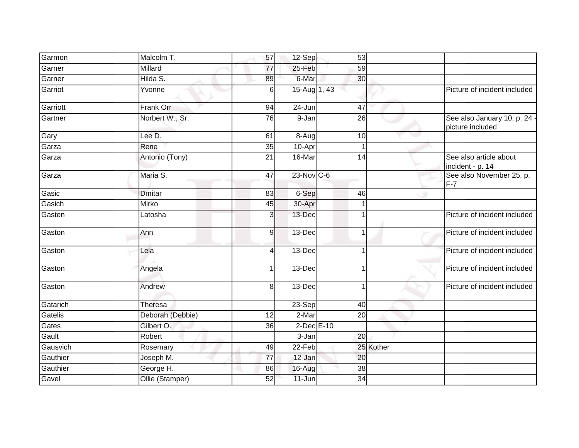| Garmon   | Malcolm T.       | 57                       | 12-Sep          | 53              |           |                                                  |
|----------|------------------|--------------------------|-----------------|-----------------|-----------|--------------------------------------------------|
| Garner   | Millard          | 77                       | 25-Feb          | 59              |           |                                                  |
| Garner   | Hilda S.         | 89                       | 6-Mar           | 30              |           |                                                  |
| Garriot  | Yvonne           | 6                        | 15-Aug 1, 43    |                 |           | Picture of incident included                     |
| Garriott | <b>Frank Orr</b> | 94                       | $24 - Jun$      | 47              |           |                                                  |
| Gartner  | Norbert W., Sr.  | 76                       | 9-Jan           | 26              |           | See also January 10, p. 24 ·<br>picture included |
| Gary     | Lee D.           | 61                       | $8 - Aug$       | 10              |           |                                                  |
| Garza    | Rene             | $\overline{35}$          | 10-Apr          | 1               |           |                                                  |
| Garza    | Antonio (Tony)   | 21                       | 16-Mar          | 14              |           | See also article about<br>incident - p. 14       |
| Garza    | Maria S.         | $\overline{47}$          | 23-Nov C-6      |                 |           | See also November 25, p.<br>$F-7$                |
| Gasic    | <b>Dmitar</b>    | 83                       | 6-Sep           | 46              |           |                                                  |
| Gasich   | Mirko            | 45                       | 30-Apr          | 1               |           |                                                  |
| Gasten   | Latosha          | 3                        | 13-Dec          | 1               |           | Picture of incident included                     |
| Gaston   | Ann              | $\overline{9}$           | 13-Dec          | 1               |           | Picture of incident included                     |
| Gaston   | Lela             | $\overline{\mathcal{A}}$ | $13-Dec$        | 1               |           | Picture of incident included                     |
| Gaston   | Angela           | 1                        | 13-Dec          | 1               |           | Picture of incident included                     |
| Gaston   | Andrew           | 8                        | 13-Dec          | 1               |           | Picture of incident included                     |
| Gatarich | Theresa          |                          | 23-Sep          | 40              |           |                                                  |
| Gatelis  | Deborah (Debbie) | $\overline{12}$          | $2-Mar$         | $\overline{20}$ |           |                                                  |
| Gates    | Gilbert O.       | 36                       | $2$ -Dec $E-10$ |                 |           |                                                  |
| Gault    | Robert           |                          | 3-Jan           | 20              |           |                                                  |
| Gausvich | Rosemary         | 49                       | 22-Feb          |                 | 25 Kother |                                                  |
| Gauthier | Joseph M.        | 77                       | 12-Jan          | 20              |           |                                                  |
| Gauthier | George H.        | 86                       | 16-Aug          | $\overline{38}$ |           |                                                  |
| Gavel    | Ollie (Stamper)  | 52                       | $11$ -Jun       | 34              |           |                                                  |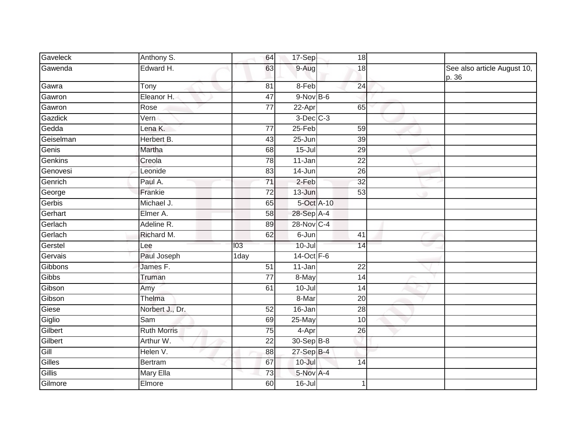| Gaveleck  | Anthony S.         | 64                 | 17-Sep         | 18              |   |                                      |
|-----------|--------------------|--------------------|----------------|-----------------|---|--------------------------------------|
| Gawenda   | Edward H.          | 63                 | 9-Aug          | 18              |   | See also article August 10,<br>p. 36 |
| Gawra     | Tony               | 81                 | 8-Feb          | 24              |   |                                      |
| Gawron    | Eleanor H.         | 47                 | $9-NovB-6$     |                 |   |                                      |
| Gawron    | Rose               | $\overline{77}$    | 22-Apr         | 65              |   |                                      |
| Gazdick   | Vern               |                    | $3$ -Dec $C-3$ |                 |   |                                      |
| Gedda     | Lena K.            | 77                 | $25-Feb$       | 59              |   |                                      |
| Geiselman | Herbert B.         | 43                 | $25 - Jun$     | $\overline{39}$ |   |                                      |
| Genis     | Martha             | 68                 | $15 -$ Jul     | 29              |   |                                      |
| Genkins   | Creola             | 78                 | 11-Jan         | 22              |   |                                      |
| Genovesi  | Leonide            | 83                 | $14 - Jun$     | 26              |   |                                      |
| Genrich   | Paul A.            | $\overline{71}$    | $2-Feb$        | 32              |   |                                      |
| George    | Frankie            | 72                 | 13-Jun         | 53              | ۰ |                                      |
| Gerbis    | Michael J.         | 65                 | 5-Oct A-10     |                 |   |                                      |
| Gerhart   | Elmer A.           | 58                 | 28-Sep A-4     |                 |   |                                      |
| Gerlach   | Adeline R.         | 89                 | 28-Nov C-4     |                 |   |                                      |
| Gerlach   | Richard M.         | 62                 | 6-Jun          | 41              |   |                                      |
| Gerstel   | Lee                | 103                | $10 -$ Jul     | 14              |   |                                      |
| Gervais   | Paul Joseph        | $\overline{1}$ day | 14-Oct F-6     |                 |   |                                      |
| Gibbons   | James F.           | 51                 | 11-Jan         | 22              |   |                                      |
| Gibbs     | Truman             | $\overline{77}$    | 8-May          | 14              |   |                                      |
| Gibson    | Amy                | 61                 | $10 -$ Jul     | 14              |   |                                      |
| Gibson    | Thelma             |                    | 8-Mar          | $\overline{20}$ |   |                                      |
| Giese     | Norbert J., Dr.    | 52                 | 16-Jan         | 28              |   |                                      |
| Giglio    | Sam                | 69                 | 25-May         | 10              |   |                                      |
| Gilbert   | <b>Ruth Morris</b> | 75                 | 4-Apr          | $\overline{26}$ |   |                                      |
| Gilbert   | Arthur W.          | $\overline{22}$    | 30-Sep B-8     |                 |   |                                      |
| Gill      | Helen V.           | 88                 | $27-SepB-4$    |                 |   |                                      |
| Gilles    | <b>Bertram</b>     | 67                 | $10 -$ Jul     | 14              |   |                                      |
| Gillis    | <b>Mary Ella</b>   | $\overline{73}$    | 5-Nov A-4      |                 |   |                                      |
| Gilmore   | Elmore             | 60                 | $16 -$ Jul     |                 |   |                                      |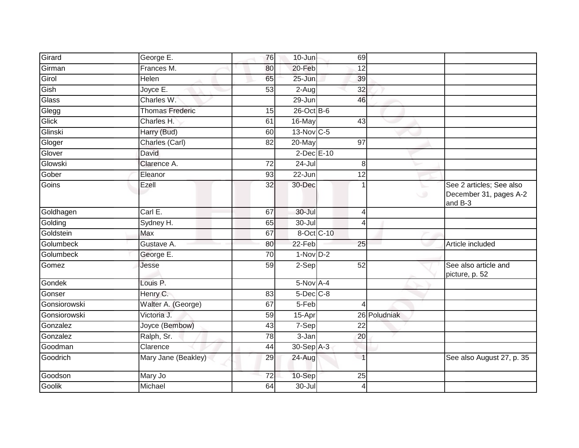| Girard       | George E.              | 76              | 10-Jun              | 69              |              |                                                               |
|--------------|------------------------|-----------------|---------------------|-----------------|--------------|---------------------------------------------------------------|
| Girman       | Frances M.             | 80              | 20-Feb              | 12              |              |                                                               |
| Girol        | Helen                  | 65              | 25-Jun              | 39              |              |                                                               |
| Gish         | Joyce E.               | 53              | $\overline{2}$ -Aug | $\overline{32}$ |              |                                                               |
| Glass        | Charles W.             |                 | 29-Jun              | 46              |              |                                                               |
| Glegg        | <b>Thomas Frederic</b> | 15              | $26$ -Oct B-6       |                 |              |                                                               |
| Glick        | Charles H.             | 61              | 16-May              | 43              |              |                                                               |
| Glinski      | Harry (Bud)            | 60              | 13-Nov C-5          |                 |              |                                                               |
| Gloger       | Charles (Carl)         | 82              | $20$ -May           | 97              |              |                                                               |
| Glover       | David                  |                 | 2-Dec E-10          |                 |              |                                                               |
| Glowski      | Clarence A.            | 72              | 24-Jul              | 8               |              |                                                               |
| Gober        | Eleanor                | 93              | $22 - Jun$          | $\overline{12}$ |              |                                                               |
| Goins        | Ezell                  | $\overline{32}$ | 30-Dec              |                 | ╰<br>$\circ$ | See 2 articles; See also<br>December 31, pages A-2<br>and B-3 |
| Goldhagen    | Carl E.                | 67              | $30 -$ Jul          | 4               |              |                                                               |
| Golding      | Sydney H.              | 65              | $30 -$ Jul          | $\overline{4}$  |              |                                                               |
| Goldstein    | Max                    | 67              | 8-Oct C-10          |                 |              |                                                               |
| Golumbeck    | Gustave A.             | 80              | 22-Feb              | 25              |              | Article included                                              |
| Golumbeck    | George E.              | 70              | $1-NovD-2$          |                 |              |                                                               |
| Gomez        | Jesse                  | 59              | 2-Sep               | 52              |              | See also article and<br>picture, p. 52                        |
| Gondek       | Louis P.               |                 | 5-Nov A-4           |                 |              |                                                               |
| Gonser       | Henry C.               | 83              | $5$ -Dec $C$ -8     |                 |              |                                                               |
| Gonsiorowski | Walter A. (George)     | 67              | $5-Feb$             | 4               |              |                                                               |
| Gonsiorowski | Victoria J.            | $\overline{59}$ | 15-Apr              |                 | 26 Poludniak |                                                               |
| Gonzalez     | Joyce (Bembow)         | 43              | 7-Sep               | 22              |              |                                                               |
| Gonzalez     | Ralph, Sr.             | $\overline{78}$ | 3-Jan               | 20              |              |                                                               |
| Goodman      | Clarence               | 44              | 30-Sep A-3          |                 |              |                                                               |
| Goodrich     | Mary Jane (Beakley)    | 29              | 24-Aug              | $\overline{1}$  |              | See also August 27, p. 35                                     |
| Goodson      | Mary Jo                | $\overline{72}$ | 10-Sep              | $\overline{25}$ |              |                                                               |
| Goolik       | Michael                | 64              | $30 -$ Jul          | 4               |              |                                                               |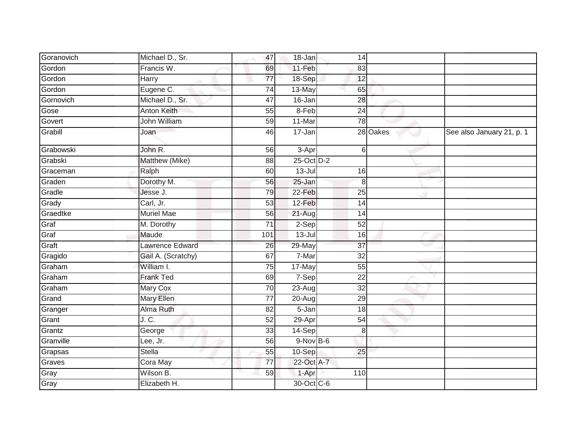| Goranovich | Michael D., Sr.        | 47              | 18-Jan     |                 | 14              |                           |
|------------|------------------------|-----------------|------------|-----------------|-----------------|---------------------------|
| Gordon     | Francis W.             | 69              | 11-Feb     |                 | 83              |                           |
| Gordon     | Harry                  | 77              | 18-Sep     |                 | 12              |                           |
| Gordon     | Eugene C.              | $\overline{74}$ | 13-May     |                 | 65              |                           |
| Gornovich  | Michael D., Sr.        | 47              | 16-Jan     |                 | 28              |                           |
| Gose       | Anton Keith            | 55              | 8-Feb      |                 | 24              |                           |
| Govert     | John William           | 59              | 11-Mar     |                 | 78              |                           |
| Grabill    | Joan                   | 46              | 17-Jan     |                 | 28 Oakes        | See also January 21, p. 1 |
| Grabowski  | John R.                | 56              | $3-Apr$    |                 | 6               |                           |
| Grabski    | Matthew (Mike)         | 88              | 25-Oct D-2 |                 |                 |                           |
| Graceman   | Ralph                  | 60              | $13 -$ Jul |                 | 16              |                           |
| Graden     | Dorothy M.             | 56              | 25-Jan     |                 | 8               |                           |
| Gradle     | Jesse J.               | 79              | 22-Feb     |                 | 25              |                           |
| Grady      | Carl, Jr.              | 53              | 12-Feb     |                 | $\overline{14}$ |                           |
| Graedtke   | <b>Muriel Mae</b>      | 56              | 21-Aug     |                 | 14              |                           |
| Graf       | M. Dorothy             | 71              | $2-Sep$    |                 | 52              |                           |
| Graf       | Maude                  | 101             | $13 -$ Jul |                 | 16              |                           |
| Graft      | <b>Lawrence Edward</b> | 26              | 29-May     | $\overline{37}$ |                 |                           |
| Gragido    | Gail A. (Scratchy)     | 67              | 7-Mar      |                 | 32              |                           |
| Graham     | William I.             | 75              | 17-May     |                 | 55              |                           |
| Graham     | <b>Frank Ted</b>       | 69              | $7-Sep$    |                 | 22              |                           |
| Graham     | Mary Cox               | 70              | 23-Aug     |                 | $\overline{32}$ |                           |
| Grand      | Mary Ellen             | $\overline{77}$ | $20 - Aug$ |                 | 29              |                           |
| Granger    | Alma Ruth              | 82              | 5-Jan      |                 | 18              |                           |
| Grant      | J. C.                  | 52              | 29-Apr     |                 | 54              |                           |
| Grantz     | George                 | 33              | 14-Sep     |                 | 8 <sup>1</sup>  |                           |
| Granville  | Lee, Jr.               | 56              | $9-NovB-6$ |                 |                 |                           |
| Grapsas    | Stella                 | 55              | 10-Sep     | 25              |                 |                           |
| Graves     | Cora May               | $\overline{77}$ | 22-Oct A-7 |                 |                 |                           |
| Gray       | Wilson B.              | 59              | 1-Apr      | 110             |                 |                           |
| Gray       | Elizabeth H.           |                 | 30-Oct C-6 |                 |                 |                           |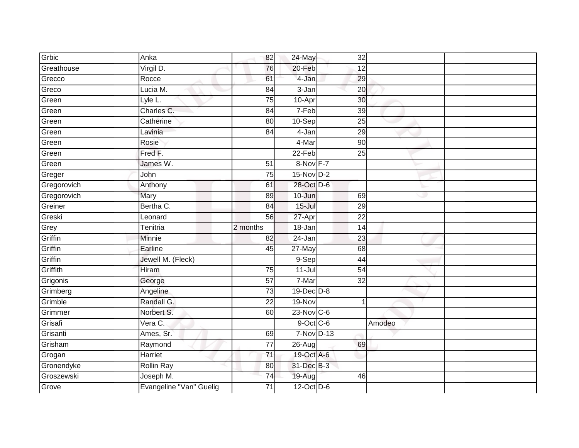| Grbic               | Anka                                 | 82              | $24$ -May            | $\overline{32}$ |        |  |
|---------------------|--------------------------------------|-----------------|----------------------|-----------------|--------|--|
| Greathouse          | Virgil D.                            | 76              | 20-Feb               | 12              |        |  |
| Grecco              | Rocce                                | 61              | 4-Jan                | 29              |        |  |
| Greco               | Lucia M.                             | 84              | $3 - Jan$            | $\overline{20}$ |        |  |
| Green               | Lyle L.                              | 75              | 10-Apr               | 30              |        |  |
| Green               | Charles C.                           | 84              | 7-Feb                | 39              |        |  |
| Green               | Catherine                            | 80              | 10-Sep               | 25              |        |  |
| Green               | Lavinia                              | 84              | 4-Jan                | 29              |        |  |
| Green               | Rosie                                |                 | 4-Mar                | $\overline{90}$ |        |  |
| Green               | Fred F.                              |                 | 22-Feb               | 25              |        |  |
| Green               | James W.                             | 51              | 8-Nov F-7            |                 |        |  |
| Greger              | John                                 | 75              | $15-NovD-2$          |                 |        |  |
| Gregorovich         | Anthony                              | 61              | 28-Oct D-6           |                 |        |  |
| Gregorovich         | Mary                                 | 89              | 10-Jun               | 69              | w      |  |
| Greiner             | Bertha C.                            | 84              | $15 -$ Jul           | 29              |        |  |
| Greski              | Leonard                              | 56              | 27-Apr               | 22              |        |  |
| Grey                | Tenitria                             | 2 months        | 18-Jan               | 14              |        |  |
| Griffin             | <b>Minnie</b>                        | 82              | 24-Jan               | 23              |        |  |
| Griffin             | Earline                              | 45              | 27-May               | 68              |        |  |
| Griffin             |                                      |                 |                      |                 |        |  |
|                     | Jewell M. (Fleck)                    |                 | $9-Sep$              | 44              |        |  |
| Griffith            | Hiram                                | 75              | $11 -$ Jul           | $\overline{54}$ |        |  |
| Grigonis            | George                               | 57              | 7-Mar                | 32              |        |  |
| Grimberg            | Angeline                             | $\overline{73}$ | 19-Dec D-8           |                 |        |  |
| Grimble             | Randall G.                           | $\overline{22}$ | 19-Nov               | 1               |        |  |
| Grimmer             | Norbert S.                           | 60              | 23-Nov C-6           |                 |        |  |
| Grisafi             | Vera C.                              |                 | $9$ -Oct $C$ -6      |                 | Amodeo |  |
| Grisanti            | Ames, Sr.                            | 69              | 7-Nov D-13           |                 |        |  |
| Grisham             | Raymond                              | $\overline{77}$ | $\overline{26}$ -Aug | 69              |        |  |
| Grogan              | Harriet                              | 71              | 19-Oct A-6           |                 |        |  |
| Gronendyke          | <b>Rollin Ray</b>                    | 80              | 31-Dec B-3           |                 |        |  |
| Groszewski<br>Grove | Joseph M.<br>Evangeline "Van" Guelig | 74              | 19-Aug<br>12-Oct D-6 | 46              |        |  |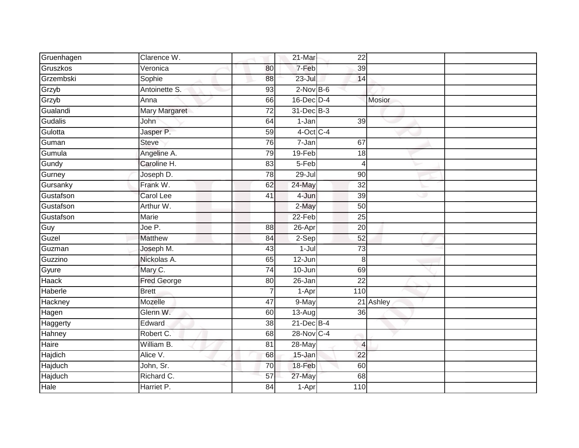| Gruenhagen | Clarence W.        |                 | 21-Mar          | 22              |               |
|------------|--------------------|-----------------|-----------------|-----------------|---------------|
| Gruszkos   | Veronica           | 80              | 7-Feb           | 39              |               |
| Grzembski  | Sophie             | 88              | $23 -$ Jul      | 14              |               |
| Grzyb      | Antoinette S.      | 93              | $2-Nov$ B-6     |                 |               |
| Grzyb      | Anna               | 66              | $16$ -Dec $D-4$ |                 | <b>Mosior</b> |
| Gualandi   | Mary Margaret      | 72              | 31-Dec B-3      |                 |               |
| Gudalis    | John               | 64              | 1-Jan           | 39              |               |
| Gulotta    | Jasper P.          | 59              | $4$ -Oct C-4    |                 |               |
| Guman      | <b>Steve</b>       | 76              | $7 - Jan$       | 67              |               |
| Gumula     | Angeline A.        | 79              | 19-Feb          | 18              |               |
| Gundy      | Caroline H.        | 83              | 5-Feb           | $\overline{4}$  |               |
| Gurney     | Joseph D.          | $\overline{78}$ | $29 -$ Jul      | $\overline{90}$ |               |
| Gursanky   | Frank W.           | 62              | 24-May          | 32              |               |
| Gustafson  | <b>Carol Lee</b>   | 41              | 4-Jun           | 39              | Ð             |
| Gustafson  | Arthur W.          |                 | 2-May           | $\overline{50}$ |               |
| Gustafson  | Marie              |                 | 22-Feb          | 25              |               |
| Guy        | Joe P.             | 88              | 26-Apr          | 20              |               |
| Guzel      | <b>Matthew</b>     | 84              | 2-Sep           | 52              |               |
| Guzman     | Joseph M.          | 43              | $1-Jul$         | $\overline{73}$ |               |
| Guzzino    | Nickolas A.        | 65              | $12 - Jun$      | 8               |               |
| Gyure      | Mary C.            | 74              | 10-Jun          | 69              |               |
| Haack      | <b>Fred George</b> | 80              | 26-Jan          | $\overline{22}$ |               |
| Haberle    | <b>Brett</b>       |                 | 1-Apr           | 110             |               |
| Hackney    | Mozelle            | $\overline{47}$ | 9-May           |                 | 21 Ashley     |
| Hagen      | Glenn W.           | 60              | $13$ -Aug       | 36              |               |
| Haggerty   | Edward             | 38              | $21$ -Dec $B-4$ |                 |               |
| Hahney     | Robert C.          | 68              | 28-Nov C-4      |                 |               |
| Haire      | William B.         | 81              | 28-May          | $\overline{4}$  |               |
| Hajdich    | Alice V.           | 68              | 15-Jan          | 22              |               |
| Hajduch    | John, Sr.          | $\overline{70}$ | 18-Feb          | 60              |               |
| Hajduch    | Richard C.         | 57              | 27-May          | 68              |               |
| Hale       | Harriet P.         | 84              | 1-Apr           | 110             |               |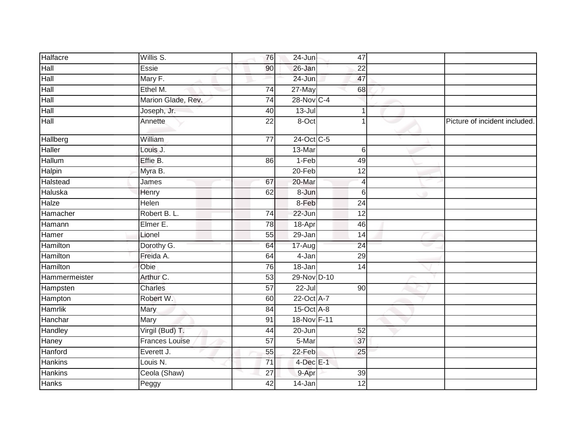| Halfacre        | Willis S.             | 76              | 24-Jun           | 47              |          |                               |
|-----------------|-----------------------|-----------------|------------------|-----------------|----------|-------------------------------|
| Hall            | Essie                 | 90              | 26-Jan           | 22              |          |                               |
| Hall            | Mary F.               |                 | $24$ -Jun        | 47              |          |                               |
| Hall            | Ethel M.              | $\overline{74}$ | 27-May           | 68              |          |                               |
| Hall            | Marion Glade, Rev.    | $\overline{74}$ | 28-Nov C-4       |                 |          |                               |
| Hall            | Joseph, Jr.           | 40              | $13$ -Jul        |                 |          |                               |
| Hall            | Annette               | $\overline{22}$ | 8-Oct            |                 |          | Picture of incident included. |
| Hallberg        | William               | $\overline{77}$ | 24-Oct C-5       |                 |          |                               |
| Haller          | Louis J.              |                 | 13-Mar           |                 | 6        |                               |
| Hallum          | Effie B.              | 86              | 1-Feb            | 49              |          |                               |
| Halpin          | Myra B.               |                 | $20$ -Feb        | 12              |          |                               |
| Halstead        | James                 | 67              | 20-Mar           |                 | $\vert$  |                               |
| Haluska         | Henry                 | 62              | 8-Jun            |                 | $6\vert$ |                               |
| Halze           | Helen                 |                 | 8-Feb            | 24              |          |                               |
| Hamacher        | Robert B. L.          | 74              | 22-Jun           | $\overline{12}$ |          |                               |
| Hamann          | Elmer E.              | 78              | 18-Apr           | 46              |          |                               |
| Hamer           | Lionel                | 55              | 29-Jan           | 14              |          |                               |
| Hamilton        | Dorothy G.            | 64              | 17-Aug           | 24              |          |                               |
| <b>Hamilton</b> | Freida A.             | 64              | 4-Jan            | 29              |          |                               |
| <b>Hamilton</b> | Obie                  | 76              | $18 - Jan$       | $\overline{14}$ |          |                               |
| Hammermeister   | Arthur C.             | 53              | 29-Nov D-10      |                 |          |                               |
| Hampsten        | Charles               | $\overline{57}$ | $22$ -Jul        | 90              |          |                               |
| Hampton         | Robert W.             | 60              | 22-Oct A-7       |                 |          |                               |
| Hamrlik         | Mary                  | 84              | $15$ -Oct $A$ -8 |                 |          |                               |
| Hanchar         | Mary                  | 91              | 18-Nov F-11      |                 |          |                               |
| Handley         | Virgil (Bud) T.       | 44              | $20 - Jun$       | 52              |          |                               |
| Haney           | <b>Frances Louise</b> | 57              | 5-Mar            | 37              |          |                               |
| Hanford         | Everett J.            | 55              | 22-Feb           | 25              |          |                               |
| <b>Hankins</b>  | Louis N.              | 71              | $4$ -Dec $E-1$   |                 |          |                               |
| <b>Hankins</b>  | Ceola (Shaw)          | 27              | 9-Apr            | 39              |          |                               |
| Hanks           | Peggy                 | 42              | 14-Jan           | 12              |          |                               |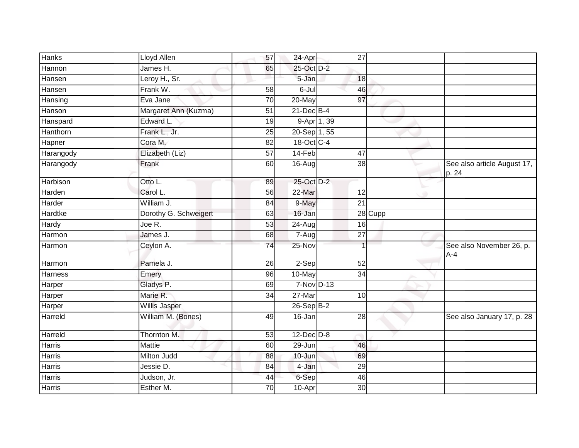| <b>Hanks</b>    | Lloyd Allen           | 57              | 24-Apr          | 27              |         |                                      |
|-----------------|-----------------------|-----------------|-----------------|-----------------|---------|--------------------------------------|
| Hannon          | James H.              | 65              | 25-Oct D-2      |                 |         |                                      |
| Hansen          | Leroy H., Sr.         |                 | 5-Jan           | 18              |         |                                      |
| Hansen          | Frank W.              | 58              | 6-Jul           | 46              |         |                                      |
| Hansing         | Eva Jane              | 70              | 20-May          | 97              |         |                                      |
| Hanson          | Margaret Ann (Kuzma)  | 51              | $21$ -Dec $B-4$ |                 |         |                                      |
| Hanspard        | Edward L.             | 19              | $9-Apr$ 1, 39   |                 |         |                                      |
| Hanthorn        | Frank L., Jr.         | 25              | 20-Sep 1, 55    |                 |         |                                      |
| Hapner          | Cora M.               | 82              | 18-Oct C-4      |                 |         |                                      |
| Harangody       | Elizabeth (Liz)       | 57              | 14-Feb          | 47              |         |                                      |
| Harangody       | Frank                 | 60              | $16$ -Aug       | 38              |         | See also article August 17,<br>p. 24 |
| <b>Harbison</b> | Otto L.               | 89              | 25-Oct D-2      |                 |         |                                      |
| Harden          | Carol L.              | 56              | 22-Mar          | 12              |         |                                      |
| Harder          | William J.            | 84              | 9-May           | $\overline{21}$ |         |                                      |
| Hardtke         | Dorothy G. Schweigert | 63              | 16-Jan          |                 | 28 Cupp |                                      |
| <b>Hardy</b>    | Joe R.                | 53              | 24-Aug          | 16              |         |                                      |
| Harmon          | James J.              | 68              | $7 - Aug$       | 27              |         |                                      |
| Harmon          | Ceylon A.             | 74              | 25-Nov          |                 |         | See also November 26, p.<br>$A - 4$  |
| Harmon          | Pamela J.             | 26              | $2-Sep$         | 52              |         |                                      |
| Harness         | Emery                 | 96              | 10-May          | 34              |         |                                      |
| Harper          | Gladys P.             | 69              | $7-Nov$ D-13    |                 |         |                                      |
| Harper          | Marie R.              | $\overline{34}$ | 27-Mar          | 10              |         |                                      |
| Harper          | Willis Jasper         |                 | $26-Sep$ B-2    |                 |         |                                      |
| Harreld         | William M. (Bones)    | 49              | $16 - Jan$      | $\overline{28}$ |         | See also January 17, p. 28           |
| Harreld         | Thornton M.           | 53              | $12$ -Dec $D-8$ |                 |         |                                      |
| Harris          | Mattie                | 60              | 29-Jun          | 46              |         |                                      |
| Harris          | Milton Judd           | 88              | 10-Jun          | 69              |         |                                      |
| Harris          | Jessie D.             | 84              | 4-Jan           | 29              |         |                                      |
| <b>Harris</b>   | Judson, Jr.           | 44              | 6-Sep           | 46              |         |                                      |
| <b>Harris</b>   | Esther M.             | 70              | 10-Apr          | 30              |         |                                      |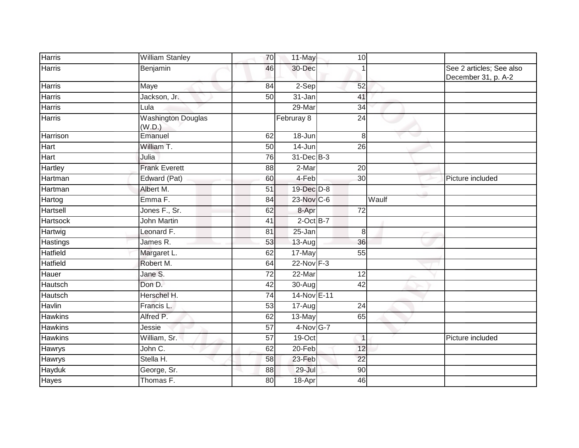| <b>Harris</b>   | <b>William Stanley</b>              | 70 | 11-May         | 10              |       |                                                 |
|-----------------|-------------------------------------|----|----------------|-----------------|-------|-------------------------------------------------|
| <b>Harris</b>   | Benjamin                            | 46 | 30-Dec         |                 |       | See 2 articles; See also<br>December 31, p. A-2 |
| <b>Harris</b>   | Maye                                | 84 | 2-Sep          | 52              |       |                                                 |
| <b>Harris</b>   | Jackson, Jr.                        | 50 | $31 - Jan$     | 41              |       |                                                 |
| Harris          | Lula                                |    | 29-Mar         | 34              |       |                                                 |
| <b>Harris</b>   | <b>Washington Douglas</b><br>(W.D.) |    | Februray 8     | 24              |       |                                                 |
| Harrison        | Emanuel                             | 62 | 18-Jun         | 8               |       |                                                 |
| Hart            | William T.                          | 50 | 14-Jun         | 26              |       |                                                 |
| Hart            | Julia                               | 76 | 31-Dec B-3     |                 |       |                                                 |
| Hartley         | <b>Frank Everett</b>                | 88 | 2-Mar          | 20              |       |                                                 |
| Hartman         | Edward (Pat)                        | 60 | 4-Feb          | 30              |       | Picture included                                |
| Hartman         | Albert M.                           | 51 | 19-Dec D-8     |                 |       |                                                 |
| Hartog          | Emma <sub>F.</sub>                  | 84 | 23-Nov C-6     |                 | Waulf |                                                 |
| Hartsell        | Jones F., Sr.                       | 62 | 8-Apr          | $\overline{72}$ |       |                                                 |
| <b>Hartsock</b> | <b>John Martin</b>                  | 41 | $2$ -Oct $B-7$ |                 |       |                                                 |
| Hartwig         | Leonard F.                          | 81 | 25-Jan         | 8               |       |                                                 |
| Hastings        | James R.                            | 53 | $13 - Aug$     | 36              |       |                                                 |
| <b>Hatfield</b> | Margaret L.                         | 62 | 17-May         | $\overline{55}$ |       |                                                 |
| <b>Hatfield</b> | Robert M.                           | 64 | $22-Nov$ F-3   |                 |       |                                                 |
| Hauer           | Jane S.                             | 72 | 22-Mar         | 12              |       |                                                 |
| Hautsch         | Don D.                              | 42 | 30-Aug         | 42              |       |                                                 |
| Hautsch         | Herschel H.                         | 74 | 14-Nov E-11    |                 |       |                                                 |
| <b>Havlin</b>   | Francis L.                          | 53 | 17-Aug         | $\overline{24}$ |       |                                                 |
| <b>Hawkins</b>  | Alfred P.                           | 62 | $13-May$       | 65              |       |                                                 |
| <b>Hawkins</b>  | Jessie                              | 57 | 4-Nov G-7      |                 |       |                                                 |
| <b>Hawkins</b>  | William, Sr.                        | 57 | $19-Oct$       | $\mathbf{1}$    |       | Picture included                                |
| Hawrys          | John C.                             | 62 | 20-Feb         | $\overline{12}$ |       |                                                 |
| Hawrys          | Stella H.                           | 58 | 23-Feb         | $\overline{22}$ |       |                                                 |
| Hayduk          | George, Sr.                         | 88 | 29-Jul         | 90              |       |                                                 |
| <b>Hayes</b>    | Thomas F.                           | 80 | 18-Apr         | 46              |       |                                                 |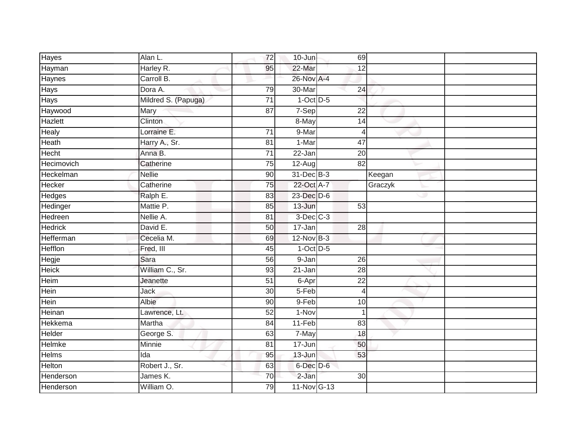| <b>Hayes</b>   | Alan L.             | $\overline{72}$ | $10 - Jun$      | 69              |         |
|----------------|---------------------|-----------------|-----------------|-----------------|---------|
| Hayman         | Harley R.           | 95              | 22-Mar          | 12              |         |
| Haynes         | Carroll B.          |                 | 26-Nov A-4      |                 |         |
| Hays           | Dora A.             | 79              | 30-Mar          | $\overline{24}$ |         |
| Hays           | Mildred S. (Papuga) | $\overline{71}$ | $1-Oct$ D-5     |                 |         |
| Haywood        | Mary                | 87              | 7-Sep           | 22              |         |
| Hazlett        | Clinton             |                 | 8-May           | 14              |         |
| Healy          | Lorraine E.         | 71              | 9-Mar           | 4               |         |
| Heath          | Harry A., Sr.       | 81              | $1-Mar$         | 47              |         |
| Hecht          | Anna B.             | 71              | 22-Jan          | 20              |         |
| Hecimovich     | Catherine           | 75              | 12-Aug          | 82              |         |
| Heckelman      | <b>Nellie</b>       | 90              | 31-Dec B-3      |                 | Keegan  |
| Hecker         | Catherine           | 75              | 22-Oct A-7      |                 | Graczyk |
| Hedges         | Ralph E.            | 83              | $23$ -Dec $D-6$ |                 | ری      |
| Hedinger       | Mattie P.           | 85              | $13 - Jun$      | 53              |         |
| Hedreen        | Nellie A.           | 81              | $3$ -Dec $C-3$  |                 |         |
| Hedrick        | David E.            | 50              | 17-Jan          | 28              |         |
| Hefferman      | Cecelia M.          | 69              | $12-Nov$ B-3    |                 |         |
| <b>Hefflon</b> | Fred, III           | 45              | $1$ -Oct $D-5$  |                 |         |
| Hegje          | Sara                | 56              | 9-Jan           | $\overline{26}$ |         |
| <b>Heick</b>   | William C., Sr.     | 93              | 21-Jan          | $\overline{28}$ |         |
| Heim           | Jeanette            | 51              | 6-Apr           | 22              |         |
| Hein           | Jack                | 30              | 5-Feb           | 4               |         |
| Hein           | Albie               | $\overline{90}$ | 9-Feb           | 10              |         |
| Heinan         | Lawrence, Lt.       | 52              | 1-Nov           | 1               |         |
| <b>Hekkema</b> | Martha              | 84              | $11-Feb$        | 83              |         |
| Helder         | George S.           | 63              | 7-May           | 18              |         |
| Helmke         | Minnie              | 81              | 17-Jun          | 50              |         |
| Helms          | Ida                 | 95              | 13-Jun          | 53              |         |
| Helton         | Robert J., Sr.      | 63              | 6-Dec D-6       |                 |         |
| Henderson      | James K.            | 70              | $2-Jan$         | $\overline{30}$ |         |
| Henderson      | William O.          | 79              | 11-Nov G-13     |                 |         |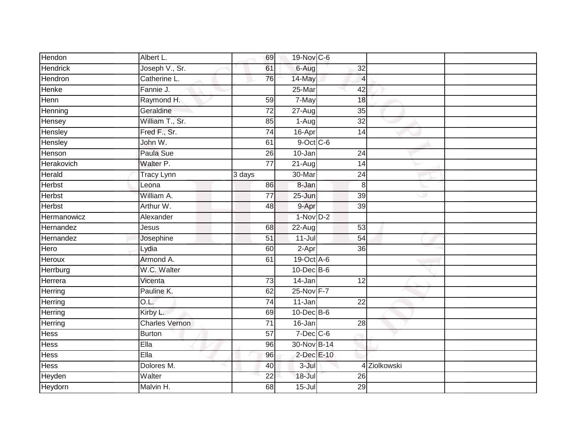| Hendon          | Albert L.             | 69              | 19-Nov C-6       |                 |              |  |
|-----------------|-----------------------|-----------------|------------------|-----------------|--------------|--|
| <b>Hendrick</b> | Joseph V., Sr.        | 61              | 6-Aug            | 32              |              |  |
| Hendron         | Catherine L.          | 76              | 14-May           | $\overline{4}$  |              |  |
| Henke           | Fannie J.             |                 | 25-Mar           | 42              |              |  |
| Henn            | Raymond H.            | 59              | 7-May            | 18              |              |  |
| Henning         | Geraldine             | 72              | 27-Aug           | 35              |              |  |
| Hensey          | William T., Sr.       | 85              | $1-Aug$          | 32              |              |  |
| Hensley         | Fred F., Sr.          | 74              | 16-Apr           | 14              |              |  |
| Hensley         | John W.               | 61              | $9$ -Oct $C$ -6  |                 |              |  |
| Henson          | Paula Sue             | 26              | 10-Jan           | 24              |              |  |
| Herakovich      | Walter P.             | $\overline{77}$ | 21-Aug           | 14              |              |  |
| Herald          | Tracy Lynn            | 3 days          | 30-Mar           | $\overline{24}$ |              |  |
| <b>Herbst</b>   | Leona                 | 86              | 8-Jan            | 8               |              |  |
| <b>Herbst</b>   | William A.            | 77              | $25 - Jun$       | $\overline{39}$ | æ            |  |
| <b>Herbst</b>   | Arthur W.             | 48              | 9-Apr            | $\overline{39}$ |              |  |
| Hermanowicz     | Alexander             |                 | $1-NovD-2$       |                 |              |  |
| Hernandez       | Jesus                 | 68              | 22-Aug           | 53              |              |  |
| Hernandez       | Josephine             | 51              | $11 -$ Jul       | 54              |              |  |
| Hero            | Lydia                 | 60              | $2-Apr$          | 36              |              |  |
| <b>Heroux</b>   | Armond A.             | 61              | 19-Oct A-6       |                 |              |  |
| <b>Herrburg</b> | W.C. Walter           |                 | 10-Dec B-6       |                 |              |  |
| Herrera         | Vicenta               | 73              | 14-Jan           | 12              |              |  |
| Herring         | Pauline K.            | 62              | 25-Nov F-7       |                 |              |  |
| Herring         | O.L.                  | $\overline{74}$ | $11-Jan$         | $\overline{22}$ |              |  |
| Herring         | Kirby L.              | 69              | $10$ -Dec $B$ -6 |                 |              |  |
| Herring         | <b>Charles Vernon</b> | 71              | $16 - Jan$       | $\overline{28}$ |              |  |
| <b>Hess</b>     | <b>Burton</b>         | $\overline{57}$ | $7$ -Dec $C$ -6  |                 |              |  |
| Hess            | Ella                  | 96              | 30-Nov B-14      |                 |              |  |
| <b>Hess</b>     | Ella                  | 96              | 2-Dec E-10       |                 |              |  |
| <b>Hess</b>     | Dolores M.            | 40              | $3 -$ Jul        |                 | 4 Ziolkowski |  |
| Heyden          | Walter                | 22              | 18-Jul           | 26              |              |  |
| Heydorn         | Malvin H.             | 68              | $15 -$ Jul       | 29              |              |  |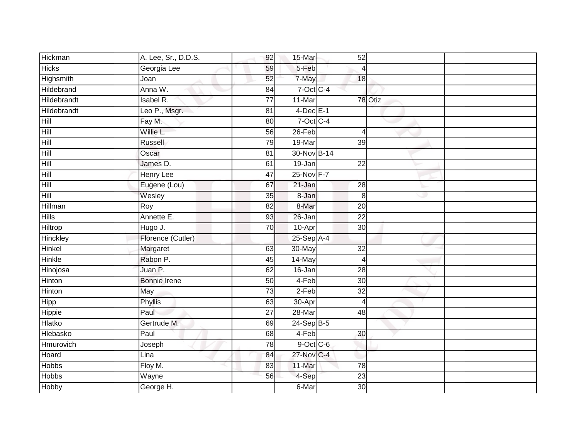| Hickman       | A. Lee, Sr., D.D.S. | 92              | 15-Mar          | 52              |         |  |
|---------------|---------------------|-----------------|-----------------|-----------------|---------|--|
| <b>Hicks</b>  | Georgia Lee         | 59              | 5-Feb           | 4               |         |  |
| Highsmith     | Joan                | 52              | 7-May           | 18              |         |  |
| Hildebrand    | Anna W.             | 84              | $7-Oct$ $C-4$   |                 |         |  |
| Hildebrandt   | <b>Isabel R.</b>    | $\overline{77}$ | 11-Mar          |                 | 78 Otiz |  |
| Hildebrandt   | Leo P., Msgr.       | 81              | $4$ -Dec $E-1$  |                 |         |  |
| Hill          | Fay M.              | 80              | $7$ -Oct $C$ -4 |                 |         |  |
| Hill          | Willie L.           | 56              | $26$ -Feb       | 4               |         |  |
| Hill          | Russell             | 79              | 19-Mar          | 39              |         |  |
| Hill          | Oscar               | 81              | 30-Nov B-14     |                 |         |  |
| Hill          | James D.            | 61              | 19-Jan          | 22              |         |  |
| Hill          | <b>Henry Lee</b>    | $\overline{47}$ | 25-Nov F-7      |                 |         |  |
| Hill          | Eugene (Lou)        | 67              | 21-Jan          | $\overline{28}$ |         |  |
| Hill          | Wesley              | 35              | 8-Jan           | 8               | ری      |  |
| Hillman       | Roy                 | 82              | 8-Mar           | $\overline{20}$ |         |  |
| <b>Hills</b>  | Annette E.          | 93              | 26-Jan          | $\overline{22}$ |         |  |
| Hiltrop       | Hugo J.             | 70              | 10-Apr          | 30              |         |  |
| Hinckley      | Florence (Cutler)   |                 | $25-Sep$ A-4    |                 |         |  |
| Hinkel        | Margaret            | 63              | 30-May          | 32              |         |  |
| <b>Hinkle</b> | Rabon P.            | 45              | 14-May          | $\overline{4}$  |         |  |
| Hinojosa      | Juan P.             | 62              | 16-Jan          | 28              |         |  |
| Hinton        | Bonnie Irene        | 50              | 4-Feb           | 30              |         |  |
| <b>Hinton</b> | May                 | 73              | $2-Feb$         | 32              |         |  |
| Hipp          | Phyllis             | 63              | 30-Apr          | $\overline{4}$  |         |  |
| Hippie        | Paul                | 27              | 28-Mar          | 48              |         |  |
| <b>Hlatko</b> | Gertrude M.         | 69              | $24-Sep$ B-5    |                 |         |  |
| Hlebasko      | Paul                | 68              | 4-Feb           | 30              |         |  |
| Hmurovich     | Joseph              | 78              | $9$ -Oct C-6    |                 |         |  |
| Hoard         | Lina                | 84              | 27-Nov C-4      |                 |         |  |
| <b>Hobbs</b>  | Floy M.             | 83              | 11-Mar          | $\overline{78}$ |         |  |
| <b>Hobbs</b>  | Wayne               | 56              | 4-Sep           | $\overline{23}$ |         |  |
| Hobby         | George H.           |                 | 6-Mar           | 30              |         |  |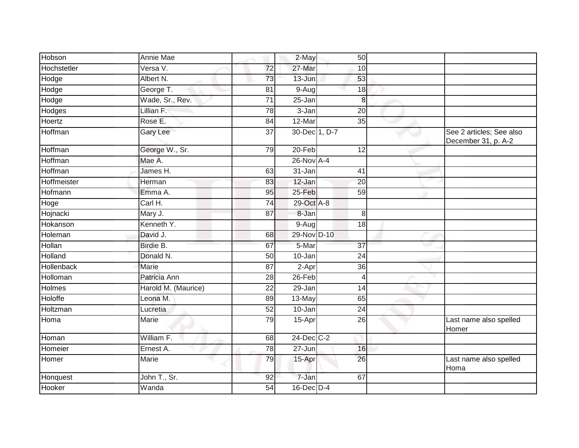| Hobson        | <b>Annie Mae</b>    |                 | 2-May           | 50              |                                                 |
|---------------|---------------------|-----------------|-----------------|-----------------|-------------------------------------------------|
| Hochstetler   | Versa V.            | $\overline{72}$ | 27-Mar          | 10              |                                                 |
| Hodge         | Albert N.           | 73              | 13-Jun          | 53              |                                                 |
| Hodge         | George T.           | 81              | $9-Aug$         | 18              |                                                 |
| Hodge         | Wade, Sr., Rev.     | $\overline{71}$ | 25-Jan          | 8               |                                                 |
| Hodges        | Lillian F.          | 78              | 3-Jan           | 20              |                                                 |
| Hoertz        | Rose E.             | 84              | 12-Mar          | 35              |                                                 |
| Hoffman       | <b>Gary Lee</b>     | $\overline{37}$ | 30-Dec 1, D-7   |                 | See 2 articles; See also<br>December 31, p. A-2 |
| Hoffman       | George W., Sr.      | 79              | 20-Feb          | 12              |                                                 |
| Hoffman       | Mae A.              |                 | 26-Nov A-4      |                 |                                                 |
| Hoffman       | James H.            | 63              | 31-Jan          | $\overline{41}$ |                                                 |
| Hoffmeister   | Herman              | 83              | 12-Jan          | 20              |                                                 |
| Hofmann       | Emma A.             | 95              | $25 - Feb$      | 59              |                                                 |
| Hoge          | Carl H.             | 74              | 29-Oct A-8      |                 |                                                 |
| Hojnacki      | Mary J.             | 87              | 8-Jan           | 8               |                                                 |
| Hokanson      | Kenneth Y.          |                 | 9-Aug           | 18              |                                                 |
| Holeman       | David J.            | 68              | 29-Nov D-10     |                 |                                                 |
| Hollan        | Birdie B.           | 67              | 5-Mar           | $\overline{37}$ |                                                 |
| Holland       | Donald N.           | 50              | 10-Jan          | $\overline{24}$ |                                                 |
| Hollenback    | <b>Marie</b>        | $\overline{87}$ | 2-Apr           | $\overline{36}$ |                                                 |
| Holloman      | Patricia Ann        | 28              | 26-Feb          | $\overline{4}$  |                                                 |
| <b>Holmes</b> | Harold M. (Maurice) | $\overline{22}$ | $29 - Jan$      | $\overline{14}$ |                                                 |
| Holoffe       | Leona M.            | 89              | 13-May          | 65              |                                                 |
| Holtzman      | Lucretia            | 52              | 10-Jan          | 24              |                                                 |
| Homa          | Marie               | 79              | 15-Apr          | 26              | Last name also spelled<br>Homer                 |
| Homan         | William F.          | 68              | 24-Dec C-2      |                 |                                                 |
| Homeier       | Ernest A.           | $\overline{78}$ | $27 - Jun$      | 16              |                                                 |
| Homer         | Marie               | 79              | 15-Apr          | 26              | Last name also spelled<br>Homa                  |
| Honquest      | John T., Sr.        | $\overline{92}$ | $7 - Jan$       | 67              |                                                 |
| Hooker        | Wanda               | 54              | $16$ -Dec $D-4$ |                 |                                                 |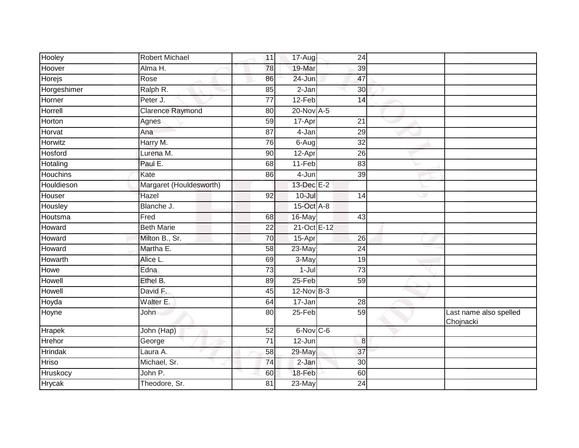| Hooley          | <b>Robert Michael</b>   | 11              | 17-Aug      | 24               |   |                                     |
|-----------------|-------------------------|-----------------|-------------|------------------|---|-------------------------------------|
| Hoover          | Alma H.                 | 78              | 19-Mar      | 39               |   |                                     |
| Horejs          | Rose                    | 86              | 24-Jun      | 47               |   |                                     |
| Horgeshimer     | Ralph R.                | 85              | $2-Jan$     | 30               |   |                                     |
| Horner          | Peter J.                | $\overline{77}$ | $12-Feb$    | 14               |   |                                     |
| Horrell         | <b>Clarence Raymond</b> | 80              | 20-Nov A-5  |                  |   |                                     |
| Horton          | Agnes                   | 59              | 17-Apr      | 21               |   |                                     |
| Horvat          | Ana                     | $\overline{87}$ | 4-Jan       | 29               |   |                                     |
| Horwitz         | Harry M.                | 76              | 6-Aug       | $\overline{32}$  |   |                                     |
| Hosford         | Lurena M.               | 90              | 12-Apr      | 26               |   |                                     |
| Hotaling        | Paul E.                 | 68              | 11-Feb      | 83               |   |                                     |
| <b>Houchins</b> | Kate                    | 86              | 4-Jun       | $\overline{39}$  |   |                                     |
| Houldieson      | Margaret (Houldesworth) |                 | 13-Dec E-2  |                  |   |                                     |
| Houser          | Hazel                   | 92              | $10 -$ Jul  | 14               | ى |                                     |
| Housley         | Blanche J.              |                 | 15-Oct A-8  |                  |   |                                     |
| Houtsma         | Fred                    | 68              | 16-May      | 43               |   |                                     |
| Howard          | <b>Beth Marie</b>       | 22              | 21-Oct E-12 |                  |   |                                     |
| Howard          | Milton B., Sr.          | 70              | 15-Apr      | 26               |   |                                     |
| Howard          | Martha E.               | 58              | 23-May      | $\overline{24}$  |   |                                     |
| Howarth         | Alice L.                | 69              | $3-May$     | 19               |   |                                     |
| Howe            | Edna                    | $\overline{73}$ | $1-Jul$     | $\overline{73}$  |   |                                     |
| Howell          | Ethel B.                | 89              | $25-Feb$    | $\overline{59}$  |   |                                     |
| Howell          | David F.                | 45              | $12-NovB-3$ |                  |   |                                     |
| Hoyda           | Walter E.               | 64              | 17-Jan      | 28               |   |                                     |
| Hoyne           | John                    | 80              | 25-Feb      | 59               |   | Last name also spelled<br>Chojnacki |
| Hrapek          | John (Hap)              | $\overline{52}$ | 6-Nov C-6   |                  |   |                                     |
| Hrehor          | George                  | $\overline{71}$ | $12 - Jun$  | $\boldsymbol{8}$ |   |                                     |
| <b>Hrindak</b>  | Laura A.                | 58              | 29-May      | 37               |   |                                     |
| Hriso           | Michael, Sr.            | 74              | $2-Jan$     | $\overline{30}$  |   |                                     |
| Hruskocy        | John P.                 | 60              | 18-Feb      | 60               |   |                                     |
| <b>Hrycak</b>   | Theodore, Sr.           | 81              | 23-May      | 24               |   |                                     |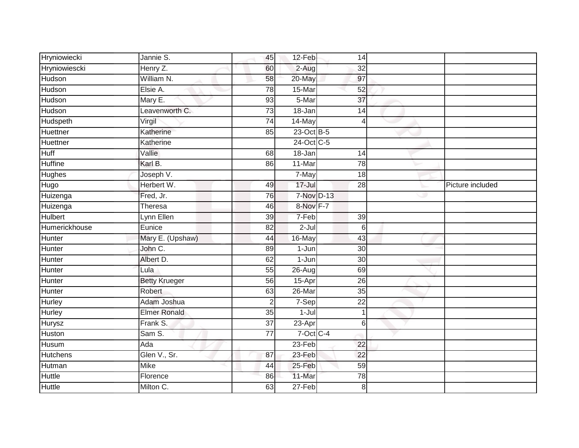| Hryniowiecki    | Jannie S.            | 45              | $12-Feb$     | 14              |                  |
|-----------------|----------------------|-----------------|--------------|-----------------|------------------|
| Hryniowiescki   | Henry Z.             | 60              | 2-Aug        | 32              |                  |
| Hudson          | William N.           | 58              | 20-May       | 97              |                  |
| Hudson          | Elsie A.             | $\overline{78}$ | 15-Mar       | $\overline{52}$ |                  |
| Hudson          | Mary E.              | 93              | 5-Mar        | $\overline{37}$ |                  |
| Hudson          | Leavenworth C.       | 73              | 18-Jan       | 14              |                  |
| Hudspeth        | Virgil               | $\overline{74}$ | 14-May       | 4               |                  |
| Huettner        | Katherine            | 85              | 23-Oct B-5   |                 |                  |
| Huettner        | Katherine            |                 | 24-Oct C-5   |                 |                  |
| Huff            | Vallie               | 68              | 18-Jan       | 14              |                  |
| <b>Huffine</b>  | Karl B.              | 86              | $11-Mar$     | 78              |                  |
| <b>Hughes</b>   | Joseph V.            |                 | 7-May        | 18              |                  |
| Hugo            | Herbert W.           | 49              | $17 -$ Jul   | 28              | Picture included |
| Huizenga        | Fred, Jr.            | 76              | 7-Nov D-13   |                 |                  |
| Huizenga        | Theresa              | 46              | 8-Nov F-7    |                 |                  |
| <b>Hulbert</b>  | Lynn Ellen           | 39              | 7-Feb        | 39              |                  |
| Humerickhouse   | Eunice               | 82              | $2-Jul$      | 6               |                  |
| Hunter          | Mary E. (Upshaw)     | 44              | 16-May       | 43              |                  |
| Hunter          | John C.              | 89              | $1-Jun$      | 30              |                  |
| Hunter          | Albert D.            | 62              | $1-Jun$      | 30              |                  |
| Hunter          | Lula                 | 55              | 26-Aug       | 69              |                  |
| Hunter          | <b>Betty Krueger</b> | 56              | 15-Apr       | 26              |                  |
| Hunter          | Robert               | 63              | $26$ -Mar    | $\overline{35}$ |                  |
| Hurley          | Adam Joshua          | $\overline{2}$  | 7-Sep        | $\overline{22}$ |                  |
| Hurley          | <b>Elmer Ronald</b>  | 35              | $1-Jul$      | 1               |                  |
| <b>Hurysz</b>   | Frank S.             | 37              | 23-Apr       | 6               |                  |
| Huston          | Sam S.               | $\overline{77}$ | $7$ -Oct C-4 |                 |                  |
| Husum           | Ada                  |                 | 23-Feb       | 22              |                  |
| <b>Hutchens</b> | Glen V., Sr.         | 87              | 23-Feb       | 22              |                  |
| Hutman          | <b>Mike</b>          | $\overline{44}$ | 25-Feb       | $\overline{59}$ |                  |
| Huttle          | Florence             | 86              | 11-Mar       | 78              |                  |
| Huttle          | Milton C.            | 63              | 27-Feb       | 8               |                  |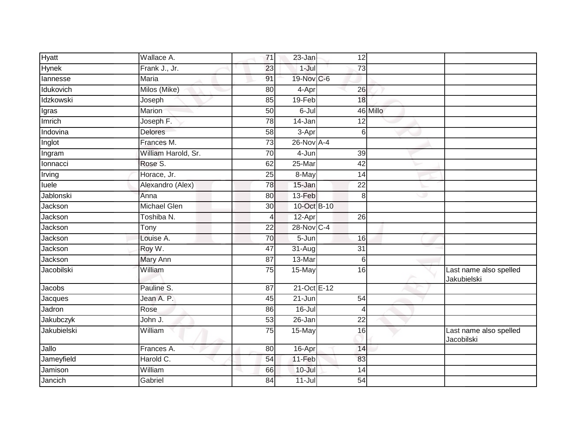| Hyatt              | Wallace A.          | 71              | 23-Jan      | 12              |          |                                       |
|--------------------|---------------------|-----------------|-------------|-----------------|----------|---------------------------------------|
| <b>Hynek</b>       | Frank J., Jr.       | 23              | $1-Jul$     | 73              |          |                                       |
| lannesse           | Maria               | 91              | 19-Nov C-6  |                 |          |                                       |
| Idukovich          | Milos (Mike)        | 80              | 4-Apr       | $\overline{26}$ |          |                                       |
| Idzkowski          | Joseph              | 85              | $19-Feb$    | 18              |          |                                       |
| Igras              | Marion              | 50              | 6-Jul       |                 | 46 Millo |                                       |
| Imrich             | Joseph F.           | 78              | 14-Jan      | 12              |          |                                       |
| Indovina           | <b>Delores</b>      | 58              | 3-Apr       | 6               |          |                                       |
| Inglot             | Frances M.          | $\overline{73}$ | 26-Nov A-4  |                 |          |                                       |
| Ingram             | William Harold, Sr. | 70              | 4-Jun       | 39              |          |                                       |
| Ionnacci           | Rose S.             | 62              | 25-Mar      | 42              |          |                                       |
| Irving             | Horace, Jr.         | $\overline{25}$ | 8-May       | 14              |          |                                       |
| luele              | Alexandro (Alex)    | 78              | 15-Jan      | $\overline{22}$ |          |                                       |
| Jablonski          | Anna                | 80              | 13-Feb      | 8               | w        |                                       |
| Jackson            | <b>Michael Glen</b> | 30              | 10-Oct B-10 |                 |          |                                       |
| Jackson            | Toshiba N.          | 4               | 12-Apr      | $\overline{26}$ |          |                                       |
| Jackson            | Tony                | 22              | 28-Nov C-4  |                 |          |                                       |
| Jackson            | Louise A.           | 70              | $5 - Jun$   | 16              |          |                                       |
| Jackson            | Roy W.              | 47              | 31-Aug      | 31              |          |                                       |
| Jackson            | Mary Ann            | 87              | 13-Mar      | 6               |          |                                       |
| Jacobilski         | William             | 75              | 15-May      | 16              |          | Last name also spelled<br>Jakubielski |
| Jacobs             | Pauline S.          | $\overline{87}$ | 21-Oct E-12 |                 |          |                                       |
| Jacques            | Jean A. P.          | 45              | $21 - Jun$  | 54              |          |                                       |
| Jadron             | Rose                | 86              | $16 -$ Jul  | 4               |          |                                       |
| <b>Jakubczyk</b>   | John J.             | 53              | 26-Jan      | $\overline{22}$ |          |                                       |
| <b>Jakubielski</b> | William             | 75              | $15$ -May   | 16              |          | Last name also spelled<br>Jacobilski  |
| Jallo              | Frances A.          | 80              | 16-Apr      | 14              |          |                                       |
| Jameyfield         | Harold C.           | 54              | 11-Feb      | 83              |          |                                       |
| Jamison            | William             | 66              | 10-Jul      | $\overline{14}$ |          |                                       |
| Jancich            | Gabriel             | 84              | $11 -$ Jul  | $\overline{54}$ |          |                                       |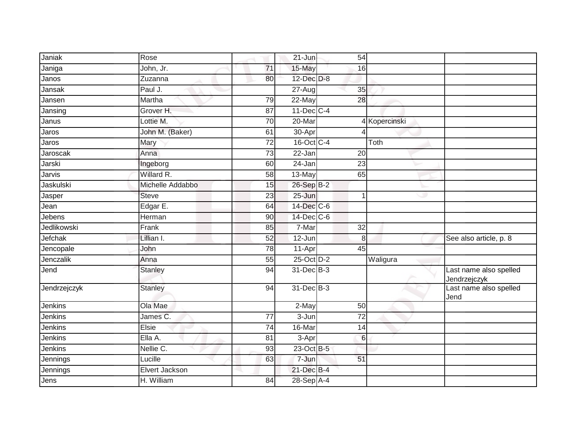| Janiak         | Rose             |                 | $21$ -Jun        | 54              |               |                                        |
|----------------|------------------|-----------------|------------------|-----------------|---------------|----------------------------------------|
| Janiga         | John, Jr.        | $\overline{71}$ | 15-May           | 16              |               |                                        |
| Janos          | Zuzanna          | 80              | 12-Dec D-8       |                 |               |                                        |
| Jansak         | Paul J.          |                 | $27 - Aug$       | 35              |               |                                        |
| Jansen         | Martha           | 79              | 22-May           | 28              |               |                                        |
| Jansing        | Grover H.        | 87              | $11$ -Dec $C-4$  |                 |               |                                        |
| Janus          | Lottie M.        | 70              | 20-Mar           |                 | 4 Kopercinski |                                        |
| Jaros          | John M. (Baker)  | 61              | 30-Apr           |                 |               |                                        |
| Jaros          | Mary             | $\overline{72}$ | 16-Oct C-4       |                 | Toth          |                                        |
| Jaroscak       | Anna             | $\overline{73}$ | 22-Jan           | $\overline{20}$ |               |                                        |
| Jarski         | Ingeborg         | 60              | 24-Jan           | 23              |               |                                        |
| Jarvis         | Willard R.       | 58              | 13-May           | 65              |               |                                        |
| Jaskulski      | Michelle Addabbo | 15              | 26-Sep B-2       |                 |               |                                        |
| Jasper         | <b>Steve</b>     | 23              | 25-Jun           | 1               | w             |                                        |
| Jean           | Edgar E.         | 64              | 14-Dec C-6       |                 |               |                                        |
| Jebens         | Herman           | 90              | $14$ -Dec $C$ -6 |                 |               |                                        |
| Jedlikowski    | Frank            | 85              | 7-Mar            | 32              |               |                                        |
| Jefchak        | Lillian I.       | 52              | $12$ -Jun        | 8               |               | See also article, p. 8                 |
| Jencopale      | John             | 78              | 11-Apr           | 45              |               |                                        |
| Jenczalik      | Anna             | $\overline{55}$ | 25-Oct D-2       |                 | Waligura      |                                        |
| Jend           | Stanley          | 94              | 31-Dec B-3       |                 |               | Last name also spelled<br>Jendrzejczyk |
| Jendrzejczyk   | <b>Stanley</b>   | 94              | 31-Dec B-3       |                 |               | Last name also spelled<br>Jend         |
| Jenkins        | Ola Mae          |                 | 2-May            | 50              |               |                                        |
| Jenkins        | James C.         | $\overline{77}$ | 3-Jun            | $\overline{72}$ |               |                                        |
| <b>Jenkins</b> | Elsie            | 74              | 16-Mar           | 14              |               |                                        |
| <b>Jenkins</b> | Ella A.          | 81              | 3-Apr            | $6\phantom{1}6$ |               |                                        |
| Jenkins        | Nellie C.        | 93              | 23-Oct B-5       |                 |               |                                        |
| Jennings       | Lucille          | 63              | 7-Jun            | $\overline{51}$ |               |                                        |
| Jennings       | Elvert Jackson   |                 | 21-Dec B-4       |                 |               |                                        |
| Jens           | H. William       | 84              | 28-Sep A-4       |                 |               |                                        |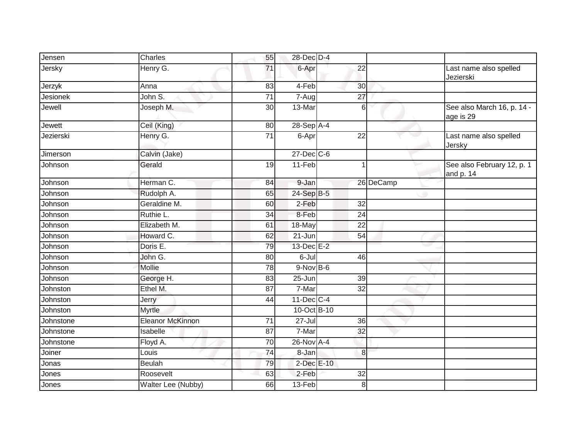| Jensen    | Charles                 | 55              | 28-Dec D-4      |                 |           |   |                                         |
|-----------|-------------------------|-----------------|-----------------|-----------------|-----------|---|-----------------------------------------|
| Jersky    | Henry G.                | 71              | 6-Apr           | 22              |           |   | Last name also spelled<br>Jezierski     |
| Jerzyk    | Anna                    | 83              | 4-Feb           | 30              |           |   |                                         |
| Jesionek  | John S.                 | $\overline{71}$ | 7-Aug           | $\overline{27}$ |           |   |                                         |
| Jewell    | Joseph M.               | $\overline{30}$ | 13-Mar          |                 | 6         |   | See also March 16, p. 14 -<br>age is 29 |
| Jewett    | Ceil (King)             | 80              | $28-Sep$ A-4    |                 |           |   |                                         |
| Jezierski | Henry G.                | $\overline{71}$ | 6-Apr           | $\overline{22}$ |           |   | Last name also spelled<br>Jersky        |
| Jimerson  | Calvin (Jake)           |                 | 27-Dec C-6      |                 |           |   |                                         |
| Johnson   | Gerald                  | 19              | $11-Feb$        |                 |           |   | See also February 12, p. 1<br>and p. 14 |
| Johnson   | Herman C.               | 84              | 9-Jan           |                 | 26 DeCamp |   |                                         |
| Johnson   | Rudolph A.              | 65              | 24-Sep B-5      |                 |           | ۰ |                                         |
| Johnson   | Geraldine M.            | 60              | 2-Feb           | 32              |           |   |                                         |
| Johnson   | Ruthie L.               | 34              | 8-Feb           | 24              |           |   |                                         |
| Johnson   | Elizabeth M.            | 61              | 18-May          | $\overline{22}$ |           |   |                                         |
| Johnson   | Howard C.               | 62              | $21 - Jun$      | $\overline{54}$ |           |   |                                         |
| Johnson   | Doris E.                | 79              | 13-Dec E-2      |                 |           |   |                                         |
| Johnson   | John G.                 | 80              | 6-Jul           | 46              |           |   |                                         |
| Johnson   | Mollie                  | 78              | $9-NovB-6$      |                 |           |   |                                         |
| Johnson   | George H.               | 83              | $25 - Jun$      | 39              |           |   |                                         |
| Johnston  | Ethel M.                | 87              | 7-Mar           | 32              |           |   |                                         |
| Johnston  | Jerry                   | 44              | $11$ -Dec $C-4$ |                 |           |   |                                         |
| Johnston  | <b>Myrtle</b>           |                 | 10-Oct B-10     |                 |           |   |                                         |
| Johnstone | <b>Eleanor McKinnon</b> | 71              | $27 -$ Jul      | 36              |           |   |                                         |
| Johnstone | Isabelle                | 87              | 7-Mar           | 32              |           |   |                                         |
| Johnstone | Floyd A.                | 70              | 26-Nov A-4      |                 |           |   |                                         |
| Joiner    | Louis                   | 74              | 8-Jan           |                 | 8         |   |                                         |
| Jonas     | Beulah                  | 79              | 2-Dec E-10      |                 |           |   |                                         |
| Jones     | Roosevelt               | 63              | 2-Feb           | $\overline{32}$ |           |   |                                         |
| Jones     | Walter Lee (Nubby)      | 66              | $13-Feb$        |                 | 8         |   |                                         |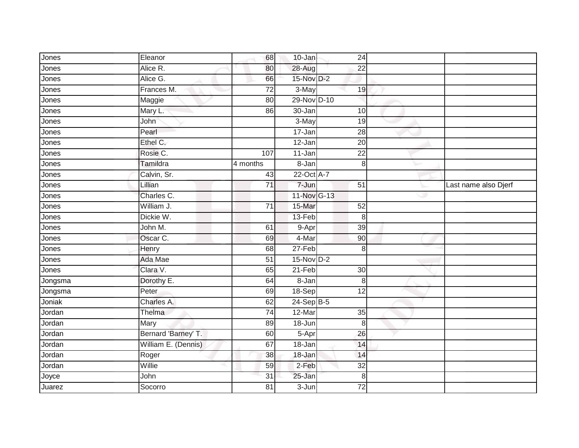| Jones   | Eleanor             | 68              | $10 - Jan$  | 24              |                      |
|---------|---------------------|-----------------|-------------|-----------------|----------------------|
| Jones   | Alice R.            | 80              | 28-Aug      | 22              |                      |
| Jones   | Alice G.            | 66              | 15-Nov D-2  |                 |                      |
| Jones   | Frances M.          | $\overline{72}$ | 3-May       | 19              |                      |
| Jones   | Maggie              | $\overline{80}$ | 29-Nov D-10 |                 |                      |
| Jones   | Mary L.             | 86              | 30-Jan      | 10              |                      |
| Jones   | John                |                 | 3-May       | 19              |                      |
| Jones   | Pearl               |                 | 17-Jan      | 28              |                      |
| Jones   | Ethel C.            |                 | $12-Jan$    | $\overline{20}$ |                      |
| Jones   | Rosie C.            | 107             | 11-Jan      | $\overline{22}$ |                      |
| Jones   | Tamildra            | 4 months        | 8-Jan       | 8               |                      |
| Jones   | Calvin, Sr.         | 43              | 22-Oct A-7  |                 |                      |
| Jones   | Lillian             | 71              | 7-Jun       | 51              | Last name also Djerf |
| Jones   | Charles C.          |                 | 11-Nov G-13 |                 |                      |
| Jones   | William J.          | $\overline{71}$ | 15-Mar      | 52              |                      |
| Jones   | Dickie W.           |                 | 13-Feb      | 8               |                      |
| Jones   | John M.             | 61              | 9-Apr       | 39              |                      |
| Jones   | Oscar C.            | 69              | 4-Mar       | 90              |                      |
| Jones   | Henry               | 68              | $27-Feb$    | 8               |                      |
| Jones   | Ada Mae             | $\overline{51}$ | $15-NovD-2$ |                 |                      |
| Jones   | Clara V.            | 65              | $21-Feb$    | 30              |                      |
| Jongsma | Dorothy E.          | 64              | 8-Jan       | 8               |                      |
| Jongsma | Peter               | 69              | 18-Sep      | $\overline{12}$ |                      |
| Joniak  | Charles A.          | 62              | $24-SepB-5$ |                 |                      |
| Jordan  | Thelma              | $\overline{74}$ | 12-Mar      | 35              |                      |
| Jordan  | Mary                | 89              | $18 - Jun$  | 8               |                      |
| Jordan  | Bernard 'Barney' T. | 60              | 5-Apr       | $\overline{26}$ |                      |
| Jordan  | William E. (Dennis) | 67              | 18-Jan      | 14              |                      |
| Jordan  | Roger               | 38              | 18-Jan      | 14              |                      |
| Jordan  | Willie              | 59              | $2-Feb$     | $\overline{32}$ |                      |
| Joyce   | John                | 31              | 25-Jan      | 8               |                      |
| Juarez  | Socorro             | 81              | 3-Jun       | 72              |                      |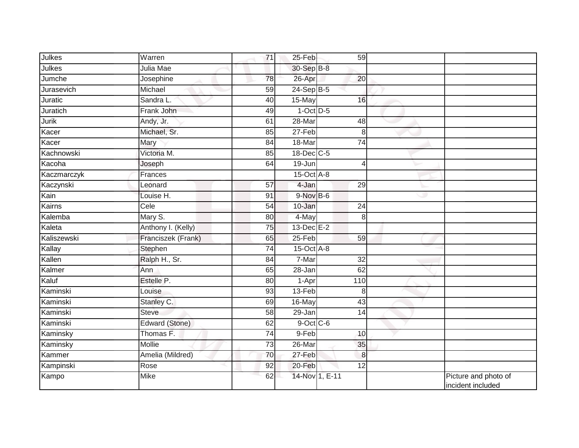| Julkes      | Warren             | 71 | $25-Feb$         | 59              |    |                                           |
|-------------|--------------------|----|------------------|-----------------|----|-------------------------------------------|
| Julkes      | Julia Mae          |    | 30-Sep B-8       |                 |    |                                           |
| Jumche      | Josephine          | 78 | 26-Apr           | 20              |    |                                           |
| Jurasevich  | Michael            | 59 | $24-Sep$ B-5     |                 |    |                                           |
| Juratic     | Sandra L.          | 40 | 15-May           | 16              |    |                                           |
| Juratich    | Frank John         | 49 | $1-Oct$ D-5      |                 |    |                                           |
| Jurik       | Andy, Jr.          | 61 | 28-Mar           | 48              |    |                                           |
| Kacer       | Michael, Sr.       | 85 | $27-Feb$         | 8 <sup>1</sup>  |    |                                           |
| Kacer       | Mary               | 84 | 18-Mar           | 74              |    |                                           |
| Kachnowski  | Victoria M.        | 85 | 18-Dec C-5       |                 |    |                                           |
| Kacoha      | Joseph             | 64 | 19-Jun           | $\vert$         |    |                                           |
| Kaczmarczyk | Frances            |    | $15$ -Oct $A$ -8 |                 |    |                                           |
| Kaczynski   | Leonard            | 57 | 4-Jan            | 29              |    |                                           |
| Kain        | Louise H.          | 91 | $9-Nov$ B-6      |                 | رن |                                           |
| Kairns      | Cele               | 54 | 10-Jan           | 24              |    |                                           |
| Kalemba     | Mary S.            | 80 | 4-May            | 8 <sup>1</sup>  |    |                                           |
| Kaleta      | Anthony I. (Kelly) | 75 | $13$ -Dec $E-2$  |                 |    |                                           |
| Kaliszewski | Franciszek (Frank) | 65 | 25-Feb           | 59              |    |                                           |
| Kallay      | Stephen            | 74 | 15-Oct A-8       |                 |    |                                           |
| Kallen      | Ralph H., Sr.      | 84 | 7-Mar            | $\overline{32}$ |    |                                           |
| Kalmer      | Ann                | 65 | 28-Jan           | 62              |    |                                           |
| Kaluf       | Estelle P.         | 80 | 1-Apr            | 110             |    |                                           |
| Kaminski    | Louise             | 93 | 13-Feb           | 8 <sup>1</sup>  |    |                                           |
| Kaminski    | Stanley C.         | 69 | 16-May           | 43              |    |                                           |
| Kaminski    | <b>Steve</b>       | 58 | $29$ -Jan        | 14              |    |                                           |
| Kaminski    | Edward (Stone)     | 62 | $9$ -Oct $C$ -6  |                 |    |                                           |
| Kaminsky    | Thomas F.          | 74 | $9-Feb$          | 10              |    |                                           |
| Kaminsky    | Mollie             | 73 | 26-Mar           | 35              |    |                                           |
| Kammer      | Amelia (Mildred)   | 70 | 27-Feb           | 8               |    |                                           |
| Kampinski   | Rose               | 92 | 20-Feb           | 12              |    |                                           |
| Kampo       | Mike               | 62 |                  | 14-Nov 1, E-11  |    | Picture and photo of<br>incident included |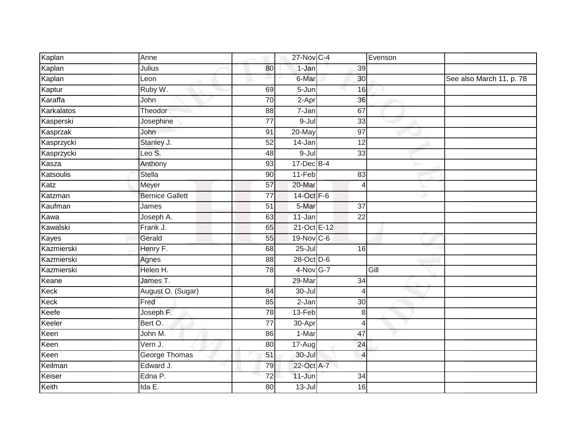| Kaplan     | Anne                   |                 | 27-Nov C-4            |                 | Evenson |                          |
|------------|------------------------|-----------------|-----------------------|-----------------|---------|--------------------------|
| Kaplan     | Julius                 | 80              | 1-Jan                 | 39              |         |                          |
| Kaplan     | Leon                   |                 | 6-Mar                 | 30              |         | See also March 11, p. 78 |
| Kaptur     | Ruby W.                | 69              | $5 - Jun$             | 16              |         |                          |
| Karaffa    | John                   | $\overline{70}$ | $2-Apr$               | 36              |         |                          |
| Karkalatos | Theodor                | 88              | 7-Jan                 | 67              |         |                          |
| Kasperski  | Josephine              | $\overline{77}$ | 9-Jul                 | 33              |         |                          |
| Kasprzak   | John                   | 91              | $20$ -May             | $\overline{97}$ |         |                          |
| Kasprzycki | Stanley J.             | $\overline{52}$ | 14-Jan                | $\overline{12}$ |         |                          |
| Kasprzycki | Leo S.                 | 48              | $9 -$ Jul             | 33              |         |                          |
| Kasza      | Anthony                | 93              | $17 - Dec$ B-4        |                 |         |                          |
| Katsoulis  | Stella                 | 90              | $11-Feb$              | 83              |         |                          |
| Katz       | Meyer                  | 57              | 20-Mar                | $\overline{4}$  |         |                          |
| Katzman    | <b>Bernice Gallett</b> | 77              | 14-Oct F-6            |                 | Ð       |                          |
| Kaufman    | James                  | $\overline{51}$ | 5-Mar                 | $\overline{37}$ |         |                          |
| Kawa       | Joseph A.              | 63              | 11-Jan                | $\overline{22}$ |         |                          |
| Kawalski   | Frank J.               | 65              | 21-Oct E-12           |                 |         |                          |
| Kayes      | Gerald                 | 55              | 19-Nov C-6            |                 |         |                          |
| Kazmierski | Henry F.               | 68              | $25 -$ Jul            | 16              |         |                          |
| Kazmierski | Agnes                  | $\overline{88}$ | 28-Oct D-6            |                 |         |                          |
| Kazmierski | Helen H.               | 78              | 4-Nov G-7             |                 | Gill    |                          |
| Keane      | James T.               |                 | 29-Mar                | 34              |         |                          |
| Keck       | August O. (Sugar)      | 84              | $30 -$ Jul            | $\overline{4}$  |         |                          |
| Keck       | Fred                   | $\overline{85}$ | $2-Jan$               | $\overline{30}$ |         |                          |
| Keefe      | Joseph F.              | $\overline{78}$ | 13-Feb                | 8               |         |                          |
| Keeler     | Bert O.                | 77              | 30-Apr                | $\overline{4}$  |         |                          |
| Keen       | John M.                | 86              | 1-Mar                 | 47              |         |                          |
| Keen       | Vern J.                | 80              | $\overline{17}$ -Augl | 24              |         |                          |
| Keen       | George Thomas          | 51              | 30-Jul                | $\overline{4}$  |         |                          |
| Keilman    | Edward J.              | 79              | 22-Oct A-7            |                 |         |                          |
| Keiser     | Edna P.                | $\overline{72}$ | 11-Jun                | 34              |         |                          |
| Keith      | Ida E.                 | 80              | $13 -$ Jul            | 16              |         |                          |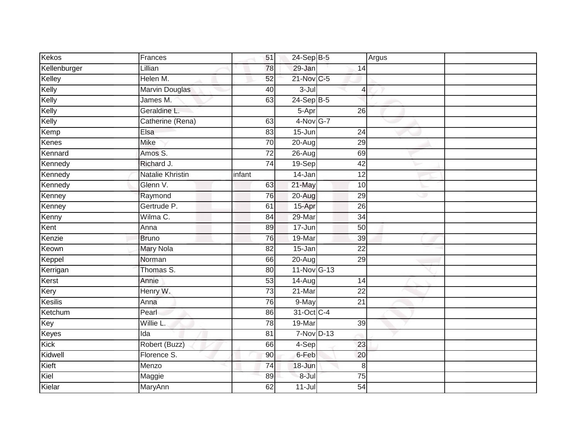| Kekos        | Frances                 | 51              | 24-Sep B-5   |                 | Argus |
|--------------|-------------------------|-----------------|--------------|-----------------|-------|
| Kellenburger | Lillian                 | 78              | $29 - Jan$   | 14              |       |
| Kelley       | Helen M.                | 52              | 21-Nov C-5   |                 |       |
| Kelly        | <b>Marvin Douglas</b>   | 40              | $3 -$ Jul    | 4               |       |
| Kelly        | James M.                | 63              | $24-Sep$ B-5 |                 |       |
| Kelly        | Geraldine L.            |                 | 5-Apr        | 26              |       |
| Kelly        | Catherine (Rena)        | 63              | 4-Nov G-7    |                 |       |
| Kemp         | Elsa                    | 83              | $15 - Jun$   | $\overline{24}$ |       |
| Kenes        | <b>Mike</b>             | 70              | 20-Aug       | 29              |       |
| Kennard      | Amos S.                 | 72              | $26$ -Aug    | 69              |       |
| Kennedy      | Richard J.              | 74              | 19-Sep       | 42              |       |
| Kennedy      | <b>Natalie Khristin</b> | infant          | $14$ -Jan    | $\overline{12}$ |       |
| Kennedy      | Glenn V.                | 63              | 21-May       | 10              |       |
| Kenney       | Raymond                 | 76              | 20-Aug       | 29              | w     |
| Kenney       | Gertrude P.             | 61              | 15-Apr       | $\overline{26}$ |       |
| Kenny        | Wilma C.                | 84              | 29-Mar       | $\overline{34}$ |       |
| Kent         | Anna                    | 89              | 17-Jun       | 50              |       |
| Kenzie       | <b>Bruno</b>            | 76              | 19-Mar       | 39              |       |
| Keown        | <b>Mary Nola</b>        | $\overline{82}$ | 15-Jan       | $\overline{22}$ |       |
| Keppel       | Norman                  | 66              | 20-Aug       | 29              |       |
| Kerrigan     | Thomas S.               | 80              | 11-Nov G-13  |                 |       |
| Kerst        | Annie                   | 53              | $14 - Aug$   | 14              |       |
| Kery         | Henry W.                | 73              | $21 - $      | $\overline{22}$ |       |
| Kesilis      | Anna                    | 76              | 9-May        | $\overline{21}$ |       |
| Ketchum      | Pearl                   | 86              | 31-Oct C-4   |                 |       |
| Key          | Willie L.               | 78              | 19-Mar       | $\overline{39}$ |       |
| Keyes        | Ida                     | $\overline{81}$ | 7-Nov D-13   |                 |       |
| Kick         | Robert (Buzz)           | 66              | 4-Sep        | 23              |       |
| Kidwell      | Florence S.             | 90              | 6-Feb        | 20              |       |
| Kieft        | Menzo                   | $\overline{74}$ | 18-Jun       | 8               |       |
| Kiel         | Maggie                  | 89              | 8-Jul        | $\overline{75}$ |       |
| Kielar       | MaryAnn                 | 62              | $11$ -Jul    | 54              |       |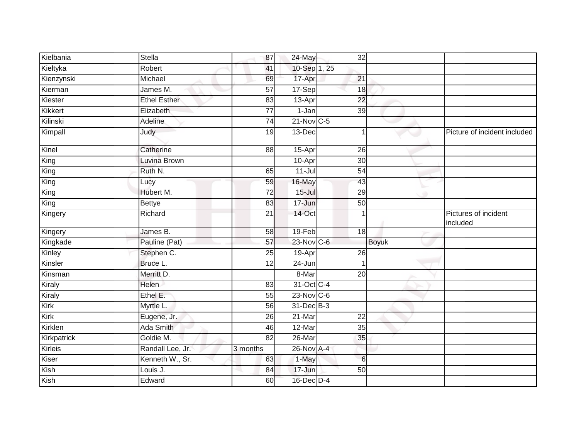| Kielbania   | <b>Stella</b>       | 87              | 24-May          | $\overline{32}$ |              |                                  |
|-------------|---------------------|-----------------|-----------------|-----------------|--------------|----------------------------------|
| Kieltyka    | Robert              | 41              | 10-Sep 1, 25    |                 |              |                                  |
| Kienzynski  | Michael             | 69              | 17-Apr          | 21              |              |                                  |
| Kierman     | James M.            | $\overline{57}$ | 17-Sep          | 18              |              |                                  |
| Kiester     | <b>Ethel Esther</b> | 83              | 13-Apr          | $\overline{22}$ |              |                                  |
| Kikkert     | Elizabeth           | 77              | 1-Jan           | 39              |              |                                  |
| Kilinski    | Adeline             | 74              | $21-Nov$ C-5    |                 |              |                                  |
| Kimpall     | Judy                | 19              | 13-Dec          |                 |              | Picture of incident included     |
| Kinel       | Catherine           | 88              | 15-Apr          | 26              |              |                                  |
| King        | Luvina Brown        |                 | 10-Apr          | 30              |              |                                  |
| King        | Ruth N.             | 65              | $11 -$ Jul      | 54              |              |                                  |
| King        | Lucy                | 59              | 16-May          | 43              |              |                                  |
| King        | Hubert M.           | 72              | $15 -$ Jul      | 29              |              |                                  |
| King        | <b>Bettye</b>       | 83              | 17-Jun          | 50              |              |                                  |
| Kingery     | Richard             | $\overline{21}$ | 14-Oct          |                 |              | Pictures of incident<br>included |
| Kingery     | James B.            | 58              | 19-Feb          | 18              |              |                                  |
| Kingkade    | Pauline (Pat)       | 57              | 23-Nov C-6      |                 | <b>Boyuk</b> |                                  |
| Kinley      | Stephen C.          | 25              | 19-Apr          | $\overline{26}$ |              |                                  |
| Kinsler     | Bruce L.            | $\overline{12}$ | 24-Jun          |                 |              |                                  |
| Kinsman     | Merritt D.          |                 | 8-Mar           | 20              |              |                                  |
| Kiraly      | Helen               | 83              | 31-Oct C-4      |                 |              |                                  |
| Kiraly      | Ethel E.            | 55              | $23$ -Nov $C-6$ |                 |              |                                  |
| Kirk        | Myrtle L.           | 56              | 31-Dec B-3      |                 |              |                                  |
| Kirk        | Eugene, Jr.         | 26              | 21-Mar          | 22              |              |                                  |
| Kirklen     | Ada Smith           | 46              | 12-Mar          | 35              |              |                                  |
| Kirkpatrick | Goldie M.           | 82              | $26$ -Mar       | 35              |              |                                  |
| Kirleis     | Randall Lee, Jr.    | 3 months        | 26-Nov A-4      |                 |              |                                  |
| Kiser       | Kenneth W., Sr.     | 63              | 1-May           | $6\phantom{1}6$ |              |                                  |
| Kish        | Louis J.            | 84              | 17-Jun          | 50              |              |                                  |
| Kish        | Edward              | 60              | $16$ -Dec $D-4$ |                 |              |                                  |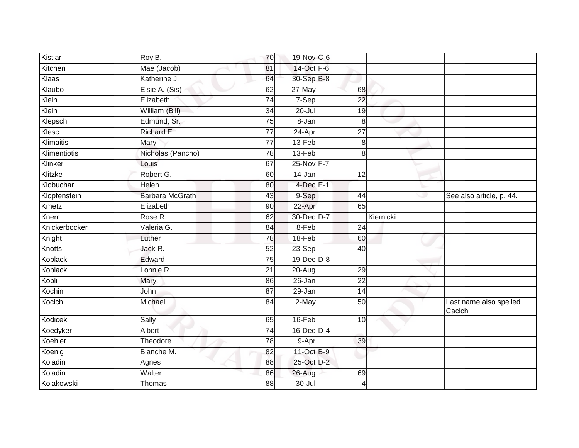| Kistlar       | Roy B.                 | 70              | 19-Nov C-6      |                 |           |                                  |
|---------------|------------------------|-----------------|-----------------|-----------------|-----------|----------------------------------|
| Kitchen       | Mae (Jacob)            | 81              | $14-Oct$ F-6    |                 |           |                                  |
| Klaas         | Katherine J.           | 64              | 30-Sep B-8      |                 |           |                                  |
| Klaubo        | Elsie A. (Sis)         | 62              | 27-May          | 68              |           |                                  |
| Klein         | Elizabeth              | $\overline{74}$ | $7-Sep$         | $\overline{22}$ |           |                                  |
| Klein         | William (Bill)         | 34              | $20$ -Jul       | 19              |           |                                  |
| Klepsch       | Edmund, Sr.            | 75              | 8-Jan           | 8               |           |                                  |
| Klesc         | Richard E.             | $\overline{77}$ | $24-Apr$        | $\overline{27}$ |           |                                  |
| Klimaitis     | Mary                   | 77              | 13-Feb          | 8               |           |                                  |
| Klimentiotis  | Nicholas (Pancho)      | 78              | 13-Feb          | 8               |           |                                  |
| Klinker       | Louis                  | 67              | 25-Nov F-7      |                 |           |                                  |
| Klitzke       | Robert G.              | 60              | 14-Jan          | $\overline{12}$ |           |                                  |
| Klobuchar     | Helen                  | 80              | $4$ -Dec $E-1$  |                 |           |                                  |
| Klopfenstein  | <b>Barbara McGrath</b> | 43              | 9-Sep           | 44              | ت         | See also article, p. 44.         |
| Kmetz         | Elizabeth              | 90              | 22-Apr          | 65              |           |                                  |
| Knerr         | Rose R.                | 62              | 30-Dec D-7      |                 | Kiernicki |                                  |
| Knickerbocker | Valeria G.             | 84              | 8-Feb           | 24              |           |                                  |
| Knight        | Luther                 | 78              | 18-Feb          | 60              |           |                                  |
| <b>Knotts</b> | Jack R.                | 52              | $23-Sep$        | 40              |           |                                  |
| Koblack       | Edward                 | 75              | 19-Dec D-8      |                 |           |                                  |
| Koblack       | Lonnie R.              | 21              | 20-Aug          | 29              |           |                                  |
| Kobli         | Mary                   | 86              | 26-Jan          | $\overline{22}$ |           |                                  |
| Kochin        | John                   | 87              | 29-Jan          | $\overline{14}$ |           |                                  |
| Kocich        | Michael                | 84              | 2-May           | 50              |           | Last name also spelled<br>Cacich |
| Kodicek       | Sally                  | 65              | 16-Feb          | 10              |           |                                  |
| Koedyker      | <b>Albert</b>          | $\overline{74}$ | $16$ -Dec $D-4$ |                 |           |                                  |
| Koehler       | Theodore               | 78              | 9-Apr           | 39              |           |                                  |
| Koenig        | Blanche M.             | 82              | 11-Oct B-9      |                 |           |                                  |
| Koladin       | Agnes                  | 88              | 25-Oct D-2      |                 |           |                                  |
| Koladin       | Walter                 | 86              | 26-Aug          | 69              |           |                                  |
| Kolakowski    | Thomas                 | 88              | $30 -$ Jul      | 4               |           |                                  |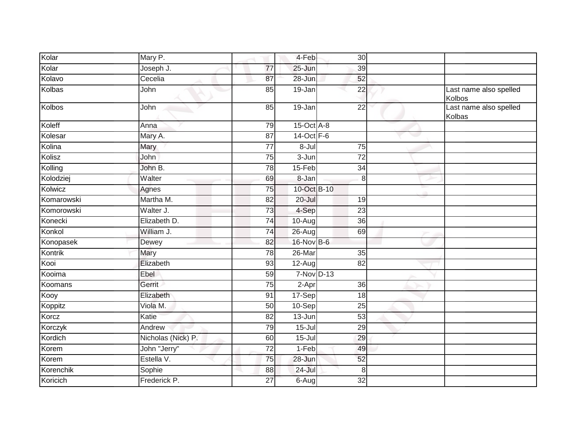| Kolar      | Mary P.            |                 | 4-Feb               | 30              |                                  |
|------------|--------------------|-----------------|---------------------|-----------------|----------------------------------|
| Kolar      | Joseph J.          | $\overline{77}$ | $25 - Jun$          | 39              |                                  |
| Kolavo     | Cecelia            | 87              | 28-Jun              | 52              |                                  |
| Kolbas     | John               | 85              | 19-Jan              | 22              | Last name also spelled<br>Kolbos |
| Kolbos     | John               | 85              | $19$ -Jan           | $\overline{22}$ | Last name also spelled<br>Kolbas |
| Koleff     | Anna               | 79              | $15$ -Oct $A$ -8    |                 |                                  |
| Kolesar    | Mary A.            | $\overline{87}$ | 14-Oct F-6          |                 |                                  |
| Kolina     | Mary               | $\overline{77}$ | $8 -$ Jul           | 75              |                                  |
| Kolisz     | John               | 75              | 3-Jun               | $\overline{72}$ |                                  |
| Kolling    | John B.            | 78              | 15-Feb              | 34              |                                  |
| Kolodziej  | Walter             | 69              | 8-Jan               | 8               |                                  |
| Kolwicz    | Agnes              | $\overline{75}$ | 10-Oct B-10         |                 |                                  |
| Komarowski | Martha M.          | 82              | $20 -$ Jul          | 19              |                                  |
| Komorowski | Walter J.          | 73              | 4-Sep               | 23              |                                  |
| Konecki    | Elizabeth D.       | $\overline{74}$ | $10-Aug$            | $\overline{36}$ |                                  |
| Konkol     | William J.         | 74              | $26$ -Aug           | 69              |                                  |
| Konopasek  | Dewey              | 82              | 16-Nov B-6          |                 |                                  |
| Kontrik    | Mary               | $\overline{78}$ | $26$ -Mar           | 35              |                                  |
| Kooi       | Elizabeth          | 93              | 12-Aug              | 82              |                                  |
| Kooima     | Ebel               | 59              | 7-Nov D-13          |                 |                                  |
| Koomans    | Gerrit             | 75              | $\overline{2}$ -Apr | 36              |                                  |
| Kooy       | Elizabeth          | 91              | 17-Sep              | 18              |                                  |
| Koppitz    | Viola M.           | $\overline{50}$ | 10-Sep              | $\overline{25}$ |                                  |
| Korcz      | Katie              | 82              | 13-Jun              | 53              |                                  |
| Korczyk    | Andrew             | 79              | $15 -$ Jul          | 29              |                                  |
| Kordich    | Nicholas (Nick) P. | 60              | $15 -$ Jul          | 29              |                                  |
| Korem      | John "Jerry"       | $\overline{72}$ | 1-Feb               | 49              |                                  |
| Korem      | Estella V.         | 75              | 28-Jun              | 52              |                                  |
| Korenchik  | Sophie             | 88              | 24-Jul              | 8               |                                  |
| Koricich   | Frederick P.       | 27              | $6-Aug$             | $\overline{32}$ |                                  |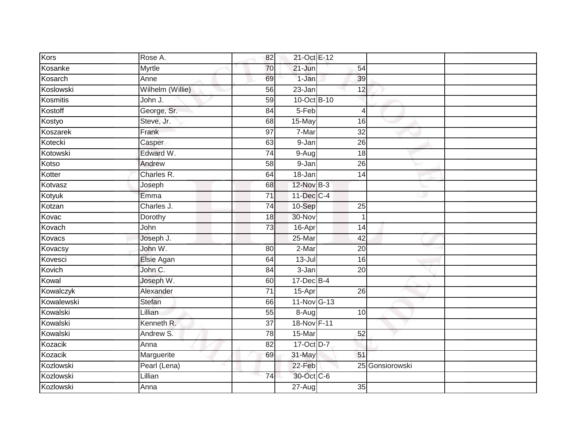| Kors       | Rose A.          | 82              | 21-Oct E-12             |                 |                 |
|------------|------------------|-----------------|-------------------------|-----------------|-----------------|
| Kosanke    | Myrtle           | 70              | $21 - Jun$              | 54              |                 |
| Kosarch    | Anne             | 69              | $1-Jan$                 | 39              |                 |
| Koslowski  | Wilhelm (Willie) | 56              | 23-Jan                  | 12              |                 |
| Kosmitis   | John J.          | 59              | 10-Oct B-10             |                 |                 |
| Kostoff    | George, Sr.      | 84              | $5-Feb$                 | $\overline{4}$  |                 |
| Kostyo     | Steve, Jr.       | 68              | 15-May                  | 16              |                 |
| Koszarek   | Frank            | $\overline{97}$ | $7-Mar$                 | $\overline{32}$ |                 |
| Kotecki    | Casper           | 63              | 9-Jan                   | 26              |                 |
| Kotowski   | Edward W.        | 74              | $\overline{9}$ -Aug     | 18              |                 |
| Kotso      | Andrew           | 58              | 9-Jan                   | 26              |                 |
| Kotter     | Charles R.       | 64              | $18 - Jan$              | 14              |                 |
| Kotvasz    | Joseph           | 68              | 12-Nov B-3              |                 |                 |
| Kotyuk     | Emma             | $\overline{71}$ | $11-\overline{Dec}$ C-4 |                 |                 |
| Kotzan     | Charles J.       | 74              | 10-Sep                  | 25              |                 |
| Kovac      | Dorothy          | 18              | 30-Nov                  | 1               |                 |
| Kovach     | John             | 73              | 16-Apr                  | 14              |                 |
| Kovacs     | Joseph J.        |                 | 25-Mar                  | 42              |                 |
| Kovacsy    | John W.          | 80              | 2-Mar                   | 20              |                 |
| Kovesci    | Elsie Agan       | 64              | $13 -$ Jul              | 16              |                 |
| Kovich     | John C.          | 84              | 3-Jan                   | 20              |                 |
| Kowal      | Joseph W.        | 60              | 17-Dec B-4              |                 |                 |
| Kowalczyk  | Alexander        | $\overline{71}$ | 15-Apr                  | $\overline{26}$ |                 |
| Kowalewski | Stefan           | 66              | 11-Nov G-13             |                 |                 |
| Kowalski   | Lillian          | 55              | $\overline{8}$ -Aug     | 10              |                 |
| Kowalski   | Kenneth R.       | $\overline{37}$ | 18-Nov F-11             |                 |                 |
| Kowalski   | Andrew S.        | 78              | 15-Mar                  | 52              |                 |
| Kozacik    | Anna             | 82              | 17-Oct D-7              |                 |                 |
| Kozacik    | Marguerite       | 69              | 31-May                  | 51              |                 |
| Kozlowski  | Pearl (Lena)     |                 | 22-Feb                  |                 | 25 Gonsiorowski |
| Kozlowski  | Lillian          | 74              | 30-Oct C-6              |                 |                 |
| Kozlowski  | Anna             |                 | $27 - Aug$              | 35              |                 |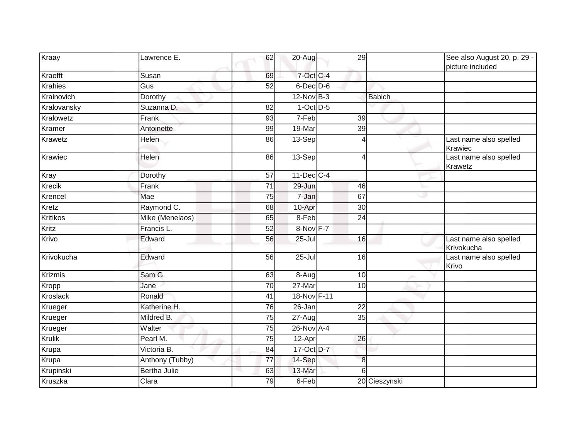| Kraay           | Lawrence E.         | 62              | $20 - Aug$      | 29              |                | See also August 20, p. 29 -<br>picture included |
|-----------------|---------------------|-----------------|-----------------|-----------------|----------------|-------------------------------------------------|
| Kraefft         | Susan               | 69              | 7-Oct C-4       |                 |                |                                                 |
| Krahies         | Gus                 | 52              | $6$ -Dec $D$ -6 |                 |                |                                                 |
| Krainovich      | Dorothy             |                 | $12-Nov$ B-3    |                 | <b>Babich</b>  |                                                 |
| Kralovansky     | Suzanna D.          | 82              | $1-Oct$ D-5     |                 |                |                                                 |
| Kralowetz       | Frank               | 93              | 7-Feb           | 39              |                |                                                 |
| Kramer          | Antoinette          | 99              | 19-Mar          | 39              |                |                                                 |
| Krawetz         | Helen               | 86              | 13-Sep          |                 | Δ              | Last name also spelled<br>Krawiec               |
| Krawiec         | Helen               | 86              | 13-Sep          |                 | 4              | Last name also spelled<br>Krawetz               |
| Kray            | Dorothy             | 57              | 11-Dec C-4      |                 |                |                                                 |
| Krecik          | Frank               | $\overline{71}$ | 29-Jun          | 46              |                |                                                 |
| Krencel         | Mae                 | 75              | 7-Jan           | 67              | رن             |                                                 |
| Kretz           | Raymond C.          | 68              | 10-Apr          | 30              |                |                                                 |
| Kritikos        | Mike (Menelaos)     | 65              | 8-Feb           | $\overline{24}$ |                |                                                 |
| Kritz           | Francis L.          | 52              | 8-Nov F-7       |                 |                |                                                 |
| Krivo           | Edward              | 56              | $25 -$ Jul      | 16              |                | Last name also spelled<br>Krivokucha            |
| Krivokucha      | Edward              | 56              | $25 -$ Jul      | 16              |                | Last name also spelled<br>Krivo                 |
| Krizmis         | Sam G.              | 63              | $8-Aug$         | 10              |                |                                                 |
| Kropp           | Jane                | $\overline{70}$ | 27-Mar          | 10              |                |                                                 |
| <b>Kroslack</b> | Ronald              | $\overline{41}$ | 18-Nov F-11     |                 |                |                                                 |
| Krueger         | Katherine H.        | 76              | 26-Jan          | 22              |                |                                                 |
| Krueger         | Mildred B.          | 75              | 27-Aug          | 35              |                |                                                 |
| Krueger         | Walter              | 75              | 26-Nov A-4      |                 |                |                                                 |
| Krulik          | Pearl M.            | $\overline{75}$ | 12-Apr          | 26              |                |                                                 |
| Krupa           | Victoria B.         | 84              | 17-Oct D-7      |                 |                |                                                 |
| Krupa           | Anthony (Tubby)     | 77              | 14-Sep          |                 | 8 <sup>1</sup> |                                                 |
| Krupinski       | <b>Bertha Julie</b> | 63              | 13-Mar          |                 | 6              |                                                 |
| Kruszka         | Clara               | 79              | 6-Feb           |                 | 20 Cieszynski  |                                                 |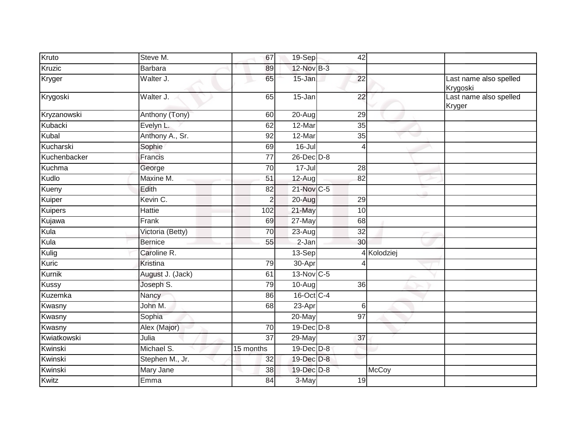| Kruto        | Steve M.         | 67              | 19-Sep           | 42              |             |                                    |
|--------------|------------------|-----------------|------------------|-----------------|-------------|------------------------------------|
| Kruzic       | <b>Barbara</b>   | 89              | 12-Nov B-3       |                 |             |                                    |
| Kryger       | Walter J.        | 65              | $15 - Jan$       | 22              |             | Last name also spelled<br>Krygoski |
| Krygoski     | Walter J.        | 65              | $15 - Jan$       | $\overline{22}$ |             | Last name also spelled<br>Kryger   |
| Kryzanowski  | Anthony (Tony)   | 60              | 20-Aug           | 29              |             |                                    |
| Kubacki      | Evelyn L.        | 62              | 12-Mar           | 35              |             |                                    |
| Kubal        | Anthony A., Sr.  | $\overline{92}$ | 12-Mar           | $\overline{35}$ |             |                                    |
| Kucharski    | Sophie           | 69              | $16 -$ Jul       | 4               |             |                                    |
| Kuchenbacker | Francis          | $\overline{77}$ | $26$ -Dec $D-8$  |                 |             |                                    |
| Kuchma       | George           | 70              | $17 -$ Jul       | 28              |             |                                    |
| Kudlo        | Maxine M.        | 51              | $12-Aug$         | 82              |             |                                    |
| Kueny        | Edith            | 82              | 21-Nov C-5       |                 |             |                                    |
| Kuiper       | Kevin C.         | $\overline{2}$  | 20-Aug           | 29              |             |                                    |
| Kuipers      | <b>Hattie</b>    | 102             | 21-May           | 10              |             |                                    |
| Kujawa       | Frank            | 69              | $27$ -May        | 68              |             |                                    |
| Kula         | Victoria (Betty) | 70              | $23-Aug$         | 32              |             |                                    |
| Kula         | <b>Bernice</b>   | 55              | $2-Jan$          | 30              |             |                                    |
| Kulig        | Caroline R.      |                 | 13-Sep           |                 | 4 Kolodziej |                                    |
| Kuric        | Kristina         | 79              | 30-Apr           |                 |             |                                    |
| Kurnik       | August J. (Jack) | 61              | 13-Nov C-5       |                 |             |                                    |
| Kussy        | Joseph S.        | 79              | $10-Aug$         | 36              |             |                                    |
| Kuzemka      | Nancy            | 86              | 16-Oct C-4       |                 |             |                                    |
| Kwasny       | John M.          | 68              | $23-Apr$         | $\,6$           |             |                                    |
| Kwasny       | Sophia           |                 | 20-May           | 97              |             |                                    |
| Kwasny       | Alex (Major)     | 70              | 19-Dec D-8       |                 |             |                                    |
| Kwiatkowski  | Julia            | $\overline{37}$ | 29-May           | 37              |             |                                    |
| Kwinski      | Michael S.       | 15 months       | 19-Dec D-8       |                 |             |                                    |
| Kwinski      | Stephen M., Jr.  | 32              | $19$ -Dec $D$ -8 |                 |             |                                    |
| Kwinski      | Mary Jane        | 38              | 19-Dec D-8       |                 | McCoy       |                                    |
| Kwitz        | Emma             | 84              | 3-May            | 19              |             |                                    |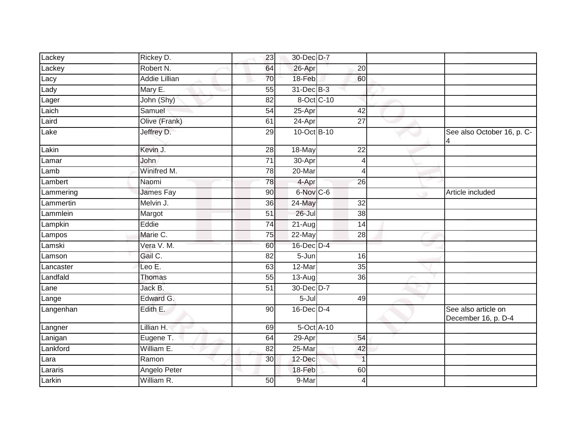| Lackey    | Rickey D.            | $\overline{23}$ | 30-Dec D-7                  |                 |   |                                            |
|-----------|----------------------|-----------------|-----------------------------|-----------------|---|--------------------------------------------|
| Lackey    | Robert N.            | 64              | 26-Apr                      | 20              |   |                                            |
| Lacy      | <b>Addie Lillian</b> | 70              | 18-Feb                      | 60              |   |                                            |
| Lady      | Mary E.              | 55              | 31-Dec B-3                  |                 |   |                                            |
| Lager     | John (Shy)           | 82              | 8-Oct C-10                  |                 |   |                                            |
| Laich     | Samuel               | 54              | 25-Apr                      | 42              |   |                                            |
| Laird     | Olive (Frank)        | 61              | 24-Apr                      | $\overline{27}$ |   |                                            |
| Lake      | Jeffrey D.           | 29              | 10-Oct B-10                 |                 |   | See also October 16, p. C-                 |
| Lakin     | Kevin J.             | 28              | 18-May                      | 22              |   |                                            |
| _amar     | John                 | $\overline{71}$ | 30-Apr                      | 4               |   |                                            |
| Lamb      | Winifred M.          | 78              | 20-Mar                      | 4               |   |                                            |
| Lambert   | Naomi                | 78              | 4-Apr                       | 26              |   |                                            |
| Lammering | James Fay            | 90              | 6-Nov C-6                   |                 |   | Article included                           |
| Lammertin | Melvin J.            | 36              | 24-May                      | $\overline{32}$ |   |                                            |
| _ammlein  | Margot               | $\overline{51}$ | $26 -$ Jul                  | $\overline{38}$ |   |                                            |
| Lampkin   | Eddie                | $\overline{74}$ | 21-Aug                      | 14              |   |                                            |
| Lampos    | Marie C.             | 75              | 22-May                      | 28              |   |                                            |
| Lamski    | Vera V. M.           | 60              | 16-Dec D-4                  |                 | ٠ |                                            |
| Lamson    | Gail C.              | 82              | 5-Jun                       | 16              |   |                                            |
| _ancaster | Leo E.               | 63              | 12-Mar                      | 35              |   |                                            |
| Landfald  | Thomas               | 55              | 13-Aug                      | 36              |   |                                            |
| Lane      | Jack B.              | $\overline{51}$ | 30-Dec D-7                  |                 |   |                                            |
| Lange     | Edward G.            |                 | $5 -$ Jul                   | 49              |   |                                            |
| Langenhan | Edith E.             | 90              | $16$ -Dec $D-4$             |                 |   | See also article on<br>December 16, p. D-4 |
| Langner   | Lillian H.           | 69              | $5$ -Oct $\overline{A}$ -10 |                 |   |                                            |
| Lanigan   | Eugene T.            | 64              | 29-Apr                      | 54              |   |                                            |
| Lankford  | William E.           | $\overline{82}$ | 25-Mar                      | 42              |   |                                            |
| Lara      | Ramon                | 30              | 12-Dec                      | $\overline{1}$  |   |                                            |
| Lararis   | Angelo Peter         |                 | 18-Feb                      | 60              |   |                                            |
| Larkin    | William R.           | 50              | 9-Mar                       | 4               |   |                                            |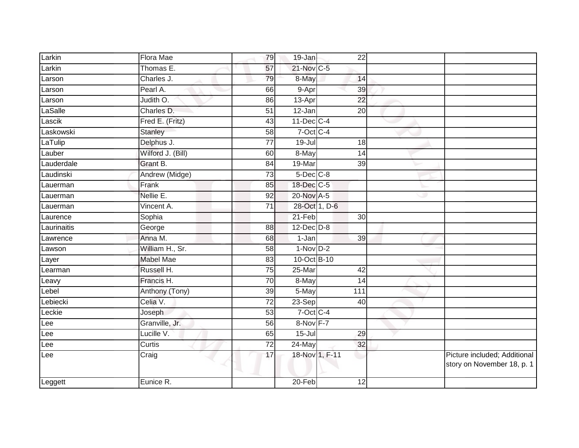| Larkin      | <b>Flora Mae</b>  | 79              | 19-Jan          | 22              |   |                                                            |
|-------------|-------------------|-----------------|-----------------|-----------------|---|------------------------------------------------------------|
| Larkin      | Thomas E.         | 57              | 21-Nov C-5      |                 |   |                                                            |
| Larson      | Charles J.        | 79              | 8-May           | 14              |   |                                                            |
| Larson      | Pearl A.          | 66              | 9-Apr           | 39              |   |                                                            |
| Larson      | Judith O.         | 86              | $13-Apr$        | 22              |   |                                                            |
| LaSalle     | Charles D.        | $\overline{51}$ | 12-Jan          | $\overline{20}$ |   |                                                            |
| Lascik      | Fred E. (Fritz)   | 43              | $11$ -Dec $C-4$ |                 |   |                                                            |
| Laskowski   | Stanley           | $\overline{58}$ | $7$ -Oct C-4    |                 |   |                                                            |
| LaTulip     | Delphus J.        | $\overline{77}$ | $19 -$ Jul      | 18              |   |                                                            |
| Lauber      | Wilford J. (Bill) | 60              | 8-May           | 14              |   |                                                            |
| Lauderdale  | Grant B.          | 84              | 19-Mar          | 39              |   |                                                            |
| Laudinski   | Andrew (Midge)    | 73              | $5$ -Dec $C$ -8 |                 |   |                                                            |
| Lauerman    | Frank             | 85              | 18-Dec C-5      |                 |   |                                                            |
| Lauerman    | Nellie E.         | 92              | 20-Nov A-5      |                 | w |                                                            |
| Lauerman    | Vincent A.        | $\overline{71}$ | 28-Oct 1, D-6   |                 |   |                                                            |
| Laurence    | Sophia            |                 | $21-Feb$        | 30              |   |                                                            |
| Laurinaitis | George            | 88              | $12$ -Dec $D-8$ |                 |   |                                                            |
| Lawrence    | Anna M.           | 68              | 1-Jan           | 39              |   |                                                            |
| Lawson      | William H., Sr.   | 58              | $1-NovD-2$      |                 |   |                                                            |
| Layer       | <b>Mabel Mae</b>  | 83              | 10-Oct B-10     |                 |   |                                                            |
| Learman     | Russell H.        | 75              | 25-Mar          | 42              |   |                                                            |
| Leavy       | Francis H.        | 70              | 8-May           | 14              |   |                                                            |
| Lebel       | Anthony (Tony)    | 39              | 5-May           | 111             |   |                                                            |
| Lebiecki    | Celia V.          | $\overline{72}$ | $23-Sep$        | 40              |   |                                                            |
| Leckie      | Joseph            | 53              | $7$ -Oct $C$ -4 |                 |   |                                                            |
| Lee         | Granville, Jr.    | 56              | 8-Nov F-7       |                 |   |                                                            |
| Lee         | Lucille V.        | 65              | $15 -$ Jul      | 29              |   |                                                            |
| Lee         | Curtis            | 72              | 24-May          | 32              |   |                                                            |
| Lee         | Craig             | 17              | 18-Nov 1, F-11  |                 |   | Picture included; Additional<br>story on November 18, p. 1 |
| Leggett     | Eunice R.         |                 | 20-Feb          | 12              |   |                                                            |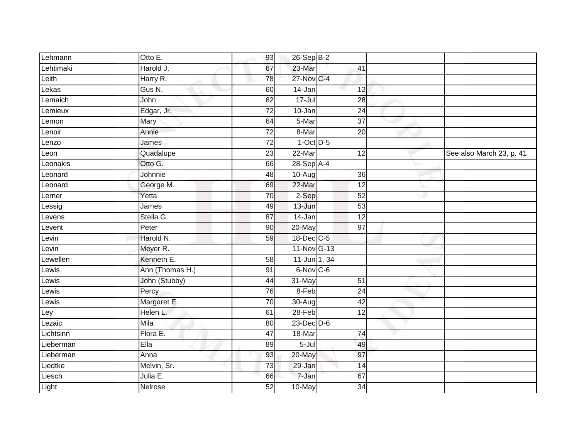| Lehmann   | Otto E.         | 93              | 26-Sep B-2      |                 |   |                          |
|-----------|-----------------|-----------------|-----------------|-----------------|---|--------------------------|
| Lehtimaki | Harold J.       | 67              | 23-Mar          | 41              |   |                          |
| Leith     | Harry R.        | 78              | 27-Nov C-4      |                 |   |                          |
| Lekas     | Gus N.          | 60              | 14-Jan          | 12              |   |                          |
| Lemaich   | John            | 62              | $17 -$ Jul      | 28              |   |                          |
| Lemieux   | Edgar, Jr.      | 72              | 10-Jan          | 24              |   |                          |
| Lemon     | Mary            | 64              | 5-Mar           | 37              |   |                          |
| Lenoir    | Annie           | $\overline{72}$ | 8-Mar           | 20              |   |                          |
| Lenzo     | James           | $\overline{72}$ | $1-Oct$ $D-5$   |                 |   |                          |
| Leon      | Quadalupe       | 23              | 22-Mar          | 12              |   | See also March 23, p. 41 |
| Leonakis  | Otto G.         | 66              | $28-Sep$ A-4    |                 |   |                          |
| Leonard   | Johnnie         | $\overline{48}$ | 10-Aug          | $\overline{36}$ |   |                          |
| Leonard   | George M.       | 69              | $22-Mar$        | 12              |   |                          |
| Lerner    | Yetta           | 70              | 2-Sep           | $\overline{52}$ | ٠ |                          |
| Lessig    | James           | 49              | $13 - Jun$      | $\overline{53}$ |   |                          |
| Levens    | Stella G.       | 87              | 14-Jan          | $\overline{12}$ |   |                          |
| Levent    | Peter           | 90              | 20-May          | $\overline{97}$ |   |                          |
| Levin     | Harold N.       | 59              | 18-Dec C-5      |                 |   |                          |
| Levin     | Meyer R.        |                 | 11-Nov G-13     |                 |   |                          |
| Lewellen  | Kenneth E.      | $\overline{58}$ | 11-Jun 1, 34    |                 |   |                          |
| Lewis     | Ann (Thomas H.) | 91              | 6-Nov C-6       |                 |   |                          |
| Lewis     | John (Stubby)   | 44              | 31-May          | 51              |   |                          |
| Lewis     | Percy           | 76              | 8-Feb           | $\overline{24}$ |   |                          |
| Lewis     | Margaret E.     | $\overline{70}$ | $30 - Aug$      | 42              |   |                          |
| _ey       | Helen L.        | 61              | 28-Feb          | $\overline{12}$ |   |                          |
| Lezaic    | Mila            | 80              | $23$ -Dec $D-6$ |                 |   |                          |
| Lichtsinn | Flora E.        | 47              | 18-Mar          | $\overline{74}$ |   |                          |
| Lieberman | Ella            | 89              | $5 -$ Jul       | 49              |   |                          |
| Lieberman | Anna            | 93              | 20-May          | 97              |   |                          |
| Liedtke   | Melvin, Sr.     | $\overline{73}$ | 29-Jan          | $\overline{14}$ |   |                          |
| Liesch    | Julia E.        | 66              | 7-Jan           | 67              |   |                          |
| Light     | Nelrose         | $\overline{52}$ | 10-May          | 34              |   |                          |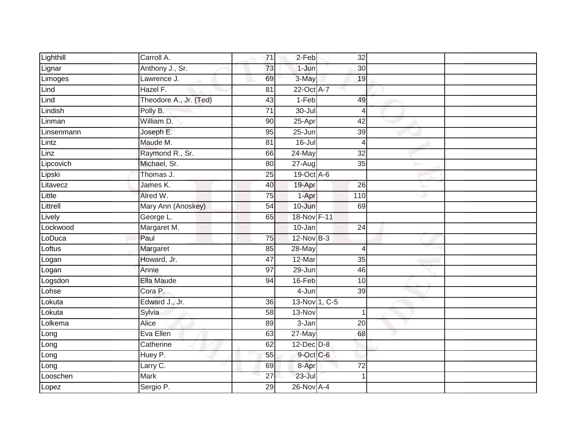| Lighthill  | Carroll A.             | $\overline{71}$ | 2-Feb                | 32              |  |
|------------|------------------------|-----------------|----------------------|-----------------|--|
| Lignar     | Anthony J., Sr.        | 73              | 1-Jun                | 30              |  |
| Limoges    | Lawrence J.            | 69              | 3-May                | 19              |  |
| Lind       | Hazel F.               | 81              | 22-Oct A-7           |                 |  |
| Lind       | Theodore A., Jr. (Ted) | 43              | $1-Feb$              | 49              |  |
| Lindish    | Polly B.               | $\overline{71}$ | 30-Jul               | $\overline{4}$  |  |
| Linman     | William D.             | 90              | 25-Apr               | 42              |  |
| Linsenmann | Joseph E.              | 95              | 25-Jun               | 39              |  |
| Lintz      | Maude M.               | 81              | $16$ -Jul            | $\overline{4}$  |  |
| Linz       | Raymond R., Sr.        | 66              | 24-May               | $\overline{32}$ |  |
| Lipcovich  | Michael, Sr.           | 80              | $\overline{27}$ -Aug | 35              |  |
| Lipski     | Thomas J.              | 25              | 19-Oct A-6           |                 |  |
| Litavecz   | James K.               | 40              | 19-Apr               | 26              |  |
| Little     | Alred W.               | 75              | 1-Apr                | 110             |  |
| Littrell   | Mary Ann (Anoskey)     | 54              | 10-Jun               | 69              |  |
| Lively     | George L.              | 65              | 18-Nov F-11          |                 |  |
| Lockwood   | Margaret M.            |                 | 10-Jan               | 24              |  |
| LoDuca     | Paul                   | 75              | $12$ -Nov $B-3$      |                 |  |
| Loftus     | Margaret               | 85              | 28-May               | $\overline{4}$  |  |
| Logan      | Howard, Jr.            | 47              | 12-Mar               | 35              |  |
| Logan      | Annie                  | 97              | 29-Jun               | 46              |  |
| Logsdon    | Ella Maude             | 94              | 16-Feb               | 10              |  |
| Lohse      | Cora P.                |                 | 4-Jun                | $\overline{39}$ |  |
| Lokuta     | Edward J., Jr.         | 36              | 13-Nov 1, C-5        |                 |  |
| Lokuta     | Sylvia                 | 58              | 13-Nov               | 1               |  |
| Lolkema    | <b>Alice</b>           | 89              | $3 - Jan$            | $\overline{20}$ |  |
| Long       | Eva Ellen              | 63              | 27-May               | 68              |  |
| Long       | Catherine              | 62              | $12$ -Dec $D-8$      |                 |  |
| Long       | Huey P.                | 55              | $9$ -Oct C-6         |                 |  |
| Long       | Larry C.               | 69              | 8-Apr                | 72              |  |
| Looschen   | Mark                   | $\overline{27}$ | $23 -$ Jul           | 1               |  |
| Lopez      | Sergio P.              | 29              | 26-Nov A-4           |                 |  |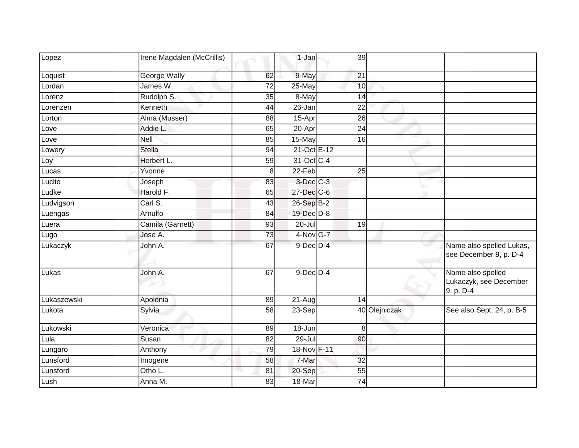| Lopez       | Irene Magdalen (McCrillis) |                 | $1-Jan$              | 39              |               |                                                          |
|-------------|----------------------------|-----------------|----------------------|-----------------|---------------|----------------------------------------------------------|
| Loquist     | <b>George Wally</b>        | 62              | 9-May                | 21              |               |                                                          |
| Lordan      | James W.                   | 72              | 25-May               | 10              |               |                                                          |
| Lorenz      | Rudolph S.                 | 35              | 8-May                | 14              |               |                                                          |
| Lorenzen    | Kenneth                    | 44              | 26-Jan               | $\overline{22}$ |               |                                                          |
| Lorton      | Alma (Musser)              | 88              | 15-Apr               | 26              |               |                                                          |
| Love        | Addie L.                   | 65              | 20-Apr               | $\overline{24}$ |               |                                                          |
| Love        | Nell                       | 85              | 15-May               | 16              |               |                                                          |
| Lowery      | <b>Stella</b>              | 94              | 21-Oct E-12          |                 |               |                                                          |
| Loy         | Herbert L.                 | 59              | 31-Oct C-4           |                 |               |                                                          |
| Lucas       | Yvonne                     | 8               | $22-Feb$             | $\overline{25}$ |               |                                                          |
| Lucito      | Joseph                     | 83              | 3-Dec C-3            |                 |               |                                                          |
| Ludke       | Harold F.                  | 65              | 27-Dec C-6           |                 | ٠             |                                                          |
| Ludvigson   | Carl S.                    | 43              | 26-Sep B-2           |                 |               |                                                          |
| Luengas     | Arnulfo                    | 84              | 19-Dec D-8           |                 |               |                                                          |
| Luera       | Camila (Garnett)           | 93              | 20-Jul               | 19              |               |                                                          |
| Lugo        | Jose A.                    | $\overline{73}$ | $4$ -Nov $G$ -7      |                 |               |                                                          |
| Lukaczyk    | John A.                    | 67              | $9$ -Dec $D$ -4      |                 |               | Name also spelled Lukas,<br>see December 9, p. D-4       |
| Lukas       | John A.                    | 67              | $9$ -Dec $D$ -4      |                 |               | Name also spelled<br>Lukaczyk, see December<br>9, p. D-4 |
| Lukaszewski | Apolonia                   | 89              | $\overline{2}$ 1-Aug | 14              |               |                                                          |
| Lukota      | Sylvia                     | $\overline{58}$ | 23-Sep               |                 | 40 Olejniczak | See also Sept. 24, p. B-5                                |
| Lukowski    | Veronica                   | 89              | $18 - Jun$           | 8               |               |                                                          |
| Lula        | Susan                      | 82              | $29 -$ Jul           | 90              |               |                                                          |
| Lungaro     | Anthony                    | 79              | 18-Nov F-11          |                 |               |                                                          |
| Lunsford    | Imogene                    | 58              | 7-Mar                | 32              |               |                                                          |
| Lunsford    | $\overline{O}$ tho L.      | 81              | 20-Sep               | 55              |               |                                                          |
| Lush        | Anna M.                    | 83              | 18-Mar               | 74              |               |                                                          |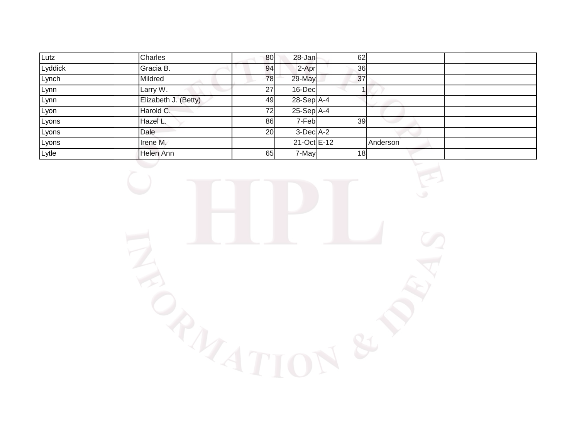| Lutz    | Charles              | 80 | 28-Jan       | 62 |          |  |
|---------|----------------------|----|--------------|----|----------|--|
| Lyddick | Gracia B.            | 94 | 2-Apr        | 36 |          |  |
| Lynch   | Mildred              | 78 | 29-May       | 37 |          |  |
| Lynn    | Larry W.             | 27 | $16$ -Dec    |    |          |  |
| Lynn    | Elizabeth J. (Betty) | 49 | $28-Sep$ A-4 |    |          |  |
| Lyon    | Harold C.            | 72 | $25-Sep$ A-4 |    |          |  |
| Lyons   | Hazel L.             | 86 | 7-Feb        | 39 |          |  |
| Lyons   | Dale                 | 20 | $3-DecA-2$   |    |          |  |
| Lyons   | Irene M.             |    | 21-Oct E-12  |    | Anderson |  |
| Lytle   | Helen Ann            | 65 | 7-May        | 18 |          |  |

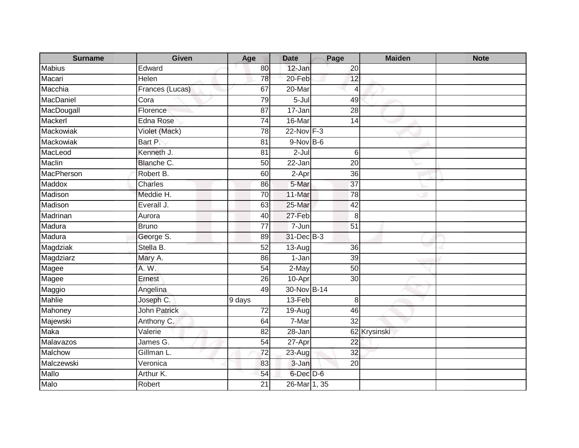| <b>Surname</b> | <b>Given</b>        | Age             | <b>Date</b>          | Page            | <b>Maiden</b> | <b>Note</b> |
|----------------|---------------------|-----------------|----------------------|-----------------|---------------|-------------|
| Mabius         | Edward              | 80              | 12-Jan               | 20              |               |             |
| Macari         | Helen               | 78              | 20-Feb               | 12              |               |             |
| Macchia        | Frances (Lucas)     | 67              | 20-Mar               | $\overline{4}$  |               |             |
| MacDaniel      | Cora                | 79              | $5 -$ Jul            | 49              |               |             |
| MacDougall     | Florence            | 87              | 17-Jan               | 28              |               |             |
| Mackerl        | Edna Rose           | 74              | 16-Mar               | $\overline{14}$ |               |             |
| Mackowiak      | Violet (Mack)       | 78              | 22-Nov F-3           |                 |               |             |
| Mackowiak      | Bart P.             | 81              | $9-Nov$ B-6          |                 |               |             |
| MacLeod        | Kenneth J.          | $\overline{81}$ | $2-Jul$              | 6               |               |             |
| Maclin         | Blanche C.          | 50              | $\overline{2}$ 2-Jan | $\overline{20}$ |               |             |
| MacPherson     | Robert B.           | 60              | 2-Apr                | $\overline{36}$ |               |             |
| Maddox         | Charles             | 86              | 5-Mar                | $\overline{37}$ |               |             |
| Madison        | Meddie H.           | 70              | 11-Mar               | $\overline{78}$ |               |             |
| Madison        | Everall J.          | 63              | 25-Mar               | 42              |               |             |
| Madrinan       | Aurora              | 40              | 27-Feb               | 8               |               |             |
| Madura         | <b>Bruno</b>        | $\overline{77}$ | $7 - Jun$            | $\overline{51}$ |               |             |
| Madura         | George S.           | 89              | 31-Dec B-3           |                 |               |             |
| Magdziak       | Stella B.           | 52              | 13-Aug               | 36              |               |             |
| Magdziarz      | Mary A.             | 86              | $1-Jan$              | $\overline{39}$ |               |             |
| Magee          | A. W.               | 54              | $2-May$              | $\overline{50}$ |               |             |
| Magee          | Ernest              | 26              | 10-Apr               | $\overline{30}$ |               |             |
| Maggio         | Angelina            | 49              | 30-Nov B-14          |                 |               |             |
| Mahlie         | Joseph C.           | 9 days          | 13-Feb               | 8               |               |             |
| Mahoney        | <b>John Patrick</b> | 72              | 19-Aug               | 46              |               |             |
| Majewski       | Anthony C.          | 64              | 7-Mar                | $\overline{32}$ |               |             |
| <b>Maka</b>    | Valerie             | $\overline{82}$ | $28 - Jan$           |                 | 62 Krysinski  |             |
| Malavazos      | James G.            | 54              | 27-Apr               | 22              |               |             |
| Malchow        | Gillman L.          | 72              | $23-Aug$             | $\overline{32}$ |               |             |
| Malczewski     | Veronica            | 83              | 3-Jan                | 20              |               |             |
| Mallo          | Arthur K.           | 54              | $6$ -Dec $D$ -6      |                 |               |             |
| Malo           | Robert              | $\overline{21}$ | $26$ -Mar 1, 35      |                 |               |             |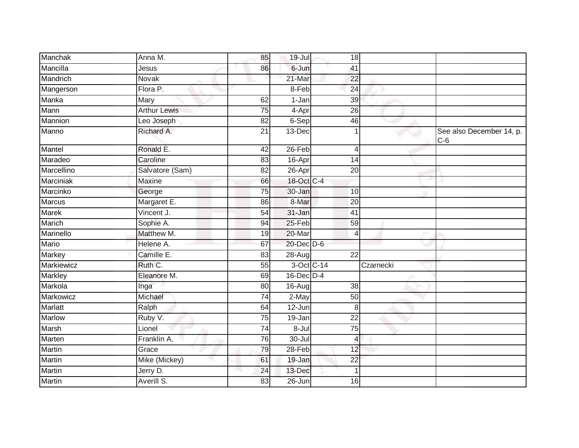| Anna M.             | 85              |        |                 |                                                                                                                                                                                                                                                                                  |                                   |
|---------------------|-----------------|--------|-----------------|----------------------------------------------------------------------------------------------------------------------------------------------------------------------------------------------------------------------------------------------------------------------------------|-----------------------------------|
| Jesus               | 86              | 6-Jun  | 41              |                                                                                                                                                                                                                                                                                  |                                   |
| Novak               |                 | 21-Mar | $\overline{22}$ |                                                                                                                                                                                                                                                                                  |                                   |
| Flora P.            |                 |        | 24              |                                                                                                                                                                                                                                                                                  |                                   |
| Mary                | 62              |        | $\overline{39}$ |                                                                                                                                                                                                                                                                                  |                                   |
| <b>Arthur Lewis</b> | $\overline{75}$ |        | $\overline{26}$ |                                                                                                                                                                                                                                                                                  |                                   |
| Leo Joseph          | 82              |        | 46              |                                                                                                                                                                                                                                                                                  |                                   |
| Richard A.          | 21              |        |                 |                                                                                                                                                                                                                                                                                  | See also December 14, p.<br>$C-6$ |
| Ronald E.           | 42              |        | $\overline{4}$  |                                                                                                                                                                                                                                                                                  |                                   |
| Caroline            | 83              |        | 14              |                                                                                                                                                                                                                                                                                  |                                   |
| Salvatore (Sam)     | 82              |        | 20              |                                                                                                                                                                                                                                                                                  |                                   |
| Maxine              | 66              |        |                 |                                                                                                                                                                                                                                                                                  |                                   |
| George              | $\overline{75}$ |        | 10              |                                                                                                                                                                                                                                                                                  |                                   |
| Margaret E.         | 86              | 8-Mar  | 20              |                                                                                                                                                                                                                                                                                  |                                   |
| Vincent J.          | 54              |        | 41              |                                                                                                                                                                                                                                                                                  |                                   |
| Sophie A.           | 94              |        | 59              |                                                                                                                                                                                                                                                                                  |                                   |
| Matthew M.          | 19              | 20-Mar | $\overline{4}$  |                                                                                                                                                                                                                                                                                  |                                   |
| Helene A.           | 67              |        |                 |                                                                                                                                                                                                                                                                                  |                                   |
| Camille E.          | 83              |        | 22              |                                                                                                                                                                                                                                                                                  |                                   |
|                     | 55              |        |                 | Czarnecki                                                                                                                                                                                                                                                                        |                                   |
| Eleanore M.         | 69              |        |                 |                                                                                                                                                                                                                                                                                  |                                   |
| Inga                | 80              |        | 38              |                                                                                                                                                                                                                                                                                  |                                   |
| Michael             | 74              |        | 50              |                                                                                                                                                                                                                                                                                  |                                   |
| Ralph               | 64              |        | 8               |                                                                                                                                                                                                                                                                                  |                                   |
| Ruby V.             | $\overline{75}$ |        | $\overline{22}$ |                                                                                                                                                                                                                                                                                  |                                   |
| Lionel              | 74              |        | 75              |                                                                                                                                                                                                                                                                                  |                                   |
| Franklin A.         | 76              | 30-Jul | $\overline{4}$  |                                                                                                                                                                                                                                                                                  |                                   |
| Grace               | 79              |        | 12              |                                                                                                                                                                                                                                                                                  |                                   |
| Mike (Mickey)       | 61              |        | $\overline{22}$ |                                                                                                                                                                                                                                                                                  |                                   |
| Jerry D.            | 24              |        |                 |                                                                                                                                                                                                                                                                                  |                                   |
| Averill S.          | 83              |        | 16              |                                                                                                                                                                                                                                                                                  |                                   |
|                     | Ruth C.         |        | $8 -$ Jul       | $19 -$ Jul<br>8-Feb<br>1-Jan<br>4-Apr<br>$6-Sep$<br>13-Dec<br>26-Feb<br>16-Apr<br>26-Apr<br>18-Oct C-4<br>30-Jan<br>31-Jan<br>$25 - Feb$<br>20-Dec D-6<br>28-Aug<br>3-Oct C-14<br>$16$ -Dec $D-4$<br>16-Aug<br>2-May<br>12-Jun<br>19-Jan<br>28-Feb<br>19-Jan<br>13-Dec<br>26-Jun | 18                                |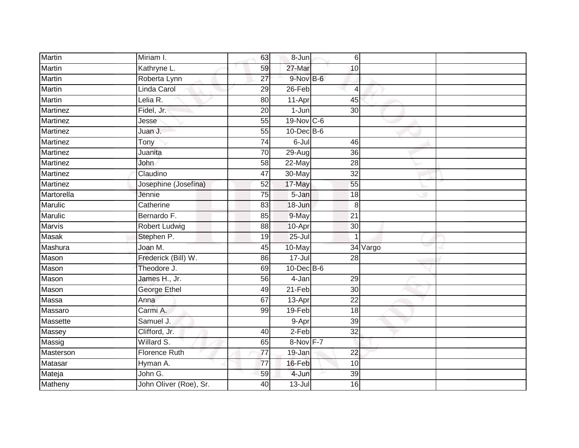| Martin          | Miriam I.              | 63              | 8-Jun            | $6 \overline{6}$ |          |  |
|-----------------|------------------------|-----------------|------------------|------------------|----------|--|
| Martin          | Kathryne L.            | 59              | 27-Mar           | 10               |          |  |
| <b>Martin</b>   | Roberta Lynn           | $\overline{27}$ | 9-Nov B-6        |                  |          |  |
| <b>Martin</b>   | Linda Carol            | 29              | 26-Feb           | 4                |          |  |
| <b>Martin</b>   | Lelia R.               | $\overline{80}$ | 11-Apr           | 45               |          |  |
| <b>Martinez</b> | Fidel, Jr.             | 20              | $1-Jun$          | 30               |          |  |
| Martinez        | Jesse                  | 55              | 19-Nov C-6       |                  |          |  |
| Martinez        | Juan J.                | 55              | $10$ -Dec $B$ -6 |                  |          |  |
| <b>Martinez</b> | Tony                   | $\overline{74}$ | $6 -$ Jul        | 46               |          |  |
| Martinez        | Juanita                | 70              | $29-Aug$         | $\overline{36}$  |          |  |
| Martinez        | John                   | $\overline{58}$ | 22-May           | $\overline{28}$  |          |  |
| <b>Martinez</b> | Claudino               | 47              | 30-May           | $\overline{32}$  |          |  |
| <b>Martinez</b> | Josephine (Josefina)   | 52              | 17-May           | 55               |          |  |
| Martorella      | Jennie                 | 75              | 5-Jan            | 18               |          |  |
| Marulic         | Catherine              | $\overline{83}$ | 18-Jun           | 8                |          |  |
| Marulic         | Bernardo F.            | 85              | 9-May            | 21               |          |  |
| <b>Marvis</b>   | <b>Robert Ludwig</b>   | $\overline{88}$ | 10-Apr           | $\overline{30}$  |          |  |
| <b>Masak</b>    | Stephen P.             | 19              | $25 -$ Jul       |                  |          |  |
| Mashura         | Joan M.                | 45              | 10-May           |                  | 34 Vargo |  |
| Mason           | Frederick (Bill) W.    | 86              | 17-Jul           | $\overline{28}$  |          |  |
| Mason           | Theodore J.            | 69              | $10$ -Dec $B$ -6 |                  |          |  |
| Mason           | James H., Jr.          | 56              | $4-Jan$          | 29               |          |  |
| Mason           | George Ethel           | 49              | 21-Feb           | 30               |          |  |
| Massa           | Anna                   | 67              | 13-Apr           | $\overline{22}$  |          |  |
| Massaro         | Carmi A.               | 99              | 19-Feb           | 18               |          |  |
| Massette        | Samuel J.              |                 | 9-Apr            | 39               |          |  |
| Massey          | Clifford, Jr.          | 40              | 2-Feb            | $\overline{32}$  |          |  |
| Massig          | Willard S.             | 65              | 8-Nov F-7        |                  |          |  |
| Masterson       | <b>Florence Ruth</b>   | $\overline{77}$ | 19-Jan           | 22               |          |  |
| Matasar         | Hyman A.               | $\overline{77}$ | 16-Feb           | 10               |          |  |
| Mateja          | John G.                | 59              | 4-Jun            | 39               |          |  |
| Matheny         | John Oliver (Roe), Sr. | 40              | $13 -$ Jul       | 16               |          |  |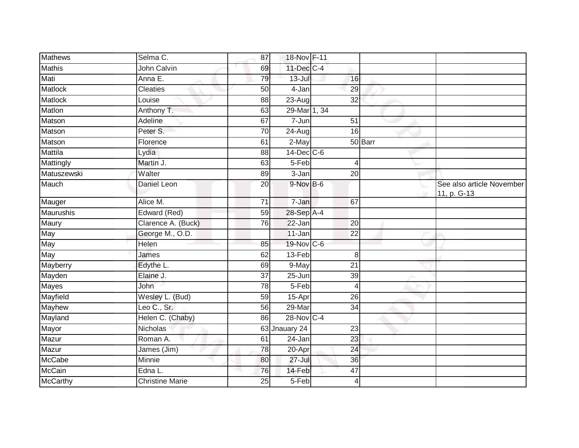| <b>Mathews</b>   | Selma C.               | 87              | 18-Nov F-11   |                 |         |                                          |
|------------------|------------------------|-----------------|---------------|-----------------|---------|------------------------------------------|
| <b>Mathis</b>    | John Calvin            | 69              | 11-Dec C-4    |                 |         |                                          |
| Mati             | Anna E.                | 79              | $13 -$ Jul    | 16              |         |                                          |
| Matlock          | <b>Cleaties</b>        | 50              | 4-Jan         | 29              |         |                                          |
| Matlock          | Louise                 | 88              | $23 - Aug$    | $\overline{32}$ |         |                                          |
| Matlon           | Anthony T.             | 63              | 29-Mar 1, 34  |                 |         |                                          |
| Matson           | Adeline                | 67              | 7-Jun         | 51              |         |                                          |
| Matson           | Peter S.               | 70              | 24-Aug        | 16              |         |                                          |
| Matson           | Florence               | 61              | 2-May         |                 | 50 Barr |                                          |
| <b>Mattila</b>   | Lydia                  | $\overline{88}$ | 14-Dec C-6    |                 |         |                                          |
| Mattingly        | Martin J.              | 63              | 5-Feb         | 4               |         |                                          |
| Matuszewski      | Walter                 | 89              | 3-Jan         | 20              |         |                                          |
| Mauch            | Daniel Leon            | 20              | 9-Nov B-6     |                 |         | See also article November<br>11, p. G-13 |
| Mauger           | Alice M.               | 71              | 7-Jan         | 67              |         |                                          |
| <b>Maurushis</b> | Edward (Red)           | 59              | 28-Sep A-4    |                 |         |                                          |
| Maury            | Clarence A. (Buck)     | 76              | 22-Jan        | 20              |         |                                          |
| May              | George M., O.D.        |                 | 11-Jan        | $\overline{22}$ |         |                                          |
| May              | Helen                  | $\overline{85}$ | 19-Nov C-6    |                 |         |                                          |
| May              | James                  | 62              | 13-Feb        | 8               |         |                                          |
| Mayberry         | Edythe L.              | 69              | 9-May         | $\overline{21}$ |         |                                          |
| Mayden           | Elaine J.              | 37              | $25 - Jun$    | 39              |         |                                          |
| <b>Mayes</b>     | John                   | 78              | 5-Feb         | 4               |         |                                          |
| Mayfield         | Wesley L. (Bud)        | 59              | 15-Apr        | 26              |         |                                          |
| Mayhew           | Leo C., Sr.            | 56              | 29-Mar        | 34              |         |                                          |
| Mayland          | Helen C. (Chaby)       | 86              | 28-Nov C-4    |                 |         |                                          |
| Mayor            | <b>Nicholas</b>        |                 | 63 Jnauary 24 | 23              |         |                                          |
| Mazur            | Roman A.               | 61              | 24-Jan        | 23              |         |                                          |
| Mazur            | James (Jim)            | 78              | 20-Apr        | 24              |         |                                          |
| McCabe           | Minnie                 | 80              | $27 -$ Jul    | 36              |         |                                          |
| McCain           | Edna L.                | 76              | 14-Feb        | 47              |         |                                          |
| McCarthy         | <b>Christine Marie</b> | 25              | 5-Feb         | 4               |         |                                          |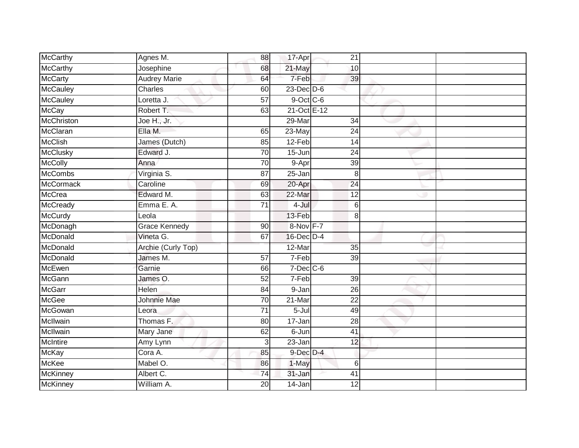| McCarthy         | Agnes M.             | 88              | 17-Apr          | 21              |  |
|------------------|----------------------|-----------------|-----------------|-----------------|--|
| <b>McCarthy</b>  | Josephine            | 68              | 21-May          | 10              |  |
| <b>McCarty</b>   | <b>Audrey Marie</b>  | 64              | 7-Feb           | 39              |  |
| McCauley         | Charles              | 60              | $23$ -Dec $D-6$ |                 |  |
| <b>McCauley</b>  | Loretta J.           | $\overline{57}$ | $9$ -Oct C-6    |                 |  |
| McCay            | Robert T.            | 63              | 21-Oct E-12     |                 |  |
| McChriston       | Joe H., Jr.          |                 | 29-Mar          | 34              |  |
| McClaran         | Ella M.              | 65              | 23-May          | $\overline{24}$ |  |
| <b>McClish</b>   | James (Dutch)        | 85              | 12-Feb          | 14              |  |
| <b>McClusky</b>  | Edward J.            | 70              | $15 - Jun$      | $\overline{24}$ |  |
| <b>McColly</b>   | Anna                 | 70              | 9-Apr           | 39              |  |
| <b>McCombs</b>   | Virginia S.          | $\overline{87}$ | $25 - Jan$      | 8               |  |
| <b>McCormack</b> | Caroline             | 69              | 20-Apr          | $\overline{24}$ |  |
| <b>McCrea</b>    | Edward M.            | 63              | 22-Mar          | $\overline{12}$ |  |
| McCready         | Emma E.A.            | $\overline{71}$ | 4-Jul           | 6               |  |
| <b>McCurdy</b>   | Leola                |                 | 13-Feb          | 8               |  |
| McDonagh         | <b>Grace Kennedy</b> | 90              | 8-Nov F-7       |                 |  |
| McDonald         | Vineta G.            | 67              | 16-Dec D-4      |                 |  |
| McDonald         | Archie (Curly Top)   |                 | 12-Mar          | 35              |  |
| McDonald         | James M.             | $\overline{57}$ | 7-Feb           | $\overline{39}$ |  |
| McEwen           | Garnie               | 66              | $7$ -Dec $C$ -6 |                 |  |
| McGann           | James O.             | 52              | $7-Feb$         | 39              |  |
| McGarr           | Helen                | 84              | 9-Jan           | 26              |  |
| <b>McGee</b>     | <b>Johnnie Mae</b>   | 70              | 21-Mar          | $\overline{22}$ |  |
| McGowan          | Leora                | 71              | 5-Jul           | 49              |  |
| McIlwain         | Thomas F.            | 80              | 17-Jan          | $\overline{28}$ |  |
| McIlwain         | Mary Jane            | 62              | 6-Jun           | $\overline{41}$ |  |
| <b>McIntire</b>  | Amy Lynn             | $\overline{3}$  | 23-Jan          | 12              |  |
| <b>McKay</b>     | Cora A.              | 85              | 9-Dec D-4       |                 |  |
| McKee            | Mabel O.             | 86              | 1-May           | 6               |  |
| McKinney         | Albert C.            | 74              | 31-Jan          | 41              |  |
| <b>McKinney</b>  | William A.           | 20              | 14-Jan          | 12              |  |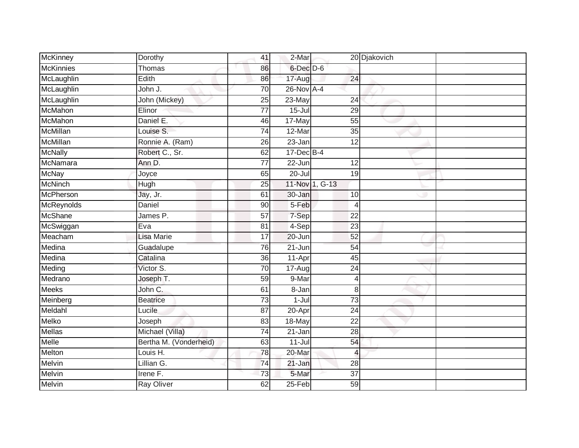| <b>McKinney</b>   | Dorothy                | 41              | 2-Mar               |                 | 20 Djakovich |  |
|-------------------|------------------------|-----------------|---------------------|-----------------|--------------|--|
| <b>McKinnies</b>  | Thomas                 | 86              | 6-Dec D-6           |                 |              |  |
| McLaughlin        | Edith                  | 86              | 17-Aug              | 24              |              |  |
| McLaughlin        | John J.                | 70              | 26-Nov A-4          |                 |              |  |
| McLaughlin        | John (Mickey)          | $\overline{25}$ | $23$ -May           | 24              |              |  |
| McMahon           | Elinor                 | $\overline{77}$ | $15 -$ Jul          | 29              |              |  |
| McMahon           | Daniel E.              | 46              | 17-May              | 55              |              |  |
| <b>McMillan</b>   | Louise S.              | 74              | 12-Mar              | 35              |              |  |
| McMillan          | Ronnie A. (Ram)        | 26              | 23-Jan              | 12              |              |  |
| <b>McNally</b>    | Robert C., Sr.         | 62              | $17 - Dec$ B-4      |                 |              |  |
| McNamara          | Ann D.                 | 77              | 22-Jun              | 12              |              |  |
| <b>McNay</b>      | Joyce                  | 65              | $20 -$ Jul          | 19              |              |  |
| <b>McNinch</b>    | Hugh                   | 25              |                     | 11-Nov 1, G-13  |              |  |
| McPherson         | Jay, Jr.               | 61              | 30-Jan              | 10              |              |  |
| <b>McReynolds</b> | Daniel                 | 90              | 5-Feb               | $\overline{4}$  |              |  |
| McShane           | James P.               | 57              | 7-Sep               | 22              |              |  |
| McSwiggan         | Eva                    | 81              | 4-Sep               | 23              |              |  |
| Meacham           | Lisa Marie             | 17              | 20-Jun              | 52              |              |  |
| Medina            | Guadalupe              | 76              | 21-Jun              | 54              |              |  |
| Medina            | Catalina               | 36              | 11-Apr              | 45              |              |  |
| Meding            | Victor S.              | 70              | 17-Aug              | 24              |              |  |
| Medrano           | Joseph T.              | 59              | 9-Mar               | 4               |              |  |
| <b>Meeks</b>      | John C.                | 61              | $\overline{8}$ -Jan | 8               |              |  |
| Meinberg          | <b>Beatrice</b>        | 73              | $1 -$ Jul           | 73              |              |  |
| Meldahl           | Lucile                 | 87              | 20-Apr              | 24              |              |  |
| Melko             | Joseph                 | 83              | 18-May              | 22              |              |  |
| Mellas            | Michael (Villa)        | $\overline{74}$ | $21 - Jan$          | $\overline{28}$ |              |  |
| Melle             | Bertha M. (Vonderheid) | 63              | $11 -$ Jul          | 54              |              |  |
| Melton            | Louis H.               | 78              | 20-Mar              | $\overline{4}$  |              |  |
| Melvin            | Lillian G.             | 74              | 21-Jan              | 28              |              |  |
| Melvin            | Irene F.               | $\overline{73}$ | 5-Mar               | $\overline{37}$ |              |  |
| Melvin            | Ray Oliver             | 62              | $25 - Feb$          | 59              |              |  |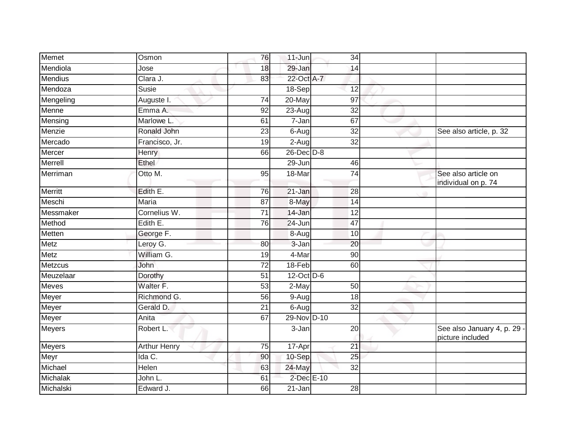| <b>Memet</b>   | Osmon               | 76              | $11$ -Jun       | 34              |                                                 |
|----------------|---------------------|-----------------|-----------------|-----------------|-------------------------------------------------|
| Mendiola       | Jose                | 18              | 29-Jan          | 14              |                                                 |
| <b>Mendius</b> | Clara J.            | 83              | 22-Oct A-7      |                 |                                                 |
| Mendoza        | Susie               |                 | 18-Sep          | 12              |                                                 |
| Mengeling      | Auguste I.          | 74              | $20$ -May       | 97              |                                                 |
| Menne          | Emma A.             | $\overline{92}$ | 23-Aug          | 32              |                                                 |
| Mensing        | Marlowe L.          | 61              | $7 - Jan$       | 67              |                                                 |
| Menzie         | Ronald John         | $\overline{23}$ | 6-Aug           | $\overline{32}$ | See also article, p. 32                         |
| Mercado        | Francisco, Jr.      | 19              | 2-Aug           | $\overline{32}$ |                                                 |
| Mercer         | <b>Henry</b>        | 66              | $26$ -Dec $D-8$ |                 |                                                 |
| Merrell        | Ethel               |                 | 29-Jun          | 46              |                                                 |
| Merriman       | Otto M.             | 95              | 18-Mar          | $\overline{74}$ | See also article on<br>individual on p. 74      |
| Merritt        | Edith E.            | 76              | 21-Jan          | 28              |                                                 |
| Meschi         | Maria               | 87              | 8-May           | 14              |                                                 |
| Messmaker      | Cornelius W.        | $\overline{71}$ | 14-Jan          | $\overline{12}$ |                                                 |
| Method         | Edith E.            | 76              | 24-Jun          | 47              |                                                 |
| Metten         | George F.           |                 | 8-Aug           | 10              |                                                 |
| <b>Metz</b>    | Leroy G.            | 80              | 3-Jan           | 20              |                                                 |
| Metz           | William G.          | 19              | 4-Mar           | 90              |                                                 |
| <b>Metzcus</b> | John                | $\overline{72}$ | $18-Feb$        | 60              |                                                 |
| Meuzelaar      | Dorothy             | $\overline{51}$ | 12-Oct D-6      |                 |                                                 |
| Meves          | Walter F.           | 53              | 2-May           | 50              |                                                 |
| Meyer          | Richmond G.         | 56              | 9-Aug           | 18              |                                                 |
| Meyer          | Gerald D.           | 21              | 6-Aug           | $\overline{32}$ |                                                 |
| Meyer          | Anita               | 67              | 29-Nov D-10     |                 |                                                 |
| Meyers         | Robert L.           |                 | 3-Jan           | $\overline{20}$ | See also January 4, p. 29 -<br>picture included |
| <b>Meyers</b>  | <b>Arthur Henry</b> | 75              | 17-Apr          | 21              |                                                 |
| Meyr           | Ida C.              | 90              | 10-Sep          | $\overline{25}$ |                                                 |
| Michael        | Helen               | 63              | 24-May          | 32              |                                                 |
| Michalak       | John L.             | 61              | 2-Dec E-10      |                 |                                                 |
| Michalski      | Edward J.           | 66              | 21-Jan          | 28              |                                                 |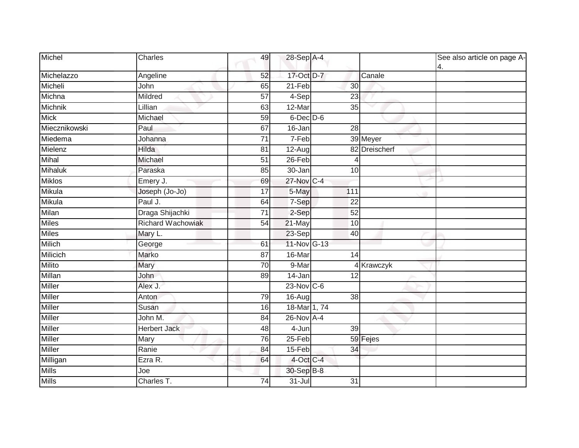| Michel        | Charles                  | 49              | 28-Sep A-4        |                 |               | See also article on page A-<br>4. |
|---------------|--------------------------|-----------------|-------------------|-----------------|---------------|-----------------------------------|
| Michelazzo    | Angeline                 | 52              | 17-Oct D-7        |                 | Canale        |                                   |
| Micheli       | John                     | 65              | $21-Feb$          | 30              |               |                                   |
| Michna        | Mildred                  | 57              | $4-Sep$           | 23              |               |                                   |
| Michnik       | Lillian                  | 63              | 12-Mar            | 35              |               |                                   |
| <b>Mick</b>   | Michael                  | 59              | $6$ -Dec $D$ -6   |                 |               |                                   |
| Miecznikowski | Paul                     | 67              | 16-Jan            | 28              |               |                                   |
| Miedema       | Johanna                  | $\overline{71}$ | $7-Feb$           |                 | 39 Meyer      |                                   |
| Mielenz       | Hilda                    | 81              | 12-Aug            |                 | 82 Dreischerf |                                   |
| Mihal         | Michael                  | 51              | 26-Feb            |                 |               |                                   |
| Mihaluk       | Paraska                  | 85              | 30-Jan            | 10              |               |                                   |
| <b>Miklos</b> | Emery J.                 | 69              | 27-Nov C-4        |                 |               |                                   |
| Mikula        | Joseph (Jo-Jo)           | $\overline{17}$ | 5-May             | 111             |               |                                   |
| Mikula        | Paul J.                  | 64              | 7-Sep             | 22              |               |                                   |
| Milan         | Draga Shijachki          | $\overline{71}$ | 2-Sep             | 52              |               |                                   |
| <b>Miles</b>  | <b>Richard Wachowiak</b> | 54              | 21-May            | 10              |               |                                   |
| <b>Miles</b>  | Mary L.                  |                 | 23-Sep            | 40              |               |                                   |
| Milich        | George                   | 61              | 11-Nov G-13       |                 |               |                                   |
| Milicich      | Marko                    | 87              | 16-Mar            | 14              |               |                                   |
| <b>Milito</b> | Mary                     | 70              | 9-Mar             |                 | 4 Krawczyk    |                                   |
| Millan        | John                     | 89              | 14-Jan            | $\overline{12}$ |               |                                   |
| <b>Miller</b> | Alex J.                  |                 | $23$ -Nov $ C-6 $ |                 |               |                                   |
| Miller        | Anton                    | 79              | 16-Aug            | 38              |               |                                   |
| <b>Miller</b> | Susan                    | 16              | 18-Mar 1, 74      |                 |               |                                   |
| <b>Miller</b> | John M.                  | 84              | $26$ -Nov $A-4$   |                 |               |                                   |
| <b>Miller</b> | <b>Herbert Jack</b>      | 48              | 4-Jun             | 39              |               |                                   |
| <b>Miller</b> | Mary                     | 76              | $25 - Feb$        |                 | 59 Fejes      |                                   |
| Miller        | Ranie                    | 84              | 15-Feb            | 34              |               |                                   |
| Milligan      | Ezra R.                  | 64              | 4-Oct C-4         |                 |               |                                   |
| <b>Mills</b>  | Joe                      |                 | 30-Sep B-8        |                 |               |                                   |
| <b>Mills</b>  | Charles T.               | 74              | $31 -$ Jul        | 31              |               |                                   |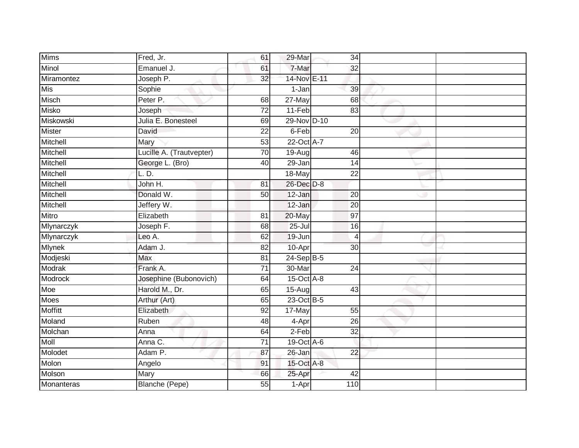| <b>Mims</b>    | Fred, Jr.                | 61              | 29-Mar           | 34              |  |
|----------------|--------------------------|-----------------|------------------|-----------------|--|
| Minol          | Emanuel J.               | 61              | 7-Mar            | 32              |  |
| Miramontez     | Joseph P.                | $\overline{32}$ | 14-Nov E-11      |                 |  |
| Mis            | Sophie                   |                 | 1-Jan            | 39              |  |
| Misch          | Peter P.                 | 68              | $27$ -May        | 68              |  |
| Misko          | Joseph                   | $\overline{72}$ | $11-Feb$         | 83              |  |
| Miskowski      | Julia E. Bonesteel       | 69              | 29-Nov D-10      |                 |  |
| <b>Mister</b>  | David                    | 22              | $6-Feb$          | $\overline{20}$ |  |
| Mitchell       | Mary                     | 53              | 22-Oct A-7       |                 |  |
| Mitchell       | Lucille A. (Trautvepter) | 70              | $19-Aug$         | 46              |  |
| Mitchell       | George L. (Bro)          | 40              | 29-Jan           | 14              |  |
| Mitchell       | L. D.                    |                 | 18-May           | 22              |  |
| Mitchell       | John H.                  | 81              | 26-Dec D-8       |                 |  |
| Mitchell       | Donald W.                | 50              | 12-Jan           | 20              |  |
| Mitchell       | Jeffery W.               |                 | 12-Jan           | $\overline{20}$ |  |
| Mitro          | Elizabeth                | 81              | 20-May           | 97              |  |
| Mlynarczyk     | Joseph F.                | 68              | $25 -$ Jul       | 16              |  |
| Mlynarczyk     | Leo A.                   | 62              | 19-Jun           | $\overline{4}$  |  |
| Mlynek         | Adam J.                  | 82              | 10-Apr           | 30              |  |
| Modjeski       | <b>Max</b>               | $\overline{81}$ | $24-Sep$ B-5     |                 |  |
| <b>Modrak</b>  | Frank A.                 | $\overline{71}$ | 30-Mar           | $\overline{24}$ |  |
| <b>Modrock</b> | Josephine (Bubonovich)   | 64              | $15$ -Oct $A$ -8 |                 |  |
| Moe            | Harold M., Dr.           | 65              | 15-Aug           | 43              |  |
| Moes           | Arthur (Art)             | 65              | 23-Oct B-5       |                 |  |
| <b>Moffitt</b> | Elizabeth                | 92              | 17-May           | 55              |  |
| Moland         | Ruben                    | 48              | 4-Apr            | 26              |  |
| Molchan        | Anna                     | 64              | $2-Feb$          | $\overline{32}$ |  |
| <b>Moll</b>    | Anna C.                  | $\overline{71}$ | 19-Oct A-6       |                 |  |
| Molodet        | Adam P.                  | 87              | $26 - Jan$       | $\overline{22}$ |  |
| Molon          | Angelo                   | 91              | 15-Oct A-8       |                 |  |
| Molson         | Mary                     | 66              | 25-Apr           | 42              |  |
| Monanteras     | <b>Blanche (Pepe)</b>    | $\overline{55}$ | 1-Apr            | 110             |  |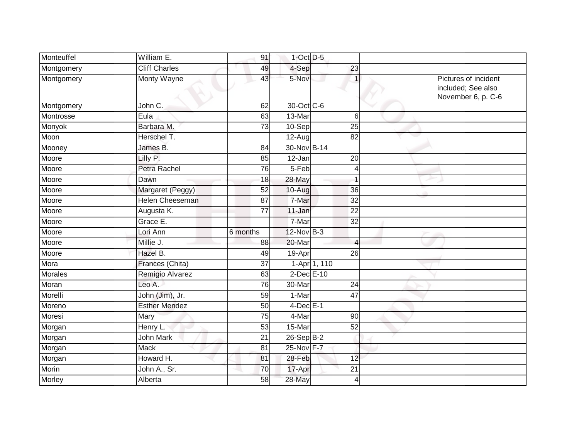| Monteuffel | William E.             | 91       | $1$ -Oct $D-5$       |                 |                                                                  |
|------------|------------------------|----------|----------------------|-----------------|------------------------------------------------------------------|
| Montgomery | <b>Cliff Charles</b>   | 49       | 4-Sep                | $\overline{23}$ |                                                                  |
| Montgomery | <b>Monty Wayne</b>     | 43       | 5-Nov                |                 | Pictures of incident<br>included; See also<br>November 6, p. C-6 |
| Montgomery | John C.                | 62       | 30-Oct C-6           |                 |                                                                  |
| Montrosse  | Eula                   | 63       | 13-Mar               | 6               |                                                                  |
| Monyok     | Barbara M.             | 73       | 10-Sep               | 25              |                                                                  |
| Moon       | Herschel T.            |          | $\overline{12}$ -Aug | 82              |                                                                  |
| Mooney     | James B.               | 84       | 30-Nov B-14          |                 |                                                                  |
| Moore      | Lilly P.               | 85       | $12-Jan$             | $\overline{20}$ |                                                                  |
| Moore      | Petra Rachel           | 76       | 5-Feb                | $\overline{4}$  |                                                                  |
| Moore      | Dawn                   | 18       | 28-May               |                 |                                                                  |
| Moore      | Margaret (Peggy)       | 52       | 10-Aug               | 36              |                                                                  |
| Moore      | <b>Helen Cheeseman</b> | 87       | 7-Mar                | 32              |                                                                  |
| Moore      | Augusta K.             | 77       | 11-Jan               | 22              |                                                                  |
| Moore      | Grace E.               |          | 7-Mar                | 32              |                                                                  |
| Moore      | Lori Ann               | 6 months | $12$ -Nov $B-3$      |                 |                                                                  |
| Moore      | Millie J.              | 88       | 20-Mar               | $\overline{4}$  |                                                                  |
| Moore      | Hazel B.               | 49       | 19-Apr               | $\overline{26}$ |                                                                  |
| Mora       | Frances (Chita)        | 37       |                      | 1-Apr 1, 110    |                                                                  |
| Morales    | Remigio Alvarez        | 63       | $2$ -Dec $E-10$      |                 |                                                                  |
| Moran      | Leo A.                 | 76       | 30-Mar               | 24              |                                                                  |
| Morelli    | John (Jim), Jr.        | 59       | 1-Mar                | 47              |                                                                  |
| Moreno     | <b>Esther Mendez</b>   | 50       | $4$ -Dec $E-1$       |                 |                                                                  |
| Moresi     | Mary                   | 75       | 4-Mar                | 90              |                                                                  |
| Morgan     | Henry L.               | 53       | $15-Mar$             | $\overline{52}$ |                                                                  |
| Morgan     | <b>John Mark</b>       | 21       | $26-SepB-2$          |                 |                                                                  |
| Morgan     | <b>Mack</b>            | 81       | 25-Nov F-7           |                 |                                                                  |
| Morgan     | Howard H.              | 81       | 28-Feb               | 12              |                                                                  |
| Morin      | John A., Sr.           | 70       | 17-Apr               | 21              |                                                                  |
| Morley     | Alberta                | 58       | 28-May               | $\overline{4}$  |                                                                  |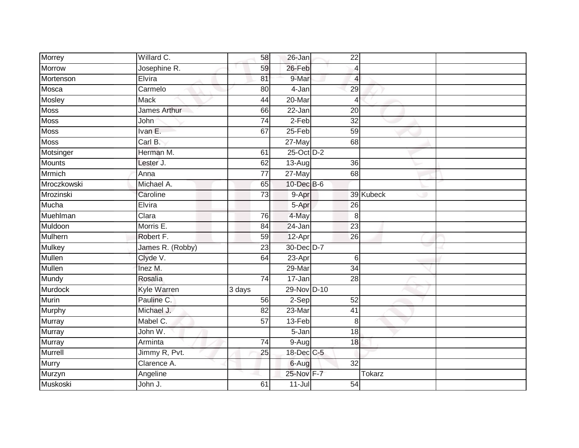| Morrey         | Willard C.          | 58                  | 26-Jan      | 22              |               |  |
|----------------|---------------------|---------------------|-------------|-----------------|---------------|--|
| Morrow         | Josephine R.        | 59                  | 26-Feb      | $\overline{4}$  |               |  |
| Mortenson      | Elvira              | 81                  | 9-Mar       | 4               |               |  |
| Mosca          | Carmelo             | 80                  | 4-Jan       | 29              |               |  |
| Mosley         | <b>Mack</b>         | 44                  | $20$ -Mar   | $\overline{4}$  |               |  |
| <b>Moss</b>    | <b>James Arthur</b> | 66                  | 22-Jan      | 20              |               |  |
| <b>Moss</b>    | John                | $\overline{74}$     | $2-Feb$     | $\overline{32}$ |               |  |
| <b>Moss</b>    | Ivan E.             | 67                  | $25-Feb$    | 59              |               |  |
| <b>Moss</b>    | Carl B.             |                     | $27$ -May   | 68              |               |  |
| Motsinger      | Herman M.           | 61                  | 25-Oct D-2  |                 |               |  |
| <b>Mounts</b>  | Lester J.           | 62                  | 13-Aug      | 36              |               |  |
| Mrmich         | Anna                | 77                  | 27-May      | 68              |               |  |
| Mroczkowski    | Michael A.          | 65                  | 10-Dec B-6  |                 |               |  |
| Mrozinski      | Caroline            | 73                  | 9-Apr       |                 | 39 Kubeck     |  |
| Mucha          | Elvira              |                     | 5-Apr       | 26              |               |  |
| Muehlman       | Clara               | 76                  | 4-May       | 8               |               |  |
| Muldoon        | Morris E.           | $\overline{84}$     | 24-Jan      | $\overline{23}$ |               |  |
| <b>Mulhern</b> | Robert F.           | 59                  | 12-Apr      | 26              |               |  |
| <b>Mulkey</b>  | James R. (Robby)    | $\overline{23}$     | 30-Dec D-7  |                 |               |  |
| <b>Mullen</b>  | Clyde V.            | 64                  | $23-Apr$    | 6               |               |  |
| <b>Mullen</b>  | Inez M.             |                     | $29-Mar$    | $\overline{34}$ |               |  |
| Mundy          | Rosalia             | 74                  | 17-Jan      | 28              |               |  |
| <b>Murdock</b> | Kyle Warren         | $\overline{3}$ days | 29-Nov D-10 |                 |               |  |
| Murin          | Pauline C.          | 56                  | 2-Sep       | 52              |               |  |
| Murphy         | Michael J.          | 82                  | 23-Mar      | 41              |               |  |
| Murray         | Mabel C.            | 57                  | 13-Feb      | 8               |               |  |
| <b>Murray</b>  | John W.             |                     | $5 - Jan$   | 18              |               |  |
| Murray         | Arminta             | 74                  | $9 - Aug$   | 18              |               |  |
| <b>Murrell</b> | Jimmy R, Pvt.       | 25                  | 18-Dec C-5  |                 |               |  |
| Murry          | Clarence A.         |                     | 6-Aug       | $\overline{32}$ |               |  |
| Murzyn         | Angeline            |                     | 25-Nov F-7  |                 | <b>Tokarz</b> |  |
| Muskoski       | John J.             | 61                  | $11 -$ Jul  | $\overline{54}$ |               |  |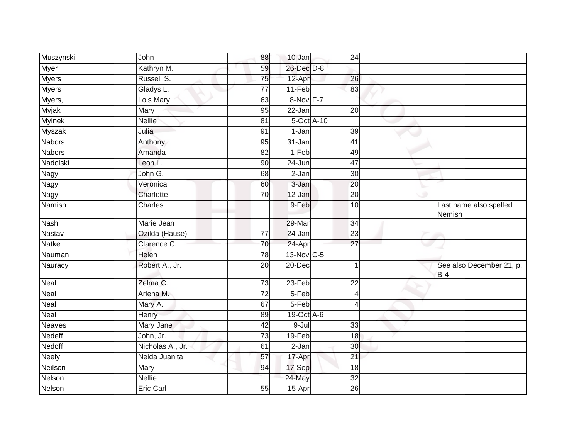| Muszynski     | John             | 88              | 10-Jan       | 24              |                                   |
|---------------|------------------|-----------------|--------------|-----------------|-----------------------------------|
| Myer          | Kathryn M.       | 59              | 26-Dec D-8   |                 |                                   |
| <b>Myers</b>  | Russell S.       | 75              | 12-Apr       | 26              |                                   |
| <b>Myers</b>  | Gladys L.        | 77              | 11-Feb       | 83              |                                   |
| Myers,        | Lois Mary        | 63              | 8-Nov F-7    |                 |                                   |
| <b>Myjak</b>  | Mary             | 95              | 22-Jan       | $\overline{20}$ |                                   |
| <b>Mylnek</b> | <b>Nellie</b>    | 81              | 5-Oct A-10   |                 |                                   |
| <b>Myszak</b> | Julia            | 91              | 1-Jan        | 39              |                                   |
| <b>Nabors</b> | Anthony          | 95              | 31-Jan       | 41              |                                   |
| <b>Nabors</b> | Amanda           | 82              | $1-Feb$      | 49              |                                   |
| Nadolski      | Leon L.          | 90              | 24-Jun       | $\overline{47}$ |                                   |
| Nagy          | John G.          | 68              | $2-Jan$      | 30 <sup>°</sup> |                                   |
| Nagy          | Veronica         | 60              | 3-Jan        | 20              |                                   |
| Nagy          | Charlotte        | $\overline{70}$ | 12-Jan       | $\overline{20}$ |                                   |
| Namish        | Charles          |                 | 9-Feb        | $\overline{10}$ | Last name also spelled<br>Nemish  |
| Nash          | Marie Jean       |                 | 29-Mar       | 34              |                                   |
| Nastav        | Ozilda (Hause)   | $\overline{77}$ | 24-Jan       | $\overline{23}$ |                                   |
| <b>Natke</b>  | Clarence C.      | 70              | 24-Apr       | $\overline{27}$ |                                   |
| Nauman        | Helen            | 78              | $13-Nov$ C-5 |                 |                                   |
| Nauracy       | Robert A., Jr.   | $\overline{20}$ | 20-Dec       | -1              | See also December 21, p.<br>$B-4$ |
| Neal          | Zelma C.         | 73              | 23-Feb       | 22              |                                   |
| Neal          | Arlena M.        | $\overline{72}$ | 5-Feb        | $\overline{4}$  |                                   |
| Neal          | Mary A.          | 67              | $5-Feb$      | 4               |                                   |
| Neal          | Henry            | 89              | 19-Oct A-6   |                 |                                   |
| <b>Neaves</b> | Mary Jane        | 42              | $9 -$ Jul    | 33              |                                   |
| Nedeff        | John, Jr.        | 73              | 19-Feb       | 18              |                                   |
| Nedoff        | Nicholas A., Jr. | 61              | 2-Jan        | 30              |                                   |
| Neely         | Nelda Juanita    | 57              | 17-Apr       | 21              |                                   |
| Neilson       | Mary             | 94              | 17-Sep       | 18              |                                   |
| <b>Nelson</b> | <b>Nellie</b>    |                 | 24-May       | $\overline{32}$ |                                   |
| Nelson        | Eric Carl        | 55              | 15-Apr       | 26              |                                   |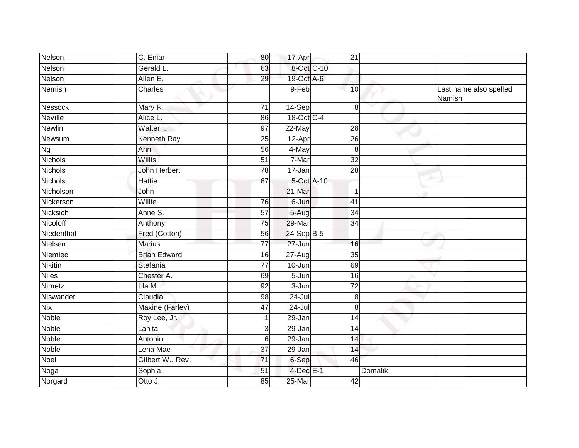| Nelson         | C. Eniar            | 80              | 17-Apr     | 21              |         |                                  |
|----------------|---------------------|-----------------|------------|-----------------|---------|----------------------------------|
| Nelson         | Gerald L.           | 63              | 8-Oct C-10 |                 |         |                                  |
| Nelson         | Allen E.            | 29              | 19-Oct A-6 |                 |         |                                  |
| Nemish         | Charles             |                 | 9-Feb      | 10              |         | Last name also spelled<br>Namish |
| Nessock        | Mary R.             | 71              | 14-Sep     | 8               |         |                                  |
| <b>Neville</b> | Alice <sub>L.</sub> | 86              | 18-Oct C-4 |                 |         |                                  |
| <b>Newlin</b>  | Walter I.           | 97              | 22-May     | 28              |         |                                  |
| Newsum         | Kenneth Ray         | $\overline{25}$ | 12-Apr     | $\overline{26}$ |         |                                  |
| <b>Ng</b>      | Ann                 | 56              | 4-May      | $\,8\,$         |         |                                  |
| <b>Nichols</b> | <b>Willis</b>       | 51              | 7-Mar      | $\overline{32}$ |         |                                  |
| <b>Nichols</b> | John Herbert        | 78              | 17-Jan     | 28              |         |                                  |
| <b>Nichols</b> | Hattie              | 67              | 5-Oct A-10 |                 |         |                                  |
| Nicholson      | John                |                 | 21-Mar     | $\mathbf 1$     |         |                                  |
| Nickerson      | Willie              | 76              | 6-Jun      | 41              |         |                                  |
| Nicksich       | Anne S.             | 57              | 5-Aug      | 34              |         |                                  |
| Nicoloff       | Anthony             | 75              | 29-Mar     | 34              |         |                                  |
| Niedenthal     | Fred (Cotton)       | 56              | 24-Sep B-5 |                 |         |                                  |
| Nielsen        | Marius              | 77              | 27-Jun     | 16              |         |                                  |
| Niemiec        | <b>Brian Edward</b> | 16              | 27-Aug     | 35              |         |                                  |
| <b>Nikitin</b> | Stefania            | $\overline{77}$ | 10-Jun     | 69              |         |                                  |
| <b>Niles</b>   | Chester A.          | 69              | 5-Jun      | 16              |         |                                  |
| Nimetz         | Ida M.              | 92              | $3 - Jun$  | $\overline{72}$ |         |                                  |
| Niswander      | Claudia             | 98              | 24-Jul     | 8               |         |                                  |
| <b>Nix</b>     | Maxine (Farley)     | 47              | $24 -$ Jul | 8               |         |                                  |
| <b>Noble</b>   | Roy Lee, Jr.        |                 | 29-Jan     | 14              |         |                                  |
| <b>Noble</b>   | Lanita              | 3               | 29-Jan     | 14              |         |                                  |
| <b>Noble</b>   | Antonio             | 6               | 29-Jan     | 14              |         |                                  |
| Noble          | Lena Mae            | 37              | 29-Jan     | 14              |         |                                  |
| Noel           | Gilbert W., Rev.    | $\overline{71}$ | 6-Sep      | 46              |         |                                  |
| Noga           | Sophia              | 51              | 4-Dec E-1  |                 | Domalik |                                  |
| Norgard        | Otto J.             | 85              | 25-Mar     | 42              |         |                                  |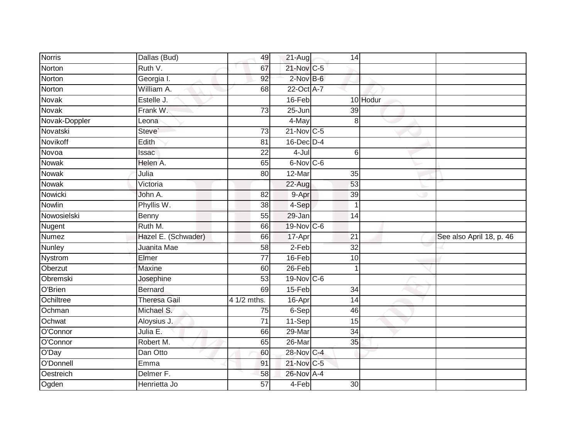| <b>Norris</b> | Dallas (Bud)         | 49              | 21-Aug        | 14              |          |                          |
|---------------|----------------------|-----------------|---------------|-----------------|----------|--------------------------|
| Norton        | Ruth V.              | 67              | 21-Nov C-5    |                 |          |                          |
| Norton        | Georgia I.           | 92              | 2-Nov B-6     |                 |          |                          |
| Norton        | William A.           | 68              | 22-Oct A-7    |                 |          |                          |
| <b>Novak</b>  | Estelle J.           |                 | $16$ -Feb     |                 | 10 Hodur |                          |
| Novak         | Frank W.             | $\overline{73}$ | $25 - Jun$    | $\overline{39}$ |          |                          |
| Novak-Doppler | Leona                |                 | 4-May         | 8               |          |                          |
| Novatski      | Steve`               | 73              | $21$ -Nov C-5 |                 |          |                          |
| Novikoff      | Edith                | 81              | 16-Dec D-4    |                 |          |                          |
| Novoa         | Issac                | 22              | $4 -$ Jul     | 6               |          |                          |
| Nowak         | Helen A.             | 65              | 6-Nov C-6     |                 |          |                          |
| Nowak         | Julia                | 80              | 12-Mar        | 35              |          |                          |
| Nowak         | Victoria             |                 | 22-Aug        | 53              |          |                          |
| Nowicki       | John A.              | 82              | 9-Apr         | 39              |          |                          |
| Nowlin        | Phyllis W.           | $\overline{38}$ | 4-Sep         | $\overline{1}$  |          |                          |
| Nowosielski   | Benny                | 55              | 29-Jan        | 14              |          |                          |
| Nugent        | Ruth M.              | 66              | 19-Nov C-6    |                 |          |                          |
| <b>Numez</b>  | Hazel E. (Schwader)  | 66              | 17-Apr        | 21              |          | See also April 18, p. 46 |
| Nunley        | Juanita Mae          | 58              | 2-Feb         | $\overline{32}$ |          |                          |
| Nystrom       | Elmer                | $\overline{77}$ | 16-Feb        | 10              |          |                          |
| Oberzut       | Maxine               | 60              | $26$ -Feb     | 1               |          |                          |
| Obremski      | Josephine            | $\overline{53}$ | 19-Nov C-6    |                 |          |                          |
| O'Brien       | <b>Bernard</b>       | 69              | 15-Feb        | 34              |          |                          |
| Ochiltree     | <b>Theresa Gail</b>  | 4 1/2 mths.     | 16-Apr        | $\overline{14}$ |          |                          |
| Ochman        | Michael S.           | 75              | 6-Sep         | 46              |          |                          |
| Ochwat        | Aloysius J.          | 71              | 11-Sep        | 15              |          |                          |
| O'Connor      | Julia E.             | 66              | 29-Mar        | $\overline{34}$ |          |                          |
| O'Connor      | Robert M.            | 65              | 26-Mar        | 35              |          |                          |
| O'Day         | Dan Otto             | 60              | 28-Nov C-4    |                 |          |                          |
| O'Donnell     | Emma                 | 91              | 21-Nov C-5    |                 |          |                          |
| Oestreich     | Delmer <sub>F.</sub> | 58              | 26-Nov A-4    |                 |          |                          |
| Ogden         | Henrietta Jo         | 57              | 4-Feb         | $\overline{30}$ |          |                          |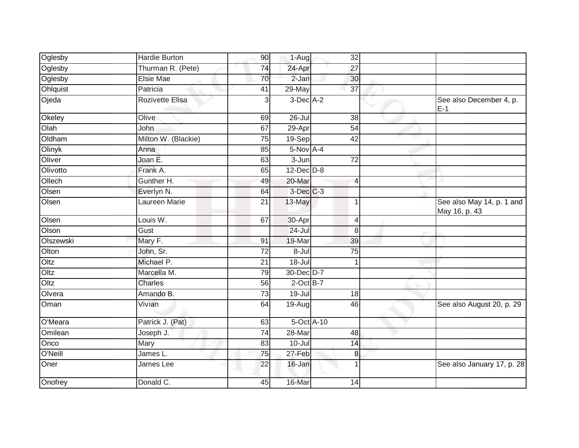| Oglesby   | Hardie Burton       | 90              | 1-Aug               | 32              |                                            |
|-----------|---------------------|-----------------|---------------------|-----------------|--------------------------------------------|
| Oglesby   | Thurman R. (Pete)   | 74              | 24-Apr              | 27              |                                            |
| Oglesby   | Elsie Mae           | 70              | 2-Jan               | 30              |                                            |
| Ohlquist  | Patricia            | 41              | 29-May              | $\overline{37}$ |                                            |
| Ojeda     | Rozivette Elisa     | 3               | $3$ -Dec $A-2$      |                 | See also December 4, p.<br>$E-1$           |
| Okeley    | Olive               | 69              | $26 -$ Jul          | 38              |                                            |
| Olah      | John                | 67              | 29-Apr              | 54              |                                            |
| Oldham    | Milton W. (Blackie) | 75              | 19-Sep              | 42              |                                            |
| Olinyk    | Anna                | 85              | $5-Nov$ A-4         |                 |                                            |
| Oliver    | Joan E.             | 63              | $\overline{3}$ -Jun | $\overline{72}$ |                                            |
| Olivotto  | Frank A.            | 65              | $12$ -Dec $D-8$     |                 |                                            |
| Ollech    | Gunther H.          | 49              | 20-Mar              | $\overline{4}$  |                                            |
| Olsen     | Everlyn N.          | 64              | 3-Dec C-3           |                 |                                            |
| Olsen     | Laureen Marie       | 21              | 13-May              | 1               | See also May 14, p. 1 and<br>May 16, p. 43 |
| Olsen     | Louis W.            | 67              | 30-Apr              | 4               |                                            |
| Olson     | Gust                |                 | 24-Jul              | 8               |                                            |
| Olszewski | Mary F.             | 91              | 19-Mar              | 39              |                                            |
| Olton     | John, Sr.           | $\overline{72}$ | $8 -$ Jul           | $\overline{75}$ |                                            |
| Oltz      | Michael P.          | 21              | $18 -$ Jul          | 1               |                                            |
| Oltz      | Marcella M.         | 79              | 30-Dec D-7          |                 |                                            |
| Oltz      | Charles             | 56              | $2$ -Oct B-7        |                 |                                            |
| Olvera    | Amando B.           | 73              | $19 -$ Jul          | 18              |                                            |
| Oman      | Vivian              | 64              | 19-Aug              | 46              | See also August 20, p. 29                  |
| O'Meara   | Patrick J. (Pat)    | 63              | 5-Oct A-10          |                 |                                            |
| Omilean   | Joseph J.           | $\overline{74}$ | 28-Mar              | 48              |                                            |
| Onco      | Mary                | 83              | $10 -$ Jul          | 14              |                                            |
| O'Neill   | James L.            | 75              | 27-Feb              | 8               |                                            |
| Oner      | James Lee           | $\overline{22}$ | $16$ -Jan           |                 | See also January 17, p. 28                 |
| Onofrey   | Donald C.           | 45              | 16-Mar              | 14              |                                            |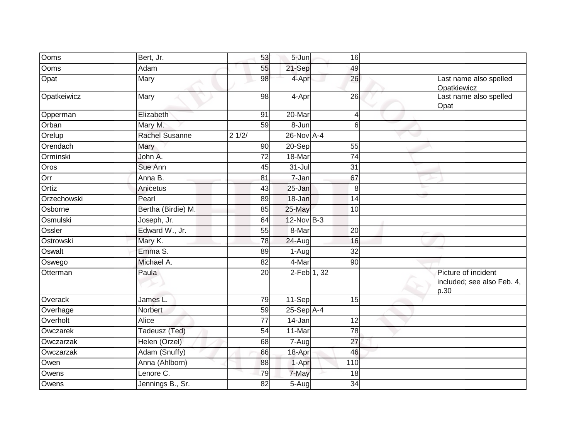| Ooms        | Bert, Jr.             | 53              | 5-Jun           | 16                |                                                           |
|-------------|-----------------------|-----------------|-----------------|-------------------|-----------------------------------------------------------|
| Ooms        | Adam                  | 55              | 21-Sep          | 49                |                                                           |
| Opat        | Mary                  | 98              | 4-Apr           | 26                | Last name also spelled<br>Opatkiewicz                     |
| Opatkeiwicz | Mary                  | 98              | 4-Apr           | 26                | Last name also spelled<br>Opat                            |
| Opperman    | Elizabeth             | 91              | 20-Mar          | 4                 |                                                           |
| Orban       | Mary M.               | 59              | 8-Jun           | 6                 |                                                           |
| Orelup      | <b>Rachel Susanne</b> | 21/2/           | $26$ -Nov $A-4$ |                   |                                                           |
| Orendach    | Mary                  | 90              | 20-Sep          | 55                |                                                           |
| Orminski    | John A.               | 72              | 18-Mar          | 74                |                                                           |
| Oros        | Sue Ann               | 45              | $31 -$ Jul      | $\overline{31}$   |                                                           |
| Orr         | Anna B.               | 81              | 7-Jan           | 67                |                                                           |
| Ortiz       | Anicetus              | 43              | 25-Jan          | $\,8\,$           |                                                           |
| Orzechowski | Pearl                 | 89              | 18-Jan          | 14                |                                                           |
| Osborne     | Bertha (Birdie) M.    | 85              | 25-May          | 10                |                                                           |
| Osmulski    | Joseph, Jr.           | 64              | $12$ -Nov $B-3$ |                   |                                                           |
| Ossler      | Edward W., Jr.        | 55              | 8-Mar           | $\overline{20}$   |                                                           |
| Ostrowski   | Mary K.               | 78              | 24-Aug          | 16                |                                                           |
| Oswalt      | Emma S.               | 89              | 1-Aug           | $\overline{32}$   |                                                           |
| Oswego      | Michael A.            | 82              | 4-Mar           | 90                |                                                           |
| Otterman    | Paula                 | 20              | 2-Feb 1, 32     |                   | Picture of incident<br>included; see also Feb. 4,<br>p.30 |
| Overack     | James L.              | 79              | 11-Sep          | 15                |                                                           |
| Overhage    | Norbert               | 59              | $25-Sep$ A-4    |                   |                                                           |
| Overholt    | Alice                 | $\overline{77}$ | 14-Jan          | $\overline{12}$   |                                                           |
| Owczarek    | Tadeusz (Ted)         | 54              | 11-Mar          | 78                |                                                           |
| Owczarzak   | Helen (Orzel)         | 68              | 7-Aug           | 27                |                                                           |
| Owczarzak   | Adam (Snuffy)         | 66              | 18-Apr          | 46                |                                                           |
| Owen        | Anna (Ahlborn)        | 88              | 1-Apr           | $\frac{110}{110}$ |                                                           |
| Owens       | Lenore C.             | 79              | 7-May           | 18                |                                                           |
| Owens       | Jennings B., Sr.      | 82              | $5-Aug$         | 34                |                                                           |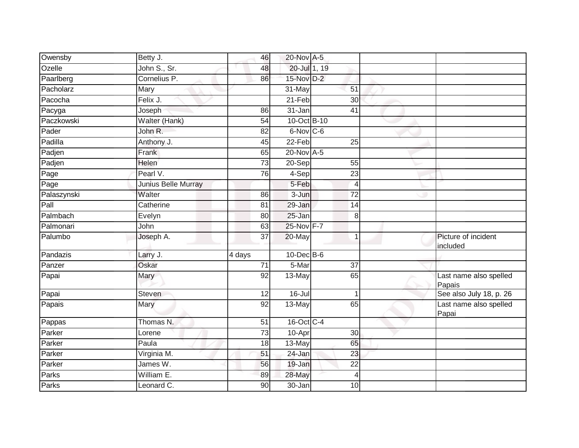| Owensby     | Betty J.            | 46              | 20-Nov A-5       |                 |                                  |
|-------------|---------------------|-----------------|------------------|-----------------|----------------------------------|
| Ozelle      | John S., Sr.        | 48              | 20-Jul 1, 19     |                 |                                  |
| Paarlberg   | Cornelius P.        | 86              | 15-Nov D-2       |                 |                                  |
| Pacholarz   | Mary                |                 | 31-May           | 51              |                                  |
| Pacocha     | Felix J.            |                 | $21-Feb$         | $\overline{30}$ |                                  |
| Pacyga      | Joseph              | 86              | 31-Jan           | 41              |                                  |
| Paczkowski  | Walter (Hank)       | 54              | 10-Oct B-10      |                 |                                  |
| Pader       | John R.             | 82              | 6-Nov C-6        |                 |                                  |
| Padilla     | Anthony J.          | 45              | $22-Feb$         | 25              |                                  |
| Padjen      | Frank               | 65              | 20-Nov A-5       |                 |                                  |
| Padjen      | <b>Helen</b>        | 73              | 20-Sep           | 55              |                                  |
| Page        | Pearl V.            | 76              | $4-Sep$          | 23              |                                  |
| Page        | Junius Belle Murray |                 | 5-Feb            | $\overline{4}$  |                                  |
| Palaszynski | Walter              | 86              | 3-Jun            | $\overline{72}$ |                                  |
| Pall        | Catherine           | $\overline{81}$ | 29-Jan           | 14              |                                  |
| Palmbach    | Evelyn              | 80              | 25-Jan           | 8               |                                  |
| Palmonari   | John                | 63              | 25-Nov F-7       |                 |                                  |
| Palumbo     | Joseph A.           | 37              | 20-May           | $\overline{1}$  | Picture of incident<br>included  |
| Pandazis    | Larry J.            | 4 days          | $10$ -Dec $B$ -6 |                 |                                  |
| Panzer      | Oskar               | $\overline{71}$ | 5-Mar            | $\overline{37}$ |                                  |
| Papai       | Mary                | 92              | 13-May           | 65              | Last name also spelled<br>Papais |
| Papai       | <b>Steven</b>       | 12              | 16-Jul           |                 | See also July 18, p. 26          |
| Papais      | Mary                | 92              | 13-May           | 65              | Last name also spelled<br>Papai  |
| Pappas      | Thomas N.           | 51              | 16-Oct C-4       |                 |                                  |
| Parker      | Lorene              | $\overline{73}$ | 10-Apr           | 30              |                                  |
| Parker      | Paula               | 18              | 13-May           | 65              |                                  |
| Parker      | Virginia M.         | 51              | 24-Jan           | 23              |                                  |
| Parker      | James W.            | 56              | 19-Jan           | $\overline{22}$ |                                  |
| Parks       | William E.          | 89              | 28-May           | $\overline{4}$  |                                  |
| Parks       | Leonard C.          | $\overline{90}$ | $30 - Jan$       | 10              |                                  |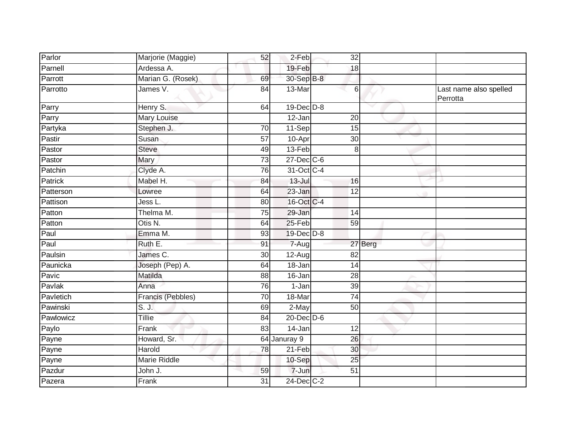| Parlor    | Marjorie (Maggie) | 52              | 2-Feb            | 32              |         |                                    |
|-----------|-------------------|-----------------|------------------|-----------------|---------|------------------------------------|
| Parnell   | Ardessa A.        |                 | 19-Feb           | 18              |         |                                    |
| Parrott   | Marian G. (Rosek) | 69              | 30-Sep B-8       |                 |         |                                    |
| Parrotto  | James V.          | 84              | 13-Mar           | $6 \,$          |         | Last name also spelled<br>Perrotta |
| Parry     | Henry S.          | 64              | $19$ -Dec $D$ -8 |                 |         |                                    |
| Parry     | Mary Louise       |                 | 12-Jan           | 20              |         |                                    |
| Partyka   | Stephen J.        | 70              | 11-Sep           | 15              |         |                                    |
| Pastir    | Susan             | 57              | 10-Apr           | $\overline{30}$ |         |                                    |
| Pastor    | <b>Steve</b>      | 49              | 13-Feb           | 8               |         |                                    |
| Pastor    | <b>Mary</b>       | 73              | $27$ -Dec $C$ -6 |                 |         |                                    |
| Patchin   | Clyde A.          | $\overline{76}$ | 31-Oct C-4       |                 |         |                                    |
| Patrick   | Mabel H.          | 84              | $13 -$ Jul       | 16              |         |                                    |
| Patterson | Lowree            | 64              | 23-Jan           | $\overline{12}$ |         |                                    |
| Pattison  | Jess L.           | 80              | 16-Oct C-4       |                 |         |                                    |
| Patton    | Thelma M.         | $\overline{75}$ | 29-Jan           | $\overline{14}$ |         |                                    |
| Patton    | Otis N.           | 64              | 25-Feb           | 59              |         |                                    |
| Paul      | Emma M.           | 93              | 19-Dec D-8       |                 |         |                                    |
| Paul      | Ruth E.           | 91              | $7 - Aug$        |                 | 27 Berg |                                    |
| Paulsin   | James C.          | 30              | 12-Aug           | 82              |         |                                    |
| Paunicka  | Joseph (Pep) A.   | 64              | 18-Jan           | $\overline{14}$ |         |                                    |
| Pavic     | Matilda           | 88              | 16-Jan           | 28              |         |                                    |
| Pavlak    | Anna              | 76              | 1-Jan            | 39              |         |                                    |
| Pavletich | Francis (Pebbles) | $\overline{70}$ | 18-Mar           | $\overline{74}$ |         |                                    |
| Pawinski  | S. J.             | 69              | 2-May            | 50              |         |                                    |
| Pawlowicz | Tillie            | 84              | $20$ -Dec $D-6$  |                 |         |                                    |
| Paylo     | Frank             | 83              | $14 - Jan$       | 12              |         |                                    |
| Payne     | Howard, Sr.       |                 | 64 Januray 9     | 26              |         |                                    |
| Payne     | Harold            | 78              | 21-Feb           | 30              |         |                                    |
| Payne     | Marie Riddle      |                 | 10-Sep           | $\overline{25}$ |         |                                    |
| Pazdur    | John J.           | 59              | 7-Jun            | 51              |         |                                    |
| Pazera    | Frank             | 31              | 24-Dec C-2       |                 |         |                                    |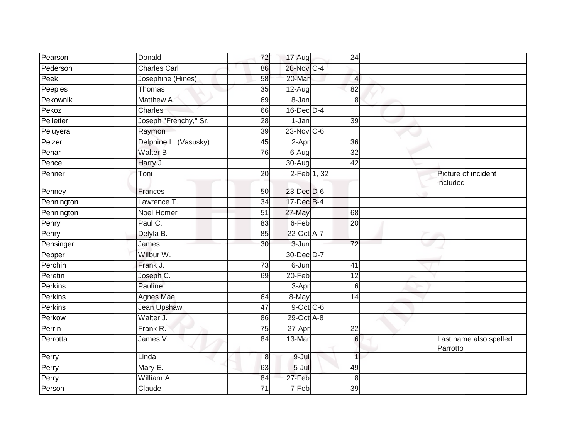| Pearson    | Donald                | 72              | 17-Aug               | 24              |                                    |
|------------|-----------------------|-----------------|----------------------|-----------------|------------------------------------|
| Pederson   | <b>Charles Carl</b>   | 86              | 28-Nov C-4           |                 |                                    |
| Peek       | Josephine (Hines)     | 58              | 20-Mar               | $\overline{4}$  |                                    |
| Peeples    | Thomas                | 35              | 12-Aug               | 82              |                                    |
| Pekownik   | Matthew A.            | 69              | $8 - Jan$            | 8               |                                    |
| Pekoz      | Charles               | 66              | $16$ -Dec $D-4$      |                 |                                    |
| Pelletier  | Joseph "Frenchy," Sr. | 28              | 1-Jan                | 39              |                                    |
| Peluyera   | Raymon                | $\overline{39}$ | $23$ -Nov $ C-6 $    |                 |                                    |
| Pelzer     | Delphine L. (Vasusky) | 45              | 2-Apr                | 36              |                                    |
| Penar      | Walter B.             | 76              | 6-Aug                | $\overline{32}$ |                                    |
| Pence      | Harry J.              |                 | $\overline{30}$ -Aug | $\overline{42}$ |                                    |
| Penner     | Toni                  | 20              | 2-Feb 1, 32          |                 | Picture of incident<br>included    |
| Penney     | <b>Frances</b>        | 50              | 23-Dec D-6           |                 |                                    |
| Pennington | Lawrence T.           | $\overline{34}$ | 17-Dec B-4           |                 |                                    |
| Pennington | <b>Noel Homer</b>     | 51              | 27-May               | 68              |                                    |
| Penry      | Paul C.               | 83              | 6-Feb                | 20              |                                    |
| Penry      | Delyla B.             | 85              | 22-Oct A-7           |                 |                                    |
| Pensinger  | James                 | 30              | 3-Jun                | $\overline{72}$ |                                    |
| Pepper     | Wilbur W.             |                 | 30-Dec D-7           |                 |                                    |
| Perchin    | Frank J.              | $\overline{73}$ | $6 - Jun$            | 41              |                                    |
| Peretin    | Joseph C.             | 69              | 20-Feb               | 12              |                                    |
| Perkins    | Pauline               |                 | 3-Apr                | $6\phantom{1}6$ |                                    |
| Perkins    | <b>Agnes Mae</b>      | 64              | 8-May                | 14              |                                    |
| Perkins    | <b>Jean Upshaw</b>    | 47              | $9$ -Oct C-6         |                 |                                    |
| Perkow     | Walter J.             | 86              | 29-Oct A-8           |                 |                                    |
| Perrin     | Frank R.              | 75              | 27-Apr               | $\overline{22}$ |                                    |
| Perrotta   | James V.              | 84              | 13-Mar               | $6\phantom{1}$  | Last name also spelled<br>Parrotto |
| Perry      | Linda                 | 8               | 9-Jul                | $\overline{1}$  |                                    |
| Perry      | Mary E.               | 63              | $5 -$ Jul            | 49              |                                    |
| Perry      | William A.            | 84              | 27-Feb               | 8               |                                    |
| Person     | Claude                | 71              | 7-Feb                | 39              |                                    |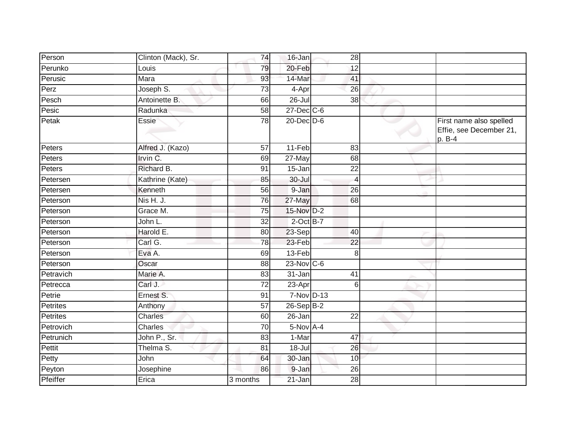| Person          | Clinton (Mack), Sr. | 74              | 16-Jan           | 28              |                                                              |
|-----------------|---------------------|-----------------|------------------|-----------------|--------------------------------------------------------------|
| Perunko         | Louis               | 79              | 20-Feb           | 12              |                                                              |
| Perusic         | Mara                | 93              | 14-Mar           | 41              |                                                              |
| Perz            | Joseph S.           | 73              | 4-Apr            | 26              |                                                              |
| Pesch           | Antoinette B.       | 66              | $26 -$ Jul       | $\overline{38}$ |                                                              |
| Pesic           | Radunka             | 58              | 27-Dec C-6       |                 |                                                              |
| Petak           | Essie               | 78              | $20$ -Dec $D$ -6 |                 | First name also spelled<br>Effie, see December 21,<br>p. B-4 |
| Peters          | Alfred J. (Kazo)    | 57              | 11-Feb           | 83              |                                                              |
| Peters          | Irvin C.            | 69              | $27$ -May        | 68              |                                                              |
| Peters          | Richard B.          | 91              | 15-Jan           | 22              |                                                              |
| Petersen        | Kathrine (Kate)     | 85              | $30 -$ Jul       | $\overline{4}$  |                                                              |
| Petersen        | Kenneth             | 56              | 9-Jan            | 26              |                                                              |
| Peterson        | Nis H. J.           | 76              | 27-May           | 68              |                                                              |
| Peterson        | Grace M.            | 75              | 15-Nov D-2       |                 |                                                              |
| Peterson        | John L.             | 32              | $2$ -Oct B-7     |                 |                                                              |
| Peterson        | Harold E.           | 80              | 23-Sep           | 40              |                                                              |
| Peterson        | Carl G.             | 78              | 23-Feb           | $\overline{22}$ |                                                              |
| Peterson        | Eva A.              | 69              | 13-Feb           | 8               |                                                              |
| Peterson        | Oscar               | 88              | $23$ -Nov C-6    |                 |                                                              |
| Petravich       | Marie A.            | 83              | 31-Jan           | 41              |                                                              |
| Petrecca        | Carl J.             | $\overline{72}$ | 23-Apr           | 6               |                                                              |
| Petrie          | Ernest S.           | 91              | 7-Nov D-13       |                 |                                                              |
| Petrites        | Anthony             | $\overline{57}$ | $26-Sep$ B-2     |                 |                                                              |
| <b>Petrites</b> | Charles             | 60              | 26-Jan           | 22              |                                                              |
| Petrovich       | Charles             | 70              | 5-Nov A-4        |                 |                                                              |
| Petrunich       | John P., Sr.        | 83              | 1-Mar            | 47              |                                                              |
| Pettit          | Thelma S.           | 81              | $18 -$ Jul       | 26              |                                                              |
| Petty           | John                | 64              | 30-Jan           | 10              |                                                              |
| Peyton          | Josephine           | 86              | 9-Jan            | 26              |                                                              |
| Pfeiffer        | Erica               | 3 months        | 21-Jan           | 28              |                                                              |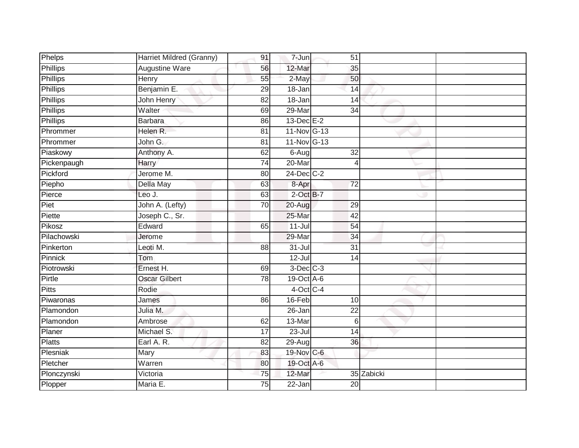| Phelps          | Harriet Mildred (Granny) | 91              | 7-Jun                 | 51              |            |  |
|-----------------|--------------------------|-----------------|-----------------------|-----------------|------------|--|
| <b>Phillips</b> | <b>Augustine Ware</b>    | 56              | 12-Mar                | 35              |            |  |
| Phillips        | <b>Henry</b>             | 55              | 2-May                 | 50              |            |  |
| Phillips        | Benjamin E.              | 29              | 18-Jan                | 14              |            |  |
| <b>Phillips</b> | John Henry               | $\overline{82}$ | $18 - Jan$            | $\overline{14}$ |            |  |
| <b>Phillips</b> | Walter                   | 69              | 29-Mar                | 34              |            |  |
| Phillips        | <b>Barbara</b>           | 86              | $13$ -Dec $E-2$       |                 |            |  |
| Phrommer        | Helen R.                 | 81              | 11-Nov G-13           |                 |            |  |
| Phrommer        | John G.                  | 81              | 11-Nov G-13           |                 |            |  |
| Piaskowy        | Anthony A.               | 62              | $6 - \overline{A}$ ug | 32              |            |  |
| Pickenpaugh     | Harry                    | 74              | 20-Mar                | $\overline{4}$  |            |  |
| Pickford        | Jerome M.                | 80              | $24$ -Dec $C-2$       |                 |            |  |
| Piepho          | Della May                | 63              | 8-Apr                 | $\overline{72}$ |            |  |
| Pierce          | Leo J.                   | 63              | $2$ -Oct $B-7$        |                 |            |  |
| Piet            | John A. (Lefty)          | $\overline{70}$ | 20-Aug                | 29              |            |  |
| Piette          | Joseph C., Sr.           |                 | 25-Mar                | 42              |            |  |
| Pikosz          | Edward                   | 65              | $11 -$ Jul            | 54              |            |  |
| Pilachowski     | Jerome                   |                 | 29-Mar                | 34              |            |  |
| Pinkerton       | Leoti M.                 | 88              | $31 -$ Jul            | 31              |            |  |
| Pinnick         | Tom                      |                 | $12 -$ Jul            | $\overline{14}$ |            |  |
| Piotrowski      | Ernest H.                | 69              | $3$ -Dec $C-3$        |                 |            |  |
| Pirtle          | <b>Oscar Gilbert</b>     | 78              | 19-Oct A-6            |                 |            |  |
| <b>Pitts</b>    | Rodie                    |                 | 4-Oct C-4             |                 |            |  |
| Piwaronas       | James                    | 86              | $16$ -Feb             | 10              |            |  |
| Plamondon       | Julia M.                 |                 | 26-Jan                | 22              |            |  |
| Plamondon       | Ambrose                  | 62              | 13-Mar                | 6               |            |  |
| Planer          | Michael S.               | $\overline{17}$ | $23 -$ Jul            | 14              |            |  |
| Platts          | Earl A. R.               | 82              | 29-Aug                | 36              |            |  |
| Plesniak        | Mary                     | 83              | 19-Nov C-6            |                 |            |  |
| Pletcher        | Warren                   | 80              | 19-Oct A-6            |                 |            |  |
| Plonczynski     | Victoria                 | 75              | 12-Mar                |                 | 35 Zabicki |  |
| Plopper         | Maria E.                 | $\overline{75}$ | 22-Jan                | $\overline{20}$ |            |  |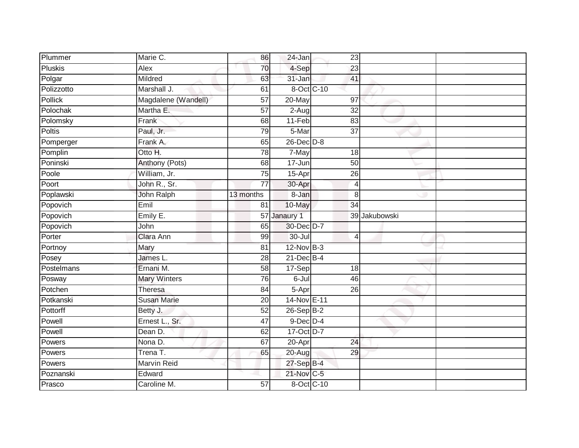| Plummer        | Marie C.            | 86              | 24-Jan          | 23              |               |  |
|----------------|---------------------|-----------------|-----------------|-----------------|---------------|--|
| <b>Pluskis</b> | Alex                | 70              | 4-Sep           | 23              |               |  |
| Polgar         | Mildred             | 63              | 31-Jan          | 41              |               |  |
| Polizzotto     | Marshall J.         | 61              | 8-Oct C-10      |                 |               |  |
| <b>Pollick</b> | Magdalene (Wandell) | 57              | $20$ -May       | 97              |               |  |
| Polochak       | Martha E.           | 57              | 2-Aug           | $\overline{32}$ |               |  |
| Polomsky       | Frank               | 68              | 11-Feb          | 83              |               |  |
| <b>Poltis</b>  | Paul, Jr.           | 79              | 5-Mar           | $\overline{37}$ |               |  |
| Pomperger      | Frank A.            | 65              | 26-Dec D-8      |                 |               |  |
| Pomplin        | Otto H.             | 78              | 7-May           | 18              |               |  |
| Poninski       | Anthony (Pots)      | 68              | 17-Jun          | 50              |               |  |
| Poole          | William, Jr.        | 75              | 15-Apr          | 26              |               |  |
| Poort          | John R., Sr.        | 77              | 30-Apr          | $\overline{4}$  |               |  |
| Poplawski      | John Ralph          | 13 months       | 8-Jan           | 8               |               |  |
| Popovich       | Emil                | 81              | 10-May          | 34              |               |  |
| Popovich       | Emily E.            | 57              | Janaury 1       |                 | 39 Jakubowski |  |
| Popovich       | John                | 65              | 30-Dec D-7      |                 |               |  |
| Porter         | Clara Ann           | 99              | $30 -$ Jul      | $\overline{4}$  |               |  |
| Portnoy        | Mary                | 81              | 12-Nov B-3      |                 |               |  |
| Posey          | James L.            | $\overline{28}$ | $21$ -Dec $B-4$ |                 |               |  |
| Postelmans     | Ernani M.           | 58              | 17-Sep          | 18              |               |  |
| Posway         | <b>Mary Winters</b> | 76              | 6-Jul           | 46              |               |  |
| Potchen        | Theresa             | 84              | 5-Apr           | 26              |               |  |
| Potkanski      | <b>Susan Marie</b>  | 20              | 14-Nov E-11     |                 |               |  |
| Pottorff       | Betty J.            | 52              | 26-Sep B-2      |                 |               |  |
| Powell         | Ernest L., Sr.      | 47              | $9$ -Dec $D$ -4 |                 |               |  |
| Powell         | Dean D.             | 62              | 17-Oct D-7      |                 |               |  |
| Powers         | Nona D.             | 67              | 20-Apr          | 24              |               |  |
| Powers         | Trena T.            | 65              | 20-Aug          | 29              |               |  |
| Powers         | <b>Marvin Reid</b>  |                 | 27-Sep B-4      |                 |               |  |
| Poznanski      | Edward              |                 | 21-Nov C-5      |                 |               |  |
| Prasco         | Caroline M.         | $\overline{57}$ | 8-Oct C-10      |                 |               |  |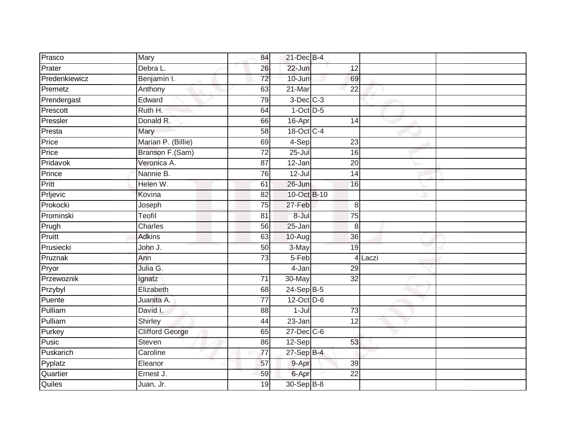|                        | 84              |            |                 |                                                                                                                                                                                   |                                                                                                                                                                                                 |
|------------------------|-----------------|------------|-----------------|-----------------------------------------------------------------------------------------------------------------------------------------------------------------------------------|-------------------------------------------------------------------------------------------------------------------------------------------------------------------------------------------------|
| Debra L.               | 26              | 22-Jun     |                 |                                                                                                                                                                                   |                                                                                                                                                                                                 |
| Benjamin I.            | $\overline{72}$ | 10-Jun     |                 |                                                                                                                                                                                   |                                                                                                                                                                                                 |
| Anthony                | 63              | 21-Mar     | 22              |                                                                                                                                                                                   |                                                                                                                                                                                                 |
| Edward                 | 79              |            |                 |                                                                                                                                                                                   |                                                                                                                                                                                                 |
| Ruth H.                | 64              |            |                 |                                                                                                                                                                                   |                                                                                                                                                                                                 |
| Donald R.              | 66              | 16-Apr     |                 |                                                                                                                                                                                   |                                                                                                                                                                                                 |
| Mary                   | 58              |            |                 |                                                                                                                                                                                   |                                                                                                                                                                                                 |
| Marian P. (Billie)     | 69              |            |                 |                                                                                                                                                                                   |                                                                                                                                                                                                 |
| Branson F.(Sam)        | $\overline{72}$ | $25 -$ Jul |                 |                                                                                                                                                                                   |                                                                                                                                                                                                 |
| Veronica A.            | 87              | 12-Jan     |                 |                                                                                                                                                                                   |                                                                                                                                                                                                 |
| Nannie B.              | 76              | $12 -$ Jul |                 |                                                                                                                                                                                   |                                                                                                                                                                                                 |
| Helen W.               | 61              | 26-Jun     |                 |                                                                                                                                                                                   |                                                                                                                                                                                                 |
| Kovina                 | 82              |            |                 |                                                                                                                                                                                   |                                                                                                                                                                                                 |
| Joseph                 | $\overline{75}$ | 27-Feb     |                 |                                                                                                                                                                                   |                                                                                                                                                                                                 |
| Teofil                 | 81              | 8-Jul      |                 |                                                                                                                                                                                   |                                                                                                                                                                                                 |
| Charles                | 56              | $25 - Jan$ |                 |                                                                                                                                                                                   |                                                                                                                                                                                                 |
| <b>Adkins</b>          | 63              | 10-Aug     |                 |                                                                                                                                                                                   |                                                                                                                                                                                                 |
| John J.                | 50              | 3-May      |                 |                                                                                                                                                                                   |                                                                                                                                                                                                 |
| Ann                    | $\overline{73}$ | $5-Feb$    |                 | Laczi                                                                                                                                                                             |                                                                                                                                                                                                 |
| Julia G.               |                 | 4-Jan      |                 |                                                                                                                                                                                   |                                                                                                                                                                                                 |
| Ignatz                 | $\overline{71}$ | 30-May     |                 |                                                                                                                                                                                   |                                                                                                                                                                                                 |
| Elizabeth              | 68              |            |                 |                                                                                                                                                                                   |                                                                                                                                                                                                 |
| Juanita A.             | $\overline{77}$ |            |                 |                                                                                                                                                                                   |                                                                                                                                                                                                 |
| David I.               | 88              | $1 -$ Jul  |                 |                                                                                                                                                                                   |                                                                                                                                                                                                 |
| Shirley                | 44              | $23 - Jan$ |                 |                                                                                                                                                                                   |                                                                                                                                                                                                 |
| <b>Clifford George</b> | 65              |            |                 |                                                                                                                                                                                   |                                                                                                                                                                                                 |
| <b>Steven</b>          | 86              |            |                 |                                                                                                                                                                                   |                                                                                                                                                                                                 |
| Caroline               | 77              |            |                 |                                                                                                                                                                                   |                                                                                                                                                                                                 |
| Eleanor                | 57              |            |                 |                                                                                                                                                                                   |                                                                                                                                                                                                 |
| Ernest J.              | 59              | 6-Apr      | $\overline{22}$ |                                                                                                                                                                                   |                                                                                                                                                                                                 |
| Juan, Jr.              | $\overline{19}$ |            |                 |                                                                                                                                                                                   |                                                                                                                                                                                                 |
|                        | Mary            |            |                 | 21-Dec B-4<br>$3$ -Dec $C-3$<br>$1$ -Oct $D-5$<br>18-Oct C-4<br>4-Sep<br>10-Oct B-10<br>$24-Sep$ B-5<br>12-Oct D-6<br>27-Dec C-6<br>12-Sep<br>$27-Sep$ B-4<br>9-Apr<br>30-Sep B-8 | 12<br>69<br>14<br>23<br>16<br>$\overline{20}$<br>$\overline{14}$<br>16<br>8<br>75<br>8<br>36<br>19<br>$\overline{4}$<br>29<br>$\overline{32}$<br>$\overline{73}$<br>$\overline{12}$<br>53<br>39 |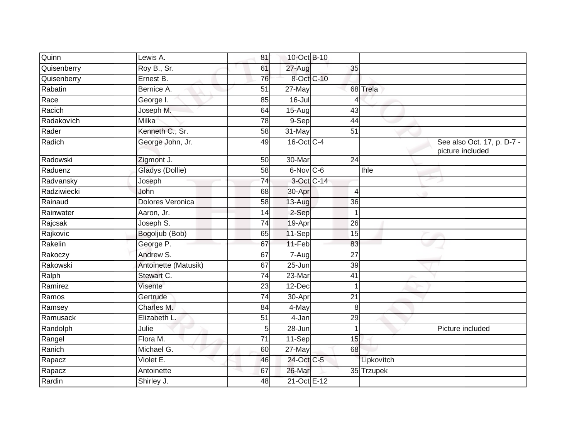| Quinn       | Lewis A.                | 81              | 10-Oct B-10      |                 |            |                                                |
|-------------|-------------------------|-----------------|------------------|-----------------|------------|------------------------------------------------|
| Quisenberry | Roy B., Sr.             | 61              | 27-Aug           | 35              |            |                                                |
| Quisenberry | Ernest B.               | 76              | 8-Oct C-10       |                 |            |                                                |
| Rabatin     | Bernice A.              | 51              | 27-May           |                 | 68 Trela   |                                                |
| Race        | George I.               | 85              | $16 -$ Jul       |                 |            |                                                |
| Racich      | Joseph M.               | 64              | 15-Aug           | $\overline{43}$ |            |                                                |
| Radakovich  | Milka                   | 78              | $9-Sep$          | 44              |            |                                                |
| Rader       | Kenneth C., Sr.         | 58              | 31-May           | 51              |            |                                                |
| Radich      | George John, Jr.        | 49              | 16-Oct C-4       |                 |            | See also Oct. 17, p. D-7 -<br>picture included |
| Radowski    | Zigmont J.              | 50              | 30-Mar           | $\overline{24}$ |            |                                                |
| Raduenz     | Gladys (Dollie)         | 58              | $6$ -Nov $ C$ -6 |                 | Ihle       |                                                |
| Radvansky   | Joseph                  | $\overline{74}$ | 3-Oct C-14       |                 |            |                                                |
| Radziwiecki | John                    | 68              | 30-Apr           | $\overline{4}$  |            |                                                |
| Rainaud     | <b>Dolores Veronica</b> | 58              | 13-Aug           | 36              |            |                                                |
| Rainwater   | Aaron, Jr.              | 14              | 2-Sep            | $\mathbf 1$     |            |                                                |
| Rajcsak     | Joseph S.               | 74              | 19-Apr           | 26              |            |                                                |
| Rajkovic    | Bogoljub (Bob)          | 65              | 11-Sep           | 15              |            |                                                |
| Rakelin     | George P.               | 67              | 11-Feb           | 83              |            |                                                |
| Rakoczy     | Andrew S.               | 67              | 7-Aug            | 27              |            |                                                |
| Rakowski    | Antoinette (Matusik)    | 67              | 25-Jun           | 39              |            |                                                |
| Ralph       | Stewart C.              | 74              | 23-Mar           | 41              |            |                                                |
| Ramirez     | Visente                 | 23              | 12-Dec           |                 |            |                                                |
| Ramos       | Gertrude                | 74              | 30-Apr           | 21              |            |                                                |
| Ramsey      | Charles M.              | 84              | 4-May            | 8               |            |                                                |
| Ramusack    | Elizabeth L             | 51              | 4-Jan            | $\overline{29}$ |            |                                                |
| Randolph    | Julie                   | 5               | 28-Jun           | 1               |            | Picture included                               |
| Rangel      | Flora M.                | $\overline{71}$ | 11-Sep           | 15              |            |                                                |
| Ranich      | Michael G.              | 60              | 27-May           | 68              |            |                                                |
| Rapacz      | Violet E.               | 46              | 24-Oct C-5       |                 | Lipkovitch |                                                |
| Rapacz      | Antoinette              | 67              | 26-Mar           |                 | 35 Trzupek |                                                |
| Rardin      | Shirley J.              | 48              | 21-Oct E-12      |                 |            |                                                |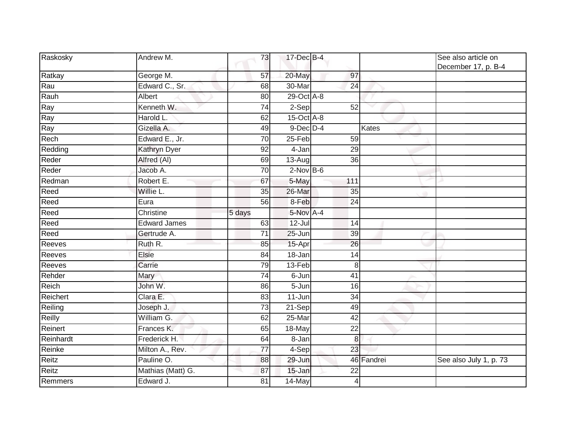| Raskosky  | Andrew M.           | 73              | 17-Dec B-4       |                 |            | See also article on<br>December 17, p. B-4 |
|-----------|---------------------|-----------------|------------------|-----------------|------------|--------------------------------------------|
| Ratkay    | George M.           | 57              | 20-May           | 97              |            |                                            |
| Rau       | Edward C., Sr.      | 68              | 30-Mar           | $\overline{24}$ |            |                                            |
| Rauh      | Albert              | 80              | 29-Oct A-8       |                 |            |                                            |
| Ray       | Kenneth W.          | $\overline{74}$ | 2-Sep            | 52              |            |                                            |
| Ray       | Harold L.           | 62              | $15$ -Oct $A$ -8 |                 |            |                                            |
| Ray       | Gizella A.          | 49              | $9$ -Dec $D$ -4  |                 | Kates      |                                            |
| Rech      | Edward E., Jr.      | 70              | 25-Feb           | 59              |            |                                            |
| Redding   | <b>Kathryn Dyer</b> | 92              | 4-Jan            | 29              |            |                                            |
| Reder     | Alfred (AI)         | 69              | 13-Aug           | 36              |            |                                            |
| Reder     | Jacob A.            | 70              | $2$ -Nov B-6     |                 |            |                                            |
| Redman    | Robert E.           | 67              | 5-May            | 111             |            |                                            |
| Reed      | Willie L.           | 35              | 26-Mar           | 35              |            |                                            |
| Reed      | Eura                | 56              | 8-Feb            | 24              |            |                                            |
| Reed      | Christine           | 5 days          | 5-Nov A-4        |                 |            |                                            |
| Reed      | <b>Edward James</b> | 63              | $12$ -Jul        | 14              |            |                                            |
| Reed      | Gertrude A.         | 71              | 25-Jun           | 39              |            |                                            |
| Reeves    | Ruth R.             | 85              | 15-Apr           | 26              |            |                                            |
| Reeves    | Elsie               | 84              | 18-Jan           | 14              |            |                                            |
| Reeves    | Carrie              | 79              | $13-Feb$         | 8               |            |                                            |
| Rehder    | Mary                | 74              | 6-Jun            | 41              |            |                                            |
| Reich     | John W.             | 86              | 5-Jun            | 16              |            |                                            |
| Reichert  | Clara E.            | 83              | $11 - Jun$       | 34              |            |                                            |
| Reiling   | Joseph J.           | 73              | 21-Sep           | 49              |            |                                            |
| Reilly    | William G.          | 62              | $25-Mar$         | 42              |            |                                            |
| Reinert   | Frances K.          | 65              | 18-May           | 22              |            |                                            |
| Reinhardt | Frederick H.        | 64              | $8 - Jan$        | $\bf 8$         |            |                                            |
| Reinke    | Milton A., Rev.     | $\overline{77}$ | 4-Sep            | 23              |            |                                            |
| Reitz     | Pauline O.          | 88              | 29-Jun           |                 | 46 Fandrei | See also July 1, p. 73                     |
| Reitz     | Mathias (Matt) G.   | 87              | 15-Jan           | 22              |            |                                            |
| Remmers   | Edward J.           | 81              | 14-May           | 4               |            |                                            |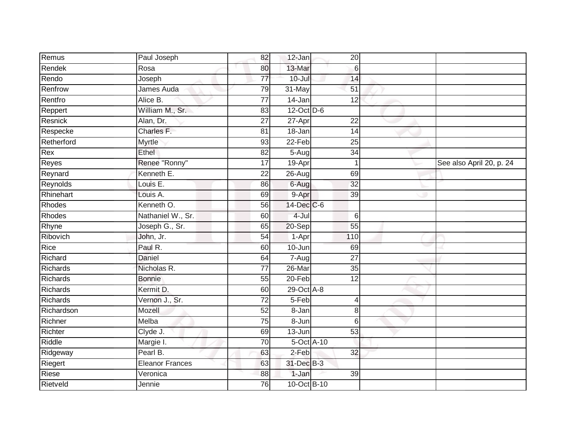| Remus      | Paul Joseph            | 82              | 12-Jan      | 20              |                          |
|------------|------------------------|-----------------|-------------|-----------------|--------------------------|
| Rendek     | Rosa                   | 80              | 13-Mar      | 6               |                          |
| Rendo      | Joseph                 | $\overline{77}$ | $10 -$ Jul  | 14              |                          |
| Renfrow    | James Auda             | 79              | 31-May      | 51              |                          |
| Rentfro    | Alice B.               | $\overline{77}$ | 14-Jan      | 12              |                          |
| Reppert    | William M., Sr.        | 83              | 12-Oct D-6  |                 |                          |
| Resnick    | Alan, Dr.              | $\overline{27}$ | 27-Apr      | 22              |                          |
| Respecke   | Charles F.             | 81              | 18-Jan      | 14              |                          |
| Retherford | Myrtle                 | 93              | $22-Feb$    | 25              |                          |
| Rex        | <b>Ethel</b>           | 82              | $5-Aug$     | 34              |                          |
| Reyes      | Renee "Ronny"          | 17              | 19-Apr      | $\mathbf{1}$    | See also April 20, p. 24 |
| Reynard    | Kenneth E.             | 22              | $26 - Aug$  | 69              |                          |
| Reynolds   | Louis E.               | 86              | 6-Aug       | 32              |                          |
| Rhinehart  | Louis A.               | 69              | 9-Apr       | 39              |                          |
| Rhodes     | Kenneth O.             | 56              | 14-Dec C-6  |                 |                          |
| Rhodes     | Nathaniel W., Sr.      | 60              | 4-Jul       | $6\phantom{1}6$ |                          |
| Rhyne      | Joseph G., Sr.         | 65              | $20-Sep$    | 55              |                          |
| Ribovich   | John, Jr.              | 54              | 1-Apr       | 110             |                          |
| Rice       | Paul R.                | 60              | 10-Jun      | 69              |                          |
| Richard    | <b>Daniel</b>          | 64              | 7-Aug       | $\overline{27}$ |                          |
| Richards   | Nicholas R.            | $\overline{77}$ | $26$ -Mar   | 35              |                          |
| Richards   | <b>Bonnie</b>          | 55              | 20-Feb      | 12              |                          |
| Richards   | Kermit D.              | 60              | 29-Oct A-8  |                 |                          |
| Richards   | Vernon J., Sr.         | 72              | 5-Feb       | 4               |                          |
| Richardson | Mozell                 | 52              | 8-Jan       | 8               |                          |
| Richner    | Melba                  | 75              | 8-Jun       | 6               |                          |
| Richter    | Clyde J.               | 69              | 13-Jun      | 53              |                          |
| Riddle     | Margie I.              | $\overline{70}$ | 5-Oct A-10  |                 |                          |
| Ridgeway   | Pearl B.               | 63              | $2-Feb$     | 32              |                          |
| Riegert    | <b>Eleanor Frances</b> | 63              | 31-Dec B-3  |                 |                          |
| Riese      | Veronica               | 88              | 1-Jan       | 39              |                          |
| Rietveld   | Jennie                 | 76              | 10-Oct B-10 |                 |                          |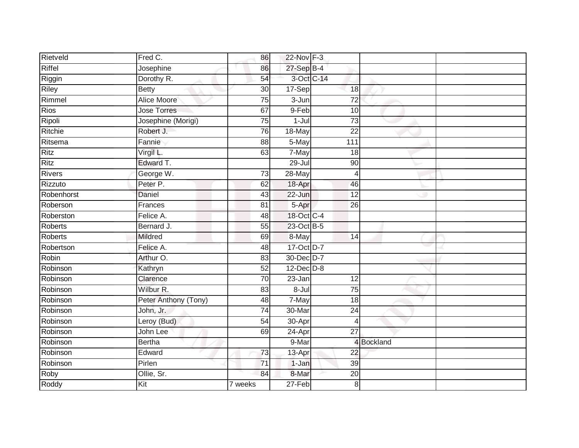| Rietveld       | Fred C.              | 86              | 22-Nov F-3      |                 |            |  |
|----------------|----------------------|-----------------|-----------------|-----------------|------------|--|
| Riffel         | Josephine            | 86              | 27-Sep B-4      |                 |            |  |
| Riggin         | Dorothy R.           | 54              | 3-Oct C-14      |                 |            |  |
| Riley          | <b>Betty</b>         | 30              | 17-Sep          | 18              |            |  |
| Rimmel         | Alice Moore          | $\overline{75}$ | $3 - Jun$       | $\overline{72}$ |            |  |
| <b>Rios</b>    | <b>Jose Torres</b>   | 67              | 9-Feb           | 10              |            |  |
| Ripoli         | Josephine (Morigi)   | $\overline{75}$ | $1-Jul$         | $\overline{73}$ |            |  |
| Ritchie        | Robert J.            | 76              | 18-May          | $\overline{22}$ |            |  |
| Ritsema        | Fannie               | 88              | 5-May           | 111             |            |  |
| <b>Ritz</b>    | Virgil L.            | 63              | 7-May           | 18              |            |  |
| <b>Ritz</b>    | Edward T.            |                 | $29 -$ Jul      | 90              |            |  |
| <b>Rivers</b>  | George W.            | 73              | 28-May          | $\overline{4}$  |            |  |
| Rizzuto        | Peter P.             | 62              | 18-Apr          | 46              |            |  |
| Robenhorst     | Daniel               | 43              | 22-Jun          | $\overline{12}$ |            |  |
| Roberson       | Frances              | 81              | 5-Apr           | 26              |            |  |
| Roberston      | Felice A.            | 48              | 18-Oct C-4      |                 |            |  |
| <b>Roberts</b> | Bernard J.           | $\overline{55}$ | 23-Oct B-5      |                 |            |  |
| Roberts        | Mildred              | 69              | 8-May           | $\overline{14}$ |            |  |
| Robertson      | Felice A.            | 48              | 17-Oct D-7      |                 |            |  |
| Robin          | Arthur O.            | $\overline{83}$ | 30-Dec D-7      |                 |            |  |
| Robinson       | Kathryn              | $\overline{52}$ | $12$ -Dec $D-8$ |                 |            |  |
| Robinson       | Clarence             | 70              | 23-Jan          | 12              |            |  |
| Robinson       | Wilbur R.            | 83              | $8 -$ Jul       | 75              |            |  |
| Robinson       | Peter Anthony (Tony) | 48              | 7-May           | 18              |            |  |
| Robinson       | John, Jr.            | 74              | 30-Mar          | 24              |            |  |
| Robinson       | Leroy (Bud)          | 54              | 30-Apr          | $\overline{4}$  |            |  |
| Robinson       | John Lee             | 69              | $24-Apr$        | $\overline{27}$ |            |  |
| Robinson       | <b>Bertha</b>        |                 | 9-Mar           |                 | 4 Bockland |  |
| Robinson       | Edward               | 73              | 13-Apr          | 22              |            |  |
| Robinson       | Pirlen               | $\overline{71}$ | 1-Jan           | 39              |            |  |
| Roby           | Ollie, Sr.           | 84              | 8-Mar           | 20              |            |  |
| Roddy          | Kit                  | 7 weeks         | $27-Feb$        | 8               |            |  |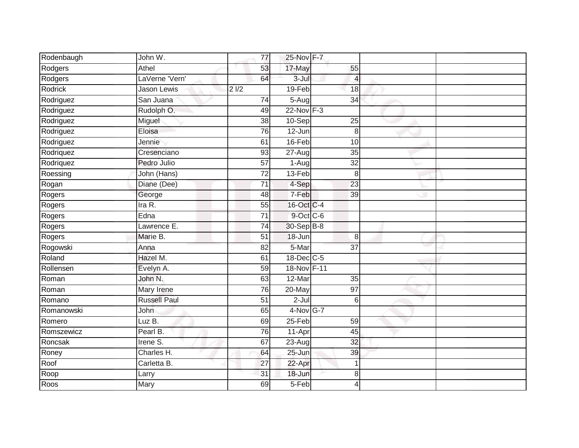| Rodenbaugh | John W.             | 77              | 25-Nov F-7  |                 |  |
|------------|---------------------|-----------------|-------------|-----------------|--|
| Rodgers    | Athel               | 53              | 17-May      | 55              |  |
| Rodgers    | LaVerne 'Vern'      | 64              | $3 -$ Jul   | 4               |  |
| Rodrick    | <b>Jason Lewis</b>  | 21/2            | 19-Feb      | 18              |  |
| Rodriguez  | San Juana           | 74              | 5-Aug       | 34              |  |
| Rodriguez  | Rudolph O.          | 49              | 22-Nov F-3  |                 |  |
| Rodriguez  | Miguel              | 38              | 10-Sep      | $\overline{25}$ |  |
| Rodriguez  | Eloisa              | 76              | 12-Jun      | 8               |  |
| Rodriguez  | Jennie              | 61              | 16-Feb      | 10              |  |
| Rodriquez  | Cresenciano         | 93              | $27 - Aug$  | $\overline{35}$ |  |
| Rodriquez  | Pedro Julio         | $\overline{57}$ | 1-Aug       | $\overline{32}$ |  |
| Roessing   | John (Hans)         | $\overline{72}$ | $13-Feb$    | 8               |  |
| Rogan      | Diane (Dee)         | $\overline{71}$ | 4-Sep       | $\overline{23}$ |  |
| Rogers     | George              | 48              | 7-Feb       | 39              |  |
| Rogers     | Ira $R$ .           | $\overline{55}$ | 16-Oct C-4  |                 |  |
| Rogers     | Edna                | $\overline{71}$ | 9-Oct C-6   |                 |  |
| Rogers     | Lawrence E.         | $\overline{74}$ | 30-Sep B-8  |                 |  |
| Rogers     | Marie B.            | $\overline{51}$ | 18-Jun      | 8               |  |
| Rogowski   | Anna                | 82              | 5-Mar       | $\overline{37}$ |  |
| Roland     | Hazel M.            | 61              | 18-Dec C-5  |                 |  |
| Rollensen  | Evelyn A.           | 59              | 18-Nov F-11 |                 |  |
| Roman      | John N.             | 63              | 12-Mar      | $\overline{35}$ |  |
| Roman      | Mary Irene          | 76              | 20-May      | 97              |  |
| Romano     | <b>Russell Paul</b> | 51              | $2 -$ Jul   | 6               |  |
| Romanowski | John                | 65              | 4-Nov G-7   |                 |  |
| Romero     | Luz B.              | 69              | 25-Feb      | 59              |  |
| Romszewicz | Pearl B.            | 76              | 11-Apr      | 45              |  |
| Roncsak    | Irene S.            | 67              | 23-Aug      | 32              |  |
| Roney      | Charles H.          | 64              | 25-Jun      | 39              |  |
| Roof       | Carletta B.         | 27              | 22-Apr      |                 |  |
| Roop       | Larry               | 31              | 18-Jun      | 8               |  |
| Roos       | Mary                | 69              | 5-Feb       | 4               |  |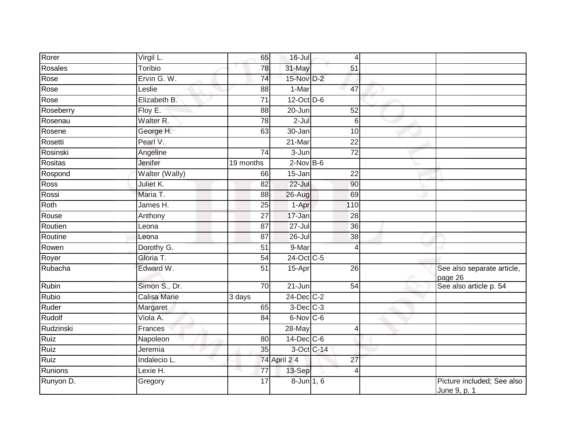| Rorer       | Virgil L.            | 65              | $16 -$ Jul     | 4               |                                            |
|-------------|----------------------|-----------------|----------------|-----------------|--------------------------------------------|
| Rosales     | Toribio              | 78              | 31-May         | 51              |                                            |
| Rose        | Ervin G. W.          | $\overline{74}$ | 15-Nov D-2     |                 |                                            |
| Rose        | Leslie               | 88              | 1-Mar          | 47              |                                            |
| Rose        | Elizabeth B.         | $\overline{71}$ | 12-Oct D-6     |                 |                                            |
| Roseberry   | Floy E.              | 88              | 20-Jun         | 52              |                                            |
| Rosenau     | Walter <sub>R.</sub> | 78              | $2$ -Jul       | 6               |                                            |
| Rosene      | George H.            | 63              | $30 - Jan$     | 10              |                                            |
| Rosetti     | Pearl V.             |                 | 21-Mar         | 22              |                                            |
| Rosinski    | Angeline             | 74              | $3 - Jun$      | $\overline{72}$ |                                            |
| Rositas     | Jenifer              | 19 months       | $2$ -Nov B-6   |                 |                                            |
| Rospond     | Walter (Wally)       | 66              | 15-Jan         | 22              |                                            |
| Ross        | Juliet K.            | 82              | $22 -$ Jul     | 90              |                                            |
| Rossi       | Maria T.             | 88              | 26-Aug         | 69              |                                            |
| Roth        | James H.             | 25              | 1-Apr          | 110             |                                            |
| Rouse       | Anthony              | $\overline{27}$ | 17-Jan         | 28              |                                            |
| Routien     | Leona                | 87              | $27 -$ Jul     | $\overline{36}$ |                                            |
| Routine     | Leona                | 87              | 26-Jul         | 38              |                                            |
| Rowen       | Dorothy G.           | 51              | 9-Mar          | $\overline{4}$  |                                            |
| Royer       | Gloria T.            | 54              | 24-Oct C-5     |                 |                                            |
| Rubacha     | Edward W.            | 51              | 15-Apr         | 26              | See also separate article,<br>page 26      |
| Rubin       | Simon S., Dr.        | $\overline{70}$ | $21 - Jun$     | 54              | See also article p. 54                     |
| Rubio       | Calisa Marie         | 3 days          | 24-Dec C-2     |                 |                                            |
| Ruder       | Margaret             | 65              | $3$ -Dec $C-3$ |                 |                                            |
| Rudolf      | Viola A.             | 84              | 6-Nov C-6      |                 |                                            |
| Rudzinski   | Frances              |                 | 28-May         | 4               |                                            |
| <b>Ruiz</b> | Napoleon             | 80              | 14-Dec C-6     |                 |                                            |
| Ruiz        | Jeremia              | 35              |                | 3-Oct C-14      |                                            |
| Ruiz        | Indalecio L.         |                 | 74 April 2 4   | 27              |                                            |
| Runions     | Lexie H.             | 77              | 13-Sep         | $\overline{4}$  |                                            |
| Runyon D.   | Gregory              | 17              | 8-Jun 1, 6     |                 | Picture included; See also<br>June 9, p. 1 |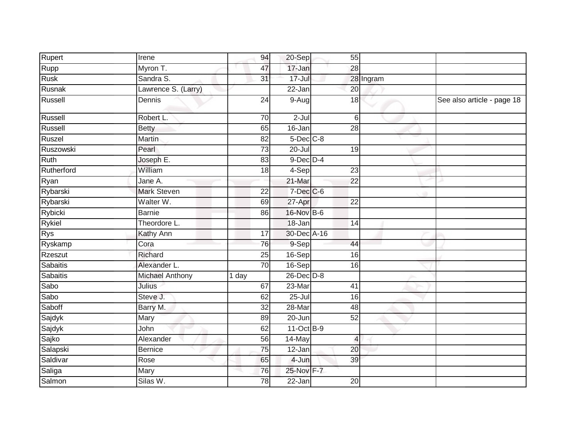| Rupert          | Irene                  | 94              | 20-Sep          | 55                       |           |                            |
|-----------------|------------------------|-----------------|-----------------|--------------------------|-----------|----------------------------|
| Rupp            | Myron T.               | 47              | 17-Jan          | 28                       |           |                            |
| Rusk            | Sandra S.              | 31              | $17 -$ Jul      |                          | 28 Ingram |                            |
| Rusnak          | Lawrence S. (Larry)    |                 | 22-Jan          | 20                       |           |                            |
| Russell         | Dennis                 | $\overline{24}$ | 9-Augl          | 18                       |           | See also article - page 18 |
| Russell         | Robert L.              | 70              | $2-Jul$         | 6                        |           |                            |
| Russell         | <b>Betty</b>           | 65              | 16-Jan          | 28                       |           |                            |
| Ruszel          | <b>Martin</b>          | $\overline{82}$ | $5$ -Dec $C$ -8 |                          |           |                            |
| Ruszowski       | Pearl                  | $\overline{73}$ | $20 -$ Jul      | 19                       |           |                            |
| Ruth            | Joseph E.              | 83              | $9$ -Dec $D$ -4 |                          |           |                            |
| Rutherford      | William                | 18              | 4-Sep           | 23                       |           |                            |
| Ryan            | Jane A.                |                 | $21$ -Mar       | $\overline{22}$          |           |                            |
| Rybarski        | <b>Mark Steven</b>     | $\overline{22}$ | $7$ -Dec $C$ -6 |                          |           |                            |
| Rybarski        | Walter W.              | 69              | 27-Apr          | 22                       |           |                            |
| Rybicki         | <b>Barnie</b>          | 86              | 16-Nov B-6      |                          |           |                            |
| Rykiel          | Theordore L.           |                 | 18-Jan          | 14                       |           |                            |
| <b>Rys</b>      | Kathy Ann              | $\overline{17}$ | 30-Dec A-16     |                          |           |                            |
| Ryskamp         | Cora                   | 76              | 9-Sep           | 44                       |           |                            |
| Rzeszut         | Richard                | 25              | 16-Sep          | 16                       |           |                            |
| <b>Sabaitis</b> | Alexander L.           | $\overline{70}$ | 16-Sep          | $\overline{16}$          |           |                            |
| Sabaitis        | <b>Michael Anthony</b> | 1 day           | 26-Dec D-8      |                          |           |                            |
| Sabo            | Julius                 | 67              | 23-Mar          | 41                       |           |                            |
| Sabo            | Steve J.               | 62              | $25 -$ Jul      | 16                       |           |                            |
| Saboff          | Barry M.               | 32              | 28-Mar          | 48                       |           |                            |
| Sajdyk          | Mary                   | 89              | 20-Jun          | 52                       |           |                            |
| Sajdyk          | John                   | 62              | 11-Oct B-9      |                          |           |                            |
| Sajko           | Alexander              | 56              | 14-May          | $\overline{\mathcal{L}}$ |           |                            |
| Salapski        | <b>Bernice</b>         | 75              | 12-Jan          | 20                       |           |                            |
| Saldivar        | Rose                   | 65              | $4 - Jun$       | 39                       |           |                            |
| Saliga          | Mary                   | 76              | 25-Nov F-7      |                          |           |                            |
| Salmon          | Silas W.               | 78              | 22-Jan          | 20                       |           |                            |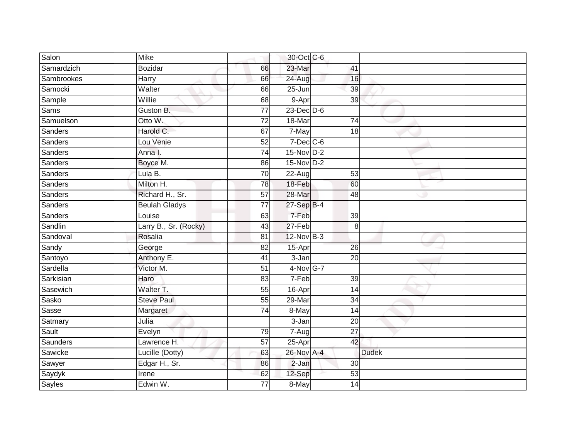| Salon          | <b>Mike</b>           |                 | 30-Oct C-6      |                 |              |  |
|----------------|-----------------------|-----------------|-----------------|-----------------|--------------|--|
| Samardzich     | <b>Bozidar</b>        | 66              | 23-Mar          | 41              |              |  |
| Sambrookes     | Harry                 | 66              | 24-Aug          | 16              |              |  |
| Samocki        | Walter                | 66              | 25-Jun          | 39              |              |  |
| Sample         | Willie                | 68              | 9-Apr           | $\overline{39}$ |              |  |
| Sams           | Guston B.             | $\overline{77}$ | $23$ -Dec $D-6$ |                 |              |  |
| Samuelson      | Otto W.               | 72              | 18-Mar          | 74              |              |  |
| Sanders        | Harold C.             | 67              | 7-May           | 18              |              |  |
| Sanders        | Lou Venie             | 52              | $7$ -Dec $C$ -6 |                 |              |  |
| <b>Sanders</b> | Anna I.               | $\overline{74}$ | 15-Nov D-2      |                 |              |  |
| Sanders        | Boyce M.              | 86              | $15-NovD-2$     |                 |              |  |
| Sanders        | Lula B.               | $\overline{70}$ | $22 - Aug$      | 53              |              |  |
| Sanders        | Milton H.             | 78              | 18-Feb          | 60              |              |  |
| Sanders        | Richard H., Sr.       | $\overline{57}$ | 28-Mar          | 48              |              |  |
| Sanders        | <b>Beulah Gladys</b>  | $\overline{77}$ | 27-Sep B-4      |                 |              |  |
| Sanders        | Louise                | 63              | $7-Feb$         | 39              |              |  |
| Sandlin        | Larry B., Sr. (Rocky) | $\overline{43}$ | $27-Feb$        | 8               |              |  |
| Sandoval       | Rosalia               | 81              | 12-Nov B-3      |                 |              |  |
| Sandy          | George                | 82              | 15-Apr          | 26              |              |  |
| Santoyo        | Anthony E.            | 41              | $3 - Jan$       | $\overline{20}$ |              |  |
| Sardella       | Victor M.             | 51              | 4-Nov G-7       |                 |              |  |
| Sarkisian      | Haro                  | 83              | 7-Feb           | 39              |              |  |
| Sasewich       | Walter T.             | 55              | 16-Apr          | $\overline{14}$ |              |  |
| Sasko          | <b>Steve Paul</b>     | 55              | $29-Mar$        | 34              |              |  |
| Sasse          | Margaret              | 74              | 8-May           | 14              |              |  |
| Satmary        | Julia                 |                 | 3-Jan           | 20              |              |  |
| Sault          | Evelyn                | 79              | 7-Aug           | $\overline{27}$ |              |  |
| Saunders       | Lawrence H.           | 57              | 25-Apr          | 42              |              |  |
| Sawicke        | Lucille (Dotty)       | 63              | 26-Nov A-4      |                 | <b>Dudek</b> |  |
| Sawyer         | Edgar H., Sr.         | 86              | $2-Jan$         | 30              |              |  |
| Saydyk         | Irene                 | 62              | 12-Sep          | 53              |              |  |
| <b>Sayles</b>  | Edwin W.              | $\overline{77}$ | 8-May           | $\overline{14}$ |              |  |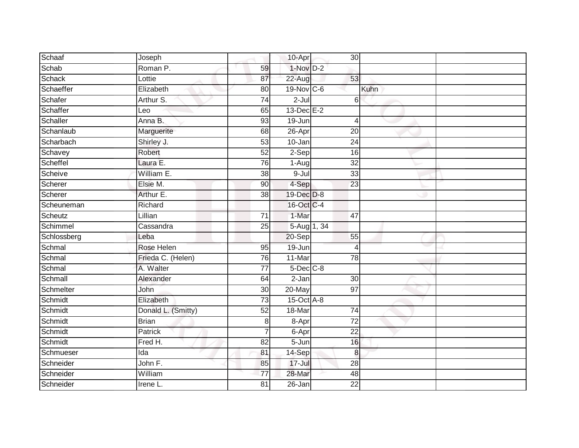| Schaaf      | Joseph             |                 | 10-Apr           | 30 <sub>l</sub> |      |  |
|-------------|--------------------|-----------------|------------------|-----------------|------|--|
| Schab       | Roman P.           | 59              | $1-Nov$ D-2      |                 |      |  |
| Schack      | Lottie             | 87              | 22-Aug           | 53              |      |  |
| Schaeffer   | Elizabeth          | 80              | 19-Nov C-6       |                 | Kuhn |  |
| Schafer     | Arthur S.          | $\overline{74}$ | $2 -$ Jul        | 6               |      |  |
| Schaffer    | Leo                | 65              | $13$ -Dec $E-2$  |                 |      |  |
| Schaller    | Anna B.            | 93              | 19-Jun           | $\overline{4}$  |      |  |
| Schanlaub   | Marguerite         | 68              | 26-Apr           | 20              |      |  |
| Scharbach   | Shirley J.         | 53              | 10-Jan           | 24              |      |  |
| Schavey     | Robert             | 52              | $2-Sep$          | 16              |      |  |
| Scheffel    | Laura E.           | 76              | 1-Aug            | 32              |      |  |
| Scheive     | William E.         | 38              | $9 -$ Jul        | 33              |      |  |
| Scherer     | Elsie M.           | 90              | 4-Sep            | 23              |      |  |
| Scherer     | Arthur E.          | 38              | 19-Dec D-8       |                 |      |  |
| Scheuneman  | Richard            |                 | 16-Oct C-4       |                 |      |  |
| Scheutz     | Lillian            | 71              | 1-Mar            | 47              |      |  |
| Schimmel    | Cassandra          | $\overline{25}$ | $5-Aug$ 1, 34    |                 |      |  |
| Schlossberg | Leba               |                 | $20-Sep$         | 55              |      |  |
| Schmal      | Rose Helen         | 95              | $19 - Jun$       | $\overline{4}$  |      |  |
| Schmal      | Frieda C. (Helen)  | 76              | 11-Mar           | $\overline{78}$ |      |  |
| Schmal      | A. Walter          | $\overline{77}$ | $5$ -Dec $C$ -8  |                 |      |  |
| Schmall     | Alexander          | 64              | $2-Jan$          | 30              |      |  |
| Schmelter   | John               | 30              | 20-May           | 97              |      |  |
| Schmidt     | Elizabeth          | 73              | $15$ -Oct $A$ -8 |                 |      |  |
| Schmidt     | Donald L. (Smitty) | 52              | 18-Mar           | 74              |      |  |
| Schmidt     | <b>Brian</b>       | 8               | 8-Apr            | $\overline{72}$ |      |  |
| Schmidt     | <b>Patrick</b>     | 7               | 6-Apr            | $\overline{22}$ |      |  |
| Schmidt     | Fred H.            | 82              | $5 - Jun$        | 16              |      |  |
| Schmueser   | Ida                | 81              | 14-Sep           | 8               |      |  |
| Schneider   | John F.            | 85              | $17 -$ Jul       | 28              |      |  |
| Schneider   | William            | $\overline{77}$ | 28-Mar           | 48              |      |  |
| Schneider   | Irene L.           | $\overline{81}$ | $26 - Jan$       | $\overline{22}$ |      |  |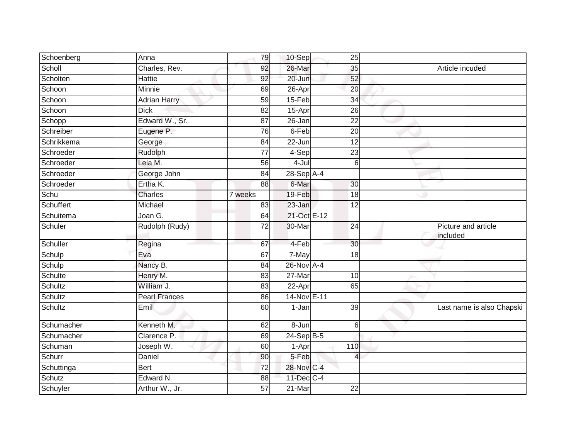| Article incuded                 |
|---------------------------------|
|                                 |
|                                 |
|                                 |
|                                 |
|                                 |
|                                 |
|                                 |
|                                 |
|                                 |
|                                 |
|                                 |
|                                 |
|                                 |
|                                 |
|                                 |
|                                 |
| Picture and article<br>included |
|                                 |
|                                 |
|                                 |
|                                 |
|                                 |
|                                 |
| Last name is also Chapski       |
|                                 |
|                                 |
|                                 |
|                                 |
|                                 |
|                                 |
|                                 |
|                                 |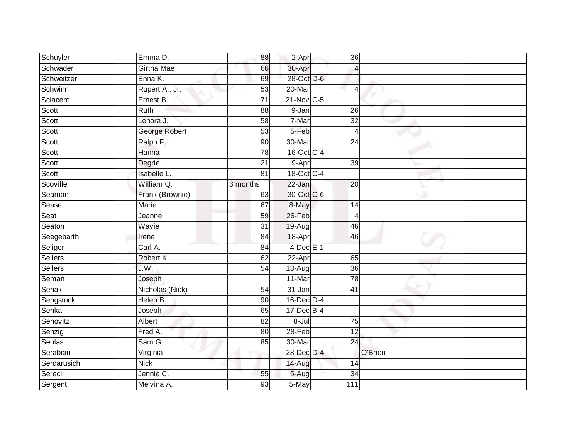| Schuyler       | Emma D.            | 88              | 2-Apr           | 36              |         |  |
|----------------|--------------------|-----------------|-----------------|-----------------|---------|--|
| Schwader       | <b>Girtha Mae</b>  | 66              | 30-Apr          | 4               |         |  |
| Schweitzer     | Enna K.            | 69              | 28-Oct D-6      |                 |         |  |
| Schwinn        | Rupert A., Jr.     | 53              | 20-Mar          | $\overline{4}$  |         |  |
| Sciacero       | Ernest B.          | $\overline{71}$ | 21-Nov C-5      |                 |         |  |
| Scott          | Ruth               | 88              | 9-Jan           | 26              |         |  |
| Scott          | Lenora J.          | 58              | 7-Mar           | 32              |         |  |
| Scott          | George Robert      | 53              | 5-Feb           | $\overline{4}$  |         |  |
| Scott          | Ralph F.           | 90              | 30-Mar          | 24              |         |  |
| Scott          | Hanna              | $\overline{78}$ | 16-Oct C-4      |                 |         |  |
| Scott          | Degrie             | 21              | 9-Apr           | 39              |         |  |
| Scott          | <b>Isabelle L.</b> | 81              | 18-Oct C-4      |                 |         |  |
| Scoville       | William Q.         | 3 months        | $22$ -Jan       | 20              |         |  |
| Seaman         | Frank (Brownie)    | 63              | 30-Oct C-6      |                 |         |  |
| Sease          | Marie              | 67              | 8-May           | 14              |         |  |
| Seat           | Jeanne             | 59              | 26-Feb          | $\overline{4}$  |         |  |
| Seaton         | Wavie              | $\overline{31}$ | $19-Aug$        | 46              |         |  |
| Seegebarth     | Irene              | 84              | 18-Apr          | 46              |         |  |
| Seliger        | Carl A.            | 84              | $4$ -Dec $E-1$  |                 |         |  |
| <b>Sellers</b> | Robert K.          | 62              | $22-Apr$        | 65              |         |  |
| Sellers        | J.W.               | 54              | $13-Aug$        | 36              |         |  |
| Seman          | Joseph             |                 | 11-Mar          | 78              |         |  |
| Senak          | Nicholas (Nick)    | 54              | 31-Jan          | $\overline{41}$ |         |  |
| Sengstock      | Helen B.           | 90              | $16$ -Dec $D-4$ |                 |         |  |
| Senka          | Joseph             | 65              | $17 - Dec$ B-4  |                 |         |  |
| Senovitz       | Albert             | 82              | $8 -$ Jul       | 75              |         |  |
| Senzig         | Fred A.            | 80              | $28 - Feb$      | $\overline{12}$ |         |  |
| Seolas         | Sam G.             | 85              | 30-Mar          | 24              |         |  |
| Serabian       | Virginia           |                 | 28-Dec D-4      |                 | O'Brien |  |
| Serdarusich    | <b>Nick</b>        |                 | 14-Aug          | 14              |         |  |
| Sereci         | Jennie C.          | 55              | 5-Aug           | $\overline{34}$ |         |  |
| Sergent        | Melvina A.         | $\overline{93}$ | 5-May           | 111             |         |  |
|                |                    |                 |                 |                 |         |  |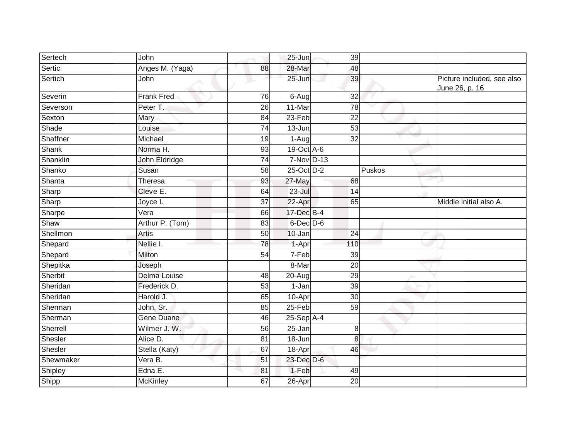| Sertech   | John              |                 | 25-Jun          | 39              |        |                                              |
|-----------|-------------------|-----------------|-----------------|-----------------|--------|----------------------------------------------|
| Sertic    | Anges M. (Yaga)   | 88              | 28-Mar          | 48              |        |                                              |
| Sertich   | John              |                 | $25 - Jun$      | 39              |        | Picture included, see also<br>June 26, p. 16 |
| Severin   | <b>Frank Fred</b> | 76              | 6-Aug           | 32              |        |                                              |
| Severson  | Peter T.          | 26              | 11-Mar          | 78              |        |                                              |
| Sexton    | Mary              | 84              | $23-Feb$        | $\overline{22}$ |        |                                              |
| Shade     | Louise            | 74              | 13-Jun          | 53              |        |                                              |
| Shaffner  | Michael           | 19              | 1-Aug           | $\overline{32}$ |        |                                              |
| Shank     | Norma H.          | 93              | 19-Oct A-6      |                 |        |                                              |
| Shanklin  | John Eldridge     | 74              | 7-Nov D-13      |                 |        |                                              |
| Shanko    | Susan             | 58              | 25-Oct D-2      |                 | Puskos |                                              |
| Shanta    | Theresa           | 93              | 27-May          | 68              |        |                                              |
| Sharp     | Cleve E.          | 64              | 23-Jul          | 14              |        |                                              |
| Sharp     | Joyce I.          | 37              | 22-Apr          | 65              |        | Middle initial also A.                       |
| Sharpe    | Vera              | 66              | 17-Dec B-4      |                 |        |                                              |
| Shaw      | Arthur P. (Tom)   | 83              | $6$ -Dec $D$ -6 |                 |        |                                              |
| Shellmon  | Artis             | 50              | 10-Jan          | 24              |        |                                              |
| Shepard   | Nellie I.         | 78              | 1-Apr           | 110             |        |                                              |
| Shepard   | Milton            | 54              | 7-Feb           | 39              |        |                                              |
| Shepitka  | Joseph            |                 | 8-Mar           | $\overline{20}$ |        |                                              |
| Sherbit   | Delma Louise      | 48              | 20-Aug          | 29              |        |                                              |
| Sheridan  | Frederick D.      | 53              | 1-Jan           | 39              |        |                                              |
| Sheridan  | Harold J.         | 65              | 10-Apr          | $\overline{30}$ |        |                                              |
| Sherman   | John, Sr.         | 85              | 25-Feb          | 59              |        |                                              |
| Sherman   | <b>Gene Duane</b> | 46              | $25-Sep$ A-4    |                 |        |                                              |
| Sherrell  | Wilmer J. W.      | 56              | 25-Jan          | 8               |        |                                              |
| Shesler   | Alice D.          | $\overline{81}$ | $18 - Jun$      | $\overline{8}$  |        |                                              |
| Shesler   | Stella (Katy)     | 67              | 18-Apr          | 46              |        |                                              |
| Shewmaker | Vera B.           | 51              | 23-Dec D-6      |                 |        |                                              |
| Shipley   | Edna E.           | 81              | 1-Feb           | 49              |        |                                              |
| Shipp     | McKinley          | 67              | 26-Apr          | 20              |        |                                              |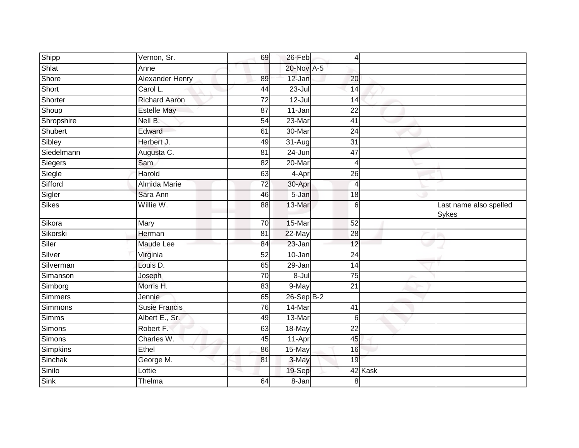| Shipp        | Vernon, Sr.            | 69              | 26-Feb       | 4               |         |                                        |
|--------------|------------------------|-----------------|--------------|-----------------|---------|----------------------------------------|
| Shlat        | Anne                   |                 | 20-Nov A-5   |                 |         |                                        |
| Shore        | <b>Alexander Henry</b> | 89              | 12-Jan       | 20              |         |                                        |
| Short        | Carol L.               | 44              | $23 -$ Jul   | 14              |         |                                        |
| Shorter      | <b>Richard Aaron</b>   | $\overline{72}$ | $12 -$ Jul   | 14              |         |                                        |
| Shoup        | <b>Estelle May</b>     | 87              | 11-Jan       | 22              |         |                                        |
| Shropshire   | Nell B.                | 54              | 23-Mar       | 41              |         |                                        |
| Shubert      | Edward                 | 61              | 30-Mar       | 24              |         |                                        |
| Sibley       | Herbert J.             | 49              | 31-Aug       | $\overline{31}$ |         |                                        |
| Siedelmann   | Augusta C.             | 81              | 24-Jun       | 47              |         |                                        |
| Siegers      | Sam                    | 82              | 20-Mar       | 4               |         |                                        |
| Siegle       | Harold                 | 63              | 4-Apr        | 26              |         |                                        |
| Sifford      | Almida Marie           | 72              | 30-Apr       | $\overline{4}$  |         |                                        |
| Sigler       | Sara Ann               | 46              | $5 - Jan$    | 18              |         |                                        |
| <b>Sikes</b> | Willie W.              | $\overline{88}$ | 13-Mar       | 6               |         | Last name also spelled<br><b>Sykes</b> |
| Sikora       | Mary                   | 70              | 15-Mar       | 52              |         |                                        |
| Sikorski     | Herman                 | 81              | 22-May       | 28              |         |                                        |
| Siler        | Maude Lee              | 84              | 23-Jan       | 12              |         |                                        |
| Silver       | Virginia               | 52              | 10-Jan       | 24              |         |                                        |
| Silverman    | Louis D.               | 65              | 29-Jan       | 14              |         |                                        |
| Simanson     | Joseph                 | 70              | 8-Jul        | 75              |         |                                        |
| Simborg      | Morris H.              | 83              | 9-May        | 21              |         |                                        |
| Simmers      | Jennie                 | 65              | $26-Sep$ B-2 |                 |         |                                        |
| Simmons      | <b>Susie Francis</b>   | 76              | 14-Mar       | 41              |         |                                        |
| Simms        | Albert E., Sr.         | 49              | 13-Mar       | 6               |         |                                        |
| Simons       | Robert F.              | 63              | 18-May       | 22              |         |                                        |
| Simons       | Charles W.             | 45              | $11-Apr$     | 45              |         |                                        |
| Simpkins     | Ethel                  | 86              | 15-May       | 16              |         |                                        |
| Sinchak      | George M.              | 81              | 3-May        | 19              |         |                                        |
| Sinilo       | Lottie                 |                 | 19-Sep       |                 | 42 Kask |                                        |
| Sink         | Thelma                 | 64              | 8-Jan        | 8               |         |                                        |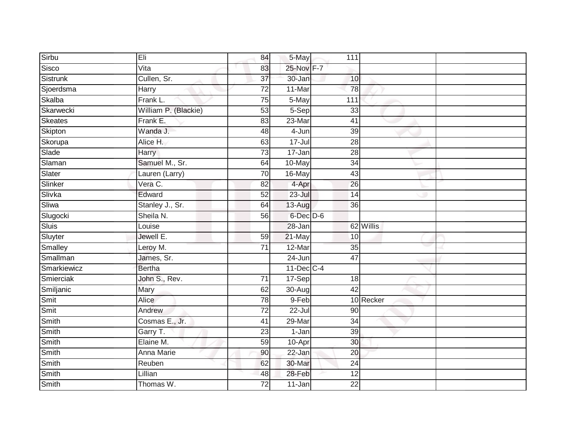| Sirbu       | Eli                  | 84              | 5-May           | 111             |           |  |
|-------------|----------------------|-----------------|-----------------|-----------------|-----------|--|
| Sisco       | Vita                 | 83              | 25-Nov F-7      |                 |           |  |
| Sistrunk    | Cullen, Sr.          | $\overline{37}$ | 30-Jan          | 10              |           |  |
| Sjoerdsma   | <b>Harry</b>         | 72              | 11-Mar          | 78              |           |  |
| Skalba      | Frank L.             | $\overline{75}$ | 5-May           | 111             |           |  |
| Skarwecki   | William P. (Blackie) | 53              | 5-Sep           | 33              |           |  |
| Skeates     | Frank E.             | 83              | 23-Mar          | 41              |           |  |
| Skipton     | Wanda J.             | 48              | 4-Jun           | 39              |           |  |
| Skorupa     | Alice H.             | 63              | $17 -$ Jul      | 28              |           |  |
| Slade       | Harry                | $\overline{73}$ | 17-Jan          | 28              |           |  |
| Slaman      | Samuel M., Sr.       | 64              | 10-May          | 34              |           |  |
| Slater      | Lauren (Larry)       | 70              | 16-May          | 43              |           |  |
| Slinker     | Vera C.              | 82              | 4-Apr           | 26              |           |  |
| Slivka      | Edward               | 52              | $23 -$ Jul      | 14              |           |  |
| Sliwa       | Stanley J., Sr.      | 64              | 13-Aug          | 36              |           |  |
| Slugocki    | Sheila N.            | 56              | $6$ -Dec $D$ -6 |                 |           |  |
| Sluis       | Louise               |                 | $28 - Jan$      |                 | 62 Willis |  |
| Sluyter     | Jewell E.            | 59              | 21-May          | 10              |           |  |
| Smalley     | Leroy M.             | $\overline{71}$ | 12-Mar          | 35              |           |  |
| Smallman    | James, Sr.           |                 | $24 - Jun$      | $\overline{47}$ |           |  |
| Smarkiewicz | <b>Bertha</b>        |                 | $11$ -Dec $C-4$ |                 |           |  |
| Smierciak   | John S., Rev.        | 71              | 17-Sep          | 18              |           |  |
| Smiljanic   | Mary                 | 62              | 30-Aug          | 42              |           |  |
| Smit        | Alice                | 78              | 9-Feb           |                 | 10 Recker |  |
| Smit        | Andrew               | 72              | 22-Jul          | 90              |           |  |
| Smith       | Cosmas E., Jr.       | 41              | 29-Mar          | $\overline{34}$ |           |  |
| Smith       | Garry T.             | $\overline{23}$ | 1-Jan           | 39              |           |  |
| Smith       | Elaine M.            | 59              | 10-Apr          | 30              |           |  |
| Smith       | <b>Anna Marie</b>    | 90              | 22-Jan          | 20              |           |  |
| Smith       | Reuben               | 62              | 30-Mar          | 24              |           |  |
| Smith       | Lillian              | 48              | 28-Feb          | 12              |           |  |
| Smith       | Thomas W.            | $\overline{72}$ | $11 - Jan$      | $\overline{22}$ |           |  |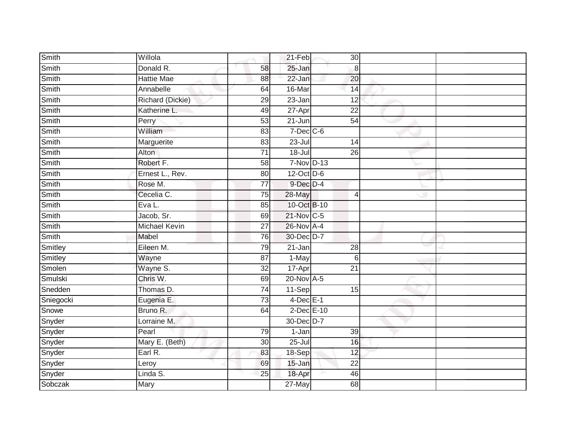| Smith     | Willola              |                 | 21-Feb          | 30              |  |
|-----------|----------------------|-----------------|-----------------|-----------------|--|
| Smith     | Donald R.            | 58              | 25-Jan          | 8               |  |
| Smith     | <b>Hattie Mae</b>    | 88              | 22-Jan          | 20              |  |
| Smith     | Annabelle            | 64              | 16-Mar          | 14              |  |
| Smith     | Richard (Dickie)     | $\overline{29}$ | $23 - Jan$      | 12              |  |
| Smith     | Katherine L.         | 49              | 27-Apr          | 22              |  |
| Smith     | Perry                | 53              | $21 - Jun$      | 54              |  |
| Smith     | William              | 83              | $7$ -Dec $C$ -6 |                 |  |
| Smith     | Marguerite           | 83              | $23 -$ Jul      | 14              |  |
| Smith     | Alton                | $\overline{71}$ | $18 -$ Jul      | $\overline{26}$ |  |
| Smith     | Robert F.            | 58              | 7-Nov D-13      |                 |  |
| Smith     | Ernest L., Rev.      | 80              | 12-Oct D-6      |                 |  |
| Smith     | Rose M.              | 77              | $9$ -Dec $D-4$  |                 |  |
| Smith     | Cecelia C.           | 75              | 28-May          | $\overline{4}$  |  |
| Smith     | Eva L.               | 85              | 10-Oct B-10     |                 |  |
| Smith     | Jacob, Sr.           | 69              | 21-Nov C-5      |                 |  |
| Smith     | <b>Michael Kevin</b> | $\overline{27}$ | 26-Nov A-4      |                 |  |
| Smith     | Mabel                | $\overline{76}$ | 30-Dec D-7      |                 |  |
| Smitley   | Eileen M.            | 79              | $21 - Jan$      | 28              |  |
| Smitley   | Wayne                | 87              | 1-May           | 6               |  |
| Smolen    | Wayne S.             | 32              | 17-Apr          | 21              |  |
| Smulski   | Chris W.             | 69              | $20$ -Nov $A-5$ |                 |  |
| Snedden   | Thomas D.            | 74              | 11-Sep          | 15              |  |
| Sniegocki | Eugenia E.           | $\overline{73}$ | $4$ -Dec $E-1$  |                 |  |
| Snowe     | Bruno R.             | 64              | 2-Dec E-10      |                 |  |
| Snyder    | Lorraine M.          |                 | 30-Dec D-7      |                 |  |
| Snyder    | Pearl                | 79              | 1-Jan           | 39              |  |
| Snyder    | Mary E. (Beth)       | 30              | 25-Jul          | 16              |  |
| Snyder    | Earl R.              | 83              | 18-Sep          | 12              |  |
| Snyder    | Leroy                | 69              | $15 - Jan$      | $\overline{22}$ |  |
| Snyder    | Linda S.             | 25              | 18-Apr          | 46              |  |
| Sobczak   | Mary                 |                 | $27$ -May       | $\overline{68}$ |  |
|           |                      |                 |                 |                 |  |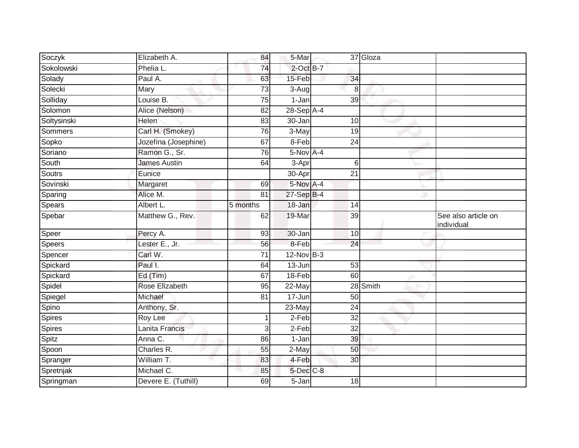| Soczyk      | Elizabeth A.         | 84       | 5-Mar           |                 | 37 Gloza |                                   |
|-------------|----------------------|----------|-----------------|-----------------|----------|-----------------------------------|
| Sokolowski  | Phelia L.            | 74       | $2$ -Oct B-7    |                 |          |                                   |
| Solady      | Paul A.              | 63       | 15-Feb          | 34              |          |                                   |
| Solecki     | Mary                 | 73       | 3-Aug           | 8               |          |                                   |
| Solliday    | Louise B.            | 75       | $1-Jan$         | 39              |          |                                   |
| Solomon     | Alice (Nelson)       | 82       | 28-Sep A-4      |                 |          |                                   |
| Soltysinski | Helen                | 83       | $30 - Jan$      | 10              |          |                                   |
| Sommers     | Carl H. (Smokey)     | 76       | $3-May$         | 19              |          |                                   |
| Sopko       | Jozefina (Josephine) | 67       | 8-Feb           | $\overline{24}$ |          |                                   |
| Soriano     | Ramon G., Sr.        | 76       | $5-Nov$ A-4     |                 |          |                                   |
| South       | <b>James Austin</b>  | 64       | 3-Apr           | 6               |          |                                   |
| Soutrs      | Eunice               |          | 30-Apr          | $\overline{21}$ |          |                                   |
| Sovinski    | Margaret             | 69       | 5-Nov A-4       |                 |          |                                   |
| Sparing     | Alice M.             | 81       | 27-Sep B-4      |                 |          |                                   |
| Spears      | Albert L.            | 5 months | 18-Jan          | 14              |          |                                   |
| Spebar      | Matthew G., Rev.     | 62       | 19-Mar          | 39              |          | See also article on<br>individual |
| Speer       | Percy A.             | 93       | 30-Jan          | 10              |          |                                   |
| Speers      | Lester E., Jr.       | 56       | 8-Feb           | 24              |          |                                   |
| Spencer     | Carl W.              | 71       | $12$ -Nov $B-3$ |                 |          |                                   |
| Spickard    | Paul I.              | 64       | 13-Jun          | 53              |          |                                   |
| Spickard    | Ed (Tim)             | 67       | 18-Feb          | 60              |          |                                   |
| Spidel      | Rose Elizabeth       | 95       | 22-May          |                 | 28 Smith |                                   |
| Spiegel     | Michael              | 81       | 17-Jun          | 50              |          |                                   |
| Spino       | Anthony, Sr.         |          | 23-May          | 24              |          |                                   |
| Spires      | Roy Lee              |          | $2-Feb$         | $\overline{32}$ |          |                                   |
| Spires      | Lanita Francis       | 3        | $2-Feb$         | 32              |          |                                   |
| Spitz       | Anna C.              | 86       | $1-Jan$         | 39              |          |                                   |
| Spoon       | Charles R.           | 55       | 2-May           | 50              |          |                                   |
| Spranger    | William T.           | 83       | 4-Feb           | 30              |          |                                   |
| Spretnjak   | Michael C.           | 85       | 5-Dec C-8       |                 |          |                                   |
| Springman   | Devere E. (Tuthill)  | 69       | 5-Jan           | 18              |          |                                   |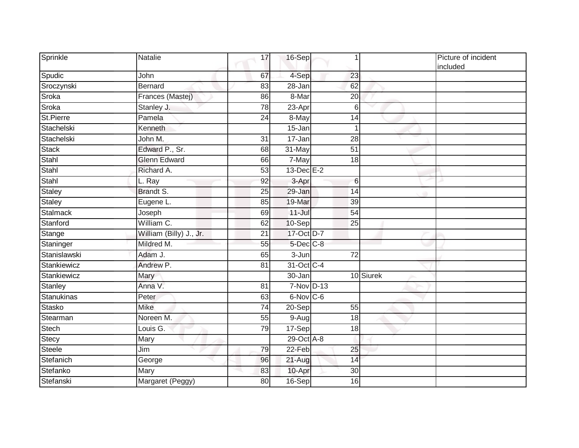| Sprinkle     | Natalie                 | 17              | 16-Sep          | 1               |           | Picture of incident<br>included |
|--------------|-------------------------|-----------------|-----------------|-----------------|-----------|---------------------------------|
| Spudic       | John                    | 67              | 4-Sep           | 23              |           |                                 |
| Sroczynski   | <b>Bernard</b>          | 83              | 28-Jan          | 62              |           |                                 |
| Sroka        | Frances (Mastej)        | 86              | 8-Mar           | 20              |           |                                 |
| Sroka        | Stanley J.              | 78              | 23-Apr          | 6               |           |                                 |
| St.Pierre    | Pamela                  | 24              | 8-May           | 14              |           |                                 |
| Stachelski   | Kenneth                 |                 | 15-Jan          | 1               |           |                                 |
| Stachelski   | John M.                 | $\overline{31}$ | 17-Jan          | $\overline{28}$ |           |                                 |
| <b>Stack</b> | Edward P., Sr.          | 68              | 31-May          | $\overline{51}$ |           |                                 |
| Stahl        | <b>Glenn Edward</b>     | 66              | 7-May           | 18              |           |                                 |
| Stahl        | Richard A.              | 53              | $13$ -Dec $E-2$ |                 |           |                                 |
| Stahl        | L. Ray                  | 92              | 3-Apr           | 6               |           |                                 |
| Staley       | Brandt S.               | 25              | 29-Jan          | 14              |           |                                 |
| Staley       | Eugene L.               | 85              | 19-Mar          | 39              |           |                                 |
| Stalmack     | Joseph                  | 69              | $11 -$ Jul      | $\overline{54}$ |           |                                 |
| Stanford     | William C.              | 62              | 10-Sep          | 25              |           |                                 |
| Stange       | William (Billy) J., Jr. | 21              | 17-Oct D-7      |                 |           |                                 |
| Staninger    | Mildred M.              | 55              | 5-Dec C-8       |                 |           |                                 |
| Stanislawski | Adam J.                 | 65              | 3-Jun           | $\overline{72}$ |           |                                 |
| Stankiewicz  | Andrew P.               | 81              | 31-Oct C-4      |                 |           |                                 |
| Stankiewicz  | Mary                    |                 | 30-Jan          |                 | 10 Siurek |                                 |
| Stanley      | Anna V.                 | 81              | 7-Nov D-13      |                 |           |                                 |
| Stanukinas   | Peter                   | 63              | 6-Nov C-6       |                 |           |                                 |
| Stasko       | <b>Mike</b>             | 74              | 20-Sep          | 55              |           |                                 |
| Stearman     | Noreen M.               | 55              | 9-Aug           | $\overline{18}$ |           |                                 |
| Stech        | Louis G.                | 79              | 17-Sep          | 18              |           |                                 |
| Stecy        | Mary                    |                 | 29-Oct A-8      |                 |           |                                 |
| Steele       | Jim                     | 79              | 22-Feb          | 25              |           |                                 |
| Stefanich    | George                  | 96              | 21-Aug          | 14              |           |                                 |
| Stefanko     | Mary                    | 83              | 10-Apr          | 30              |           |                                 |
| Stefanski    | Margaret (Peggy)        | 80              | 16-Sep          | 16              |           |                                 |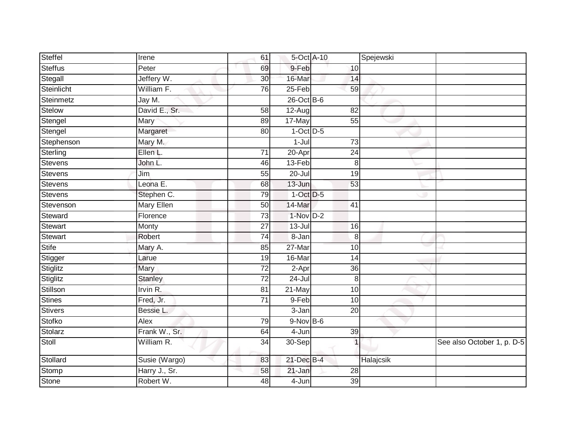| Steffel        | Irene             | 61              | 5-Oct A-10     |                 | Spejewski |                            |
|----------------|-------------------|-----------------|----------------|-----------------|-----------|----------------------------|
| Steffus        | Peter             | 69              | 9-Feb          | 10              |           |                            |
| Stegall        | Jeffery W.        | 30              | 16-Mar         | 14              |           |                            |
| Steinlicht     | William F.        | 76              | 25-Feb         | 59              |           |                            |
| Steinmetz      | Jay M.            |                 | $26$ -Oct B-6  |                 |           |                            |
| Stelow         | David E., Sr.     | 58              | $12-Aug$       | 82              |           |                            |
| Stengel        | Mary              | 89              | 17-May         | 55              |           |                            |
| Stengel        | Margaret          | 80              | $1-Oct$ $D-5$  |                 |           |                            |
| Stephenson     | Mary M.           |                 | $1 -$ Jul      | $\overline{73}$ |           |                            |
| Sterling       | Ellen L.          | 71              | 20-Apr         | 24              |           |                            |
| Stevens        | John L.           | 46              | 13-Feb         | 8               |           |                            |
| Stevens        | Jim               | 55              | $20 -$ Jul     | 19              |           |                            |
| Stevens        | Leona E.          | 68              | 13-Jun         | 53              |           |                            |
| Stevens        | Stephen C.        | 79              | $1$ -Oct $D-5$ |                 |           |                            |
| Stevenson      | <b>Mary Ellen</b> | 50              | 14-Mar         | 41              |           |                            |
| Steward        | Florence          | 73              | $1-Nov$ D-2    |                 |           |                            |
| <b>Stewart</b> | Monty             | $\overline{27}$ | $13 -$ Jul     | $\overline{16}$ |           |                            |
| Stewart        | Robert            | 74              | 8-Jan          | 8               |           |                            |
| <b>Stife</b>   | Mary A.           | 85              | 27-Mar         | 10              |           |                            |
| Stigger        | Larue             | 19              | 16-Mar         | 14              |           |                            |
| Stiglitz       | Mary              | 72              | 2-Apr          | 36              |           |                            |
| Stiglitz       | <b>Stanley</b>    | $\overline{72}$ | $24 -$ Jul     | $\,8\,$         |           |                            |
| Stillson       | Irvin R.          | 81              | 21-May         | 10              |           |                            |
| <b>Stines</b>  | Fred, Jr.         | 71              | 9-Feb          | 10              |           |                            |
| <b>Stivers</b> | Bessie L.         |                 | 3-Jan          | $\overline{20}$ |           |                            |
| Stofko         | Alex              | 79              | $9-Nov$ B-6    |                 |           |                            |
| Stolarz        | Frank W., Sr.     | 64              | 4-Jun          | 39              |           |                            |
| Stoll          | William R.        | 34              | 30-Sep         |                 |           | See also October 1, p. D-5 |
| Stollard       | Susie (Wargo)     | 83              | 21-Dec B-4     |                 | Halajcsik |                            |
| Stomp          | Harry J., Sr.     | 58              | 21-Jan         | 28              |           |                            |
| Stone          | Robert W.         | 48              | 4-Jun          | 39              |           |                            |
|                |                   |                 |                |                 |           |                            |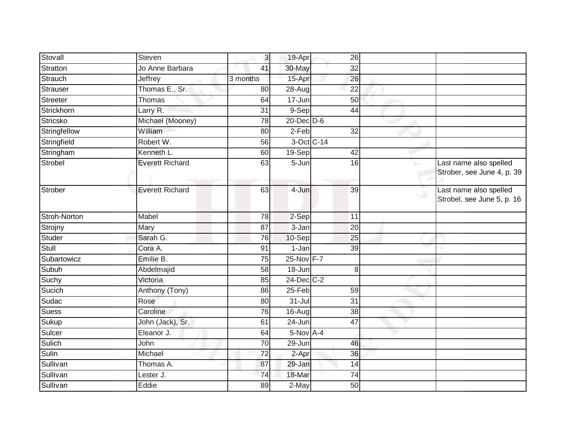| Stovall         | Steven                 | 3               | 19-Apr               | $\overline{26}$ |                          |                                                      |
|-----------------|------------------------|-----------------|----------------------|-----------------|--------------------------|------------------------------------------------------|
| <b>Stratton</b> | Jo Anne Barbara        | 41              | 30-May               | 32              |                          |                                                      |
| Strauch         | <b>Jeffrey</b>         | 3 months        | 15-Apr               | 26              |                          |                                                      |
| Strauser        | Thomas E., Sr.         | 80              | 28-Aug               | 22              |                          |                                                      |
| Streeter        | Thomas                 | 64              | 17-Jun               | 50              |                          |                                                      |
| Strickhorn      | Larry R.               | 31              | 9-Sep                | 44              |                          |                                                      |
| <b>Stricsko</b> | Michael (Mooney)       | 78              | 20-Dec D-6           |                 |                          |                                                      |
| Stringfellow    | William                | 80              | $2-Feb$              | 32              |                          |                                                      |
| Stringfield     | Robert W.              | 56              |                      | 3-Oct C-14      |                          |                                                      |
| Stringham       | Kenneth L.             | 60              | $19-Sep$             | 42              |                          |                                                      |
| <b>Strobel</b>  | <b>Everett Richard</b> | 63              | 5-Jun                | 16              |                          | Last name also spelled<br>Strober, see June 4, p. 39 |
| Strober         | <b>Everett Richard</b> | 63              | 4-Jun                | 39              | $\overline{\phantom{a}}$ | Last name also spelled<br>Strobel, see June 5, p. 16 |
| Stroh-Norton    | Mabel                  | 78              | 2-Sep                | 11              |                          |                                                      |
| Strojny         | Mary                   | $\overline{87}$ | 3-Jan                | $\overline{20}$ |                          |                                                      |
| Studer          | Sarah G.               | 76              | 10-Sep               | $\overline{25}$ |                          |                                                      |
| Stull           | Cora A.                | 91              | $1-Jan$              | 39              |                          |                                                      |
| Subartowicz     | Emilie B.              | 75              | 25-Nov F-7           |                 |                          |                                                      |
| Subuh           | Abdelmajid             | 58              | 18-Jun               | 8               |                          |                                                      |
| Suchy           | Victoria               | 85              | 24-Dec C-2           |                 |                          |                                                      |
| Sucich          | Anthony (Tony)         | 86              | 25-Feb               | 59              |                          |                                                      |
| Sudac           | Rose                   | 80              | $\overline{3}$ 1-Jul | $\overline{31}$ |                          |                                                      |
| Suess           | Caroline               | $\overline{76}$ | 16-Aug               | $\overline{38}$ |                          |                                                      |
| Sukup           | John (Jack), Sr.       | 61              | 24-Jun               | 47              |                          |                                                      |
| Sulcer          | Eleanor J.             | 64              | $5-Nov$ A-4          |                 |                          |                                                      |
| Sulich          | John                   | 70              | 29-Jun               | 46              |                          |                                                      |
| Sulin           | Michael                | 72              | $2-Apr$              | 36              |                          |                                                      |
| Sullivan        | Thomas A.              | 87              | 29-Jan               | 14              |                          |                                                      |
| Sullivan        | Lester J.              | 74              | 18-Mar               | $\overline{74}$ |                          |                                                      |
| Sullivan        | Eddie                  | 89              | $2-May$              | $\overline{50}$ |                          |                                                      |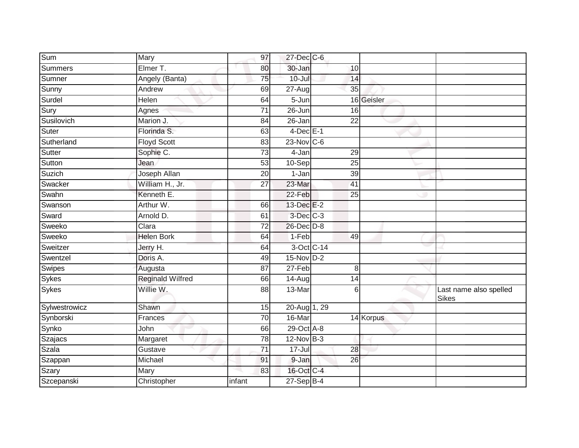| Sum           | Mary                    | 97              | 27-Dec C-6      |                 |            |                                        |
|---------------|-------------------------|-----------------|-----------------|-----------------|------------|----------------------------------------|
| Summers       | Elmer T.                | 80              | 30-Jan          | 10              |            |                                        |
| Sumner        | Angely (Banta)          | 75              | $10 -$ Jul      | 14              |            |                                        |
| Sunny         | Andrew                  | 69              | 27-Aug          | 35              |            |                                        |
| Surdel        | Helen                   | 64              | $5 - Jun$       |                 | 16 Geisler |                                        |
| Sury          | Agnes                   | 71              | 26-Jun          | 16              |            |                                        |
| Susilovich    | Marion J.               | 84              | 26-Jan          | 22              |            |                                        |
| Suter         | Florinda S.             | 63              | $4$ -Dec $E-1$  |                 |            |                                        |
| Sutherland    | <b>Floyd Scott</b>      | 83              | $23$ -Nov C-6   |                 |            |                                        |
| Sutter        | Sophie C.               | $\overline{73}$ | 4-Jan           | 29              |            |                                        |
| Sutton        | Jean                    | 53              | 10-Sep          | 25              |            |                                        |
| Suzich        | Joseph Allan            | 20              | 1-Jan           | 39              |            |                                        |
| Swacker       | William H., Jr.         | 27              | 23-Mar          | 41              |            |                                        |
| Swahn         | Kenneth E.              |                 | 22-Feb          | 25              |            |                                        |
| Swanson       | Arthur W.               | 66              | 13-Dec E-2      |                 |            |                                        |
| Sward         | Arnold D.               | 61              | 3-Dec C-3       |                 |            |                                        |
| Sweeko        | Clara                   | $\overline{72}$ | 26-Dec D-8      |                 |            |                                        |
| Sweeko        | <b>Helen Bork</b>       | 64              | 1-Feb           | 49              |            |                                        |
| Sweitzer      | Jerry H.                | 64              | 3-Oct C-14      |                 |            |                                        |
| Swentzel      | Doris A.                | 49              | $15-Nov$ D-2    |                 |            |                                        |
| Swipes        | Augusta                 | $\overline{87}$ | 27-Feb          | 8               |            |                                        |
| <b>Sykes</b>  | <b>Reginald Wilfred</b> | 66              | $14 - Aug$      | $\overline{14}$ |            |                                        |
| <b>Sykes</b>  | Willie W.               | 88              | 13-Mar          | 6               |            | Last name also spelled<br><b>Sikes</b> |
| Sylwestrowicz | Shawn                   | 15              | 20-Aug 1, 29    |                 |            |                                        |
| Synborski     | Frances                 | $\overline{70}$ | 16-Mar          |                 | 14 Korpus  |                                        |
| Synko         | John                    | 66              | 29-Oct A-8      |                 |            |                                        |
| Szajacs       | Margaret                | 78              | $12$ -Nov $B-3$ |                 |            |                                        |
| <b>Szala</b>  | Gustave                 | $\overline{71}$ | $17 -$ Jul      | 28              |            |                                        |
| Szappan       | Michael                 | 91              | 9-Jan           | 26              |            |                                        |
| Szary         | Mary                    | 83              | 16-Oct C-4      |                 |            |                                        |
| Szcepanski    | Christopher             | infant          | $27-Sep$ B-4    |                 |            |                                        |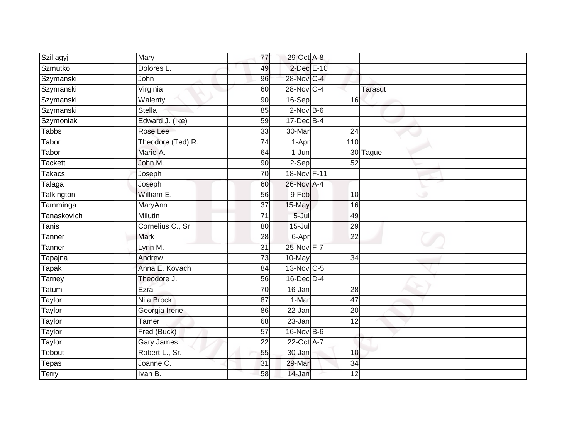| Szillagyj      | Mary              | $\overline{77}$ | 29-Oct A-8     |                 |                |  |
|----------------|-------------------|-----------------|----------------|-----------------|----------------|--|
| Szmutko        | Dolores L.        | 49              | 2-Dec E-10     |                 |                |  |
| Szymanski      | John              | 96              | 28-Nov C-4     |                 |                |  |
| Szymanski      | Virginia          | 60              | 28-Nov C-4     |                 | <b>Tarasut</b> |  |
| Szymanski      | Walenty           | 90              | 16-Sep         | 16              |                |  |
| Szymanski      | <b>Stella</b>     | 85              | $2$ -Nov B-6   |                 |                |  |
| Szymoniak      | Edward J. (Ike)   | 59              | $17 - Dec$ B-4 |                 |                |  |
| <b>Tabbs</b>   | Rose Lee          | 33              | 30-Mar         | 24              |                |  |
| Tabor          | Theodore (Ted) R. | 74              | 1-Apr          | 110             |                |  |
| Tabor          | Marie A.          | 64              | 1-Jun          |                 | 30 Tague       |  |
| <b>Tackett</b> | John M.           | 90              | 2-Sep          | 52              |                |  |
| Takacs         | Joseph            | 70              | 18-Nov F-11    |                 |                |  |
| Talaga         | Joseph            | 60              | 26-Nov A-4     |                 |                |  |
| Talkington     | William E.        | 56              | 9-Feb          | 10              |                |  |
| Tamminga       | MaryAnn           | 37              | 15-May         | 16              |                |  |
| Tanaskovich    | Milutin           | 71              | $5 -$ Jul      | 49              |                |  |
| <b>Tanis</b>   | Cornelius C., Sr. | 80              | $15 -$ Jul     | 29              |                |  |
| Tanner         | Mark              | 28              | 6-Apr          | 22              |                |  |
| Tanner         | Lynn M.           | 31              | 25-Nov F-7     |                 |                |  |
| Tapajna        | Andrew            | 73              | 10-May         | $\overline{34}$ |                |  |
| <b>Tapak</b>   | Anna E. Kovach    | 84              | 13-Nov C-5     |                 |                |  |
| Tarney         | Theodore J.       | 56              | 16-Dec D-4     |                 |                |  |
| Tatum          | Ezra              | 70              | 16-Jan         | 28              |                |  |
| Taylor         | Nila Brock        | 87              | 1-Mar          | 47              |                |  |
| Taylor         | Georgia Irene     | 86              | 22-Jan         | 20              |                |  |
| Taylor         | Tamer             | 68              | 23-Jan         | 12              |                |  |
| Taylor         | Fred (Buck)       | $\overline{57}$ | 16-Nov B-6     |                 |                |  |
| <b>Taylor</b>  | Gary James        | 22              | 22-Oct A-7     |                 |                |  |
| Tebout         | Robert L., Sr.    | 55              | 30-Jan         | 10              |                |  |
| Tepas          | Joanne C.         | 31              | 29-Mar         | 34              |                |  |
| Terry          | Ivan B.           | 58              | 14-Jan         | 12              |                |  |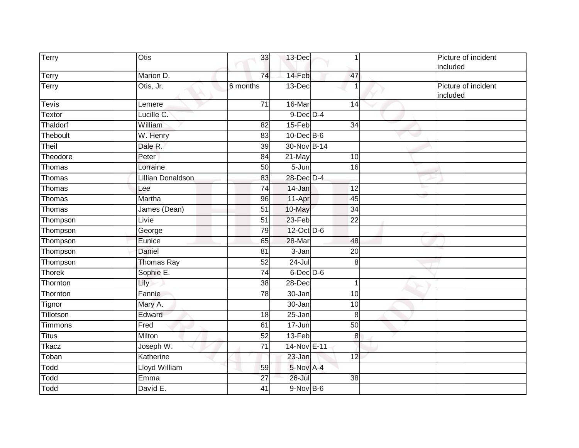| Terry         | Otis                     | 33              | 13-Dec           | 1               | Picture of incident<br>included |
|---------------|--------------------------|-----------------|------------------|-----------------|---------------------------------|
| <b>Terry</b>  | Marion D.                | 74              | 14-Feb           | 47              |                                 |
| Terry         | Otis, Jr.                | 6 months        | $13-Dec$         |                 | Picture of incident<br>included |
| <b>Tevis</b>  | Lemere                   | 71              | 16-Mar           | 14              |                                 |
| <b>Textor</b> | Lucille C.               |                 | $9$ -Dec $D-4$   |                 |                                 |
| Thaldorf      | William                  | $\overline{82}$ | 15-Feb           | $\overline{34}$ |                                 |
| Theboult      | W. Henry                 | 83              | $10$ -Dec $B$ -6 |                 |                                 |
| Theil         | Dale R.                  | $\overline{39}$ | 30-Nov B-14      |                 |                                 |
| Theodore      | Peter                    | 84              | 21-May           | 10              |                                 |
| Thomas        | Lorraine                 | 50              | 5-Jun            | 16              |                                 |
| Thomas        | <b>Lillian Donaldson</b> | 83              | 28-Dec D-4       |                 |                                 |
| Thomas        | Lee                      | $\overline{74}$ | 14-Jan           | 12              |                                 |
| Thomas        | Martha                   | 96              | 11-Apr           | 45              |                                 |
| Thomas        | James (Dean)             | $\overline{51}$ | 10-May           | 34              |                                 |
| Thompson      | Livie                    | 51              | 23-Feb           | 22              |                                 |
| Thompson      | George                   | 79              | 12-Oct D-6       |                 |                                 |
| Thompson      | Eunice                   | 65              | 28-Mar           | 48              |                                 |
| Thompson      | Daniel                   | 81              | $3 - Jan$        | $\overline{20}$ |                                 |
| Thompson      | <b>Thomas Ray</b>        | 52              | $24 -$ Jul       | 8               |                                 |
| Thorek        | Sophie E.                | $\overline{74}$ | $6$ -Dec $D$ -6  |                 |                                 |
| Thornton      | Lily                     | 38              | 28-Dec           | 1               |                                 |
| Thornton      | Fannie                   | $\overline{78}$ | 30-Jan           | 10              |                                 |
| Tignor        | Mary A.                  |                 | 30-Jan           | 10              |                                 |
| Tillotson     | Edward                   | 18              | $25 - Jan$       | 8               |                                 |
| Timmons       | Fred                     | 61              | $17 - Jun$       | 50              |                                 |
| <b>Titus</b>  | Milton                   | 52              | 13-Feb           | 8               |                                 |
| <b>Tkacz</b>  | Joseph W.                | $\overline{71}$ | 14-Nov E-11      |                 |                                 |
| Toban         | Katherine                |                 | 23-Jan           | 12              |                                 |
| Todd          | Lloyd William            | 59              | 5-Nov A-4        |                 |                                 |
| Todd          | Emma                     | $\overline{27}$ | 26-Jul           | $\overline{38}$ |                                 |
| Todd          | David E.                 | 41              | $9-Nov$ B-6      |                 |                                 |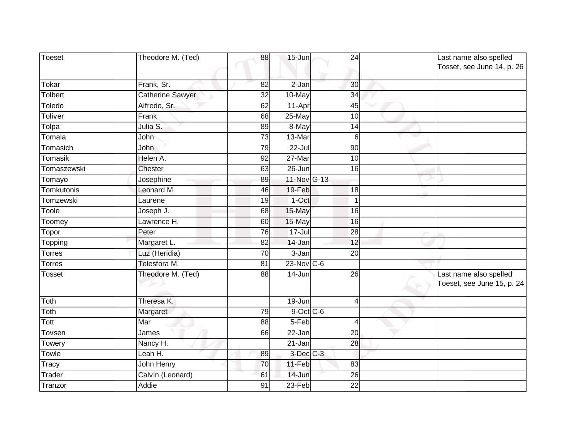| Toeset        | Theodore M. (Ted) | 88              | 15-Jun               | 24              | Last name also spelled                               |
|---------------|-------------------|-----------------|----------------------|-----------------|------------------------------------------------------|
|               |                   |                 |                      |                 | Tosset, see June 14, p. 26                           |
| Tokar         | Frank, Sr.        | 82              | 2-Jan                | 30              |                                                      |
| Tolbert       | Catherine Sawyer  | 32              | 10-May               | 34              |                                                      |
| Toledo        | Alfredo, Sr.      | 62              | 11-Apr               | 45              |                                                      |
| Toliver       | Frank             | 68              | 25-May               | 10              |                                                      |
| Tolpa         | Julia S.          | 89              | 8-May                | 14              |                                                      |
| Tomala        | John              | $\overline{73}$ | 13-Mar               | 6               |                                                      |
| Tomasich      | John              | 79              | $22 -$ Jul           | $\overline{90}$ |                                                      |
| Tomasik       | Helen A.          | 92              | 27-Mar               | $\overline{10}$ |                                                      |
| Tomaszewski   | Chester           | 63              | 26-Jun               | 16              |                                                      |
| Tomayo        | Josephine         | 89              | 11-Nov G-13          |                 |                                                      |
| Tomkutonis    | Leonard M.        | 46              | 19-Feb               | 18              |                                                      |
| Tomzewski     | Laurene           | 19              | 1-Oct                | 1               |                                                      |
| Toole         | Joseph J.         | 68              | 15-May               | 16              |                                                      |
| Toomey        | Lawrence H.       | 60              | 15-May               | 16              |                                                      |
| Topor         | Peter             | 76              | $17 -$ Jul           | 28              |                                                      |
| Topping       | Margaret L.       | 82              | 14-Jan               | 12              |                                                      |
| <b>Torres</b> | Luz (Heridia)     | 70              | 3-Jan                | $\overline{20}$ |                                                      |
| Torres        | Telesfora M.      | 81              | $23$ -Nov C-6        |                 |                                                      |
| Tosset        | Theodore M. (Ted) | 88              | 14-Jun               | 26              | Last name also spelled<br>Toeset, see June 15, p. 24 |
| Toth          | Theresa K.        |                 | 19-Jun               | 4               |                                                      |
| Toth          | Margaret          | 79              | $9$ -Oct C-6         |                 |                                                      |
| Tott          | Mar               | 88              | $5-Feb$              | $\overline{4}$  |                                                      |
| Tovsen        | James             | 66              | 22-Jan               | 20              |                                                      |
| Towery        | Nancy H.          |                 | $21 - Jan$           | 28              |                                                      |
| Towle         | Leah H.           | 89              | 3-Dec <sup>C-3</sup> |                 |                                                      |
| Tracy         | John Henry        | 70              | 11-Feb               | 83              |                                                      |
| Trader        | Calvin (Leonard)  | 61              | 14-Jun               | 26              |                                                      |
| Tranzor       | Addie             | $\overline{91}$ | $23-Feb$             | $\overline{22}$ |                                                      |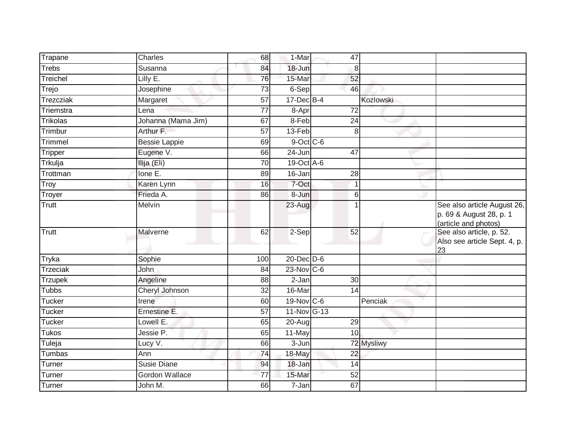| Trapane         | Charles               | 68              | 1-Mar           | 47              |            |                                                                                |
|-----------------|-----------------------|-----------------|-----------------|-----------------|------------|--------------------------------------------------------------------------------|
| <b>Trebs</b>    | Susanna               | 84              | 18-Jun          | 8               |            |                                                                                |
| Treichel        | Lilly E.              | 76              | 15-Mar          | 52              |            |                                                                                |
| Trejo           | Josephine             | 73              | 6-Sep           | 46              |            |                                                                                |
| Trezcziak       | Margaret              | $\overline{57}$ | $17 - Dec$ B-4  |                 | Kozlowski  |                                                                                |
| Triemstra       | Lena                  | 77              | 8-Apr           | $\overline{72}$ |            |                                                                                |
| <b>Trikolas</b> | Johanna (Mama Jim)    | 67              | 8-Feb           | 24              |            |                                                                                |
| Trimbur         | Arthur F.             | 57              | 13-Feb          | 8               |            |                                                                                |
| Trimmel         | <b>Bessie Lappie</b>  | 69              | $9$ -Oct C-6    |                 |            |                                                                                |
| <b>Tripper</b>  | Eugene V.             | 66              | $24 - Jun$      | 47              |            |                                                                                |
| Trkulja         | Ilija (Eli)           | 70              | 19-Oct A-6      |                 |            |                                                                                |
| Trottman        | Ione E.               | 89              | 16-Jan          | $\overline{28}$ |            |                                                                                |
| <b>Troy</b>     | Karen Lynn            | 16              | 7-Oct           | 1               |            |                                                                                |
| Troyer          | Frieda A.             | 86              | 8-Jun           | 6               |            |                                                                                |
| Trutt           | Melvin                |                 | 23-Aug          | 1               |            | See also article August 26,<br>p. 69 & August 28, p. 1<br>(article and photos) |
| Trutt           | Malverne              | 62              | 2-Sep           | 52              |            | See also article, p. 52.<br>Also see article Sept. 4, p.<br>23                 |
| Tryka           | Sophie                | 100             | $20$ -Dec $D-6$ |                 |            |                                                                                |
| <b>Trzeciak</b> | John                  | 84              | $23$ -Nov C-6   |                 |            |                                                                                |
| <b>Trzupek</b>  | Angeline              | 88              | 2-Jan           | 30              |            |                                                                                |
| <b>Tubbs</b>    | Cheryl Johnson        | $\overline{32}$ | 16-Mar          | 14              |            |                                                                                |
| <b>Tucker</b>   | Irene                 | 60              | $19-Nov$ C-6    |                 | Penciak    |                                                                                |
| <b>Tucker</b>   | Ernestine E.          | $\overline{57}$ | 11-Nov G-13     |                 |            |                                                                                |
| <b>Tucker</b>   | Lowell E.             | 65              | 20-Aug          | 29              |            |                                                                                |
| <b>Tukos</b>    | Jessie P.             | 65              | 11-May          | 10              |            |                                                                                |
| Tuleja          | Lucy V.               | 66              | 3-Jun           |                 | 72 Mysliwy |                                                                                |
| Tumbas          | Ann                   | 74              | 18-May          | $\overline{22}$ |            |                                                                                |
| Turner          | <b>Susie Diane</b>    | 94              | $18 - Jan$      | 14              |            |                                                                                |
| Turner          | <b>Gordon Wallace</b> | $\overline{77}$ | 15-Mar          | 52              |            |                                                                                |
| Turner          | John M.               | 66              | $7 - Jan$       | 67              |            |                                                                                |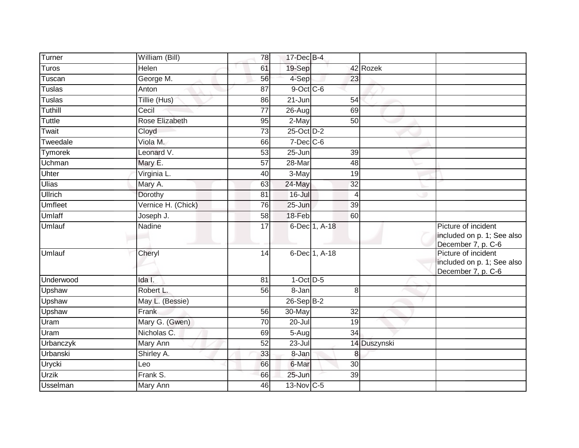| Turner          | William (Bill)     | 78              | 17-Dec B-4          |                 |              |                                                                         |
|-----------------|--------------------|-----------------|---------------------|-----------------|--------------|-------------------------------------------------------------------------|
| Turos           | Helen              | 61              | 19-Sep              |                 | 42 Rozek     |                                                                         |
| Tuscan          | George M.          | 56              | 4-Sep               | 23              |              |                                                                         |
| <b>Tuslas</b>   | Anton              | 87              | 9-Oct C-6           |                 |              |                                                                         |
| <b>Tuslas</b>   | Tillie (Hus)       | 86              | $21 - Jun$          | 54              |              |                                                                         |
| Tuthill         | Cecil              | 77              | 26-Aug              | 69              |              |                                                                         |
| <b>Tuttle</b>   | Rose Elizabeth     | 95              | 2-May               | 50              |              |                                                                         |
| Twait           | Cloyd              | 73              | 25-Oct D-2          |                 |              |                                                                         |
| Tweedale        | Viola M.           | 66              | $7$ -Dec $C$ -6     |                 |              |                                                                         |
| Tymorek         | Leonard V.         | 53              | 25-Jun              | 39              |              |                                                                         |
| Uchman          | Mary E.            | 57              | 28-Mar              | 48              |              |                                                                         |
| Uhter           | Virginia L.        | 40              | $\overline{3}$ -May | 19              |              |                                                                         |
| Ulias           | Mary A.            | 63              | 24-May              | $\overline{32}$ |              |                                                                         |
| <b>Ullrich</b>  | Dorothy            | 81              | 16-Jul              | 4               |              |                                                                         |
| <b>Umfleet</b>  | Vernice H. (Chick) | 76              | $25 - Jun$          | 39              |              |                                                                         |
| Umlaff          | Joseph J.          | 58              | 18-Feb              | 60              |              |                                                                         |
| Umlauf          | Nadine             | $\overline{17}$ |                     | 6-Dec 1, A-18   |              | Picture of incident<br>included on p. 1; See also<br>December 7, p. C-6 |
| Umlauf          | Cheryl             | 14              |                     | 6-Dec 1, A-18   |              | Picture of incident<br>included on p. 1; See also<br>December 7, p. C-6 |
| Underwood       | Ida I.             | 81              | $1-Oct$ $D-5$       |                 |              |                                                                         |
| Upshaw          | Robert L.          | 56              | 8-Jan               | 8               |              |                                                                         |
| Upshaw          | May L. (Bessie)    |                 | $26-Sep B-2$        |                 |              |                                                                         |
| Upshaw          | Frank              | $\overline{56}$ | 30-May              | 32              |              |                                                                         |
| Uram            | Mary G. (Gwen)     | 70              | $20$ -Jul           | 19              |              |                                                                         |
| Uram            | Nicholas C.        | 69              | $5-Aug$             | 34              |              |                                                                         |
| Urbanczyk       | Mary Ann           | 52              | 23-Jul              |                 | 14 Duszynski |                                                                         |
| Urbanski        | Shirley A.         | 33              | $8 - Jan$           | 8               |              |                                                                         |
| Urycki          | Leo                | 66              | 6-Mar               | $\overline{30}$ |              |                                                                         |
| <b>Urzik</b>    | Frank S.           | 66              | 25-Jun              | 39              |              |                                                                         |
| <b>Usselman</b> |                    |                 | 13-Nov C-5          |                 |              |                                                                         |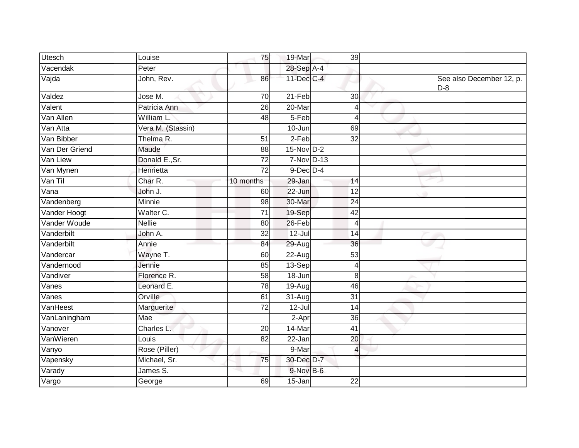| <b>Utesch</b>  | Louise            | 75              | 19-Mar          | 39              |                                   |
|----------------|-------------------|-----------------|-----------------|-----------------|-----------------------------------|
| Vacendak       | Peter             |                 | 28-Sep A-4      |                 |                                   |
| Vajda          | John, Rev.        | 86              | 11-Dec C-4      |                 | See also December 12, p.<br>$D-8$ |
| Valdez         | Jose M.           | 70              | $21-Feb$        | 30 <sub>o</sub> |                                   |
| Valent         | Patricia Ann      | $\overline{26}$ | 20-Mar          | 4               |                                   |
| Van Allen      | William L.        | 48              | 5-Feb           | $\overline{4}$  |                                   |
| Van Atta       | Vera M. (Stassin) |                 | $10 -$ Jun      | 69              |                                   |
| Van Bibber     | Thelma R.         | $\overline{51}$ | $2-Feb$         | $\overline{32}$ |                                   |
| Van Der Griend | Maude             | 88              | 15-Nov D-2      |                 |                                   |
| Van Liew       | Donald E., Sr.    | 72              | 7-Nov D-13      |                 |                                   |
| Van Mynen      | Henrietta         | 72              | $9$ -Dec $D$ -4 |                 |                                   |
| Van Til        | Char R.           | 10 months       | 29-Jan          | 14              |                                   |
| Vana           | John J.           | 60              | 22-Jun          | $\overline{12}$ |                                   |
| Vandenberg     | Minnie            | 98              | 30-Mar          | 24              |                                   |
| Vander Hoogt   | Walter C.         | $\overline{71}$ | 19-Sep          | $\overline{42}$ |                                   |
| Vander Woude   | <b>Nellie</b>     | 80              | 26-Feb          | 4               |                                   |
| Vanderbilt     | John A.           | 32              | $12 -$ Jul      | $\overline{14}$ |                                   |
| Vanderbilt     | Annie             | 84              | 29-Aug          | 36              |                                   |
| Vandercar      | Wayne T.          | 60              | 22-Aug          | 53              |                                   |
| Vandernood     | Jennie            | 85              | 13-Sep          | 4               |                                   |
| Vandiver       | Florence R.       | 58              | 18-Jun          | 8               |                                   |
| Vanes          | Leonard E.        | 78              | 19-Aug          | 46              |                                   |
| Vanes          | Orville           | 61              | 31-Aug          | 31              |                                   |
| VanHeest       | Marguerite        | 72              | $12 -$ Jul      | $\overline{14}$ |                                   |
| VanLaningham   | Mae               |                 | 2-Apr           | $\overline{36}$ |                                   |
| Vanover        | Charles L.        | 20              | 14-Mar          | 41              |                                   |
| VanWieren      | Louis             | 82              | 22-Jan          | $\overline{20}$ |                                   |
| Vanyo          | Rose (Piller)     |                 | 9-Mar           | $\overline{4}$  |                                   |
| Vapensky       | Michael, Sr.      | 75              | 30-Dec D-7      |                 |                                   |
| Varady         | James S.          |                 | $9-Nov$ B-6     |                 |                                   |
| Vargo          | George            | 69              | 15-Jan          | 22              |                                   |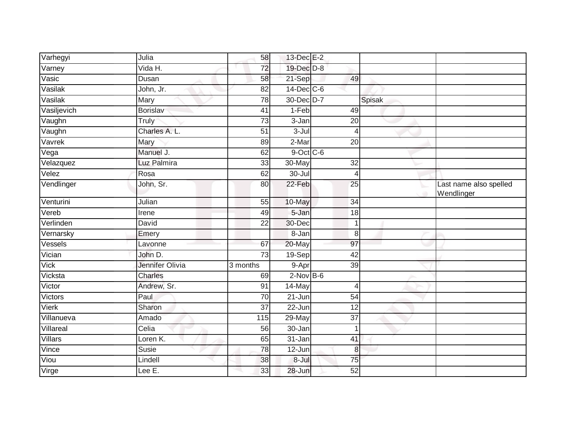| Varhegyi       | Julia           | 58              | 13-Dec E-2       |                 |        |                                      |
|----------------|-----------------|-----------------|------------------|-----------------|--------|--------------------------------------|
| Varney         | Vida H.         | 72              | 19-Dec D-8       |                 |        |                                      |
| Vasic          | Dusan           | 58              | 21-Sep           | 49              |        |                                      |
| Vasilak        | John, Jr.       | $\overline{82}$ | $14$ -Dec $C$ -6 |                 |        |                                      |
| Vasilak        | Mary            | 78              | 30-Dec D-7       |                 | Spisak |                                      |
| Vasiljevich    | <b>Borislav</b> | 41              | $1-Feb$          | 49              |        |                                      |
| Vaughn         | Truly           | 73              | 3-Jan            | 20              |        |                                      |
| Vaughn         | Charles A. L.   | $\overline{51}$ | 3-Jul            | 4               |        |                                      |
| Vavrek         | Mary            | 89              | 2-Mar            | 20              |        |                                      |
| Vega           | Manuel J.       | 62              | 9-Oct C-6        |                 |        |                                      |
| Velazquez      | Luz Palmira     | 33              | 30-May           | $\overline{32}$ |        |                                      |
| Velez          | Rosa            | 62              | 30-Jul           | 4               |        |                                      |
| Vendlinger     | John, Sr.       | 80              | 22-Feb           | $\overline{25}$ |        | Last name also spelled<br>Wendlinger |
| Venturini      | Julian          | 55              | 10-May           | $\overline{34}$ |        |                                      |
| Vereb          | Irene           | 49              | 5-Jan            | 18              |        |                                      |
| Verlinden      | David           | 22              | 30-Dec           | 1               |        |                                      |
| Vernarsky      | Emery           |                 | 8-Jan            | 8               |        |                                      |
| Vessels        | Lavonne         | 67              | 20-May           | 97              |        |                                      |
| Vician         | John D.         | 73              | 19-Sep           | 42              |        |                                      |
| Vick           | Jennifer Olivia | 3 months        | 9-Apr            | $\overline{39}$ |        |                                      |
| Vicksta        | <b>Charles</b>  | 69              | $2$ -Nov $B-6$   |                 |        |                                      |
| Victor         | Andrew, Sr.     | 91              | 14-May           | 4               |        |                                      |
| Victors        | Paul            | 70              | 21-Jun           | 54              |        |                                      |
| Vierk          | Sharon          | $\overline{37}$ | $22 - Jun$       | $\overline{12}$ |        |                                      |
| Villanueva     | Amado           | 115             | $29$ -May        | $\overline{37}$ |        |                                      |
| Villareal      | Celia           | 56              | 30-Jan           | 1               |        |                                      |
| <b>Villars</b> | Loren K.        | 65              | 31-Jan           | 41              |        |                                      |
| Vince          | Susie           | 78              | $12$ -Jun        | 8               |        |                                      |
| Viou           | Lindell         | 38              | 8-Jul            | 75              |        |                                      |
| Virge          | Lee E.          | 33              | 28-Jun           | 52              |        |                                      |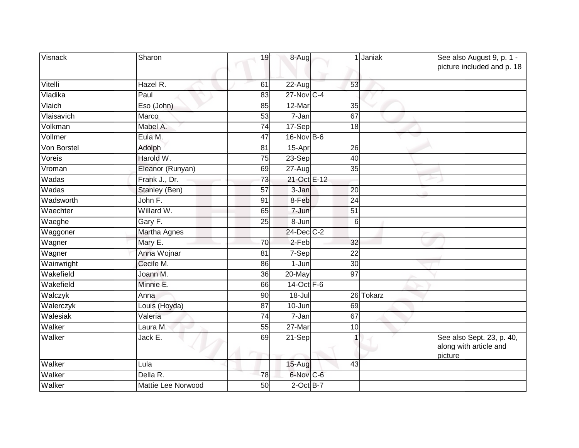| Visnack     | Sharon              | 19              | 8-Aug               |                 | Janiak    | See also August 9, p. 1 -<br>picture included and p. 18        |
|-------------|---------------------|-----------------|---------------------|-----------------|-----------|----------------------------------------------------------------|
| Vitelli     | Hazel R.            | 61              | 22-Aug              | 53              |           |                                                                |
| Vladika     | Paul                | 83              | 27-Nov C-4          |                 |           |                                                                |
| Vlaich      | Eso (John)          | 85              | $12$ -Mar           | $\overline{35}$ |           |                                                                |
| Vlaisavich  | Marco               | 53              | $\overline{7}$ -Jan | 67              |           |                                                                |
| Volkman     | Mabel A.            | 74              | 17-Sep              | 18              |           |                                                                |
| Vollmer     | Eula M.             | 47              | 16-Nov B-6          |                 |           |                                                                |
| Von Borstel | Adolph              | 81              | 15-Apr              | 26              |           |                                                                |
| Voreis      | Harold W.           | $\overline{75}$ | $23-Sep$            | 40              |           |                                                                |
| Vroman      | Eleanor (Runyan)    | 69              | 27-Aug              | 35              |           |                                                                |
| Wadas       | Frank J., Dr.       | 73              | 21-Oct E-12         |                 |           |                                                                |
| Wadas       | Stanley (Ben)       | 57              | 3-Jan               | 20              |           |                                                                |
| Wadsworth   | John F.             | 91              | 8-Feb               | 24              |           |                                                                |
| Waechter    | Willard W.          | 65              | $\overline{7}$ -Jun | 51              |           |                                                                |
| Waeghe      | Gary F.             | 25              | 8-Jun               | 6               |           |                                                                |
| Waggoner    | <b>Martha Agnes</b> |                 | 24-Dec C-2          |                 |           |                                                                |
| Wagner      | Mary E.             | 70              | 2-Feb               | 32              |           |                                                                |
| Wagner      | Anna Wojnar         | 81              | 7-Sep               | 22              |           |                                                                |
| Wainwright  | Cecile M.           | 86              | 1-Jun               | $\overline{30}$ |           |                                                                |
| Wakefield   | Joann M.            | 36              | 20-May              | 97              |           |                                                                |
| Wakefield   | Minnie E.           | 66              | 14-Oct F-6          |                 |           |                                                                |
| Walczyk     | Anna                | 90              | $18 -$ Jul          |                 | 26 Tokarz |                                                                |
| Walerczyk   | Louis (Hoyda)       | 87              | $10 - Jun$          | 69              |           |                                                                |
| Walesiak    | Valeria             | $\overline{74}$ | 7-Jan               | 67              |           |                                                                |
| Walker      | Laura M.            | 55              | 27-Mar              | 10              |           |                                                                |
| Walker      | Jack E.             | 69              | 21-Sep              |                 |           | See also Sept. 23, p. 40,<br>along with article and<br>picture |
| Walker      | Lula                |                 | 15-Aug              | 43              |           |                                                                |
| Walker      | Della R.            | 78              | 6-Nov C-6           |                 |           |                                                                |
| Walker      | Mattie Lee Norwood  | 50              | $2$ -Oct $B-7$      |                 |           |                                                                |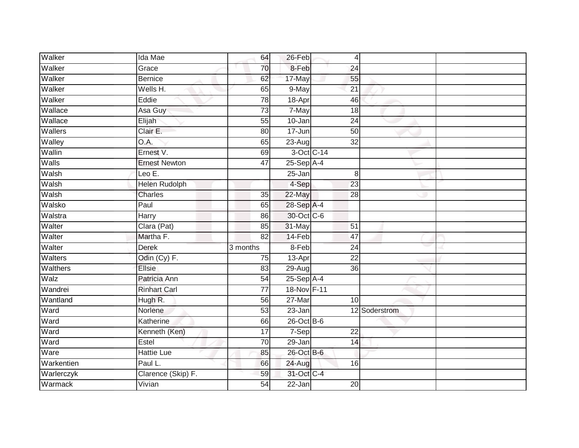| Walker          | Ida Mae              | 64              | 26-Feb       | 4               |               |  |
|-----------------|----------------------|-----------------|--------------|-----------------|---------------|--|
| Walker          | Grace                | 70              | 8-Feb        | 24              |               |  |
| Walker          | <b>Bernice</b>       | 62              | 17-May       | 55              |               |  |
| Walker          | Wells H.             | 65              | 9-May        | 21              |               |  |
| Walker          | Eddie                | 78              | 18-Apr       | 46              |               |  |
| Wallace         | Asa Guy              | $\overline{73}$ | 7-May        | 18              |               |  |
| Wallace         | Elijah               | 55              | 10-Jan       | 24              |               |  |
| Wallers         | Clair E.             | 80              | 17-Jun       | 50              |               |  |
| Walley          | O.A.                 | 65              | 23-Aug       | 32              |               |  |
| Wallin          | Ernest V.            | 69              |              | 3-Oct C-14      |               |  |
| Walls           | <b>Ernest Newton</b> | 47              | $25-Sep$ A-4 |                 |               |  |
| Walsh           | Leo $E$ .            |                 | $25 - Jan$   | 8               |               |  |
| Walsh           | <b>Helen Rudolph</b> |                 | 4-Sep        | 23              |               |  |
| Walsh           | <b>Charles</b>       | 35              | 22-May       | 28              |               |  |
| Walsko          | Paul                 | 65              | 28-Sep A-4   |                 |               |  |
| Walstra         | Harry                | 86              | 30-Oct C-6   |                 |               |  |
| Walter          | Clara (Pat)          | 85              | 31-May       | 51              |               |  |
| Walter          | Martha F.            | 82              | 14-Feb       | 47              |               |  |
| Walter          | <b>Derek</b>         | 3 months        | 8-Feb        | $\overline{24}$ |               |  |
| Walters         | Odin (Cy) F.         | 75              | 13-Apr       | 22              |               |  |
| <b>Walthers</b> | Ellsie               | 83              | 29-Aug       | 36              |               |  |
| Walz            | Patricia Ann         | 54              | 25-Sep A-4   |                 |               |  |
| Wandrei         | <b>Rinhart Carl</b>  | 77              | 18-Nov F-11  |                 |               |  |
| Wantland        | Hugh R.              | 56              | 27-Mar       | 10 <sup>1</sup> |               |  |
| Ward            | Norlene              | 53              | 23-Jan       |                 | 12 Soderstrom |  |
| Ward            | Katherine            | 66              | 26-Oct B-6   |                 |               |  |
| Ward            | Kenneth (Ken)        | $\overline{17}$ | $7-Sep$      | $\overline{22}$ |               |  |
| Ward            | Estel                | 70              | 29-Jan       | 14              |               |  |
| Ware            | <b>Hattie Lue</b>    | 85              | 26-Oct B-6   |                 |               |  |
| Warkentien      | Paul L.              | 66              | 24-Aug       | 16              |               |  |
| Warlerczyk      | Clarence (Skip) F.   | 59              | 31-Oct C-4   |                 |               |  |
| Warmack         | Vivian               | $\overline{54}$ | 22-Jan       | $\overline{20}$ |               |  |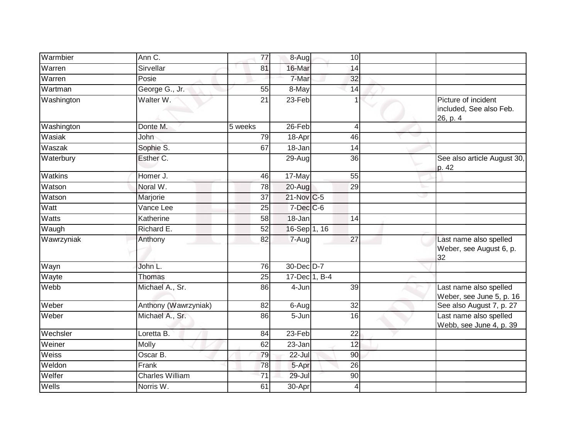| Warmbier       | Ann C.                 | 77              | 8-Aug                 | 10              |                                                            |
|----------------|------------------------|-----------------|-----------------------|-----------------|------------------------------------------------------------|
| Warren         | Sirvellar              | 81              | 16-Mar                | 14              |                                                            |
| Warren         | Posie                  |                 | 7-Mar                 | 32              |                                                            |
| Wartman        | George G., Jr.         | 55              | 8-May                 | 14              |                                                            |
| Washington     | Walter W.              | $\overline{21}$ | $23-Feb$              | 1               | Picture of incident<br>included, See also Feb.<br>26, p. 4 |
| Washington     | Donte M.               | 5 weeks         | 26-Feb                | $\overline{4}$  |                                                            |
| Wasiak         | John                   | 79              | 18-Apr                | 46              |                                                            |
| Waszak         | Sophie S.              | 67              | 18-Jan                | $\overline{14}$ |                                                            |
| Waterbury      | Esther C.              |                 | 29-Aug                | $\overline{36}$ | See also article August 30,<br>p. 42                       |
| <b>Watkins</b> | Homer J.               | 46              | 17-May                | 55              |                                                            |
| Watson         | Noral W.               | 78              | 20-Aug                | 29              |                                                            |
| Watson         | Marjorie               | 37              | 21-Nov C-5            |                 |                                                            |
| Watt           | Vance Lee              | 25              | $7$ -Dec $C$ -6       |                 |                                                            |
| <b>Watts</b>   | Katherine              | $\overline{58}$ | 18-Jan                | $\overline{14}$ |                                                            |
| Waugh          | Richard E.             | 52              | 16-Sep 1, 16          |                 |                                                            |
| Wawrzyniak     | Anthony                | $\overline{82}$ | $7 - \overline{A}$ ug | $\overline{27}$ | Last name also spelled<br>Weber, see August 6, p.<br>32    |
| Wayn           | John L.                | 76              | 30-Dec D-7            |                 |                                                            |
| Wayte          | Thomas                 | 25              | 17-Dec 1, B-4         |                 |                                                            |
| Webb           | Michael A., Sr.        | 86              | 4-Jun                 | 39              | Last name also spelled<br>Weber, see June 5, p. 16         |
| Weber          | Anthony (Wawrzyniak)   | $\overline{82}$ | $6 - Aug$             | $\overline{32}$ | See also August 7, p. 27                                   |
| Weber          | Michael A., Sr.        | 86              | $\overline{5}$ -Jun   | 16              | Last name also spelled<br>Webb, see June 4, p. 39          |
| Wechsler       | Loretta B.             | 84              | 23-Feb                | $\overline{22}$ |                                                            |
| Weiner         | Molly                  | 62              | 23-Jan                | 12              |                                                            |
| Weiss          | Oscar B.               | 79              | $22 -$ Jul            | 90              |                                                            |
| Weldon         | Frank                  | 78              | 5-Apr                 | $\overline{26}$ |                                                            |
| Welfer         | <b>Charles William</b> | 71              | 29-Jul                | 90              |                                                            |
| Wells          | Norris W.              | 61              | $30-Apr$              | $\overline{4}$  |                                                            |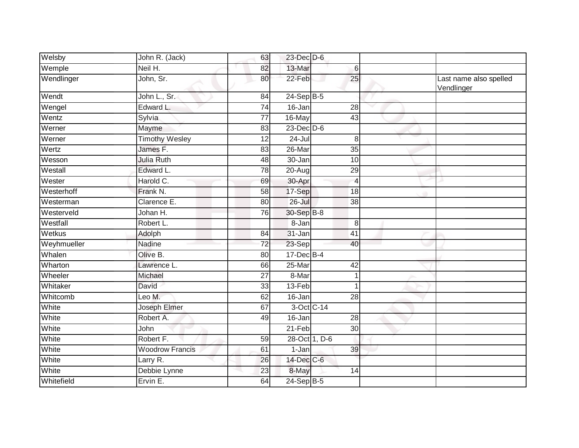| Welsby      | John R. (Jack)         | 63              | $23$ -Dec $D-6$ |                 |                                      |
|-------------|------------------------|-----------------|-----------------|-----------------|--------------------------------------|
| Wemple      | Neil H.                | 82              | 13-Mar          | 6               |                                      |
| Wendlinger  | John, Sr.              | 80              | 22-Feb          | 25              | Last name also spelled<br>Vendlinger |
| Wendt       | John L., Sr.           | 84              | $24-Sep$ B-5    |                 |                                      |
| Wengel      | Edward L.              | $\overline{74}$ | 16-Jan          | 28              |                                      |
| Wentz       | Sylvia                 | $\overline{77}$ | 16-May          | 43              |                                      |
| Werner      | Mayme                  | 83              | $23$ -Dec $D-6$ |                 |                                      |
| Werner      | <b>Timothy Wesley</b>  | $\overline{12}$ | $24 -$ Jul      | 8               |                                      |
| Wertz       | James <sub>F.</sub>    | 83              | 26-Mar          | 35              |                                      |
| Wesson      | Julia Ruth             | 48              | 30-Jan          | 10              |                                      |
| Westall     | Edward L.              | 78              | 20-Aug          | 29              |                                      |
| Wester      | Harold C.              | 69              | 30-Apr          | $\overline{4}$  |                                      |
| Westerhoff  | Frank N.               | $\overline{58}$ | 17-Sep          | $\overline{18}$ |                                      |
| Westerman   | Clarence E.            | 80              | $26 -$ Jul      | 38              |                                      |
| Westerveld  | Johan H.               | 76              | 30-Sep B-8      |                 |                                      |
| Westfall    | Robert L.              |                 | 8-Jan           | 8               |                                      |
| Wetkus      | Adolph                 | 84              | 31-Jan          | $\overline{41}$ |                                      |
| Weyhmueller | Nadine                 | 72              | 23-Sep          | 40              |                                      |
| Whalen      | Olive B.               | 80              | $17 - Dec$ B-4  |                 |                                      |
| Wharton     | Lawrence L.            | 66              | 25-Mar          | 42              |                                      |
| Wheeler     | Michael                | 27              | 8-Mar           |                 |                                      |
| Whitaker    | David                  | 33              | 13-Feb          |                 |                                      |
| Whitcomb    | Leo M.                 | 62              | 16-Jan          | 28              |                                      |
| White       | Joseph Elmer           | 67              | 3-Oct C-14      |                 |                                      |
| White       | Robert A.              | 49              | 16-Jan          | $\overline{28}$ |                                      |
| White       | John                   |                 | $21-Feb$        | 30              |                                      |
| White       | Robert F.              | 59              | 28-Oct 1, D-6   |                 |                                      |
| White       | <b>Woodrow Francis</b> | 61              | 1-Jan           | 39              |                                      |
| White       | Larry R.               | 26              | 14-Dec C-6      |                 |                                      |
| White       | Debbie Lynne           | 23              | 8-May           | 14              |                                      |
| Whitefield  | Ervin E.               | 64              | 24-Sep B-5      |                 |                                      |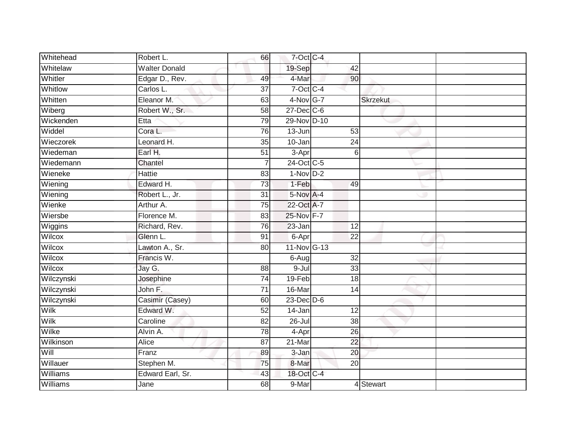| Whitehead  | Robert L.            | 66              | 7-Oct C-4      |                 |                 |  |
|------------|----------------------|-----------------|----------------|-----------------|-----------------|--|
| Whitelaw   | <b>Walter Donald</b> |                 | 19-Sep         | 42              |                 |  |
| Whitler    | Edgar D., Rev.       | 49              | 4-Mar          | 90              |                 |  |
| Whitlow    | Carlos L.            | $\overline{37}$ | $7$ -Oct C-4   |                 |                 |  |
| Whitten    | Eleanor M.           | 63              | 4-Nov G-7      |                 | <b>Skrzekut</b> |  |
| Wiberg     | Robert W., Sr.       | 58              | $27 - Dec$ C-6 |                 |                 |  |
| Wickenden  | Etta                 | 79              | 29-Nov D-10    |                 |                 |  |
| Widdel     | Cora L.              | 76              | 13-Jun         | 53              |                 |  |
| Wieczorek  | Leonard H.           | 35              | 10-Jan         | 24              |                 |  |
| Wiedeman   | Earl H.              | $\overline{51}$ | 3-Apr          | 6               |                 |  |
| Wiedemann  | Chantel              | $\overline{7}$  | 24-Oct C-5     |                 |                 |  |
| Wieneke    | <b>Hattie</b>        | 83              | $1-NovD-2$     |                 |                 |  |
| Wiening    | Edward H.            | 73              | 1-Feb          | 49              |                 |  |
| Wiening    | Robert L., Jr.       | 31              | 5-Nov A-4      |                 |                 |  |
| Wienke     | Arthur A.            | $\overline{75}$ | 22-Oct A-7     |                 |                 |  |
| Wiersbe    | Florence M.          | 83              | 25-Nov F-7     |                 |                 |  |
| Wiggins    | Richard, Rev.        | $\overline{76}$ | 23-Jan         | $\overline{12}$ |                 |  |
| Wilcox     | Glenn L.             | 91              | 6-Apr          | $\overline{22}$ |                 |  |
| Wilcox     | Lawton A., Sr.       | 80              | 11-Nov G-13    |                 |                 |  |
| Wilcox     | Francis W.           |                 | 6-Aug          | 32              |                 |  |
| Wilcox     | Jay G.               | 88              | $9 - Ju$       | 33              |                 |  |
| Wilczynski | Josephine            | $\overline{74}$ | 19-Feb         | $\overline{18}$ |                 |  |
| Wilczynski | John F.              | 71              | 16-Mar         | 14              |                 |  |
| Wilczynski | Casimir (Casey)      | 60              | 23-Dec D-6     |                 |                 |  |
| Wilk       | Edward W.            | 52              | 14-Jan         | 12              |                 |  |
| Wilk       | Caroline             | 82              | $26 -$ Jul     | 38              |                 |  |
| Wilke      | Alvin A.             | 78              | 4-Apr          | $\overline{26}$ |                 |  |
| Wilkinson  | Alice                | 87              | 21-Mar         | 22              |                 |  |
| Will       | Franz                | 89              | 3-Jan          | 20              |                 |  |
| Willauer   | Stephen M.           | 75              | 8-Mar          | 20              |                 |  |
| Williams   | Edward Earl, Sr.     | 43              | 18-Oct C-4     |                 |                 |  |
| Williams   | Jane                 | 68              | 9-Mar          |                 | 4 Stewart       |  |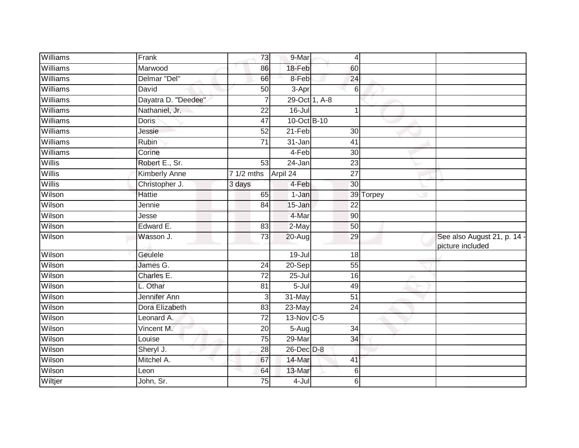| Williams | Frank               | 73              | 9-Mar         | $\overline{4}$  |           |                                                 |
|----------|---------------------|-----------------|---------------|-----------------|-----------|-------------------------------------------------|
| Williams | Marwood             | 86              | $18-Feb$      | 60              |           |                                                 |
| Williams | Delmar "Del"        | 66              | 8-Feb         | 24              |           |                                                 |
| Williams | David               | 50              | 3-Apr         | $6\phantom{1}$  |           |                                                 |
| Williams | Dayatra D. "Deedee" | $\overline{7}$  | 29-Oct 1, A-8 |                 |           |                                                 |
| Williams | Nathaniel, Jr.      | 22              | $16 -$ Jul    | $\mathbf{1}$    |           |                                                 |
| Williams | <b>Doris</b>        | 47              | 10-Oct B-10   |                 |           |                                                 |
| Williams | Jessie              | 52              | $21-Feb$      | 30              |           |                                                 |
| Williams | Rubin               | $\overline{71}$ | 31-Jan        | $\overline{41}$ |           |                                                 |
| Williams | Corine              |                 | $4-Feb$       | 30              |           |                                                 |
| Willis   | Robert E., Sr.      | 53              | 24-Jan        | 23              |           |                                                 |
| Willis   | Kimberly Anne       | 7 1/2 mths      | Arpil 24      | 27              |           |                                                 |
| Willis   | Christopher J.      | 3 days          | 4-Feb         | 30              |           |                                                 |
| Wilson   | <b>Hattie</b>       | 65              | 1-Jan         |                 | 39 Torpey |                                                 |
| Wilson   | Jennie              | 84              | 15-Jan        | $\overline{22}$ |           |                                                 |
| Wilson   | Jesse               |                 | 4-Mar         | 90              |           |                                                 |
| Wilson   | Edward E.           | $\overline{83}$ | $2-May$       | 50              |           |                                                 |
| Wilson   | Wasson J.           | 73              | 20-Aug        | 29              |           | See also August 21, p. 14 -<br>picture included |
| Wilson   | Geulele             |                 | 19-Jul        | 18              |           |                                                 |
| Wilson   | James G.            | $\overline{24}$ | $20-Sep$      | 55              |           |                                                 |
| Wilson   | Charles E.          | 72              | $25 -$ Jul    | 16              |           |                                                 |
| Wilson   | L. Othar            | 81              | $5 -$ Jul     | 49              |           |                                                 |
| Wilson   | Jennifer Ann        | 3               | 31-May        | $\overline{51}$ |           |                                                 |
| Wilson   | Dora Elizabeth      | 83              | 23-May        | 24              |           |                                                 |
| Wilson   | Leonard A.          | $\overline{72}$ | 13-Nov C-5    |                 |           |                                                 |
| Wilson   | Vincent M.          | 20              | $5-Aug$       | 34              |           |                                                 |
| Wilson   | Louise              | $\overline{75}$ | 29-Mar        | 34              |           |                                                 |
| Wilson   | Sheryl J.           | 28              | 26-Dec D-8    |                 |           |                                                 |
| Wilson   | Mitchel A.          | 67              | 14-Mar        | 41              |           |                                                 |
| Wilson   | Leon                | 64              | 13-Mar        | $6\phantom{1}$  |           |                                                 |
| Wiltjer  | John, Sr.           | 75              | 4-Jul         | 6               |           |                                                 |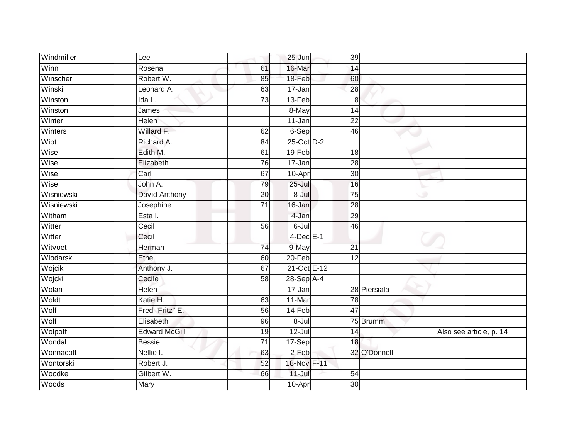| Windmiller | Lee                   |                 | $25 - Jun$     | 39              |              |                         |
|------------|-----------------------|-----------------|----------------|-----------------|--------------|-------------------------|
| Winn       | Rosena                | 61              | 16-Mar         | 14              |              |                         |
| Winscher   | Robert W.             | 85              | 18-Feb         | 60              |              |                         |
| Winski     | Leonard A.            | 63              | 17-Jan         | 28              |              |                         |
| Winston    | Ida L.                | 73              | $13-Feb$       | 8               |              |                         |
| Winston    | James                 |                 | 8-May          | 14              |              |                         |
| Winter     | <b>Helen</b>          |                 | 11-Jan         | 22              |              |                         |
| Winters    | Willard F.            | 62              | 6-Sep          | 46              |              |                         |
| Wiot       | Richard A.            | 84              | 25-Oct D-2     |                 |              |                         |
| Wise       | Edith M.              | 61              | 19-Feb         | 18              |              |                         |
| Wise       | Elizabeth             | $\overline{76}$ | $17 - Jan$     | $\overline{28}$ |              |                         |
| Wise       | Carl                  | 67              | 10-Apr         | $\overline{30}$ |              |                         |
| Wise       | John A.               | 79              | $25 -$ Jul     | 16              |              |                         |
| Wisniewski | David Anthony         | 20              | $8 -$ Jul      | 75              |              |                         |
| Wisniewski | Josephine             | $\overline{71}$ | 16-Jan         | 28              |              |                         |
| Witham     | $\overline{E}$ sta I. |                 | 4-Jan          | 29              |              |                         |
| Witter     | Cecil                 | 56              | $6 -$ Jul      | 46              |              |                         |
| Witter     | Cecil                 |                 | $4$ -Dec $E-1$ |                 |              |                         |
| Witvoet    | Herman                | 74              | 9-May          | 21              |              |                         |
| Wlodarski  | Ethel                 | 60              | $20 - Feb$     | $\overline{12}$ |              |                         |
| Wojcik     | Anthony J.            | 67              | 21-Oct E-12    |                 |              |                         |
| Wojcki     | Cecile                | $\overline{58}$ | $28-Sep$ A-4   |                 |              |                         |
| Wolan      | Helen                 |                 | 17-Jan         |                 | 28 Piersiala |                         |
| Woldt      | Katie H.              | 63              | 11-Mar         | 78              |              |                         |
| Wolf       | Fred "Fritz" E.       | 56              | 14-Feb         | 47              |              |                         |
| Wolf       | Elisabeth             | 96              | $8 -$ Jul      |                 | 75 Brumm     |                         |
| Wolpoff    | <b>Edward McGill</b>  | 19              | $12 -$ Jul     | 14              |              | Also see article, p. 14 |
| Wondal     | <b>Bessie</b>         | 71              | 17-Sep         | 18              |              |                         |
| Wonnacott  | Nellie I.             | 63              | $2-Feb$        |                 | 32 O'Donnell |                         |
| Wontorski  | Robert J.             | 52              | 18-Nov F-11    |                 |              |                         |
| Woodke     | Gilbert W.            | 66              | $11 -$ Jul     | 54              |              |                         |
| Woods      | Mary                  |                 | 10-Apr         | $\overline{30}$ |              |                         |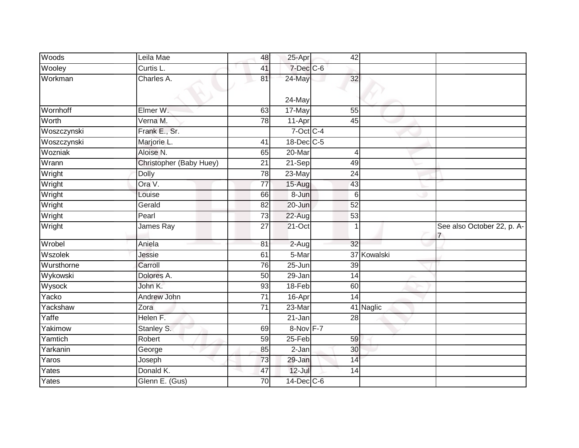| Woods       | Leila Mae               | 48              | 25-Apr          | 42              |             |                            |
|-------------|-------------------------|-----------------|-----------------|-----------------|-------------|----------------------------|
| Wooley      | Curtis L.               | 41              | $7$ -Dec $C$ -6 |                 |             |                            |
| Workman     | Charles A.              | 81              | 24-May          | 32              |             |                            |
|             |                         |                 | 24-May          |                 |             |                            |
| Wornhoff    | Elmer W.                | 63              | 17-May          | 55              |             |                            |
| Worth       | Verna M.                | 78              | 11-Apr          | 45              |             |                            |
| Woszczynski | Frank E., Sr.           |                 | 7-Oct C-4       |                 |             |                            |
| Woszczynski | Marjorie L.             | 41              | 18-Dec C-5      |                 |             |                            |
| Wozniak     | Aloise N.               | 65              | 20-Mar          | $\overline{4}$  |             |                            |
| Wrann       | Christopher (Baby Huey) | 21              | 21-Sep          | 49              |             |                            |
| Wright      | <b>Dolly</b>            | 78              | 23-May          | 24              |             |                            |
| Wright      | Ora V.                  | 77              | 15-Aug          | 43              |             |                            |
| Wright      | Louise                  | 66              | 8-Jun           | 6               |             |                            |
| Wright      | Gerald                  | 82              | 20-Jun          | 52              |             |                            |
| Wright      | Pearl                   | $\overline{73}$ | $22 - Aug$      | 53              |             |                            |
| Wright      | James Ray               | 27              | $21$ -Oct       | 1               |             | See also October 22, p. A- |
| Wrobel      | Aniela                  | 81              | 2-Aug           | 32              |             |                            |
| Wszolek     | Jessie                  | 61              | 5-Mar           |                 | 37 Kowalski |                            |
| Wursthorne  | Carroll                 | $\overline{76}$ | $25 - Jun$      | $\overline{39}$ |             |                            |
| Wykowski    | Dolores A.              | 50              | 29-Jan          | 14              |             |                            |
| Wysock      | John K.                 | 93              | 18-Feb          | 60              |             |                            |
| Yacko       | Andrew John             | $\overline{71}$ | 16-Apr          | 14              |             |                            |
| Yackshaw    | Zora                    | 71              | 23-Mar          |                 | 41 Naglic   |                            |
| Yaffe       | Helen F.                |                 | $21 - Jan$      | 28              |             |                            |
| Yakimow     | Stanley S.              | 69              | 8-Nov F-7       |                 |             |                            |
| Yamtich     | Robert                  | 59              | $25 - Feb$      | 59              |             |                            |
| Yarkanin    | George                  | 85              | $2-Jan$         | 30              |             |                            |
| Yaros       | Joseph                  | 73              | 29-Jan          | 14              |             |                            |
| Yates       | Donald K.               | 47              | $12$ -Jul       | 14              |             |                            |
| Yates       | Glenn E. (Gus)          | 70              | 14-Dec C-6      |                 |             |                            |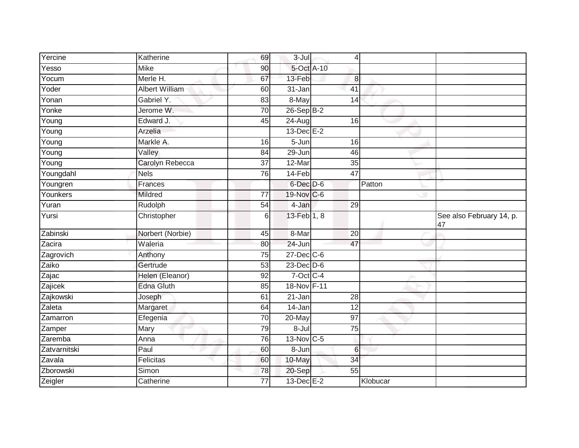| Yercine             | Katherine             | 69              | $3 -$ Jul               | 4                |          |                                |
|---------------------|-----------------------|-----------------|-------------------------|------------------|----------|--------------------------------|
| Yesso               | <b>Mike</b>           | 90              | 5-Oct A-10              |                  |          |                                |
| Yocum               | Merle H.              | 67              | 13-Feb                  | $\boldsymbol{8}$ |          |                                |
| Yoder               | <b>Albert William</b> | 60              | 31-Jan                  | $\overline{41}$  |          |                                |
| Yonan               | Gabriel Y.            | 83              | 8-May                   | $\overline{14}$  |          |                                |
| Yonke               | Jerome W.             | 70              | $26-SepB-2$             |                  |          |                                |
| $\overline{Y}$ oung | Edward J.             | 45              | 24-Aug                  | 16               |          |                                |
| Young               | Arzelia               |                 | $13$ -Dec $E-2$         |                  |          |                                |
| Young               | Markle A.             | 16              | 5-Jun                   | 16               |          |                                |
| $\overline{Y}$ oung | Valley                | 84              | 29-Jun                  | 46               |          |                                |
| Young               | Carolyn Rebecca       | $\overline{37}$ | 12-Mar                  | 35               |          |                                |
| Youngdahl           | <b>Nels</b>           | 76              | 14-Feb                  | 47               |          |                                |
| Youngren            | Frances               |                 | 6-Dec D-6               |                  | Patton   |                                |
| Younkers            | Mildred               | $\overline{77}$ | 19-Nov C-6              |                  |          |                                |
| Yuran               | Rudolph               | 54              | 4-Jan                   | $\overline{29}$  |          |                                |
| Yursi               | Christopher           | 6               | 13-Feb 1, 8             |                  |          | See also February 14, p.<br>47 |
| Zabinski            | Norbert (Norbie)      | 45              | 8-Mar                   | 20               |          |                                |
| Zacira              | Waleria               | 80              | 24-Jun                  | 47               |          |                                |
| Zagrovich           | Anthony               | 75              | $27 - Dec$ C-6          |                  |          |                                |
| Zaiko               | Gertrude              | 53              | $23$ -Dec $D-6$         |                  |          |                                |
| Zajac               | Helen (Eleanor)       | 92              | $7$ -Oct C-4            |                  |          |                                |
| Zajicek             | <b>Edna Gluth</b>     | 85              | 18-Nov F-11             |                  |          |                                |
| Zajkowski           | Joseph                | 61              | 21-Jan                  | 28               |          |                                |
| Zaleta              | Margaret              | 64              | 14-Jan                  | 12               |          |                                |
| Zamarron            | Efegenia              | 70              | 20-May                  | $\overline{97}$  |          |                                |
| Zamper              | Mary                  | 79              | 8-Jul                   | $\overline{75}$  |          |                                |
| Zaremba             | Anna                  | 76              | $13-Nov$ <sub>C-5</sub> |                  |          |                                |
| Zatvarnitski        | Paul                  | 60              | 8-Jun                   | $6\phantom{1}$   |          |                                |
| Zavala              | Felicitas             | 60              | 10-May                  | 34               |          |                                |
| Zborowski           | Simon                 | 78              | 20-Sep                  | 55               |          |                                |
| Zeigler             | Catherine             | 77              | 13-Dec E-2              |                  | Klobucar |                                |